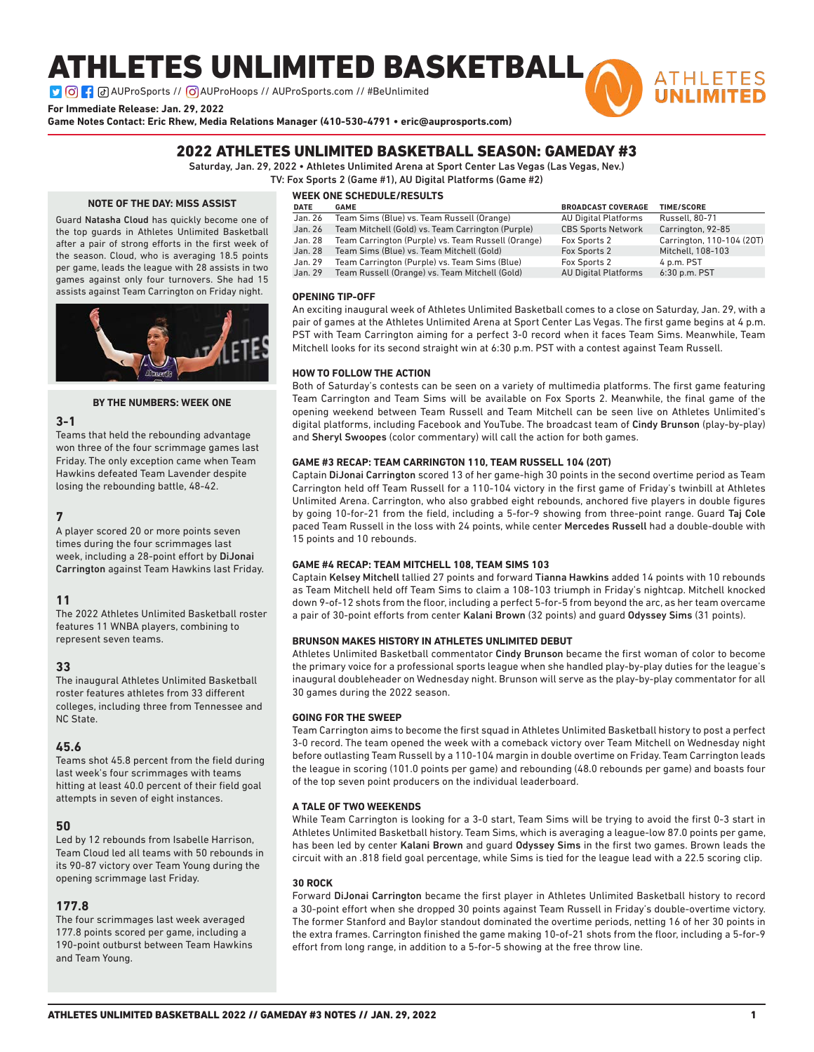# ATHLETES UNLIMITED BASKETBALL

**D G : a** AUProSports // **G** AUProHoops // AUProSports.com // #BeUnlimited

**For Immediate Release: Jan. 29, 2022**

**Game Notes Contact: Eric Rhew, Media Relations Manager (410-530-4791 • eric@auprosports.com)**

## 2022 ATHLETES UNLIMITED BASKETBALL SEASON: GAMEDAY #3

Saturday, Jan. 29, 2022 • Athletes Unlimited Arena at Sport Center Las Vegas (Las Vegas, Nev.)

TV: Fox Sports 2 (Game #1), AU Digital Platforms (Game #2)

### **NOTE OF THE DAY: MISS ASSIST**

Guard Natasha Cloud has quickly become one of the top guards in Athletes Unlimited Basketball after a pair of strong efforts in the first week of the season. Cloud, who is averaging 18.5 points per game, leads the league with 28 assists in two games against only four turnovers. She had 15 assists against Team Carrington on Friday night.



### **BY THE NUMBERS: WEEK ONE**

### **3-1**

Teams that held the rebounding advantage won three of the four scrimmage games last Friday. The only exception came when Team Hawkins defeated Team Lavender despite losing the rebounding battle, 48-42.

### **7**

A player scored 20 or more points seven times during the four scrimmages last week, including a 28-point effort by DiJonai Carrington against Team Hawkins last Friday.

### **11**

The 2022 Athletes Unlimited Basketball roster features 11 WNBA players, combining to represent seven teams.

### **33**

The inaugural Athletes Unlimited Basketball roster features athletes from 33 different colleges, including three from Tennessee and NC State.

### **45.6**

Teams shot 45.8 percent from the field during last week's four scrimmages with teams hitting at least 40.0 percent of their field goal attempts in seven of eight instances.

### **50**

Led by 12 rebounds from Isabelle Harrison, Team Cloud led all teams with 50 rebounds in its 90-87 victory over Team Young during the opening scrimmage last Friday.

### **177.8**

The four scrimmages last week averaged 177.8 points scored per game, including a 190-point outburst between Team Hawkins and Team Young.

## **WEEK ONE SCHEDULE/RESULTS**

| <b>DATE</b> | <b>GAME</b>                                        | <b>BROADCAST COVERAGE</b>   | <b>TIME/SCORE</b>         |
|-------------|----------------------------------------------------|-----------------------------|---------------------------|
| Jan. 26     | Team Sims (Blue) vs. Team Russell (Orange)         | <b>AU Digital Platforms</b> | <b>Russell</b> . 80-71    |
| Jan. 26     | Team Mitchell (Gold) vs. Team Carrington (Purple)  | <b>CBS Sports Network</b>   | Carrington, 92-85         |
| Jan. 28     | Team Carrington (Purple) vs. Team Russell (Orange) | Fox Sports 2                | Carrington, 110-104 (20T) |
| Jan. 28     | Team Sims (Blue) vs. Team Mitchell (Gold)          | Fox Sports 2                | Mitchell. 108-103         |
| Jan. 29     | Team Carrington (Purple) vs. Team Sims (Blue)      | Fox Sports 2                | 4 p.m. PST                |
| Jan. 29     | Team Russell (Orange) vs. Team Mitchell (Gold)     | <b>AU Digital Platforms</b> | 6:30 p.m. PST             |

**ATHLETES** 

### **OPENING TIP-OFF**

An exciting inaugural week of Athletes Unlimited Basketball comes to a close on Saturday, Jan. 29, with a pair of games at the Athletes Unlimited Arena at Sport Center Las Vegas. The first game begins at 4 p.m. PST with Team Carrington aiming for a perfect 3-0 record when it faces Team Sims. Meanwhile, Team Mitchell looks for its second straight win at 6:30 p.m. PST with a contest against Team Russell.

### **HOW TO FOLLOW THE ACTION**

Both of Saturday's contests can be seen on a variety of multimedia platforms. The first game featuring Team Carrington and Team Sims will be available on Fox Sports 2. Meanwhile, the final game of the opening weekend between Team Russell and Team Mitchell can be seen live on Athletes Unlimited's digital platforms, including Facebook and YouTube. The broadcast team of Cindy Brunson (play-by-play) and Sheryl Swoopes (color commentary) will call the action for both games.

### **GAME #3 RECAP: TEAM CARRINGTON 110, TEAM RUSSELL 104 (2OT)**

Captain DiJonai Carrington scored 13 of her game-high 30 points in the second overtime period as Team Carrington held off Team Russell for a 110-104 victory in the first game of Friday's twinbill at Athletes Unlimited Arena. Carrington, who also grabbed eight rebounds, anchored five players in double figures by going 10-for-21 from the field, including a 5-for-9 showing from three-point range. Guard Taj Cole paced Team Russell in the loss with 24 points, while center Mercedes Russell had a double-double with 15 points and 10 rebounds.

### **GAME #4 RECAP: TEAM MITCHELL 108, TEAM SIMS 103**

Captain Kelsey Mitchell tallied 27 points and forward Tianna Hawkins added 14 points with 10 rebounds as Team Mitchell held off Team Sims to claim a 108-103 triumph in Friday's nightcap. Mitchell knocked down 9-of-12 shots from the floor, including a perfect 5-for-5 from beyond the arc, as her team overcame a pair of 30-point efforts from center Kalani Brown (32 points) and guard Odyssey Sims (31 points).

### **BRUNSON MAKES HISTORY IN ATHLETES UNLIMITED DEBUT**

Athletes Unlimited Basketball commentator Cindy Brunson became the first woman of color to become the primary voice for a professional sports league when she handled play-by-play duties for the league's inaugural doubleheader on Wednesday night. Brunson will serve as the play-by-play commentator for all 30 games during the 2022 season.

### **GOING FOR THE SWEEP**

Team Carrington aims to become the first squad in Athletes Unlimited Basketball history to post a perfect 3-0 record. The team opened the week with a comeback victory over Team Mitchell on Wednesday night before outlasting Team Russell by a 110-104 margin in double overtime on Friday. Team Carrington leads the league in scoring (101.0 points per game) and rebounding (48.0 rebounds per game) and boasts four of the top seven point producers on the individual leaderboard.

### **A TALE OF TWO WEEKENDS**

While Team Carrington is looking for a 3-0 start, Team Sims will be trying to avoid the first 0-3 start in Athletes Unlimited Basketball history. Team Sims, which is averaging a league-low 87.0 points per game, has been led by center Kalani Brown and guard Odyssey Sims in the first two games. Brown leads the circuit with an .818 field goal percentage, while Sims is tied for the league lead with a 22.5 scoring clip.

### **30 ROCK**

Forward DiJonai Carrington became the first player in Athletes Unlimited Basketball history to record a 30-point effort when she dropped 30 points against Team Russell in Friday's double-overtime victory. The former Stanford and Baylor standout dominated the overtime periods, netting 16 of her 30 points in the extra frames. Carrington finished the game making 10-of-21 shots from the floor, including a 5-for-9 effort from long range, in addition to a 5-for-5 showing at the free throw line.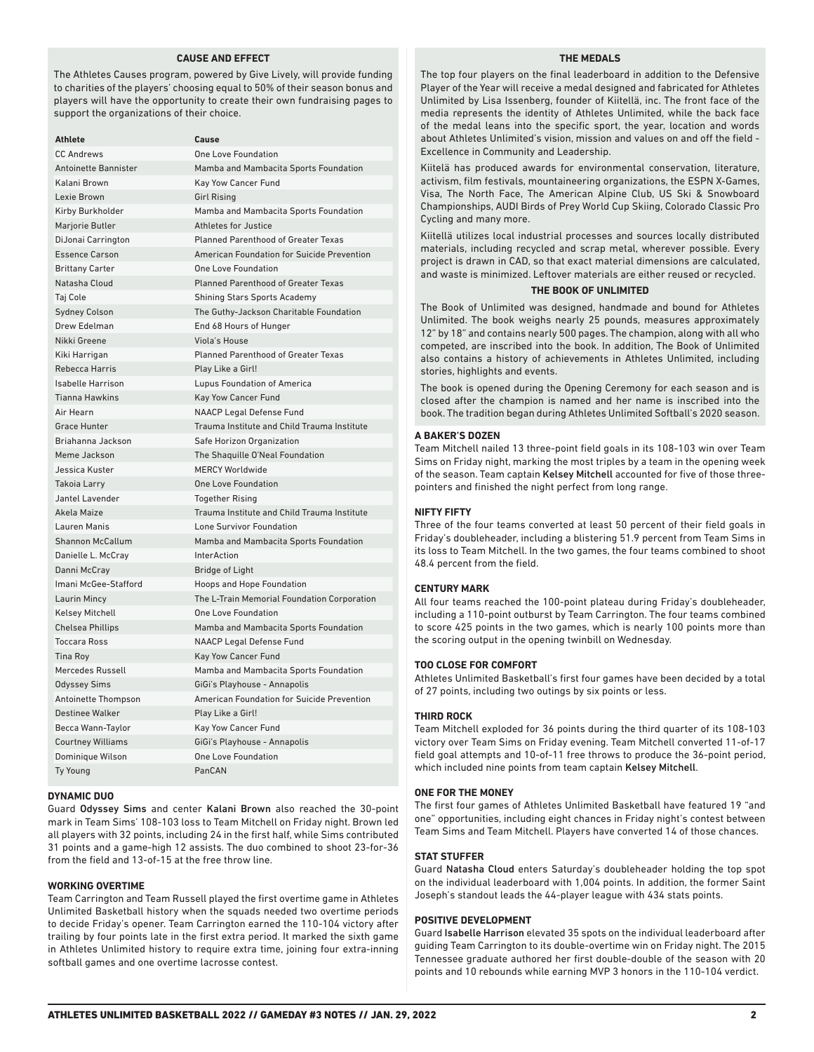### **CAUSE AND EFFECT**

The Athletes Causes program, powered by Give Lively, will provide funding to charities of the players' choosing equal to 50% of their season bonus and players will have the opportunity to create their own fundraising pages to support the organizations of their choice.

| <b>Athlete</b>              | Cause                                       |
|-----------------------------|---------------------------------------------|
| <b>CC Andrews</b>           | <b>One Love Foundation</b>                  |
| <b>Antoinette Bannister</b> | Mamba and Mambacita Sports Foundation       |
| Kalani Brown                | Kay Yow Cancer Fund                         |
| Lexie Brown                 | <b>Girl Rising</b>                          |
| Kirby Burkholder            | Mamba and Mambacita Sports Foundation       |
| Marjorie Butler             | Athletes for Justice                        |
| DiJonai Carrington          | <b>Planned Parenthood of Greater Texas</b>  |
| <b>Essence Carson</b>       | American Foundation for Suicide Prevention  |
| <b>Brittany Carter</b>      | One Love Foundation                         |
| Natasha Cloud               | Planned Parenthood of Greater Texas         |
| Taj Cole                    | <b>Shining Stars Sports Academy</b>         |
| <b>Sydney Colson</b>        | The Guthy-Jackson Charitable Foundation     |
| Drew Edelman                | End 68 Hours of Hunger                      |
| Nikki Greene                | Viola's House                               |
| Kiki Harrigan               | <b>Planned Parenthood of Greater Texas</b>  |
| <b>Rebecca Harris</b>       | Play Like a Girl!                           |
| <b>Isabelle Harrison</b>    | Lupus Foundation of America                 |
| <b>Tianna Hawkins</b>       | <b>Kay Yow Cancer Fund</b>                  |
| Air Hearn                   | <b>NAACP Legal Defense Fund</b>             |
| <b>Grace Hunter</b>         | Trauma Institute and Child Trauma Institute |
| Briahanna Jackson           | Safe Horizon Organization                   |
| Meme Jackson                | The Shaguille O'Neal Foundation             |
| Jessica Kuster              | <b>MERCY Worldwide</b>                      |
| Takoia Larry                | <b>One Love Foundation</b>                  |
| Jantel Lavender             | <b>Together Rising</b>                      |
| Akela Maize                 | Trauma Institute and Child Trauma Institute |
| Lauren Manis                | Lone Survivor Foundation                    |
| <b>Shannon McCallum</b>     | Mamba and Mambacita Sports Foundation       |
| Danielle L. McCray          | <b>InterAction</b>                          |
| Danni McCray                | <b>Bridge of Light</b>                      |
| Imani McGee-Stafford        | Hoops and Hope Foundation                   |
| Laurin Mincy                | The L-Train Memorial Foundation Corporation |
| <b>Kelsey Mitchell</b>      | <b>One Love Foundation</b>                  |
| <b>Chelsea Phillips</b>     | Mamba and Mambacita Sports Foundation       |
| <b>Toccara Ross</b>         | <b>NAACP Legal Defense Fund</b>             |
| Tina Roy                    | <b>Kay Yow Cancer Fund</b>                  |
| Mercedes Russell            | Mamba and Mambacita Sports Foundation       |
| <b>Odyssey Sims</b>         | GiGi's Playhouse - Annapolis                |
| Antoinette Thompson         | American Foundation for Suicide Prevention  |
| <b>Destinee Walker</b>      | Play Like a Girl!                           |
| Becca Wann-Taylor           | Kay Yow Cancer Fund                         |
| <b>Courtney Williams</b>    | GiGi's Playhouse - Annapolis                |
| Dominique Wilson            | <b>One Love Foundation</b>                  |
| <b>Ty Young</b>             | PanCAN                                      |

### **DYNAMIC DUO**

Guard Odyssey Sims and center Kalani Brown also reached the 30-point mark in Team Sims' 108-103 loss to Team Mitchell on Friday night. Brown led all players with 32 points, including 24 in the first half, while Sims contributed 31 points and a game-high 12 assists. The duo combined to shoot 23-for-36 from the field and 13-of-15 at the free throw line.

### **WORKING OVERTIME**

Team Carrington and Team Russell played the first overtime game in Athletes Unlimited Basketball history when the squads needed two overtime periods to decide Friday's opener. Team Carrington earned the 110-104 victory after trailing by four points late in the first extra period. It marked the sixth game in Athletes Unlimited history to require extra time, joining four extra-inning softball games and one overtime lacrosse contest.

### **THE MEDALS**

The top four players on the final leaderboard in addition to the Defensive Player of the Year will receive a medal designed and fabricated for Athletes Unlimited by Lisa Issenberg, founder of Kiitellä, inc. The front face of the media represents the identity of Athletes Unlimited, while the back face of the medal leans into the specific sport, the year, location and words about Athletes Unlimited's vision, mission and values on and off the field - Excellence in Community and Leadership.

Kiitelä has produced awards for environmental conservation, literature, activism, film festivals, mountaineering organizations, the ESPN X-Games, Visa, The North Face, The American Alpine Club, US Ski & Snowboard Championships, AUDI Birds of Prey World Cup Skiing, Colorado Classic Pro Cycling and many more.

Kiitellä utilizes local industrial processes and sources locally distributed materials, including recycled and scrap metal, wherever possible. Every project is drawn in CAD, so that exact material dimensions are calculated, and waste is minimized. Leftover materials are either reused or recycled.

### **THE BOOK OF UNLIMITED**

The Book of Unlimited was designed, handmade and bound for Athletes Unlimited. The book weighs nearly 25 pounds, measures approximately 12" by 18" and contains nearly 500 pages. The champion, along with all who competed, are inscribed into the book. In addition, The Book of Unlimited also contains a history of achievements in Athletes Unlimited, including stories, highlights and events.

The book is opened during the Opening Ceremony for each season and is closed after the champion is named and her name is inscribed into the book. The tradition began during Athletes Unlimited Softball's 2020 season.

### **A BAKER'S DOZEN**

Team Mitchell nailed 13 three-point field goals in its 108-103 win over Team Sims on Friday night, marking the most triples by a team in the opening week of the season. Team captain Kelsey Mitchell accounted for five of those threepointers and finished the night perfect from long range.

### **NIFTY FIFTY**

Three of the four teams converted at least 50 percent of their field goals in Friday's doubleheader, including a blistering 51.9 percent from Team Sims in its loss to Team Mitchell. In the two games, the four teams combined to shoot 48.4 percent from the field.

### **CENTURY MARK**

All four teams reached the 100-point plateau during Friday's doubleheader, including a 110-point outburst by Team Carrington. The four teams combined to score 425 points in the two games, which is nearly 100 points more than the scoring output in the opening twinbill on Wednesday.

### **TOO CLOSE FOR COMFORT**

Athletes Unlimited Basketball's first four games have been decided by a total of 27 points, including two outings by six points or less.

### **THIRD ROCK**

Team Mitchell exploded for 36 points during the third quarter of its 108-103 victory over Team Sims on Friday evening. Team Mitchell converted 11-of-17 field goal attempts and 10-of-11 free throws to produce the 36-point period, which included nine points from team captain Kelsey Mitchell.

### **ONE FOR THE MONEY**

The first four games of Athletes Unlimited Basketball have featured 19 "and one" opportunities, including eight chances in Friday night's contest between Team Sims and Team Mitchell. Players have converted 14 of those chances.

### **STAT STUFFER**

Guard Natasha Cloud enters Saturday's doubleheader holding the top spot on the individual leaderboard with 1,004 points. In addition, the former Saint Joseph's standout leads the 44-player league with 434 stats points.

### **POSITIVE DEVELOPMENT**

Guard Isabelle Harrison elevated 35 spots on the individual leaderboard after guiding Team Carrington to its double-overtime win on Friday night. The 2015 Tennessee graduate authored her first double-double of the season with 20 points and 10 rebounds while earning MVP 3 honors in the 110-104 verdict.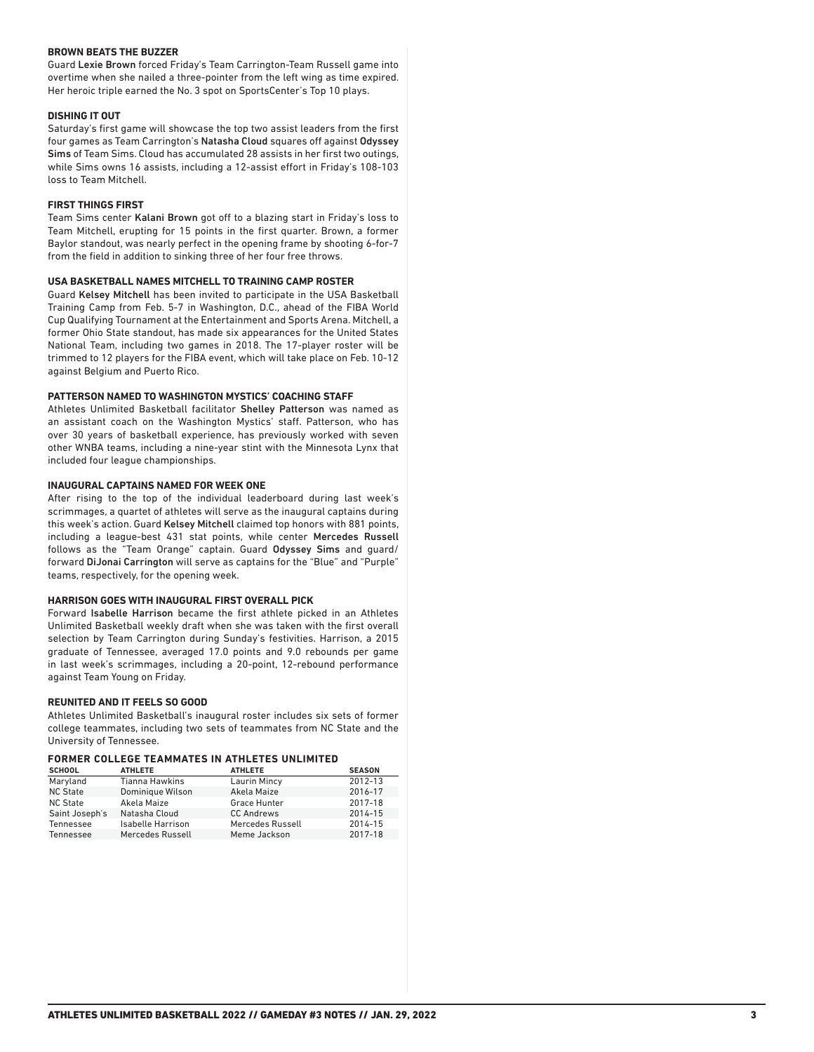### **BROWN BEATS THE BUZZER**

Guard Lexie Brown forced Friday's Team Carrington-Team Russell game into overtime when she nailed a three-pointer from the left wing as time expired. Her heroic triple earned the No. 3 spot on SportsCenter's Top 10 plays.

### **DISHING IT OUT**

Saturday's first game will showcase the top two assist leaders from the first four games as Team Carrington's Natasha Cloud squares off against Odyssey Sims of Team Sims. Cloud has accumulated 28 assists in her first two outings, while Sims owns 16 assists, including a 12-assist effort in Friday's 108-103 loss to Team Mitchell.

### **FIRST THINGS FIRST**

Team Sims center Kalani Brown got off to a blazing start in Friday's loss to Team Mitchell, erupting for 15 points in the first quarter. Brown, a former Baylor standout, was nearly perfect in the opening frame by shooting 6-for-7 from the field in addition to sinking three of her four free throws.

### **USA BASKETBALL NAMES MITCHELL TO TRAINING CAMP ROSTER**

Guard Kelsey Mitchell has been invited to participate in the USA Basketball Training Camp from Feb. 5-7 in Washington, D.C., ahead of the FIBA World Cup Qualifying Tournament at the Entertainment and Sports Arena. Mitchell, a former Ohio State standout, has made six appearances for the United States National Team, including two games in 2018. The 17-player roster will be trimmed to 12 players for the FIBA event, which will take place on Feb. 10-12 against Belgium and Puerto Rico.

### **PATTERSON NAMED TO WASHINGTON MYSTICS' COACHING STAFF**

Athletes Unlimited Basketball facilitator Shelley Patterson was named as an assistant coach on the Washington Mystics' staff. Patterson, who has over 30 years of basketball experience, has previously worked with seven other WNBA teams, including a nine-year stint with the Minnesota Lynx that included four league championships.

### **INAUGURAL CAPTAINS NAMED FOR WEEK ONE**

After rising to the top of the individual leaderboard during last week's scrimmages, a quartet of athletes will serve as the inaugural captains during this week's action. Guard Kelsey Mitchell claimed top honors with 881 points, including a league-best 431 stat points, while center Mercedes Russell follows as the "Team Orange" captain. Guard Odyssey Sims and guard/ forward DiJonai Carrington will serve as captains for the "Blue" and "Purple" teams, respectively, for the opening week.

### **HARRISON GOES WITH INAUGURAL FIRST OVERALL PICK**

Forward Isabelle Harrison became the first athlete picked in an Athletes Unlimited Basketball weekly draft when she was taken with the first overall selection by Team Carrington during Sunday's festivities. Harrison, a 2015 graduate of Tennessee, averaged 17.0 points and 9.0 rebounds per game in last week's scrimmages, including a 20-point, 12-rebound performance against Team Young on Friday.

### **REUNITED AND IT FEELS SO GOOD**

Athletes Unlimited Basketball's inaugural roster includes six sets of former college teammates, including two sets of teammates from NC State and the University of Tennessee.

### **FORMER COLLEGE TEAMMATES IN ATHLETES UNLIMITED**

| <b>SCHOOL</b>   | <b>ATHLETE</b>    | <b>ATHLETE</b>      | <b>SEASON</b> |
|-----------------|-------------------|---------------------|---------------|
| Maryland        | Tianna Hawkins    | <b>Laurin Mincy</b> | 2012-13       |
| <b>NC State</b> | Dominique Wilson  | Akela Maize         | 2016-17       |
| <b>NC State</b> | Akela Maize       | Grace Hunter        | 2017-18       |
| Saint Joseph's  | Natasha Cloud     | <b>CC Andrews</b>   | 2014-15       |
| Tennessee       | Isabelle Harrison | Mercedes Russell    | 2014-15       |
| Tennessee       | Mercedes Russell  | Meme Jackson        | 2017-18       |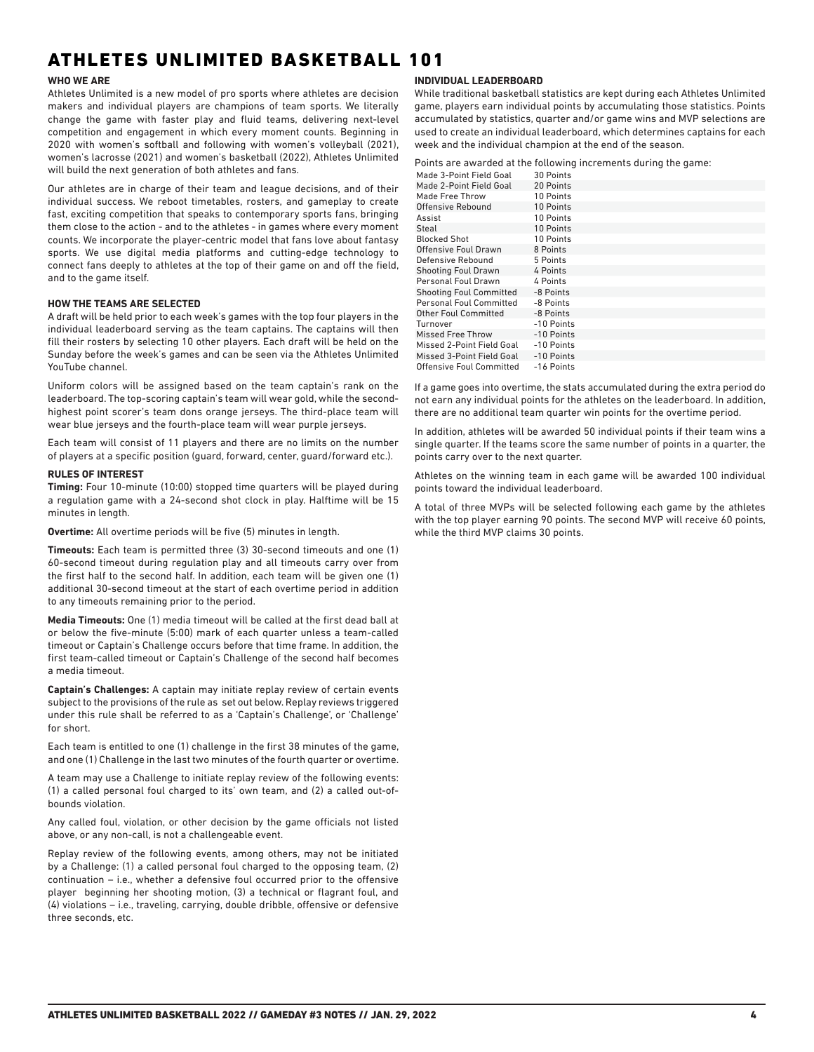## ATHLETES UNLIMITED BASKETBALL 101

### **WHO WE ARE**

Athletes Unlimited is a new model of pro sports where athletes are decision makers and individual players are champions of team sports. We literally change the game with faster play and fluid teams, delivering next-level competition and engagement in which every moment counts. Beginning in 2020 with women's softball and following with women's volleyball (2021), women's lacrosse (2021) and women's basketball (2022), Athletes Unlimited will build the next generation of both athletes and fans.

Our athletes are in charge of their team and league decisions, and of their individual success. We reboot timetables, rosters, and gameplay to create fast, exciting competition that speaks to contemporary sports fans, bringing them close to the action - and to the athletes - in games where every moment counts. We incorporate the player-centric model that fans love about fantasy sports. We use digital media platforms and cutting-edge technology to connect fans deeply to athletes at the top of their game on and off the field, and to the game itself.

### **HOW THE TEAMS ARE SELECTED**

A draft will be held prior to each week's games with the top four players in the individual leaderboard serving as the team captains. The captains will then fill their rosters by selecting 10 other players. Each draft will be held on the Sunday before the week's games and can be seen via the Athletes Unlimited YouTube channel.

Uniform colors will be assigned based on the team captain's rank on the leaderboard. The top-scoring captain's team will wear gold, while the secondhighest point scorer's team dons orange jerseys. The third-place team will wear blue jerseys and the fourth-place team will wear purple jerseys.

Each team will consist of 11 players and there are no limits on the number of players at a specific position (guard, forward, center, guard/forward etc.).

### **RULES OF INTEREST**

**Timing:** Four 10-minute (10:00) stopped time quarters will be played during a regulation game with a 24-second shot clock in play. Halftime will be 15 minutes in length.

**Overtime:** All overtime periods will be five (5) minutes in length.

**Timeouts:** Each team is permitted three (3) 30-second timeouts and one (1) 60-second timeout during regulation play and all timeouts carry over from the first half to the second half. In addition, each team will be given one (1) additional 30-second timeout at the start of each overtime period in addition to any timeouts remaining prior to the period.

**Media Timeouts:** One (1) media timeout will be called at the first dead ball at or below the five-minute (5:00) mark of each quarter unless a team-called timeout or Captain's Challenge occurs before that time frame. In addition, the first team-called timeout or Captain's Challenge of the second half becomes a media timeout.

**Captain's Challenges:** A captain may initiate replay review of certain events subject to the provisions of the rule as set out below. Replay reviews triggered under this rule shall be referred to as a 'Captain's Challenge', or 'Challenge' for short.

Each team is entitled to one (1) challenge in the first 38 minutes of the game, and one (1) Challenge in the last two minutes of the fourth quarter or overtime.

A team may use a Challenge to initiate replay review of the following events: (1) a called personal foul charged to its' own team, and (2) a called out-ofbounds violation.

Any called foul, violation, or other decision by the game officials not listed above, or any non-call, is not a challengeable event.

Replay review of the following events, among others, may not be initiated by a Challenge: (1) a called personal foul charged to the opposing team, (2) continuation – i.e., whether a defensive foul occurred prior to the offensive player beginning her shooting motion, (3) a technical or flagrant foul, and (4) violations – i.e., traveling, carrying, double dribble, offensive or defensive three seconds, etc.

### **INDIVIDUAL LEADERBOARD**

While traditional basketball statistics are kept during each Athletes Unlimited game, players earn individual points by accumulating those statistics. Points accumulated by statistics, quarter and/or game wins and MVP selections are used to create an individual leaderboard, which determines captains for each week and the individual champion at the end of the season.

Points are awarded at the following increments during the game:

| Made 3-Point Field Goal        | 30 Points  |
|--------------------------------|------------|
| Made 2-Point Field Goal        | 20 Points  |
| Made Free Throw                | 10 Points  |
| Offensive Rebound              | 10 Points  |
| Assist                         | 10 Points  |
| Steal                          | 10 Points  |
| <b>Blocked Shot</b>            | 10 Points  |
| Offensive Foul Drawn           | 8 Points   |
| Defensive Rebound              | 5 Points   |
| <b>Shooting Foul Drawn</b>     | 4 Points   |
| Personal Foul Drawn            | 4 Points   |
| <b>Shooting Foul Committed</b> | -8 Points  |
| <b>Personal Foul Committed</b> | -8 Points  |
| <b>Other Foul Committed</b>    | -8 Points  |
| Turnover                       | -10 Points |
| <b>Missed Free Throw</b>       | -10 Points |
| Missed 2-Point Field Goal      | -10 Points |
| Missed 3-Point Field Goal      | -10 Points |
| Offensive Foul Committed       | -16 Points |

If a game goes into overtime, the stats accumulated during the extra period do not earn any individual points for the athletes on the leaderboard. In addition, there are no additional team quarter win points for the overtime period.

In addition, athletes will be awarded 50 individual points if their team wins a single quarter. If the teams score the same number of points in a quarter, the points carry over to the next quarter.

Athletes on the winning team in each game will be awarded 100 individual points toward the individual leaderboard.

A total of three MVPs will be selected following each game by the athletes with the top player earning 90 points. The second MVP will receive 60 points, while the third MVP claims 30 points.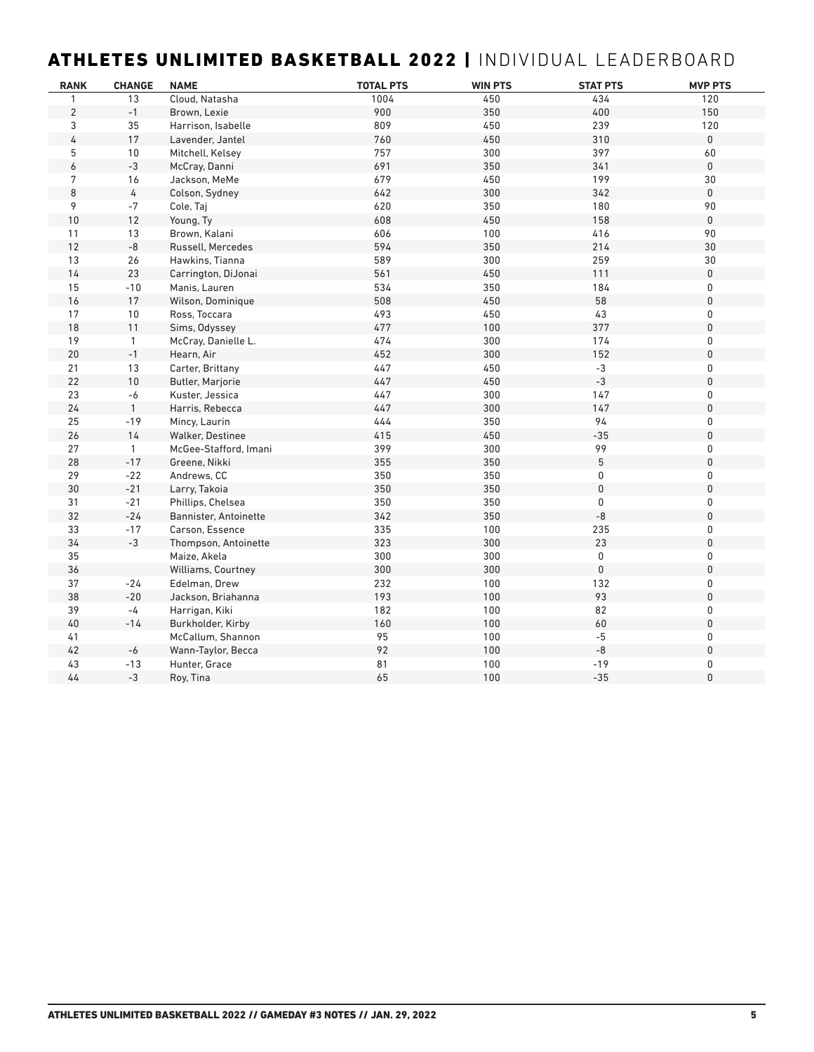## ATHLETES UNLIMITED BASKETBALL 2022 | INDIVIDUAL LEADERBOARD

| <b>RANK</b>    | <b>CHANGE</b> | <b>NAME</b>           | <b>TOTAL PTS</b> | <b>WIN PTS</b> | <b>STAT PTS</b> | <b>MVP PTS</b> |
|----------------|---------------|-----------------------|------------------|----------------|-----------------|----------------|
| 1              | 13            | Cloud, Natasha        | 1004             | 450            | 434             | 120            |
| $\overline{2}$ | $-1$          | Brown, Lexie          | 900              | 350            | 400             | 150            |
| 3              | 35            | Harrison, Isabelle    | 809              | 450            | 239             | 120            |
| 4              | 17            | Lavender, Jantel      | 760              | 450            | 310             | $\mathsf 0$    |
| 5              | 10            | Mitchell, Kelsey      | 757              | 300            | 397             | 60             |
| 6              | $-3$          | McCray, Danni         | 691              | 350            | 341             | $\mathbf 0$    |
| 7              | 16            | Jackson, MeMe         | 679              | 450            | 199             | 30             |
| 8              | 4             | Colson, Sydney        | 642              | 300            | 342             | $\mathbf 0$    |
| 9              | $-7$          | Cole, Taj             | 620              | 350            | 180             | 90             |
| 10             | 12            | Young, Ty             | 608              | 450            | 158             | $\mathbf 0$    |
| 11             | 13            | Brown, Kalani         | 606              | 100            | 416             | 90             |
| 12             | $\mbox{-}8$   | Russell, Mercedes     | 594              | 350            | 214             | 30             |
| 13             | 26            | Hawkins, Tianna       | 589              | 300            | 259             | 30             |
| 14             | 23            | Carrington, DiJonai   | 561              | 450            | 111             | $\pmb{0}$      |
| 15             | $-10$         | Manis, Lauren         | 534              | 350            | 184             | 0              |
| 16             | 17            | Wilson, Dominique     | 508              | 450            | 58              | $\pmb{0}$      |
| 17             | 10            | Ross, Toccara         | 493              | 450            | 43              | 0              |
| 18             | 11            | Sims, Odyssey         | 477              | 100            | 377             | 0              |
| 19             | $\mathbf{1}$  | McCray, Danielle L.   | 474              | 300            | 174             | 0              |
| $20\,$         | $-1$          | Hearn, Air            | 452              | 300            | 152             | 0              |
| 21             | 13            | Carter, Brittany      | 447              | 450            | $-3$            | 0              |
| 22             | 10            | Butler, Marjorie      | 447              | 450            | $-3$            | 0              |
| 23             | -6            | Kuster, Jessica       | 447              | 300            | 147             | 0              |
| 24             | $\mathbf{1}$  | Harris, Rebecca       | 447              | 300            | 147             | 0              |
| 25             | $-19$         | Mincy, Laurin         | 444              | 350            | 94              | 0              |
| 26             | 14            | Walker, Destinee      | 415              | 450            | $-35$           | 0              |
| 27             | $\mathbf{1}$  | McGee-Stafford, Imani | 399              | 300            | 99              | 0              |
| 28             | $-17$         | Greene, Nikki         | 355              | 350            | 5               | 0              |
| 29             | $-22$         | Andrews, CC           | 350              | 350            | 0               | 0              |
| 30             | $-21$         | Larry, Takoia         | 350              | 350            | $\mathbf 0$     | 0              |
| 31             | $-21$         | Phillips, Chelsea     | 350              | 350            | 0               | 0              |
| 32             | $-24$         | Bannister, Antoinette | 342              | 350            | $-8$            | 0              |
| 33             | $-17$         | Carson, Essence       | 335              | 100            | 235             | 0              |
| 34             | $-3$          | Thompson, Antoinette  | 323              | 300            | 23              | 0              |
| 35             |               | Maize, Akela          | 300              | 300            | $\mathbf 0$     | 0              |
| 36             |               | Williams, Courtney    | 300              | 300            | $\mathbf 0$     | 0              |
| 37             | $-24$         | Edelman, Drew         | 232              | 100            | 132             | 0              |
| 38             | $-20$         | Jackson, Briahanna    | 193              | 100            | 93              | 0              |
| 39             | -4            | Harrigan, Kiki        | 182              | 100            | 82              | 0              |
| $40\,$         | $-14$         | Burkholder, Kirby     | 160              | 100            | 60              | 0              |
| 41             |               | McCallum, Shannon     | 95               | 100            | $-5$            | 0              |
| 42             | $-6$          | Wann-Taylor, Becca    | 92               | 100            | $-8$            | 0              |
| 43             | $-13$         | Hunter, Grace         | 81               | 100            | $-19$           | 0              |
| 44             | $-3$          | Roy, Tina             | 65               | 100            | $-35$           | 0              |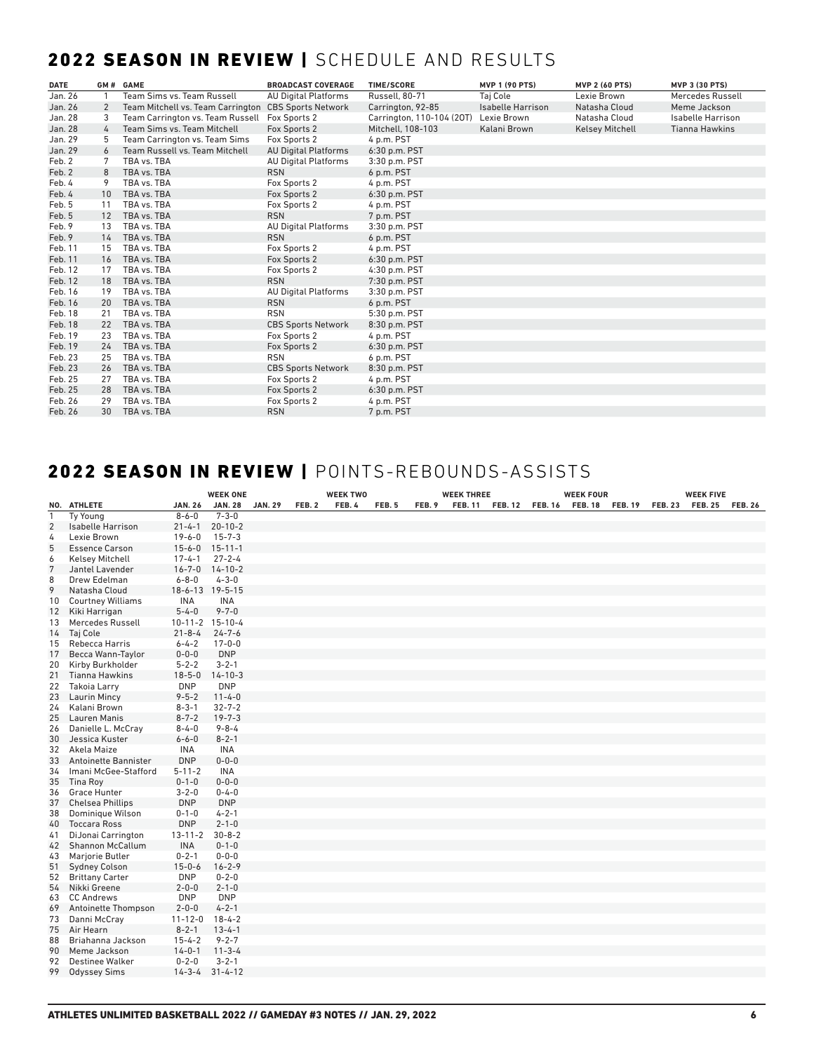## 2022 SEASON IN REVIEW | SCHEDULE AND RESULTS

| <b>DATE</b> |    | GM# GAME                          | <b>BROADCAST COVERAGE</b>   | <b>TIME/SCORE</b>         | <b>MVP 1 (90 PTS)</b>    | <b>MVP 2 (60 PTS)</b>  | <b>MVP 3 (30 PTS)</b> |
|-------------|----|-----------------------------------|-----------------------------|---------------------------|--------------------------|------------------------|-----------------------|
| Jan. 26     |    | Team Sims vs. Team Russell        | <b>AU Digital Platforms</b> | <b>Russell</b> , 80-71    | Taj Cole                 | Lexie Brown            | Mercedes Russell      |
| Jan. 26     | 2  | Team Mitchell vs. Team Carrington | <b>CBS Sports Network</b>   | Carrington, 92-85         | <b>Isabelle Harrison</b> | Natasha Cloud          | Meme Jackson          |
| Jan. 28     | 3  | Team Carrington vs. Team Russell  | Fox Sports 2                | Carrington, 110-104 (20T) | Lexie Brown              | Natasha Cloud          | Isabelle Harrison     |
| Jan. 28     | 4  | Team Sims vs. Team Mitchell       | Fox Sports 2                | Mitchell, 108-103         | Kalani Brown             | <b>Kelsey Mitchell</b> | <b>Tianna Hawkins</b> |
| Jan. 29     | 5  | Team Carrington vs. Team Sims     | Fox Sports 2                | 4 p.m. PST                |                          |                        |                       |
| Jan. 29     | 6  | Team Russell vs. Team Mitchell    | <b>AU Digital Platforms</b> | 6:30 p.m. PST             |                          |                        |                       |
| Feb. 2      |    | TBA vs. TBA                       | <b>AU Digital Platforms</b> | 3:30 p.m. PST             |                          |                        |                       |
| Feb. 2      | 8  | TBA vs. TBA                       | <b>RSN</b>                  | 6 p.m. PST                |                          |                        |                       |
| Feb. 4      | 9  | TBA vs. TBA                       | Fox Sports 2                | 4 p.m. PST                |                          |                        |                       |
| Feb. 4      | 10 | TBA vs. TBA                       | Fox Sports 2                | 6:30 p.m. PST             |                          |                        |                       |
| Feb. 5      | 11 | TBA vs. TBA                       | Fox Sports 2                | 4 p.m. PST                |                          |                        |                       |
| Feb. 5      | 12 | TBA vs. TBA                       | <b>RSN</b>                  | 7 p.m. PST                |                          |                        |                       |
| Feb. 9      | 13 | TBA vs. TBA                       | <b>AU Digital Platforms</b> | 3:30 p.m. PST             |                          |                        |                       |
| Feb. 9      | 14 | TBA vs. TBA                       | <b>RSN</b>                  | 6 p.m. PST                |                          |                        |                       |
| Feb. 11     | 15 | TBA vs. TBA                       | Fox Sports 2                | 4 p.m. PST                |                          |                        |                       |
| Feb. 11     | 16 | TBA vs. TBA                       | Fox Sports 2                | 6:30 p.m. PST             |                          |                        |                       |
| Feb. 12     | 17 | TBA vs. TBA                       | Fox Sports 2                | 4:30 p.m. PST             |                          |                        |                       |
| Feb. 12     | 18 | TBA vs. TBA                       | <b>RSN</b>                  | 7:30 p.m. PST             |                          |                        |                       |
| Feb. 16     | 19 | TBA vs. TBA                       | <b>AU Digital Platforms</b> | 3:30 p.m. PST             |                          |                        |                       |
| Feb. 16     | 20 | TBA vs. TBA                       | <b>RSN</b>                  | 6 p.m. PST                |                          |                        |                       |
| Feb. 18     | 21 | TBA vs. TBA                       | <b>RSN</b>                  | 5:30 p.m. PST             |                          |                        |                       |
| Feb. 18     | 22 | TBA vs. TBA                       | <b>CBS Sports Network</b>   | 8:30 p.m. PST             |                          |                        |                       |
| Feb. 19     | 23 | TBA vs. TBA                       | Fox Sports 2                | 4 p.m. PST                |                          |                        |                       |
| Feb. 19     | 24 | TBA vs. TBA                       | Fox Sports 2                | 6:30 p.m. PST             |                          |                        |                       |
| Feb. 23     | 25 | TBA vs. TBA                       | <b>RSN</b>                  | 6 p.m. PST                |                          |                        |                       |
| Feb. 23     | 26 | TBA vs. TBA                       | <b>CBS Sports Network</b>   | 8:30 p.m. PST             |                          |                        |                       |
| Feb. 25     | 27 | TBA vs. TBA                       | Fox Sports 2                | 4 p.m. PST                |                          |                        |                       |
| Feb. 25     | 28 | TBA vs. TBA                       | Fox Sports 2                | $6:30$ p.m. PST           |                          |                        |                       |
| Feb. 26     | 29 | TBA vs. TBA                       | Fox Sports 2                | 4 p.m. PST                |                          |                        |                       |
| Feb. 26     | 30 | TBA vs. TBA                       | <b>RSN</b>                  | 7 p.m. PST                |                          |                        |                       |

## 2022 SEASON IN REVIEW | POINTS-REBOUNDS-ASSISTS

|                |                          |                 | <b>WEEK ONE</b>      |                |        | <b>WEEK TWO</b> |       |        | <b>WEEK THREE</b> |                |                | <b>WEEK FOUR</b> |                |                | <b>WEEK FIVE</b> |                |
|----------------|--------------------------|-----------------|----------------------|----------------|--------|-----------------|-------|--------|-------------------|----------------|----------------|------------------|----------------|----------------|------------------|----------------|
|                | NO. ATHLETE              | <b>JAN. 26</b>  | <b>JAN. 28</b>       | <b>JAN. 29</b> | FEB. 2 | FEB. 4          | FEB.5 | FEB. 9 | <b>FEB. 11</b>    | <b>FEB. 12</b> | <b>FEB. 16</b> | <b>FEB. 18</b>   | <b>FEB. 19</b> | <b>FEB. 23</b> | <b>FEB. 25</b>   | <b>FEB. 26</b> |
| $\mathbf{1}$   | <b>Ty Young</b>          | $8 - 6 - 0$     | $7 - 3 - 0$          |                |        |                 |       |        |                   |                |                |                  |                |                |                  |                |
| 2              | Isabelle Harrison        | $21 - 4 - 1$    | $20 - 10 - 2$        |                |        |                 |       |        |                   |                |                |                  |                |                |                  |                |
| 4              | Lexie Brown              | $19 - 6 - 0$    | $15 - 7 - 3$         |                |        |                 |       |        |                   |                |                |                  |                |                |                  |                |
| 5              | <b>Essence Carson</b>    | $15 - 6 - 0$    | $15 - 11 - 1$        |                |        |                 |       |        |                   |                |                |                  |                |                |                  |                |
| 6              | <b>Kelsey Mitchell</b>   | $17 - 4 - 1$    | $27 - 2 - 4$         |                |        |                 |       |        |                   |                |                |                  |                |                |                  |                |
| $\overline{7}$ | Jantel Lavender          | $16 - 7 - 0$    | $14-10-2$            |                |        |                 |       |        |                   |                |                |                  |                |                |                  |                |
| 8              | Drew Edelman             | $6 - 8 - 0$     | $4 - 3 - 0$          |                |        |                 |       |        |                   |                |                |                  |                |                |                  |                |
| 9              | Natasha Cloud            | 18-6-13 19-5-15 |                      |                |        |                 |       |        |                   |                |                |                  |                |                |                  |                |
| 10             | <b>Courtney Williams</b> | <b>INA</b>      | <b>INA</b>           |                |        |                 |       |        |                   |                |                |                  |                |                |                  |                |
| 12             | Kiki Harrigan            | $5 - 4 - 0$     | $9 - 7 - 0$          |                |        |                 |       |        |                   |                |                |                  |                |                |                  |                |
| 13             | Mercedes Russell         | 10-11-2 15-10-4 |                      |                |        |                 |       |        |                   |                |                |                  |                |                |                  |                |
| 14             | Taj Cole                 | $21 - 8 - 4$    | $24 - 7 - 6$         |                |        |                 |       |        |                   |                |                |                  |                |                |                  |                |
| 15             | Rebecca Harris           | $6 - 4 - 2$     | $17 - 0 - 0$         |                |        |                 |       |        |                   |                |                |                  |                |                |                  |                |
| 17             | Becca Wann-Taylor        | $0 - 0 - 0$     | <b>DNP</b>           |                |        |                 |       |        |                   |                |                |                  |                |                |                  |                |
| 20             | Kirby Burkholder         | $5 - 2 - 2$     | $3 - 2 - 1$          |                |        |                 |       |        |                   |                |                |                  |                |                |                  |                |
| 21             | <b>Tianna Hawkins</b>    | $18 - 5 - 0$    | $14 - 10 - 3$        |                |        |                 |       |        |                   |                |                |                  |                |                |                  |                |
| 22             | <b>Takoia Larry</b>      | <b>DNP</b>      | <b>DNP</b>           |                |        |                 |       |        |                   |                |                |                  |                |                |                  |                |
| 23             | Laurin Mincy             | $9 - 5 - 2$     | $11 - 4 - 0$         |                |        |                 |       |        |                   |                |                |                  |                |                |                  |                |
| 24             | Kalani Brown             | $8 - 3 - 1$     | $32 - 7 - 2$         |                |        |                 |       |        |                   |                |                |                  |                |                |                  |                |
| 25             | Lauren Manis             | $8 - 7 - 2$     | $19 - 7 - 3$         |                |        |                 |       |        |                   |                |                |                  |                |                |                  |                |
| 26             | Danielle L. McCray       | $8 - 4 - 0$     | $9 - 8 - 4$          |                |        |                 |       |        |                   |                |                |                  |                |                |                  |                |
| 30             | Jessica Kuster           | $6 - 6 - 0$     | $8 - 2 - 1$          |                |        |                 |       |        |                   |                |                |                  |                |                |                  |                |
| 32             | Akela Maize              | <b>INA</b>      | INA                  |                |        |                 |       |        |                   |                |                |                  |                |                |                  |                |
| 33             | Antoinette Bannister     | <b>DNP</b>      | $0 - 0 - 0$          |                |        |                 |       |        |                   |                |                |                  |                |                |                  |                |
| 34             | Imani McGee-Stafford     | $5 - 11 - 2$    | <b>INA</b>           |                |        |                 |       |        |                   |                |                |                  |                |                |                  |                |
| 35             | Tina Roy                 | $0 - 1 - 0$     | $0 - 0 - 0$          |                |        |                 |       |        |                   |                |                |                  |                |                |                  |                |
| 36             | <b>Grace Hunter</b>      | $3 - 2 - 0$     | $0 - 4 - 0$          |                |        |                 |       |        |                   |                |                |                  |                |                |                  |                |
| 37             | <b>Chelsea Phillips</b>  | <b>DNP</b>      | <b>DNP</b>           |                |        |                 |       |        |                   |                |                |                  |                |                |                  |                |
| 38             | Dominique Wilson         | $0 - 1 - 0$     | $4 - 2 - 1$          |                |        |                 |       |        |                   |                |                |                  |                |                |                  |                |
| 40             | <b>Toccara Ross</b>      | <b>DNP</b>      | $2 - 1 - 0$          |                |        |                 |       |        |                   |                |                |                  |                |                |                  |                |
| 41             | DiJonai Carrington       | $13 - 11 - 2$   | $30 - 8 - 2$         |                |        |                 |       |        |                   |                |                |                  |                |                |                  |                |
| 42             | Shannon McCallum         | <b>INA</b>      | $0 - 1 - 0$          |                |        |                 |       |        |                   |                |                |                  |                |                |                  |                |
| 43             | Marjorie Butler          | $0 - 2 - 1$     | $0 - 0 - 0$          |                |        |                 |       |        |                   |                |                |                  |                |                |                  |                |
| 51             | <b>Sydney Colson</b>     | $15 - 0 - 6$    | $16 - 2 - 9$         |                |        |                 |       |        |                   |                |                |                  |                |                |                  |                |
| 52             | <b>Brittany Carter</b>   | <b>DNP</b>      | $0 - 2 - 0$          |                |        |                 |       |        |                   |                |                |                  |                |                |                  |                |
| 54             | Nikki Greene             | $2 - 0 - 0$     | $2 - 1 - 0$          |                |        |                 |       |        |                   |                |                |                  |                |                |                  |                |
| 63             | <b>CC Andrews</b>        | <b>DNP</b>      | <b>DNP</b>           |                |        |                 |       |        |                   |                |                |                  |                |                |                  |                |
| 69             | Antoinette Thompson      | $2 - 0 - 0$     | $4 - 2 - 1$          |                |        |                 |       |        |                   |                |                |                  |                |                |                  |                |
| 73             | Danni McCrav             | $11 - 12 - 0$   | $18 - 4 - 2$         |                |        |                 |       |        |                   |                |                |                  |                |                |                  |                |
| 75             | Air Hearn                | $8 - 2 - 1$     | $13 - 4 - 1$         |                |        |                 |       |        |                   |                |                |                  |                |                |                  |                |
| 88             | Briahanna Jackson        | $15 - 4 - 2$    | $9 - 2 - 7$          |                |        |                 |       |        |                   |                |                |                  |                |                |                  |                |
| 90             | Meme Jackson             | $14 - 0 - 1$    | $11 - 3 - 4$         |                |        |                 |       |        |                   |                |                |                  |                |                |                  |                |
| 92             | <b>Destinee Walker</b>   | $0 - 2 - 0$     | $3 - 2 - 1$          |                |        |                 |       |        |                   |                |                |                  |                |                |                  |                |
| 99             | <b>Odyssey Sims</b>      |                 | $14 - 3 - 4$ 31-4-12 |                |        |                 |       |        |                   |                |                |                  |                |                |                  |                |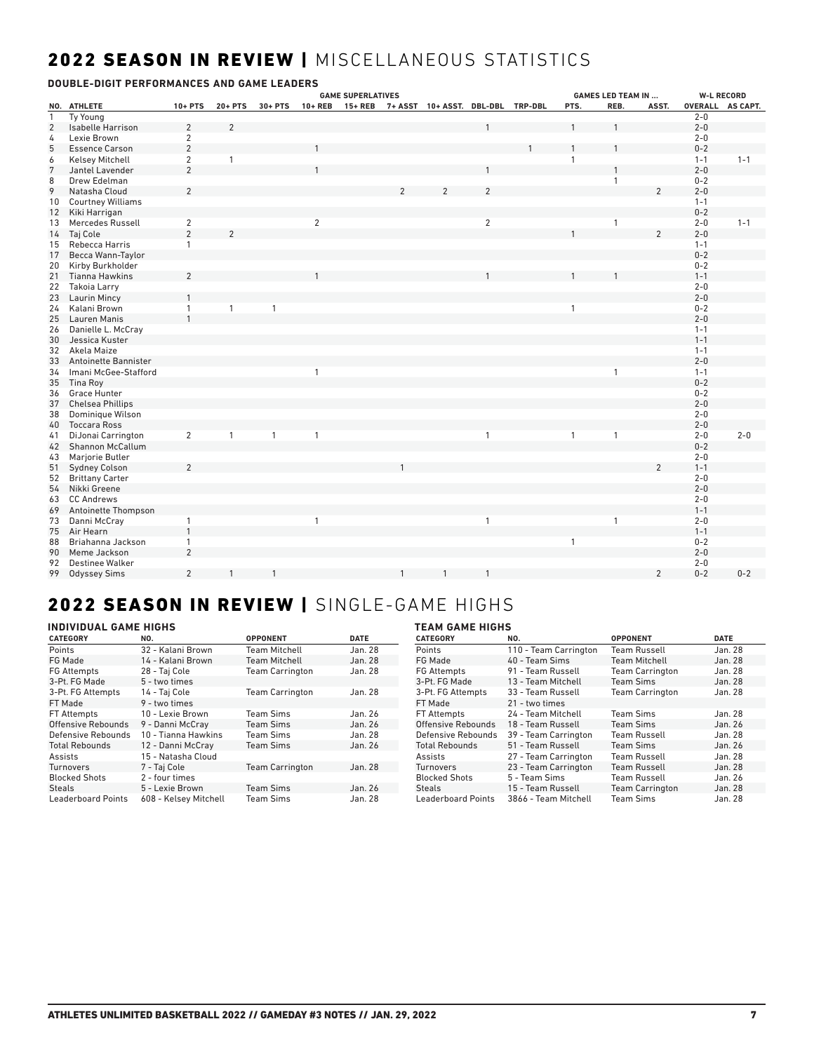## 2022 SEASON IN REVIEW | MISCELLANEOUS STATISTICS

| DOUBLE-DIGIT PERFORMANCES AND GAME LEADERS |                          |                |                |              |                |                          |              |                                           |                |              |                           |                |         |                   |
|--------------------------------------------|--------------------------|----------------|----------------|--------------|----------------|--------------------------|--------------|-------------------------------------------|----------------|--------------|---------------------------|----------------|---------|-------------------|
|                                            |                          |                |                |              |                | <b>GAME SUPERLATIVES</b> |              |                                           |                |              | <b>GAMES LED TEAM IN </b> |                |         | <b>W-L RECORD</b> |
|                                            | NO. ATHLETE              | $10 + PTS$     | $20 + PTS$     | $30 + PTS$   | $10 + REB$     |                          |              | 15+ REB 7+ ASST 10+ ASST. DBL-DBL TRP-DBL |                | PTS.         | REB.                      | ASST.          |         | OVERALL AS CAPT.  |
| $\mathbf{1}$                               | Ty Young                 |                |                |              |                |                          |              |                                           |                |              |                           |                | $2 - 0$ |                   |
| 2                                          | <b>Isabelle Harrison</b> | $\overline{2}$ | 2              |              |                |                          |              |                                           |                |              |                           |                | $2 - 0$ |                   |
| 4                                          | Lexie Brown              | $\overline{2}$ |                |              |                |                          |              |                                           |                |              |                           |                | $2 - 0$ |                   |
| 5                                          | <b>Essence Carson</b>    | $\overline{2}$ |                |              |                |                          |              |                                           |                |              |                           |                | $0 - 2$ |                   |
| 6                                          | <b>Kelsey Mitchell</b>   | $\overline{2}$ | $\mathbf{1}$   |              |                |                          |              |                                           |                | $\mathbf{1}$ |                           |                | $1 - 1$ | $1 - 1$           |
| $7\phantom{.0}$                            | Jantel Lavender          | $\overline{2}$ |                |              |                |                          |              |                                           |                |              |                           |                | $2 - 0$ |                   |
| 8                                          | Drew Edelman             |                |                |              |                |                          |              |                                           |                |              | 1                         |                | $0 - 2$ |                   |
| 9                                          | Natasha Cloud            | $\overline{2}$ |                |              |                |                          |              |                                           |                |              |                           | $\mathcal{P}$  | $2 - 0$ |                   |
| 10                                         | <b>Courtney Williams</b> |                |                |              |                |                          |              |                                           |                |              |                           |                | $1 - 1$ |                   |
| 12                                         | Kiki Harrigan            |                |                |              |                |                          |              |                                           |                |              |                           |                | $0 - 2$ |                   |
| 13                                         | Mercedes Russell         | $\overline{2}$ |                |              | $\overline{2}$ |                          |              |                                           | $\overline{2}$ |              | $\mathbf{1}$              |                | $2 - 0$ | $1 - 1$           |
| 14                                         | Taj Cole                 | $\overline{2}$ | $\overline{2}$ |              |                |                          |              |                                           |                |              |                           | $\overline{2}$ | $2 - 0$ |                   |
| 15                                         | Rebecca Harris           | $\mathbf{1}$   |                |              |                |                          |              |                                           |                |              |                           |                | $1 - 1$ |                   |
| 17                                         | Becca Wann-Taylor        |                |                |              |                |                          |              |                                           |                |              |                           |                | $0 - 2$ |                   |
| 20                                         | Kirby Burkholder         |                |                |              |                |                          |              |                                           |                |              |                           |                | $0 - 2$ |                   |
| 21                                         | <b>Tianna Hawkins</b>    | $\overline{2}$ |                |              |                |                          |              |                                           |                |              |                           |                | $1 - 1$ |                   |
| 22                                         | <b>Takoia Larry</b>      |                |                |              |                |                          |              |                                           |                |              |                           |                | $2 - 0$ |                   |
| 23                                         | <b>Laurin Mincy</b>      |                |                |              |                |                          |              |                                           |                |              |                           |                | $2 - 0$ |                   |
|                                            |                          | $\mathbf{1}$   |                |              |                |                          |              |                                           |                |              |                           |                | $0 - 2$ |                   |
| 24                                         | Kalani Brown             |                | $\mathbf{1}$   | $\mathbf{1}$ |                |                          |              |                                           |                | 1            |                           |                |         |                   |
| 25                                         | Lauren Manis             |                |                |              |                |                          |              |                                           |                |              |                           |                | $2 - 0$ |                   |
| 26                                         | Danielle L. McCray       |                |                |              |                |                          |              |                                           |                |              |                           |                | $1 - 1$ |                   |
| 30                                         | Jessica Kuster           |                |                |              |                |                          |              |                                           |                |              |                           |                | $1 - 1$ |                   |
| 32                                         | Akela Maize              |                |                |              |                |                          |              |                                           |                |              |                           |                | $1 - 1$ |                   |
| 33                                         | Antoinette Bannister     |                |                |              |                |                          |              |                                           |                |              |                           |                | $2 - 0$ |                   |
| 34                                         | Imani McGee-Stafford     |                |                |              | $\mathbf{1}$   |                          |              |                                           |                |              | $\mathbf{1}$              |                | $1 - 1$ |                   |
| 35                                         | Tina Roy                 |                |                |              |                |                          |              |                                           |                |              |                           |                | $0 - 2$ |                   |
| 36                                         | Grace Hunter             |                |                |              |                |                          |              |                                           |                |              |                           |                | $0 - 2$ |                   |
| 37                                         | <b>Chelsea Phillips</b>  |                |                |              |                |                          |              |                                           |                |              |                           |                | $2 - 0$ |                   |
| 38                                         | Dominique Wilson         |                |                |              |                |                          |              |                                           |                |              |                           |                | $2 - 0$ |                   |
| 40                                         | <b>Toccara Ross</b>      |                |                |              |                |                          |              |                                           |                |              |                           |                | $2 - 0$ |                   |
| 41                                         | DiJonai Carrington       | 2              | $\mathbf{1}$   | $\mathbf{1}$ | $\mathbf{1}$   |                          |              |                                           | $\overline{1}$ | $\mathbf{1}$ | $\mathbf{1}$              |                | $2 - 0$ | $2 - 0$           |
| 42                                         | <b>Shannon McCallum</b>  |                |                |              |                |                          |              |                                           |                |              |                           |                | $0 - 2$ |                   |
| 43                                         | Marjorie Butler          |                |                |              |                |                          |              |                                           |                |              |                           |                | $2 - 0$ |                   |
| 51                                         | <b>Sydney Colson</b>     | $\overline{2}$ |                |              |                |                          |              |                                           |                |              |                           | $\overline{2}$ | $1 - 1$ |                   |
| 52                                         | <b>Brittany Carter</b>   |                |                |              |                |                          |              |                                           |                |              |                           |                | $2 - 0$ |                   |
| 54                                         | Nikki Greene             |                |                |              |                |                          |              |                                           |                |              |                           |                | $2 - 0$ |                   |
| 63                                         | <b>CC Andrews</b>        |                |                |              |                |                          |              |                                           |                |              |                           |                | $2 - 0$ |                   |
| 69                                         | Antoinette Thompson      |                |                |              |                |                          |              |                                           |                |              |                           |                | $1 - 1$ |                   |
| 73                                         | Danni McCray             | $\mathbf{1}$   |                |              | $\mathbf{1}$   |                          |              |                                           | $\mathbf{1}$   |              | $\mathbf{1}$              |                | $2 - 0$ |                   |
| 75                                         | Air Hearn                | $\overline{1}$ |                |              |                |                          |              |                                           |                |              |                           |                | $1 - 1$ |                   |
| 88                                         | Briahanna Jackson        | $\mathbf{1}$   |                |              |                |                          |              |                                           |                | $\mathbf{1}$ |                           |                | $0 - 2$ |                   |
| 90                                         | Meme Jackson             | $\overline{2}$ |                |              |                |                          |              |                                           |                |              |                           |                | $2 - 0$ |                   |
| 92                                         | <b>Destinee Walker</b>   |                |                |              |                |                          |              |                                           |                |              |                           |                | $2 - 0$ |                   |
| 99                                         |                          | $\overline{2}$ | $\mathbf{1}$   | $\mathbf{1}$ |                |                          | $\mathbf{1}$ | $\mathbf{1}$                              | $\overline{1}$ |              |                           | $\overline{2}$ | $0 - 2$ | $0 - 2$           |
|                                            | <b>Odyssey Sims</b>      |                |                |              |                |                          |              |                                           |                |              |                           |                |         |                   |

## 2022 SEASON IN REVIEW | SINGLE-GAME HIGHS

## **INDIVIDUAL GAME HIGHS**

| <b>INDIVIDUAL GAME HIGHS</b> |                       |                        |             | <b>TEAM GAME HIGHS</b> |                       |                        |             |  |
|------------------------------|-----------------------|------------------------|-------------|------------------------|-----------------------|------------------------|-------------|--|
| <b>CATEGORY</b>              | NO.                   | <b>OPPONENT</b>        | <b>DATE</b> | <b>CATEGORY</b>        | NO.                   | <b>OPPONENT</b>        | <b>DATE</b> |  |
| Points                       | 32 - Kalani Brown     | <b>Team Mitchell</b>   | Jan. 28     | Points                 | 110 - Team Carrington | <b>Team Russell</b>    | Jan. 28     |  |
| FG Made                      | 14 - Kalani Brown     | <b>Team Mitchell</b>   | Jan. 28     | FG Made                | 40 - Team Sims        | <b>Team Mitchell</b>   | Jan. 28     |  |
| <b>FG Attempts</b>           | 28 - Taj Cole         | <b>Team Carrington</b> | Jan. 28     | <b>FG Attempts</b>     | 91 - Team Russell     | <b>Team Carrington</b> | Jan. 28     |  |
| 3-Pt. FG Made                | 5 - two times         |                        |             | 3-Pt. FG Made          | 13 - Team Mitchell    | Team Sims              | Jan. 28     |  |
| 3-Pt. FG Attempts            | 14 - Tai Cole         | <b>Team Carrington</b> | Jan. 28     | 3-Pt. FG Attempts      | 33 - Team Russell     | <b>Team Carrington</b> | Jan. 28     |  |
| FT Made                      | 9 - two times         |                        |             | FT Made                | 21 - two times        |                        |             |  |
| FT Attempts                  | 10 - Lexie Brown      | Team Sims              | Jan. 26     | FT Attempts            | 24 - Team Mitchell    | Team Sims              | Jan. 28     |  |
| Offensive Rebounds           | 9 - Danni McCrav      | Team Sims              | Jan. 26     | Offensive Rebounds     | 18 - Team Russell     | Team Sims              | Jan. 26     |  |
| Defensive Rebounds           | 10 - Tianna Hawkins   | Team Sims              | Jan. 28     | Defensive Rebounds     | 39 - Team Carrington  | <b>Team Russell</b>    | Jan. 28     |  |
| <b>Total Rebounds</b>        | 12 - Danni McCrav     | <b>Team Sims</b>       | Jan. 26     | <b>Total Rebounds</b>  | 51 - Team Russell     | <b>Team Sims</b>       | Jan. 26     |  |
| Assists                      | 15 - Natasha Cloud    |                        |             | Assists                | 27 - Team Carrington  | <b>Team Russell</b>    | Jan. 28     |  |
| Turnovers                    | 7 - Tai Cole          | <b>Team Carrington</b> | Jan. 28     | Turnovers              | 23 - Team Carrington  | <b>Team Russell</b>    | Jan. 28     |  |
| <b>Blocked Shots</b>         | 2 - four times        |                        |             | <b>Blocked Shots</b>   | 5 - Team Sims         | <b>Team Russell</b>    | Jan. 26     |  |
| <b>Steals</b>                | 5 - Lexie Brown       | Team Sims              | Jan. 26     | <b>Steals</b>          | 15 - Team Russell     | <b>Team Carrington</b> | Jan. 28     |  |
| Leaderboard Points           | 608 - Kelsey Mitchell | <b>Team Sims</b>       | Jan. 28     | Leaderboard Points     | 3866 - Team Mitchell  | Team Sims              | Jan. 28     |  |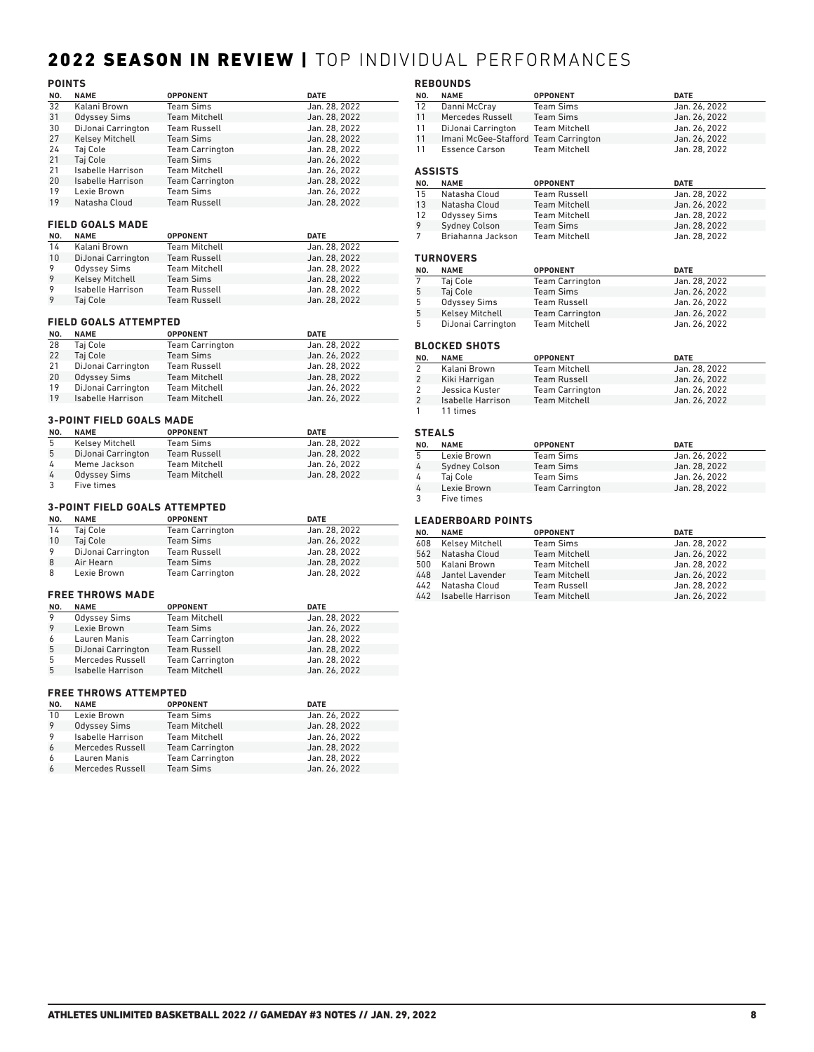## 2022 SEASON IN REVIEW | TOP INDIVIDUAL PERFORMANCES

## **POINTS**

| NO.      | <b>NAME</b>                                   | <b>OPPONENT</b>                  | <b>DATE</b>                    |
|----------|-----------------------------------------------|----------------------------------|--------------------------------|
| 32       | Kalani Brown                                  | <b>Team Sims</b>                 | Jan. 28, 2022                  |
| 31       | <b>Odyssey Sims</b>                           | <b>Team Mitchell</b>             | Jan. 28. 2022                  |
| 30       | DiJonai Carrington                            | <b>Team Russell</b>              | Jan. 28. 2022                  |
| 27       | <b>Kelsey Mitchell</b>                        | <b>Team Sims</b>                 | Jan. 28. 2022                  |
| 24       | Taj Cole                                      | <b>Team Carrington</b>           | Jan. 28, 2022                  |
| 21       | Taj Cole                                      | <b>Team Sims</b>                 | Jan. 26. 2022                  |
| 21       | <b>Isabelle Harrison</b>                      | <b>Team Mitchell</b>             | Jan. 26, 2022                  |
| 20       | Isabelle Harrison                             | <b>Team Carrington</b>           | Jan. 28, 2022                  |
| 19       | Lexie Brown                                   | <b>Team Sims</b>                 | Jan. 26, 2022                  |
| 19       | Natasha Cloud                                 | <b>Team Russell</b>              | Jan. 28. 2022                  |
|          | <b>FIELD GOALS MADE</b>                       |                                  |                                |
| NO.      | <b>NAME</b>                                   | <b>OPPONENT</b>                  | <b>DATE</b>                    |
| 14       | Kalani Brown                                  | <b>Team Mitchell</b>             | Jan. 28, 2022                  |
| 10       | DiJonai Carrington                            | <b>Team Russell</b>              | Jan. 28, 2022                  |
| 9        | <b>Odyssey Sims</b>                           | <b>Team Mitchell</b>             | Jan. 28. 2022                  |
| 9        | <b>Kelsey Mitchell</b>                        | <b>Team Sims</b>                 | Jan. 28, 2022                  |
| 9        | Isabelle Harrison                             | <b>Team Russell</b>              | Jan. 28, 2022                  |
| 9        | Taj Cole                                      | <b>Team Russell</b>              | Jan. 28, 2022                  |
|          | <b>FIELD GOALS ATTEMPTED</b>                  |                                  |                                |
| NO.      | <b>NAME</b>                                   | <b>OPPONENT</b>                  | <b>DATE</b>                    |
| 28       | Taj Cole                                      | <b>Team Carrington</b>           | Jan. 28. 2022                  |
| 22       | Taj Cole                                      | <b>Team Sims</b>                 | Jan. 26. 2022                  |
| 21       | DiJonai Carrington                            | <b>Team Russell</b>              | Jan. 28, 2022                  |
| 20       | <b>Odyssey Sims</b>                           | <b>Team Mitchell</b>             | Jan. 28, 2022                  |
| 19       | DiJonai Carrington                            | <b>Team Mitchell</b>             | Jan. 26, 2022                  |
| 19       | Isabelle Harrison                             | <b>Team Mitchell</b>             | Jan. 26, 2022                  |
|          | <b>3-POINT FIELD GOALS MADE</b>               |                                  |                                |
|          |                                               |                                  |                                |
| NO.<br>5 | <b>NAME</b>                                   | <b>OPPONENT</b>                  | <b>DATE</b>                    |
| Б.       | <b>Kelsey Mitchell</b><br>Di Ionai Carrington | <b>Team Sims</b><br>Toam Puccoll | Jan. 28. 2022<br>$\ln 28.2022$ |
|          |                                               |                                  |                                |

| -5             | Kelsey Mitchell     | Team Sims            | Jan. 28. 2022 |
|----------------|---------------------|----------------------|---------------|
| -5             | DiJonai Carrington  | <b>Team Russell</b>  | Jan. 28, 2022 |
| $\overline{a}$ | Meme Jackson        | <b>Team Mitchell</b> | Jan. 26, 2022 |
| 4              | <b>Odyssey Sims</b> | <b>Team Mitchell</b> | Jan. 28, 2022 |
| 3              | Five times          |                      |               |

### **3-POINT FIELD GOALS ATTEMPTED**

| NO. | <b>NAME</b>        | <b>OPPONENT</b>        | <b>DATE</b>   |
|-----|--------------------|------------------------|---------------|
| 14  | Taj Cole           | <b>Team Carrington</b> | Jan. 28, 2022 |
| 10  | Taj Cole           | Team Sims              | Jan. 26, 2022 |
| 9   | DiJonai Carrington | <b>Team Russell</b>    | Jan. 28, 2022 |
| 8   | Air Hearn          | <b>Team Sims</b>       | Jan. 28, 2022 |
| 8   | Lexie Brown        | <b>Team Carrington</b> | Jan. 28, 2022 |

### **FREE THROWS MADE**

| NO. | <b>NAME</b>         | <b>OPPONENT</b>        | <b>DATE</b>   |
|-----|---------------------|------------------------|---------------|
| 9   | <b>Odyssey Sims</b> | <b>Team Mitchell</b>   | Jan. 28, 2022 |
| 9   | Lexie Brown         | <b>Team Sims</b>       | Jan. 26, 2022 |
| 6   | Lauren Manis        | <b>Team Carrington</b> | Jan. 28, 2022 |
| 5   | DiJonai Carrington  | <b>Team Russell</b>    | Jan. 28, 2022 |
| 5   | Mercedes Russell    | <b>Team Carrington</b> | Jan. 28, 2022 |
| 5   | Isabelle Harrison   | <b>Team Mitchell</b>   | Jan. 26, 2022 |

### **FREE THROWS ATTEMPTED**

| NO. | <b>NAME</b>              | <b>OPPONENT</b>        | <b>DATE</b>   |
|-----|--------------------------|------------------------|---------------|
| 10  | Lexie Brown              | <b>Team Sims</b>       | Jan. 26, 2022 |
| 9   | <b>Odyssey Sims</b>      | <b>Team Mitchell</b>   | Jan. 28, 2022 |
| 9   | <b>Isabelle Harrison</b> | <b>Team Mitchell</b>   | Jan. 26, 2022 |
| 6   | Mercedes Russell         | <b>Team Carrington</b> | Jan. 28, 2022 |
| 6   | Lauren Manis             | <b>Team Carrington</b> | Jan. 28, 2022 |
| 6   | Mercedes Russell         | <b>Team Sims</b>       | Jan. 26, 2022 |

### **REBOUNDS**

|         | REDUUNDS                             |                      |               |  |
|---------|--------------------------------------|----------------------|---------------|--|
| NO.     | <b>NAME</b>                          | <b>OPPONENT</b>      | <b>DATE</b>   |  |
| 12      | Danni McCray                         | <b>Team Sims</b>     | Jan. 26, 2022 |  |
| 11      | Mercedes Russell                     | <b>Team Sims</b>     | Jan. 26, 2022 |  |
| 11      | DiJonai Carrington                   | <b>Team Mitchell</b> | Jan. 26, 2022 |  |
| 11      | Imani McGee-Stafford Team Carrington |                      | Jan. 26, 2022 |  |
| 11      | Essence Carson                       | <b>Team Mitchell</b> | Jan. 28, 2022 |  |
| ASSISTS |                                      |                      |               |  |
| NO.     | <b>NAME</b>                          | <b>OPPONENT</b>      | <b>DATE</b>   |  |
| 15      | Natasha Cloud                        | <b>Team Russell</b>  | Jan. 28, 2022 |  |
| 13      | Natasha Cloud                        | <b>Team Mitchell</b> | Jan. 26, 2022 |  |

### **TURNOVERS**

|     | <b>IURNUVLRJ</b>       |                        |               |
|-----|------------------------|------------------------|---------------|
| NO. | <b>NAME</b>            | <b>OPPONENT</b>        | <b>DATE</b>   |
| 7   | Taj Cole               | <b>Team Carrington</b> | Jan. 28, 2022 |
| 5   | Taj Cole               | <b>Team Sims</b>       | Jan. 26, 2022 |
| -5  | <b>Odyssey Sims</b>    | <b>Team Russell</b>    | Jan. 26, 2022 |
| 5   | <b>Kelsey Mitchell</b> | <b>Team Carrington</b> | Jan. 26, 2022 |
| 5   | DiJonai Carrington     | <b>Team Mitchell</b>   | Jan. 26, 2022 |

12 Odyssey Sims Team Mitchell Jan. 28, 2022 Sydney Colson Team Sims Jan. 28, 2022 7 Briahanna Jackson Team Mitchell **International State State** Jan. 28, 2022

### **BLOCKED SHOTS**

| NO. | <b>NAME</b>       | <b>OPPONENT</b>        | <b>DATE</b>   |
|-----|-------------------|------------------------|---------------|
| 2   | Kalani Brown      | <b>Team Mitchell</b>   | Jan. 28, 2022 |
| 2   | Kiki Harrigan     | <b>Team Russell</b>    | Jan. 26, 2022 |
| 2   | Jessica Kuster    | <b>Team Carrington</b> | Jan. 26, 2022 |
| 2   | Isabelle Harrison | <b>Team Mitchell</b>   | Jan. 26, 2022 |
|     | 11 times          |                        |               |

### **STEALS**

| NO. | <b>NAME</b>          | <b>OPPONENT</b>        | <b>DATE</b>   |
|-----|----------------------|------------------------|---------------|
| 5   | Lexie Brown          | <b>Team Sims</b>       | Jan. 26, 2022 |
| 4   | <b>Sydney Colson</b> | <b>Team Sims</b>       | Jan. 28, 2022 |
| 4   | Tai Cole             | <b>Team Sims</b>       | Jan. 26, 2022 |
| 4   | Lexie Brown          | <b>Team Carrington</b> | Jan. 28, 2022 |
|     | Five times           |                        |               |

## **LEADERBOARD POINTS**

| NO. | <b>NAME</b>           | <b>OPPONENT</b>      | <b>DATE</b>   |
|-----|-----------------------|----------------------|---------------|
|     | 608 Kelsey Mitchell   | <b>Team Sims</b>     | Jan. 28, 2022 |
|     | 562 Natasha Cloud     | <b>Team Mitchell</b> | Jan. 26, 2022 |
|     | 500 Kalani Brown      | <b>Team Mitchell</b> | Jan. 28, 2022 |
|     | 448 Jantel Lavender   | <b>Team Mitchell</b> | Jan. 26, 2022 |
|     | 442 Natasha Cloud     | <b>Team Russell</b>  | Jan. 28, 2022 |
|     | 442 Isabelle Harrison | <b>Team Mitchell</b> | Jan. 26, 2022 |
|     |                       |                      |               |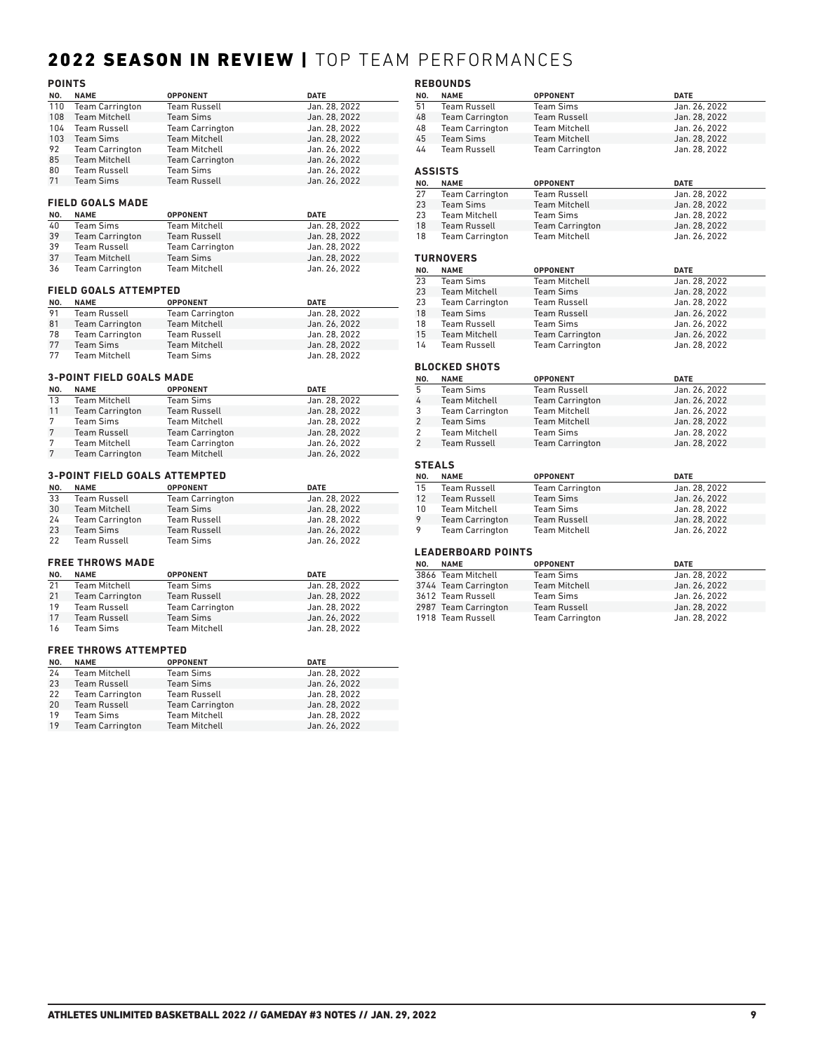## 2022 SEASON IN REVIEW | TOP TEAM PERFORMANCES

|     | <b>POINTS</b>                   |                        |               |  |  |
|-----|---------------------------------|------------------------|---------------|--|--|
| NO. | <b>NAME</b>                     | <b>OPPONENT</b>        | <b>DATE</b>   |  |  |
| 110 | <b>Team Carrington</b>          | <b>Team Russell</b>    | Jan. 28. 2022 |  |  |
| 108 | <b>Team Mitchell</b>            | <b>Team Sims</b>       | Jan. 28. 2022 |  |  |
| 104 | <b>Team Russell</b>             | <b>Team Carrington</b> | Jan. 28, 2022 |  |  |
| 103 | <b>Team Sims</b>                | <b>Team Mitchell</b>   | Jan. 28, 2022 |  |  |
| 92  | <b>Team Carrington</b>          | <b>Team Mitchell</b>   | Jan. 26, 2022 |  |  |
| 85  | <b>Team Mitchell</b>            | <b>Team Carrington</b> | Jan. 26, 2022 |  |  |
| 80  | <b>Team Russell</b>             | <b>Team Sims</b>       | Jan. 26, 2022 |  |  |
| 71  | <b>Team Sims</b>                | <b>Team Russell</b>    | Jan. 26, 2022 |  |  |
|     |                                 |                        |               |  |  |
|     | <b>FIELD GOALS MADE</b>         |                        |               |  |  |
| NO. | <b>NAME</b>                     | <b>OPPONENT</b>        | <b>DATE</b>   |  |  |
| 40  | <b>Team Sims</b>                | <b>Team Mitchell</b>   | Jan. 28. 2022 |  |  |
| 39  | <b>Team Carrington</b>          | <b>Team Russell</b>    | Jan. 28, 2022 |  |  |
| 39  | <b>Team Russell</b>             | <b>Team Carrington</b> | Jan. 28, 2022 |  |  |
| 37  | <b>Team Mitchell</b>            | <b>Team Sims</b>       | Jan. 28, 2022 |  |  |
| 36  | <b>Team Carrington</b>          | <b>Team Mitchell</b>   | Jan. 26, 2022 |  |  |
|     | <b>FIELD GOALS ATTEMPTED</b>    |                        |               |  |  |
| NO. | <b>NAME</b>                     | <b>OPPONENT</b>        | <b>DATE</b>   |  |  |
| 91  | <b>Team Russell</b>             | <b>Team Carrington</b> | Jan. 28. 2022 |  |  |
| 81  | <b>Team Carrington</b>          | <b>Team Mitchell</b>   | Jan. 26, 2022 |  |  |
| 78  | <b>Team Carrington</b>          | <b>Team Russell</b>    | Jan. 28, 2022 |  |  |
| 77  | <b>Team Sims</b>                | <b>Team Mitchell</b>   | Jan. 28, 2022 |  |  |
| 77  | <b>Team Mitchell</b>            | <b>Team Sims</b>       | Jan. 28, 2022 |  |  |
|     |                                 |                        |               |  |  |
|     | <b>3-POINT FIELD GOALS MADE</b> |                        |               |  |  |
| NO. | <b>NAME</b>                     | <b>OPPONENT</b>        | <b>DATE</b>   |  |  |
| 13  | <b>Team Mitchell</b>            | <b>Team Sims</b>       | Jan. 28, 2022 |  |  |
| 11  | <b>Team Carrington</b>          | <b>Team Russell</b>    | Jan. 28. 2022 |  |  |
| 7   | <b>Team Sims</b>                | <b>Team Mitchell</b>   | Jan. 28, 2022 |  |  |
| 7   | <b>Team Russell</b>             | <b>Team Carrington</b> | Jan. 28, 2022 |  |  |
| 7   | <b>Team Mitchell</b>            | <b>Team Carrington</b> | Jan. 26, 2022 |  |  |
| 7   | <b>Team Carrington</b>          | <b>Team Mitchell</b>   | Jan. 26, 2022 |  |  |

## **3-POINT FIELD GOALS ATTEMPTED**

| NO. | <b>NAME</b>            | <b>OPPONENT</b>        | <b>DATE</b>   |
|-----|------------------------|------------------------|---------------|
| 33  | Team Russell           | <b>Team Carrington</b> | Jan. 28. 2022 |
| 30  | <b>Team Mitchell</b>   | <b>Team Sims</b>       | Jan. 28, 2022 |
| 24  | <b>Team Carrington</b> | <b>Team Russell</b>    | Jan. 28, 2022 |
| 23  | Team Sims              | <b>Team Russell</b>    | Jan. 26, 2022 |
| 22  | <b>Team Russell</b>    | <b>Team Sims</b>       | Jan. 26, 2022 |

## **FREE THROWS MADE**

| NO. | <b>NAME</b>            | <b>OPPONENT</b>        | <b>DATE</b>   |
|-----|------------------------|------------------------|---------------|
| 21  | <b>Team Mitchell</b>   | Team Sims              | Jan. 28, 2022 |
| 21  | <b>Team Carrington</b> | <b>Team Russell</b>    | Jan. 28, 2022 |
| 19  | Team Russell           | <b>Team Carrington</b> | Jan. 28, 2022 |
| 17  | <b>Team Russell</b>    | <b>Team Sims</b>       | Jan. 26, 2022 |
| 16  | Team Sims              | Team Mitchell          | Jan. 28, 2022 |

### **FREE THROWS ATTEMPTED**

| NO. | <b>NAME</b>            | <b>OPPONENT</b>        | <b>DATE</b>   |
|-----|------------------------|------------------------|---------------|
| 24  | <b>Team Mitchell</b>   | Team Sims              | Jan. 28, 2022 |
| 23  | Team Russell           | <b>Team Sims</b>       | Jan. 26, 2022 |
| 22  | <b>Team Carrington</b> | <b>Team Russell</b>    | Jan. 28, 2022 |
| 20  | Team Russell           | <b>Team Carrington</b> | Jan. 28, 2022 |
| 19  | <b>Team Sims</b>       | <b>Team Mitchell</b>   | Jan. 28, 2022 |
| 19  | <b>Team Carrington</b> | <b>Team Mitchell</b>   | Jan. 26, 2022 |

|                | <b>REBOUNDS</b>           |                        |               |
|----------------|---------------------------|------------------------|---------------|
| NO.            | <b>NAME</b>               | <b>OPPONENT</b>        | <b>DATE</b>   |
| 51             | <b>Team Russell</b>       | <b>Team Sims</b>       | Jan. 26, 2022 |
| 48             | <b>Team Carrington</b>    | <b>Team Russell</b>    | Jan. 28, 2022 |
| 48             | <b>Team Carrington</b>    | <b>Team Mitchell</b>   | Jan. 26, 2022 |
| 45             | <b>Team Sims</b>          | <b>Team Mitchell</b>   | Jan. 28. 2022 |
| 44             | <b>Team Russell</b>       | <b>Team Carrington</b> | Jan. 28. 2022 |
|                |                           |                        |               |
| <b>ASSISTS</b> |                           |                        |               |
| NO.            | <b>NAME</b>               | <b>OPPONENT</b>        | <b>DATE</b>   |
| 27             | <b>Team Carrington</b>    | <b>Team Russell</b>    | Jan. 28, 2022 |
| 23             | <b>Team Sims</b>          | <b>Team Mitchell</b>   | Jan. 28, 2022 |
| 23             | <b>Team Mitchell</b>      | <b>Team Sims</b>       | Jan. 28, 2022 |
| 18             | <b>Team Russell</b>       | <b>Team Carrington</b> | Jan. 28, 2022 |
| 18             | <b>Team Carrington</b>    | <b>Team Mitchell</b>   | Jan. 26, 2022 |
|                |                           |                        |               |
|                | <b>TURNOVERS</b>          |                        |               |
| NO.            | <b>NAME</b>               | <b>OPPONENT</b>        | <b>DATE</b>   |
| 23             | <b>Team Sims</b>          | <b>Team Mitchell</b>   | Jan. 28. 2022 |
| 23             | <b>Team Mitchell</b>      | <b>Team Sims</b>       | Jan. 28. 2022 |
| 23             | <b>Team Carrington</b>    | <b>Team Russell</b>    | Jan. 28. 2022 |
| 18             | <b>Team Sims</b>          | <b>Team Russell</b>    | Jan. 26. 2022 |
| 18             | <b>Team Russell</b>       | <b>Team Sims</b>       | Jan. 26. 2022 |
| 15             | <b>Team Mitchell</b>      | <b>Team Carrington</b> | Jan. 26, 2022 |
| 14             | <b>Team Russell</b>       | <b>Team Carrington</b> | Jan. 28, 2022 |
|                |                           |                        |               |
|                | <b>BLOCKED SHOTS</b>      |                        |               |
| NO.            | <b>NAME</b>               | <b>OPPONENT</b>        | <b>DATE</b>   |
| 5              | <b>Team Sims</b>          | <b>Team Russell</b>    | Jan. 26, 2022 |
| 4              | <b>Team Mitchell</b>      | <b>Team Carrington</b> | Jan. 26, 2022 |
| 3              | <b>Team Carrington</b>    | <b>Team Mitchell</b>   | Jan. 26. 2022 |
| $\overline{2}$ | <b>Team Sims</b>          | <b>Team Mitchell</b>   | Jan. 28, 2022 |
| $\overline{2}$ | <b>Team Mitchell</b>      | <b>Team Sims</b>       | Jan. 28. 2022 |
| $\overline{2}$ | <b>Team Russell</b>       | <b>Team Carrington</b> | Jan. 28. 2022 |
|                |                           |                        |               |
| <b>STEALS</b>  |                           |                        |               |
| NO.            | <b>NAME</b>               | <b>OPPONENT</b>        | <b>DATE</b>   |
| 15             | <b>Team Russell</b>       | <b>Team Carrington</b> | Jan. 28, 2022 |
| 12             | <b>Team Russell</b>       | <b>Team Sims</b>       | Jan. 26, 2022 |
| 10             | <b>Team Mitchell</b>      | <b>Team Sims</b>       | Jan. 28, 2022 |
| 9              | <b>Team Carrington</b>    | <b>Team Russell</b>    | Jan. 28, 2022 |
| 9              | <b>Team Carrington</b>    | <b>Team Mitchell</b>   | Jan. 26, 2022 |
|                | <b>LEADERBOARD POINTS</b> |                        |               |
| NO.            | <b>NAME</b>               | <b>OPPONENT</b>        | <b>DATE</b>   |
|                | 3866 Team Mitchell        | <b>Team Sims</b>       | Jan. 28. 2022 |
|                |                           |                        |               |

| NO. | <b>NAME</b>          | <b>OPPONENT</b>        | <b>DATE</b>   |
|-----|----------------------|------------------------|---------------|
|     | 3866 Team Mitchell   | <b>Team Sims</b>       | Jan. 28, 2022 |
|     | 3744 Team Carrington | <b>Team Mitchell</b>   | Jan. 26, 2022 |
|     | 3612 Team Russell    | <b>Team Sims</b>       | Jan. 26. 2022 |
|     | 2987 Team Carrington | <b>Team Russell</b>    | Jan. 28, 2022 |
|     | 1918 Team Russell    | <b>Team Carrington</b> | Jan. 28, 2022 |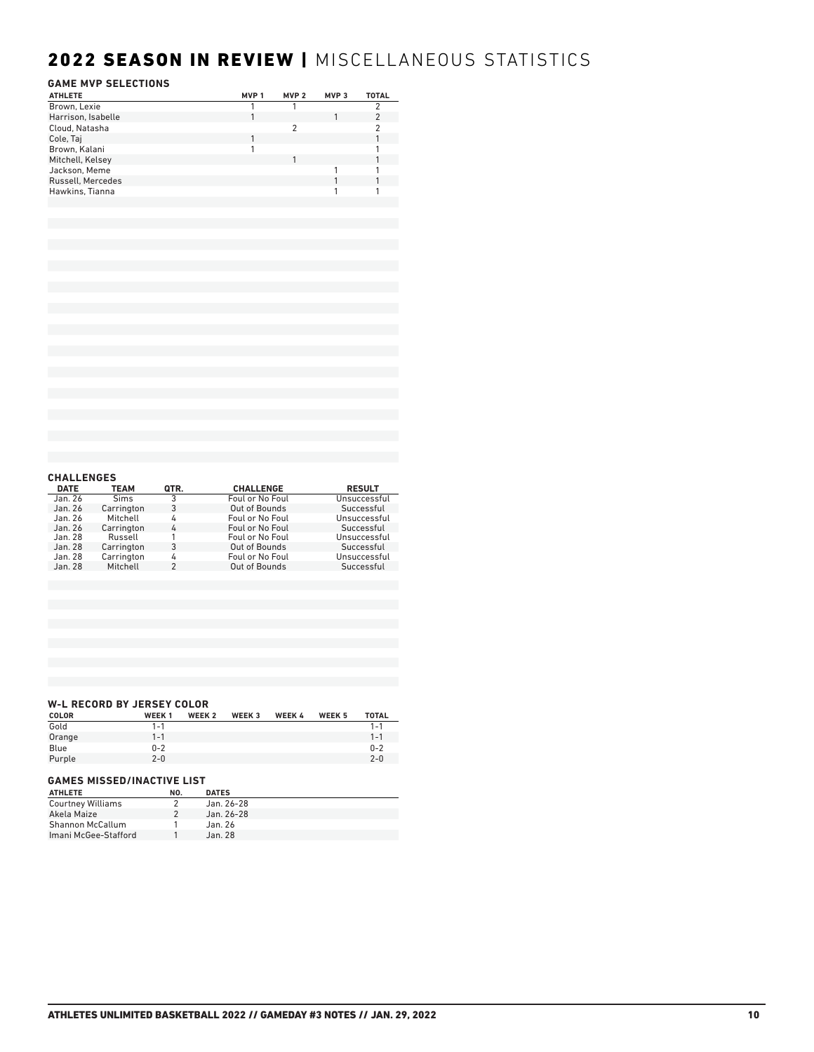## 2022 SEASON IN REVIEW | MISCELLANEOUS STATISTICS

## **GAME MVP SELECTIONS**

| <b>ATHLETE</b>     | MVP 1 | MVP <sub>2</sub> | MVP <sub>3</sub> | <b>TOTAL</b> |
|--------------------|-------|------------------|------------------|--------------|
| Brown, Lexie       |       |                  |                  |              |
| Harrison, Isabelle |       |                  |                  |              |
| Cloud, Natasha     |       | 2                |                  |              |
| Cole, Taj          |       |                  |                  |              |
| Brown, Kalani      |       |                  |                  |              |
| Mitchell, Kelsey   |       |                  |                  |              |
| Jackson, Meme      |       |                  |                  |              |
| Russell, Mercedes  |       |                  |                  |              |
| Hawkins, Tianna    |       |                  |                  |              |
|                    |       |                  |                  |              |
|                    |       |                  |                  |              |

| <b>CHALLENGES</b> |             |      |                  |               |
|-------------------|-------------|------|------------------|---------------|
| <b>DATE</b>       | <b>TEAM</b> | QTR. | <b>CHALLENGE</b> | <b>RESULT</b> |
| Jan. 26           | <b>Sims</b> | 3    | Foul or No Foul  | Unsuccessful  |
| Jan. 26           | Carrington  | 3    | Out of Bounds    | Successful    |
| Jan. 26           | Mitchell    | 4    | Foul or No Foul  | Unsuccessful  |
| Jan. 26           | Carrington  | 4    | Foul or No Foul  | Successful    |
| Jan. 28           | Russell     |      | Foul or No Foul  | Unsuccessful  |
| Jan. 28           | Carrington  | 3    | Out of Bounds    | Successful    |
| Jan. 28           | Carrington  | 4    | Foul or No Foul  | Unsuccessful  |
| Jan. 28           | Mitchell    | 2    | Out of Bounds    | Successful    |

### **W-L RECORD BY JERSEY COLOR**

| <b>COLOR</b> | <b>WEEK1</b> | <b>WEEK 2</b> | WEEK <sub>3</sub> | <b>WEEK 4</b> | WEEK <sub>5</sub> | <b>TOTAL</b> |
|--------------|--------------|---------------|-------------------|---------------|-------------------|--------------|
| Gold         | $1 - 1$      |               |                   |               |                   | $1 - 1$      |
| Orange       | $1 - 1$      |               |                   |               |                   | $1 - 1$      |
| Blue         | $0 - 2$      |               |                   |               |                   | $0 - 2$      |
| Purple       | $2 - 0$      |               |                   |               |                   | $2 - 0$      |
|              |              |               |                   |               |                   |              |

### **GAMES MISSED/INACTIVE LIST**

| <b>ATHLETE</b>           | NO. | <b>DATES</b> |
|--------------------------|-----|--------------|
| <b>Courtney Williams</b> |     | Jan. 26-28   |
| Akela Maize              |     | Jan. 26-28   |
| Shannon McCallum         |     | Jan. 26      |
| Imani McGee-Stafford     |     | Jan. 28      |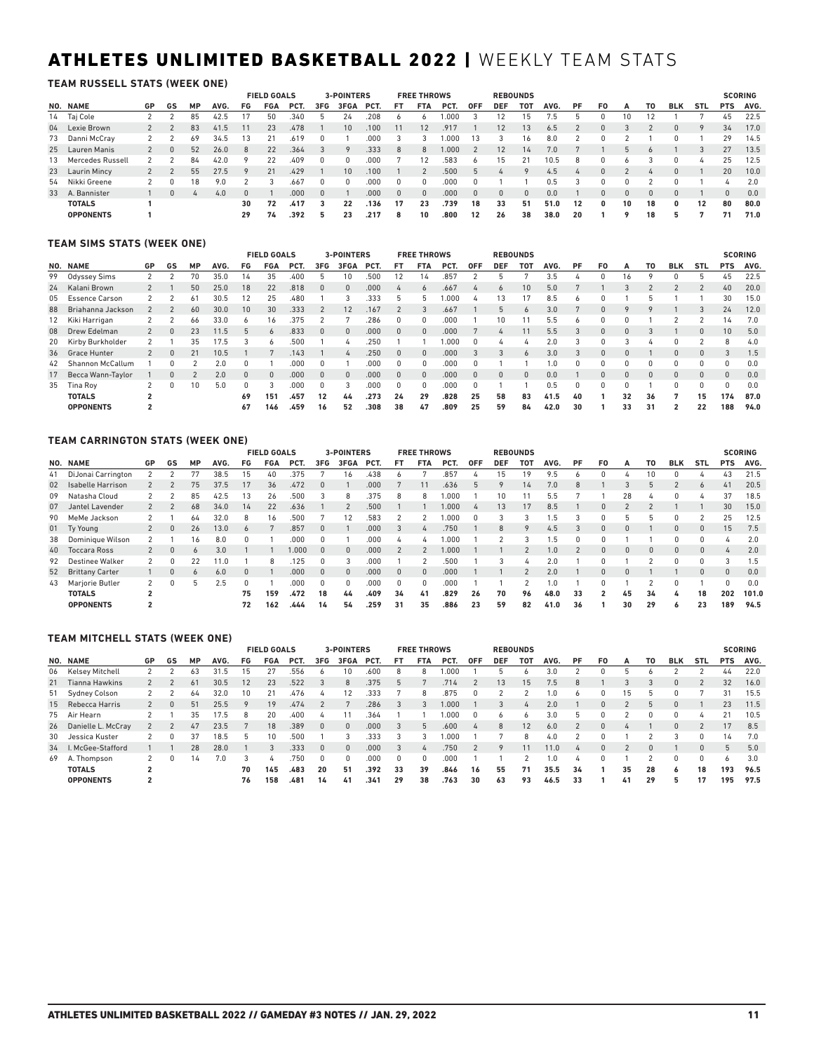## ATHLETES UNLIMITED BASKETBALL 2022 | WEEKLY TEAM STATS

**TEAM RUSSELL STATS (WEEK ONE)**

|                     |    |    |          |      |          | <b>FIELD GOALS</b> |      |     | <b>3-POINTERS</b> |      |    | <b>FREE THROWS</b> |      |            |            | <b>REBOUNDS</b> |      |    |    |    |    |            |             |              | <b>SCORING</b> |
|---------------------|----|----|----------|------|----------|--------------------|------|-----|-------------------|------|----|--------------------|------|------------|------------|-----------------|------|----|----|----|----|------------|-------------|--------------|----------------|
| NO. NAME            | GP | GS | MP       | AVG. | FG       | FGA                | PCT. | 3FG | 3FGA              | PCT. | FT | <b>FTA</b>         | PCT. | <b>OFF</b> | <b>DEF</b> | тот             | AVG. | PF | F0 | А  | T0 | <b>BLK</b> | <b>STL</b>  | <b>PTS</b>   | AVG.           |
| 14 Taj Cole         |    |    | 85       | 42.5 |          | 50                 | .340 |     | 24                | .208 |    | ь                  | .000 |            |            | 15              | 7.5  |    |    | 10 |    |            |             | 45           | 22.5           |
| 04 Lexie Brown      |    |    | 83       | 41.5 |          | 23                 | .478 |     | 10                | .100 |    | 12                 | .917 |            | 12         | 13              | 6.5  |    |    |    |    |            | $\mathsf Q$ | 34           | 17.0           |
| 73 Danni McCray     |    |    | 69       | 34.5 |          |                    | .619 |     |                   | .000 |    |                    | .000 | 13         |            | 16              | 8.0  |    |    |    |    |            |             | 29           | 14.5           |
| 25 Lauren Manis     |    |    | 52       | 26.0 | 8        | 22                 | .364 |     | 9                 | .333 | 8  | 8                  | .000 |            | 12         | 14              | 7.0  |    |    | 5  |    |            |             | 27           | 13.5           |
| 13 Mercedes Russell |    |    | 84       | 42.0 | $\circ$  | 22                 | .409 |     | $\Omega$          | .000 |    | 12                 | 583  |            | 15         | 21              | 10.5 | 8  |    |    |    |            |             | 25           | 12.5           |
| 23 Laurin Mincy     |    |    | 55       | 27.5 | $\circ$  | 21                 | .429 |     | 10 <sup>1</sup>   | .100 |    |                    | .500 |            |            |                 | 4.5  |    |    |    |    |            |             | 20           | 10.0           |
| 54 Nikki Greene     |    | 0  | 18       | 9.0  |          |                    | .667 |     | 0                 | .000 |    | 0                  | .000 |            |            |                 | 0.5  |    |    |    |    |            |             |              | 2.0            |
| 33 A. Bannister     |    |    | $\bf{r}$ | 4.0  | $\Omega$ |                    | .000 |     |                   | .000 |    | $\Omega$           | .000 |            | $\Omega$   |                 | 0.0  |    |    |    |    |            |             | <sup>n</sup> | 0.0            |
| <b>TOTALS</b>       |    |    |          |      | 30       | 72                 | .417 |     | 22                | 136  | 17 | 23                 | .739 | 18         | 33         | 51              | 51.0 | 12 |    | 10 | 18 | 0          | 12          | 80           | 80.0           |
| <b>OPPONENTS</b>    |    |    |          |      | 29       | 74                 | .392 |     | 23                | .217 | 8  | 10                 | .800 | 12         | 26         | 38              | 38.0 | 20 |    | ۰  | 18 |            |             | 71           | 71.0           |

### **TEAM SIMS STATS (WEEK ONE)**

|    |                         |           |    |     |      |    | <b>FIELD GOALS</b> |      |          | <b>3-POINTERS</b> |       |              | <b>FREE THROWS</b> |       |            |              | <b>REBOUNDS</b> |      |              |          |    |    |                |            |            | <b>SCORING</b> |
|----|-------------------------|-----------|----|-----|------|----|--------------------|------|----------|-------------------|-------|--------------|--------------------|-------|------------|--------------|-----------------|------|--------------|----------|----|----|----------------|------------|------------|----------------|
|    | NO. NAME                | <b>GP</b> | GS | MP  | AVG. | FG | <b>FGA</b>         | PCT. | 3FG      | 3FGA              | PCT.  | FT           | <b>FTA</b>         | PCT.  | <b>OFF</b> | <b>DEF</b>   | тот             | AVG. | PF           | F0       | А  | TO | <b>BLK</b>     | <b>STL</b> | <b>PTS</b> | AVG.           |
|    | 99 Odyssey Sims         |           |    | 70  | 35.0 | 14 | 35                 | .400 |          | 10                | .500  | 12           | 14                 | .857  |            |              |                 | 3.5  |              | 0        | 16 |    | 0              |            | 45         | 22.5           |
| 24 | Kalani Brown            |           |    | 50  | 25.0 | 18 | 22                 | .818 | $\Omega$ | $\Omega$          | .000. | $\mathbf{r}$ | 6                  | .667  |            | $\sigma$     | 10 <sup>°</sup> | 5.0  |              |          |    |    |                |            | 40         | 20.0           |
| 05 | <b>Essence Carson</b>   |           |    | -61 | 30.5 | 12 | 25                 | 480  |          | 3                 | .333  |              |                    | .000  |            | 13           |                 | 8.5  | ь            |          |    |    |                |            | 30         | 15.0           |
| 88 | Briahanna Jackson       |           |    | 60  | 30.0 | 10 | 30                 | .333 |          | 12                | .167  |              |                    | .667  |            | $\mathbf{b}$ |                 | 3.0  |              |          |    |    |                |            | 24         | 12.0           |
| 12 | Kiki Harrigan           |           |    | 66  | 33.0 | 6  | 16                 | .375 |          |                   | .286  | 0            | 0                  | .000  |            | 10           |                 | 5.5  | <sub>6</sub> |          |    |    |                |            | 14         | 7.0            |
| 08 | Drew Edelman            |           | 0  | 23  | 11.5 |    | $\sigma$           | .833 | $\Omega$ | $\Omega$          | .000. | $\Omega$     | $\Omega$           | .000. |            | 4            |                 | 5.5  | 3            | 0        | 0  |    |                |            | 10         | 5.0            |
|    | 20 Kirby Burkholder     |           |    | 35  | 17.5 |    | 6                  | .500 |          | 4                 | .250  |              |                    | .000  |            | Δ            |                 | 2.0  |              |          |    |    | $\Omega$       |            | 8          | 4.0            |
| 36 | <b>Grace Hunter</b>     |           | 0  | 21  | 10.5 |    |                    | .143 |          | $\mathbf{r}$      | .250  | $\Omega$     | $\Omega$           | .000. | 3          | 3            |                 | 3.0  |              | $\Omega$ | 0  |    | $\Omega$       | $\Omega$   |            | 1.5            |
| 42 | <b>Shannon McCallum</b> |           |    |     | 2.0  |    |                    | 000  | $\Omega$ |                   | .000  | $\Omega$     | $\Omega$           | .000  |            |              |                 | 1.0  | 0            | 0        |    |    | $\Omega$       |            | 0          | 0.0            |
| 17 | Becca Wann-Taylor       |           | 0  |     | 2.0  |    | $\mathbf{0}$       | .000 | $\Omega$ | $\Omega$          | .000  | $\Omega$     | $\Omega$           | .000  |            | $\Omega$     |                 | 0.0  |              | 0        | 0  | 0  | $\Omega$       |            | $\Omega$   | 0.0            |
| 35 | Tina Roy                |           | 0  | 10  | 5.0  |    | 3                  | .000 | $\Omega$ | 3                 | .000  | $\Omega$     | 0                  | .000  | $\Omega$   |              |                 | 0.5  | $\Omega$     | 0        | 0  |    | $\Omega$       | 0          | 0          | 0.0            |
|    | <b>TOTALS</b>           | ີ         |    |     |      | 69 | 151                | .457 | 12       | 44                | .273  | 24           | 29                 | .828  | 25         | 58           | 83              | 41.5 | 40           |          | 32 | 36 |                | 15         | 174        | 87.0           |
|    | <b>OPPONENTS</b>        |           |    |     |      | 67 | 146                | .459 | 16       | 52                | .308  | 38           | 47                 | .809  | 25         | 59           | 84              | 42.0 | 30           |          | 33 | 31 | $\overline{2}$ | 22         | 188        | 94.0           |

### **TEAM CARRINGTON STATS (WEEK ONE)**

|    |                          |              |              |    |      |          | <b>FIELD GOALS</b> |      |              | 3-POINTERS |      |               | <b>FREE THROWS</b> |      |              |            | <b>REBOUNDS</b> |       |              |    |          |    |            |              |            | <b>SCORING</b> |
|----|--------------------------|--------------|--------------|----|------|----------|--------------------|------|--------------|------------|------|---------------|--------------------|------|--------------|------------|-----------------|-------|--------------|----|----------|----|------------|--------------|------------|----------------|
|    | NO. NAME                 | GP           | GS           | МP | AVG. | FG       | <b>FGA</b>         | PCT. | 3FG          | 3FGA       | PCT. | <b>FT</b>     | <b>FTA</b>         | PCT. | <b>OFF</b>   | <b>DEF</b> | тот             | AVG.  | PF           | F0 | А        | T0 | <b>BLK</b> | <b>STL</b>   | <b>PTS</b> | AVG.           |
| 41 | DiJonai Carrington       |              |              | 77 | 38.5 | 15       | 40                 | .375 |              | 16         | .438 |               |                    | .857 |              | 15         | 19              | 9.5   | <sub>6</sub> |    |          | 10 |            | <u>4</u>     | 43         | 21.5           |
| 02 | <b>Isabelle Harrison</b> |              |              | 75 | 37.5 | 17       | 36                 | .472 | $\Omega$     |            | .000 |               |                    | .636 |              |            | 14              | 7.0   | 8            |    |          |    |            | <sub>6</sub> | 41         | 20.5           |
| 09 | Natasha Cloud            |              |              | 85 | 42.5 | 13       | 26                 | .500 | 3            | 8          | .375 | 8             | 8                  | .000 |              | 10         |                 | 5.5   |              |    | 28       |    |            | Δ            | 37         | 18.5           |
| 07 | Jantel Lavender          |              |              | 68 | 34.0 | 14       | 22                 | .636 |              |            | .500 |               |                    | 000. | $\mathbf{r}$ | 13         | 17              | 8.5   |              |    |          |    |            |              | 30         | 15.0           |
| 90 | MeMe Jackson             |              |              | 64 | 32.0 | 8        | 16                 | .500 |              | 12         | .583 |               |                    | .000 |              |            |                 | ı.5   |              |    | h        | h  |            |              | 25         | 12.5           |
|    | 01 Ty Young              | $\mathbf{2}$ | $\mathbf{0}$ | 26 | 13.0 | $\sigma$ |                    | .857 | $\Omega$     |            | .000 | $\mathcal{R}$ | 4                  | .750 |              | 8          |                 | 4.5   |              |    |          |    | $\Omega$   | $\Omega$     | 15         | 7.5            |
| 38 | Dominique Wilson         |              |              | 16 | 8.0  |          |                    | .000 | $\mathbf{0}$ |            | .000 | Д             | 4                  | .000 |              |            |                 | . . 5 | 0            |    |          |    |            | $\Omega$     | Δ          | 2.0            |
| 40 | <b>Toccara Ross</b>      |              | $\Omega$     | 6  | 3.0  |          |                    | .000 | $\Omega$     | $\Omega$   | .000 |               |                    | .000 |              |            |                 |       |              |    |          |    |            | $\Omega$     |            | 2.0            |
| 92 | <b>Destinee Walker</b>   |              | 0            | 22 | 11.0 |          | 8                  | .125 | $\Omega$     | 3          | .000 |               |                    | .500 |              |            |                 | 2.0   |              |    |          |    |            | 0            |            | 1.5            |
| 52 | <b>Brittany Carter</b>   |              | 0            | 6  | 6.0  |          |                    | .000 | $\Omega$     | $\Omega$   | .000 | $\Omega$      | $\Omega$           | .000 |              |            |                 | 2.0   |              |    | $\Omega$ |    |            | $\Omega$     | 0          | 0.0            |
| 43 | Marjorie Butler          |              | 0            | 5  | 2.5  |          |                    | .000 | $\Omega$     | 0          | .000 | $\Omega$      | $\Omega$           | .000 |              |            |                 | 1.0   |              |    |          |    |            |              | $\Omega$   | 0.0            |
|    | <b>TOTALS</b>            | 2            |              |    |      | 75       | 159                | .472 | 18           | 44         | .409 | 34            | 41                 | .829 | 26           | 70         | 96              | 48.0  | 33           | 2  | 45       | 34 |            | 18           | 202        | 101.0          |
|    | <b>OPPONENTS</b>         |              |              |    |      | 72       | 162                | .444 | 14           | 54         | .259 | 31            | 35                 | .886 | 23           | 59         | 82              | 41.0  | 36           |    | 30       | 29 | 6          | 23           | 189        | 94.5           |

### **TEAM MITCHELL STATS (WEEK ONE)**

|    |                       |                |    |    |      |    | <b>FIELD GOALS</b> |      |              | <b>3-POINTERS</b> |      |          | <b>FREE THROWS</b> |       |            |            | <b>REBOUNDS</b> |      |              |    |    |    |            |            |              | <b>SCORING</b> |
|----|-----------------------|----------------|----|----|------|----|--------------------|------|--------------|-------------------|------|----------|--------------------|-------|------------|------------|-----------------|------|--------------|----|----|----|------------|------------|--------------|----------------|
|    | NO. NAME              | GP             | GS | MP | AVG. | FG | <b>FGA</b>         | PCT. | 3FG          | 3FGA              | PCT. | FT       | <b>FTA</b>         | PCT.  | <b>OFF</b> | <b>DEF</b> | <b>TOT</b>      | AVG. | PF           | F0 | А  | TO | <b>BLK</b> | <b>STL</b> | <b>PTS</b>   | AVG.           |
|    | 06 Kelsey Mitchell    |                |    | 63 | 31.5 | 15 | 27                 | 556  | b            | 10                | .600 | 8        |                    | .000  |            |            |                 | 3.0  |              |    | h  |    |            |            | 44           | 22.0           |
|    | 21 Tianna Hawkins     |                |    | 61 | 30.5 | 12 | 23                 | .522 | 3            | 8                 | .375 | 5        |                    | 714   |            | 13         | 15              | 7.5  |              |    |    |    | $\Omega$   |            | 32           | 16.0           |
|    | 51 Sydney Colson      |                |    | 64 | 32.0 | 10 | 21                 | .476 |              | 12                | .333 |          |                    | .875  | $\Omega$   |            |                 | 1.0  |              |    | 15 |    |            |            | 31           | 15.5           |
|    | 15 Rebecca Harris     |                | 0  | 51 | 25.5 |    | 19                 | .474 |              |                   | .286 | 3        | 3                  | 1.000 |            |            | 4               | 2.0  |              | 0  |    |    |            |            | 23           | 11.5           |
| 75 | Air Hearn             |                |    | 35 | 7.5  | 8  | 20                 | .400 |              |                   | .364 |          |                    | .000  |            | ь          | $\circ$         | 3.0  |              |    |    |    |            |            | 21           | 10.5           |
|    | 26 Danielle L. McCray |                |    | 47 | 23.5 |    | 18                 | .389 | $\mathbf{0}$ | $\Omega$          | .000 | 3        |                    | .600  |            | 8          | 12              | 6.0  |              |    |    |    | $\Omega$   |            | 17           | 8.5            |
|    | 30 Jessica Kuster     |                |    | 37 | 18.5 | 5  | 10                 | .500 |              | 3                 | .333 |          |                    | .000  |            |            | 8               | 4.0  |              |    |    |    |            | 0          | 14           | 7.0            |
| 34 | . McGee-Stafford      |                |    | 28 | 28.0 |    | 3                  | .333 | $\Omega$     | $\Omega$          | .000 | 3        | $\overline{a}$     | .750  |            | $\circ$    | 11              |      | $\mathbf{r}$ |    |    |    |            | $\Omega$   | 5            | 5.0            |
| 69 | A. Thompson           |                | 0  | 14 | 7.0  |    | 4                  | 750  | $\Omega$     | n                 | .000 | $\Omega$ | U                  | .000  |            |            |                 | 1.0  | Δ            |    |    |    | $\Omega$   | 0          | <sub>6</sub> | 3.0            |
|    | <b>TOTALS</b>         | $\overline{2}$ |    |    |      | 70 | 145                | .483 | 20           | 51                | .392 | 33       | 39                 | .846  | 16         | 55         | 71              | 35.5 | 34           |    | 35 | 28 | 6          | 18         | 193          | 96.5           |
|    | <b>OPPONENTS</b>      |                |    |    |      | 76 | 158                | .481 | 14           | 41                | .341 | 29       | 38                 | .763  | 30         | 63         | 93              | 46.5 | 33           |    | 41 | 29 |            | 17         | 195          | 97.5           |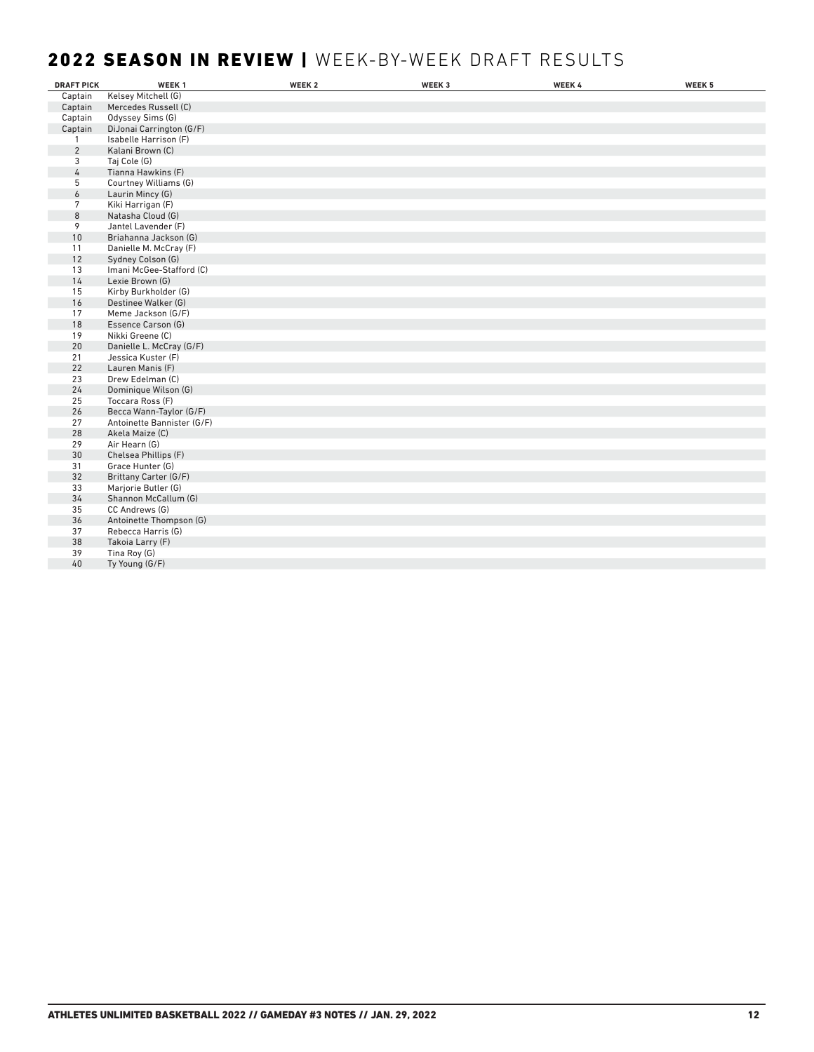## 2022 SEASON IN REVIEW | WEEK-BY-WEEK DRAFT RESULTS

| <b>DRAFT PICK</b> | WEEK <sub>1</sub>          | WEEK <sub>2</sub> | WEEK 3 | WEEK 4 | WEEK 5 |
|-------------------|----------------------------|-------------------|--------|--------|--------|
| Captain           | Kelsey Mitchell (G)        |                   |        |        |        |
| Captain           | Mercedes Russell (C)       |                   |        |        |        |
| Captain           | Odyssey Sims (G)           |                   |        |        |        |
| Captain           | DiJonai Carrington (G/F)   |                   |        |        |        |
| 1                 | Isabelle Harrison (F)      |                   |        |        |        |
| $\overline{2}$    | Kalani Brown (C)           |                   |        |        |        |
| 3                 | Taj Cole (G)               |                   |        |        |        |
| 4                 | Tianna Hawkins (F)         |                   |        |        |        |
| 5                 | Courtney Williams (G)      |                   |        |        |        |
| 6                 | Laurin Mincy (G)           |                   |        |        |        |
| 7                 | Kiki Harrigan (F)          |                   |        |        |        |
| 8                 | Natasha Cloud (G)          |                   |        |        |        |
| 9                 | Jantel Lavender (F)        |                   |        |        |        |
| 10                | Briahanna Jackson (G)      |                   |        |        |        |
| 11                | Danielle M. McCray (F)     |                   |        |        |        |
| 12                | Sydney Colson (G)          |                   |        |        |        |
| 13                | Imani McGee-Stafford (C)   |                   |        |        |        |
| 14                | Lexie Brown (G)            |                   |        |        |        |
| 15                | Kirby Burkholder (G)       |                   |        |        |        |
| 16                | Destinee Walker (G)        |                   |        |        |        |
| 17                | Meme Jackson (G/F)         |                   |        |        |        |
| 18                | Essence Carson (G)         |                   |        |        |        |
| 19                | Nikki Greene (C)           |                   |        |        |        |
| 20                | Danielle L. McCray (G/F)   |                   |        |        |        |
| 21                | Jessica Kuster (F)         |                   |        |        |        |
| 22                | Lauren Manis (F)           |                   |        |        |        |
| 23                | Drew Edelman (C)           |                   |        |        |        |
| 24                | Dominique Wilson (G)       |                   |        |        |        |
| 25                | Toccara Ross (F)           |                   |        |        |        |
| 26                | Becca Wann-Taylor (G/F)    |                   |        |        |        |
| 27                | Antoinette Bannister (G/F) |                   |        |        |        |
| 28                | Akela Maize (C)            |                   |        |        |        |
| 29                | Air Hearn (G)              |                   |        |        |        |
| 30                | Chelsea Phillips (F)       |                   |        |        |        |
| 31                | Grace Hunter (G)           |                   |        |        |        |
| 32                | Brittany Carter (G/F)      |                   |        |        |        |
| 33                | Marjorie Butler (G)        |                   |        |        |        |
| 34                | Shannon McCallum (G)       |                   |        |        |        |
| 35                | CC Andrews (G)             |                   |        |        |        |
| 36                | Antoinette Thompson (G)    |                   |        |        |        |
| 37                | Rebecca Harris (G)         |                   |        |        |        |
| 38                | Takoia Larry (F)           |                   |        |        |        |
| 39                | Tina Roy (G)               |                   |        |        |        |
| 40                | Ty Young (G/F)             |                   |        |        |        |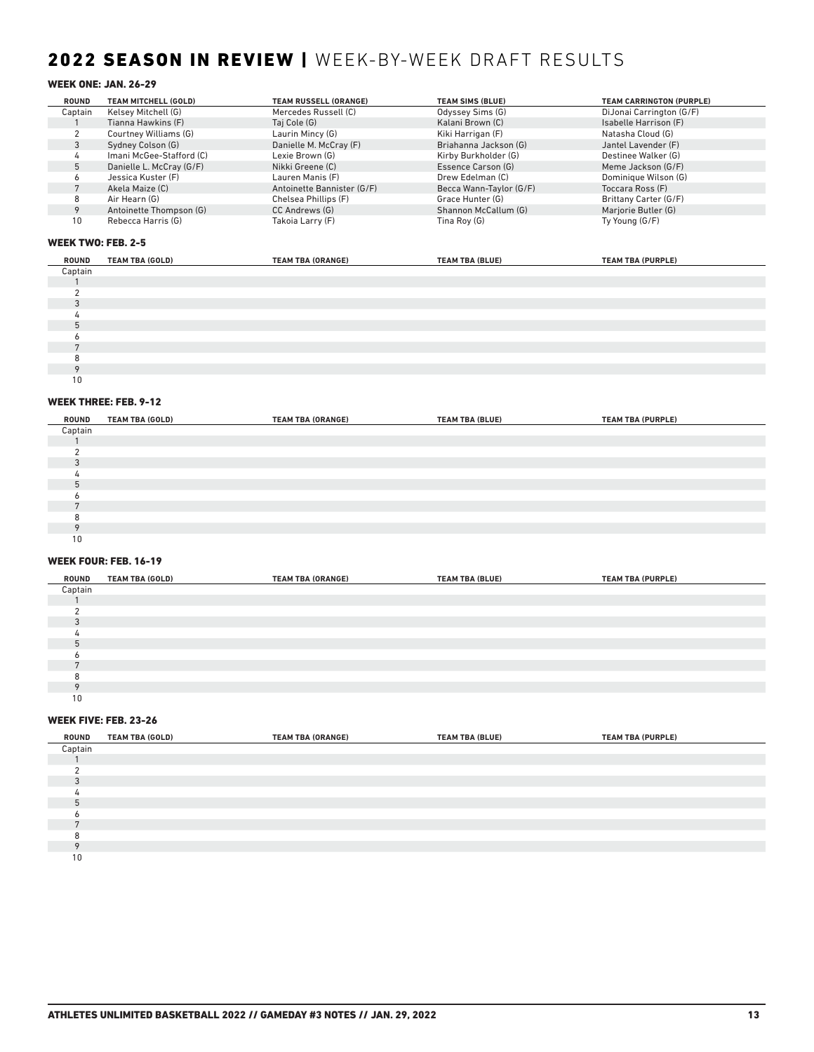## 2022 SEASON IN REVIEW | WEEK-BY-WEEK DRAFT RESULTS

## WEEK ONE: JAN. 26-29

| <b>ROUND</b> | TEAM MITCHELL (GOLD)     | <b>TEAM RUSSELL (ORANGE)</b> | <b>TEAM SIMS (BLUE)</b> | <b>TEAM CARRINGTON (PURPLE)</b> |
|--------------|--------------------------|------------------------------|-------------------------|---------------------------------|
| Captain      | Kelsey Mitchell (G)      | Mercedes Russell (C)         | Odyssey Sims (G)        | DiJonai Carrington (G/F)        |
|              | Tianna Hawkins (F)       | Taj Cole (G)                 | Kalani Brown (C)        | Isabelle Harrison (F)           |
|              | Courtney Williams (G)    | Laurin Mincy (G)             | Kiki Harrigan (F)       | Natasha Cloud (G)               |
|              | Sydney Colson (G)        | Danielle M. McCray (F)       | Briahanna Jackson (G)   | Jantel Lavender (F)             |
|              | Imani McGee-Stafford (C) | Lexie Brown (G)              | Kirby Burkholder (G)    | Destinee Walker (G)             |
|              | Danielle L. McCray (G/F) | Nikki Greene (C)             | Essence Carson (G)      | Meme Jackson (G/F)              |
|              | Jessica Kuster (F)       | Lauren Manis (F)             | Drew Edelman (C)        | Dominique Wilson (G)            |
|              | Akela Maize (C)          | Antoinette Bannister (G/F)   | Becca Wann-Taylor (G/F) | Toccara Ross (F)                |
|              | Air Hearn (G)            | Chelsea Phillips (F)         | Grace Hunter (G)        | Brittany Carter (G/F)           |
|              | Antoinette Thompson (G)  | CC Andrews (G)               | Shannon McCallum (G)    | Marjorie Butler (G)             |
| 10           | Rebecca Harris (G)       | Takoia Larry (F)             | Tina Roy (G)            | Ty Young (G/F)                  |

### WEEK TWO: FEB. 2-5

| ROUND   | <b>TEAM TBA (GOLD)</b> | <b>TEAM TBA (ORANGE)</b> | <b>TEAM TBA (BLUE)</b> | <b>TEAM TBA (PURPLE)</b> |
|---------|------------------------|--------------------------|------------------------|--------------------------|
| Captain |                        |                          |                        |                          |
|         |                        |                          |                        |                          |
|         |                        |                          |                        |                          |
|         |                        |                          |                        |                          |
|         |                        |                          |                        |                          |
|         |                        |                          |                        |                          |
|         |                        |                          |                        |                          |
|         |                        |                          |                        |                          |
|         |                        |                          |                        |                          |
|         |                        |                          |                        |                          |
| 10      |                        |                          |                        |                          |

### WEEK THREE: FEB. 9-12

| ROUND          | <b>TEAM TBA (GOLD)</b> | <b>TEAM TBA (ORANGE)</b> | <b>TEAM TBA (BLUE)</b> | <b>TEAM TBA (PURPLE)</b> |
|----------------|------------------------|--------------------------|------------------------|--------------------------|
| Captain        |                        |                          |                        |                          |
|                |                        |                          |                        |                          |
|                |                        |                          |                        |                          |
| $\Omega$       |                        |                          |                        |                          |
|                |                        |                          |                        |                          |
| 5              |                        |                          |                        |                          |
|                |                        |                          |                        |                          |
| $\overline{ }$ |                        |                          |                        |                          |
| я              |                        |                          |                        |                          |
| $\circ$        |                        |                          |                        |                          |
| 10             |                        |                          |                        |                          |

### WEEK FOUR: FEB. 16-19

| ROUND    | <b>TEAM TBA (GOLD)</b> | <b>TEAM TBA (ORANGE)</b> | <b>TEAM TBA (BLUE)</b> | <b>TEAM TBA (PURPLE)</b> |  |
|----------|------------------------|--------------------------|------------------------|--------------------------|--|
| Captain  |                        |                          |                        |                          |  |
|          |                        |                          |                        |                          |  |
|          |                        |                          |                        |                          |  |
| $\Omega$ |                        |                          |                        |                          |  |
|          |                        |                          |                        |                          |  |
| h        |                        |                          |                        |                          |  |
|          |                        |                          |                        |                          |  |
|          |                        |                          |                        |                          |  |
|          |                        |                          |                        |                          |  |
|          |                        |                          |                        |                          |  |
| 10       |                        |                          |                        |                          |  |

### WEEK FIVE: FEB. 23-26

| ROUND   | <b>TEAM TBA (GOLD)</b> | <b>TEAM TBA (ORANGE)</b> | <b>TEAM TBA (BLUE)</b> | <b>TEAM TBA (PURPLE)</b> |  |
|---------|------------------------|--------------------------|------------------------|--------------------------|--|
| Captain |                        |                          |                        |                          |  |
|         |                        |                          |                        |                          |  |
|         |                        |                          |                        |                          |  |
|         |                        |                          |                        |                          |  |
|         |                        |                          |                        |                          |  |
|         |                        |                          |                        |                          |  |
|         |                        |                          |                        |                          |  |
|         |                        |                          |                        |                          |  |
|         |                        |                          |                        |                          |  |
|         |                        |                          |                        |                          |  |
| 10      |                        |                          |                        |                          |  |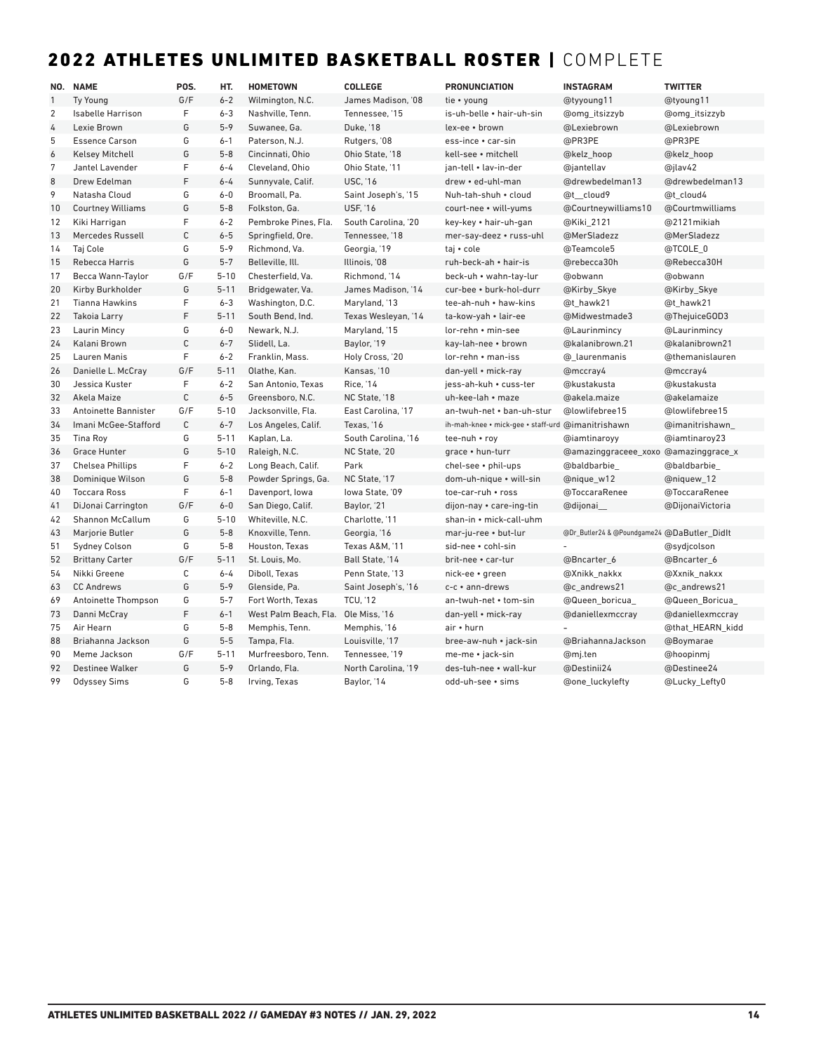## 2022 ATHLETES UNLIMITED BASKETBALL ROSTER | COMPLETE

|                | NO. NAME                 | POS.        | HT.      | <b>HOMETOWN</b>       | <b>COLLEGE</b>      | <b>PRONUNCIATION</b>               | <b>INSTAGRAM</b>                            | <b>TWITTER</b>   |
|----------------|--------------------------|-------------|----------|-----------------------|---------------------|------------------------------------|---------------------------------------------|------------------|
| $\mathbf{1}$   | <b>Ty Young</b>          | G/F         | $6 - 2$  | Wilmington, N.C.      | James Madison. '08  | tie • young                        | @tyyoung11                                  | @tyoung11        |
| $\overline{2}$ | <b>Isabelle Harrison</b> | F           | $6 - 3$  | Nashville, Tenn.      | Tennessee. '15      | is-uh-belle • hair-uh-sin          | @omg_itsizzyb                               | @omg itsizzyb    |
| 4              | Lexie Brown              | G           | $5 - 9$  | Suwanee, Ga.          | <b>Duke, '18</b>    | lex-ee · brown                     | @Lexiebrown                                 | @Lexiebrown      |
| 5              | <b>Essence Carson</b>    | G           | $6 - 1$  | Paterson, N.J.        | Rutgers, '08        | ess-ince • car-sin                 | @PR3PE                                      | @PR3PE           |
| 6              | <b>Kelsey Mitchell</b>   | G           | $5 - 8$  | Cincinnati, Ohio      | Ohio State, '18     | kell-see · mitchell                | @kelz_hoop                                  | @kelz_hoop       |
| 7              | Jantel Lavender          | F           | $6 - 4$  | Cleveland, Ohio       | Ohio State. '11     | ian-tell • lav-in-der              | @jantellav                                  | @jlav42          |
| 8              | Drew Edelman             | F           | $6 - 4$  | Sunnyvale, Calif.     | <b>USC. '16</b>     | drew • ed-uhl-man                  | @drewbedelman13                             | @drewbedelman13  |
| 9              | Natasha Cloud            | G           | $6 - 0$  | Broomall, Pa.         | Saint Joseph's, '15 | Nuh-tah-shuh • cloud               | @t cloud9                                   | @t cloud4        |
| 10             | <b>Courtney Williams</b> | G           | $5 - 8$  | Folkston, Ga.         | <b>USF, '16</b>     | court-nee • will-yums              | @Courtneywilliams10                         | @Courtmwilliams  |
| 12             | Kiki Harrigan            | F           | $6 - 2$  | Pembroke Pines, Fla.  | South Carolina, '20 | key-key • hair-uh-gan              | @Kiki_2121                                  | @2121mikiah      |
| 13             | Mercedes Russell         | $\mathsf C$ | $6 - 5$  | Springfield, Ore.     | Tennessee, '18      | mer-say-deez • russ-uhl            | @MerSladezz                                 | @MerSladezz      |
| 14             | Taj Cole                 | G           | $5 - 9$  | Richmond, Va.         | Georgia, '19        | taj • cole                         | @Teamcole5                                  | @TCOLE 0         |
| 15             | Rebecca Harris           | G           | $5 - 7$  | Belleville, Ill.      | Illinois, '08       | ruh-beck-ah • hair-is              | @rebecca30h                                 | @Rebecca30H      |
| 17             | Becca Wann-Taylor        | G/F         | $5 - 10$ | Chesterfield, Va.     | Richmond, '14       | beck-uh • wahn-tay-lur             | @obwann                                     | @obwann          |
| 20             | Kirby Burkholder         | G           | $5 - 11$ | Bridgewater, Va.      | James Madison, '14  | cur-bee • burk-hol-durr            | @Kirby_Skye                                 | @Kirby_Skye      |
| 21             | <b>Tianna Hawkins</b>    | F           | $6 - 3$  | Washington, D.C.      | Maryland, '13       | tee-ah-nuh • haw-kins              | @t hawk21                                   | @t_hawk21        |
| 22             | <b>Takoia Larry</b>      | F           | $5 - 11$ | South Bend, Ind.      | Texas Wesleyan, '14 | ta-kow-yah • lair-ee               | @Midwestmade3                               | @ThejuiceGOD3    |
| 23             | Laurin Mincy             | G           | $6-0$    | Newark, N.J.          | Maryland, '15       | lor-rehn • min-see                 | @Laurinmincy                                | @Laurinmincy     |
| 24             | Kalani Brown             | $\mathsf C$ | $6 - 7$  | Slidell, La.          | Baylor, '19         | kay-lah-nee • brown                | @kalanibrown.21                             | @kalanibrown21   |
| 25             | <b>Lauren Manis</b>      | F           | $6 - 2$  | Franklin, Mass.       | Holy Cross, '20     | $lor$ -rehn $\cdot$ man-iss        | @ laurenmanis                               | @themanislauren  |
| 26             | Danielle L. McCray       | G/F         | $5 - 11$ | Olathe, Kan.          | Kansas, '10         | dan-yell • mick-ray                | @mccray4                                    | @mccray4         |
| 30             | Jessica Kuster           | F           | $6 - 2$  | San Antonio, Texas    | <b>Rice, '14</b>    | jess-ah-kuh • cuss-ter             | @kustakusta                                 | @kustakusta      |
| 32             | Akela Maize              | $\mathsf C$ | $6 - 5$  | Greensboro, N.C.      | NC State, '18       | uh-kee-lah • maze                  | @akela.maize                                | @akelamaize      |
| 33             | Antoinette Bannister     | G/F         | $5 - 10$ | Jacksonville, Fla.    | East Carolina, '17  | an-twuh-net • ban-uh-stur          | @lowlifebree15                              | @lowlifebree15   |
| 34             | Imani McGee-Stafford     | $\mathsf C$ | $6 - 7$  | Los Angeles, Calif.   | Texas, '16          | ih-mah-knee • mick-gee • staff-urd | @imanitrishawn                              | @imanitrishawn   |
| 35             | Tina Roy                 | G           | $5 - 11$ | Kaplan, La.           | South Carolina, '16 | tee-nuh • roy                      | @iamtinaroyy                                | @iamtinaroy23    |
| 36             | <b>Grace Hunter</b>      | G           | $5 - 10$ | Raleigh, N.C.         | NC State, '20       | grace . hun-turr                   | @amazinggraceee_xoxo @amazinggrace_x        |                  |
| 37             | <b>Chelsea Phillips</b>  | F           | $6 - 2$  | Long Beach, Calif.    | Park                | chel-see · phil-ups                | @baldbarbie_                                | @baldbarbie_     |
| 38             | Dominique Wilson         | G           | $5 - 8$  | Powder Springs, Ga.   | NC State, '17       | dom-uh-nique • will-sin            | @nique_w12                                  | @niquew_12       |
| 40             | <b>Toccara Ross</b>      | F           | $6 - 1$  | Davenport, Iowa       | lowa State. '09     | toe-car-ruh • ross                 | @ToccaraRenee                               | @ToccaraRenee    |
| 41             | DiJonai Carrington       | G/F         | $6-0$    | San Diego, Calif.     | Baylor, '21         | dijon-nay • care-ing-tin           | @dijonai                                    | @DijonaiVictoria |
| 42             | <b>Shannon McCallum</b>  | G           | $5 - 10$ | Whiteville, N.C.      | Charlotte, '11      | shan-in • mick-call-uhm            |                                             |                  |
| 43             | Marjorie Butler          | G           | $5 - 8$  | Knoxville, Tenn.      | Georgia, '16        | mar-ju-ree • but-lur               | @Dr_Butler24 & @Poundgame24 @DaButler_Didlt |                  |
| 51             | Sydney Colson            | G           | $5 - 8$  | Houston, Texas        | Texas A&M, '11      | sid-nee • cohl-sin                 |                                             | @sydjcolson      |
| 52             | <b>Brittany Carter</b>   | G/F         | $5 - 11$ | St. Louis, Mo.        | Ball State, '14     | brit-nee • car-tur                 | @Bncarter_6                                 | @Bncarter_6      |
| 54             | Nikki Greene             | $\mathsf C$ | $6 - 4$  | Diboll, Texas         | Penn State, '13     | nick-ee • green                    | @Xnikk nakkx                                | @Xxnik nakxx     |
| 63             | <b>CC Andrews</b>        | G           | $5 - 9$  | Glenside, Pa.         | Saint Joseph's, '16 | c-c • ann-drews                    | @c andrews21                                | @c_andrews21     |
| 69             | Antoinette Thompson      | G           | $5 - 7$  | Fort Worth, Texas     | <b>TCU, '12</b>     | an-twuh-net • tom-sin              | @Queen_boricua_                             | @Queen_Boricua_  |
| 73             | Danni McCray             | F           | $6 - 1$  | West Palm Beach, Fla. | Ole Miss, '16       | dan-yell • mick-ray                | @daniellexmccray                            | @daniellexmccray |
| 75             | Air Hearn                | G           | $5 - 8$  | Memphis, Tenn.        | Memphis, '16        | air • hurn                         |                                             | @that_HEARN_kidd |
| 88             | Briahanna Jackson        | G           | $5 - 5$  | Tampa, Fla.           | Louisville, '17     | bree-aw-nuh • jack-sin             | @BriahannaJackson                           | @Boymarae        |
| 90             | Meme Jackson             | G/F         | $5 - 11$ | Murfreesboro. Tenn.   | Tennessee. '19      | me-me • jack-sin                   | @mj.ten                                     | @hoopinmi        |
| 92             | <b>Destinee Walker</b>   | G           | $5 - 9$  | Orlando, Fla.         | North Carolina, '19 | des-tuh-nee • wall-kur             | @Destinii24                                 | @Destinee24      |
| 99             | <b>Odyssey Sims</b>      | G           | $5 - 8$  | Irving, Texas         | Baylor, '14         | odd-uh-see • sims                  | @one_luckylefty                             | @Lucky_Lefty0    |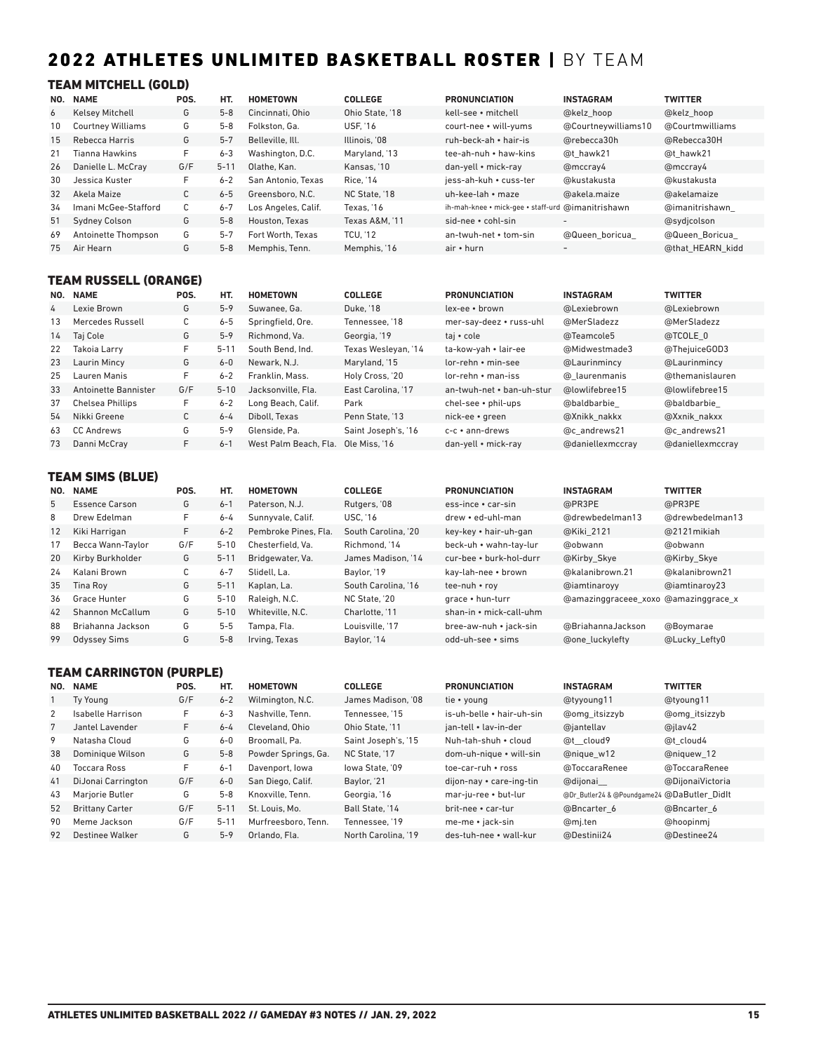## 2022 ATHLETES UNLIMITED BASKETBALL ROSTER | BY TEAM

### TEAM MITCHELL (GOLD)

| NO. | <b>NAME</b>              | POS. | HT.      | <b>HOMETOWN</b>     | <b>COLLEGE</b>  | <b>PRONUNCIATION</b>                              | <b>INSTAGRAM</b>         | <b>TWITTER</b>   |
|-----|--------------------------|------|----------|---------------------|-----------------|---------------------------------------------------|--------------------------|------------------|
| 6   | <b>Kelsey Mitchell</b>   | G    | $5 - 8$  | Cincinnati, Ohio    | Ohio State, '18 | kell-see • mitchell                               | @kelz hoop               | @kelz hoop       |
| 10  | <b>Courtney Williams</b> | G    | $5 - 8$  | Folkston, Ga.       | <b>USF. '16</b> | court-nee • will-yums                             | @Courtneywilliams10      | @Courtmwilliams  |
| 15  | Rebecca Harris           | G    | $5 - 7$  | Belleville, Ill.    | Illinois. '08   | ruh-beck-ah • hair-is                             | @rebecca30h              | @Rebecca30H      |
| 21  | Tianna Hawkins           | F.   | $6 - 3$  | Washington, D.C.    | Maryland, '13   | tee-ah-nuh • haw-kins                             | @t hawk21                | @t hawk21        |
| 26  | Danielle L. McCray       | G/F  | $5 - 11$ | Olathe, Kan.        | Kansas, '10     | dan-yell • mick-ray                               | @mccray4                 | @mccray4         |
| 30  | Jessica Kuster           | F.   | $6 - 2$  | San Antonio. Texas  | Rice, '14       | iess-ah-kuh • cuss-ter                            | @kustakusta              | @kustakusta      |
| 32  | Akela Maize              | C    | $6 - 5$  | Greensboro, N.C.    | NC State. '18   | uh-kee-lah • maze                                 | @akela.maize             | @akelamaize      |
| 34  | Imani McGee-Stafford     | C    | $6 - 7$  | Los Angeles, Calif. | Texas. '16      | ih-mah-knee • mick-gee • staff-urd @imanitrishawn |                          | @imanitrishawn   |
| 51  | <b>Sydney Colson</b>     | G    | $5 - 8$  | Houston, Texas      | Texas A&M. '11  | sid-nee • cohl-sin                                | $\overline{\phantom{a}}$ | @sydjcolson      |
| 69  | Antoinette Thompson      | G    | $5 - 7$  | Fort Worth, Texas   | <b>TCU. '12</b> | an-twuh-net • tom-sin                             | @Queen boricua           | @Queen Boricua   |
| 75  | Air Hearn                | G    | $5 - 8$  | Memphis, Tenn.      | Memphis, '16    | air • hurn                                        | $\overline{\phantom{a}}$ | @that HEARN kidd |

## TEAM RUSSELL (ORANGE)

| NO. | <b>NAME</b>          | POS. | HT.      | <b>HOMETOWN</b>       | <b>COLLEGE</b>      | <b>PRONUNCIATION</b>        | <b>INSTAGRAM</b> | <b>TWITTER</b>   |
|-----|----------------------|------|----------|-----------------------|---------------------|-----------------------------|------------------|------------------|
| 4   | Lexie Brown          | G    | $5 - 9$  | Suwanee, Ga.          | Duke, '18           | lex-ee • brown              | @Lexiebrown      | @Lexiebrown      |
| 13  | Mercedes Russell     | С    | $6 - 5$  | Springfield, Ore.     | Tennessee. '18      | mer-say-deez • russ-uhl     | @MerSladezz      | @MerSladezz      |
| 14  | Taj Cole             | G    | $5-9$    | Richmond, Va.         | Georgia, '19        | taj • cole                  | @Teamcole5       | @TCOLE 0         |
| 22  | Takoja Larry         | F.   | $5 - 11$ | South Bend, Ind.      | Texas Wesleyan, '14 | ta-kow-yah • lair-ee        | @Midwestmade3    | @ThejuiceGOD3    |
| 23  | Laurin Mincy         | G    | $6-0$    | Newark, N.J.          | Maryland, '15       | lor-rehn • min-see          | @Laurinmincy     | @Laurinmincy     |
| 25  | Lauren Manis         | F    | $6 - 2$  | Franklin, Mass.       | Holy Cross, '20     | $lor$ -rehn $\cdot$ man-iss | @ laurenmanis    | @themanislauren  |
| 33  | Antoinette Bannister | G/F  | $5 - 10$ | Jacksonville, Fla.    | East Carolina. '17  | an-twuh-net • ban-uh-stur   | @lowlifebree15   | @lowlifebree15   |
| 37  | Chelsea Phillips     | F    | $6 - 2$  | Long Beach, Calif.    | Park                | $chel$ -see • phil-ups      | @baldbarbie      | @baldbarbie      |
| 54  | Nikki Greene         | С    | $6 - 4$  | Diboll, Texas         | Penn State, '13     | nick-ee • green             | @Xnikk nakkx     | @Xxnik nakxx     |
| 63  | <b>CC Andrews</b>    | G    | $5 - 9$  | Glenside, Pa.         | Saint Joseph's, '16 | $c-c ullet$ ann-drews       | @c andrews21     | @c andrews21     |
| 73  | Danni McCray         | F.   | $6 - 1$  | West Palm Beach, Fla. | Ole Miss. '16       | dan-yell • mick-ray         | @daniellexmccray | @daniellexmccray |

## TEAM SIMS (BLUE)

| NO.               | <b>NAME</b>           | POS. | HT.      | <b>HOMETOWN</b>      | <b>COLLEGE</b>      | <b>PRONUNCIATION</b>    | <b>INSTAGRAM</b>                     | <b>TWITTER</b>  |
|-------------------|-----------------------|------|----------|----------------------|---------------------|-------------------------|--------------------------------------|-----------------|
| 5                 | <b>Essence Carson</b> | G    | $6 - 1$  | Paterson, N.J.       | Rutgers, '08        | ess-ince • car-sin      | @PR3PE                               | @PR3PE          |
| 8                 | Drew Edelman          | F    | $6 - 4$  | Sunnyvale, Calif.    | <b>USC. '16</b>     | drew • ed-uhl-man       | @drewbedelman13                      | @drewbedelman13 |
| $12 \overline{ }$ | Kiki Harrigan         | F.   | $6 - 2$  | Pembroke Pines, Fla. | South Carolina. '20 | key-key • hair-uh-gan   | @Kiki 2121                           | @2121 mikiah    |
| 17                | Becca Wann-Taylor     | G/F  | $5 - 10$ | Chesterfield. Va.    | Richmond. '14       | beck-uh • wahn-tay-lur  | @obwann                              | @obwann         |
| 20                | Kirby Burkholder      | G    | $5 - 11$ | Bridgewater, Va.     | James Madison, '14  | cur-bee • burk-hol-durr | @Kirby Skye                          | @Kirby Skye     |
| 24                | Kalani Brown          | С    | $6 - 7$  | Slidell. La.         | Baylor, '19         | kav-lah-nee • brown     | @kalanibrown.21                      | @kalanibrown21  |
| 35                | Tina Rov              | G    | $5 - 11$ | Kaplan, La.          | South Carolina. '16 | tee-nuh • roy           | @iamtinaroyy                         | @iamtinaroy23   |
| 36                | Grace Hunter          | G    | $5 - 10$ | Raleigh, N.C.        | NC State. '20       | grace • hun-turr        | @amazinggraceee xoxo @amazinggrace x |                 |
| 42                | Shannon McCallum      | G    | $5 - 10$ | Whiteville, N.C.     | Charlotte, '11      | shan-in • mick-call-uhm |                                      |                 |
| 88                | Briahanna Jackson     | G    | $5 - 5$  | Tampa, Fla.          | Louisville. '17     | bree-aw-nuh • jack-sin  | @BriahannaJackson                    | @Boymarae       |
| 99                | <b>Odyssey Sims</b>   | G    | $5 - 8$  | Irving, Texas        | Baylor, '14         | odd-uh-see • sims       | <b>@one luckylefty</b>               | @Lucky Lefty0   |

## TEAM CARRINGTON (PURPLE)

| NO. | <b>NAME</b>            | POS. | HT.      | <b>HOMETOWN</b>     | <b>COLLEGE</b>      | <b>PRONUNCIATION</b>      | <b>INSTAGRAM</b>                            | <b>TWITTER</b>   |
|-----|------------------------|------|----------|---------------------|---------------------|---------------------------|---------------------------------------------|------------------|
|     | Ty Young               | G/F  | $6 - 2$  | Wilmington, N.C.    | James Madison, '08  | tie • young               | @tyyoung11                                  | @tyoung11        |
| 2   | Isabelle Harrison      | F    | $6 - 3$  | Nashville, Tenn.    | Tennessee. '15      | is-uh-belle • hair-uh-sin | @omg itsizzyb                               | @omg itsizzyb    |
|     | Jantel Lavender        | F    | $6 - 4$  | Cleveland, Ohio     | Ohio State, '11     | ian-tell • lav-in-der     | @jantellav                                  | @jlav42          |
| 9   | Natasha Cloud          | G    | $6-0$    | Broomall, Pa.       | Saint Joseph's, '15 | Nuh-tah-shuh • cloud      | @t cloud9                                   | @t cloud4        |
| 38  | Dominique Wilson       | G    | $5 - 8$  | Powder Springs, Ga. | NC State. '17       | dom-uh-nique • will-sin   | @nique w12                                  | @niquew 12       |
| 40  | Toccara Ross           | F    | $6 - 1$  | Davenport, lowa     | lowa State. '09     | toe-car-ruh • ross        | @ToccaraRenee                               | @ToccaraRenee    |
| 41  | DiJonai Carrington     | G/F  | $6 - 0$  | San Diego, Calif.   | Baylor, '21         | dijon-nay • care-ing-tin  | @dijonai                                    | @DijonaiVictoria |
| 43  | Mariorie Butler        | G    | $5 - 8$  | Knoxville, Tenn.    | Georgia, '16        | mar-ju-ree • but-lur      | @Dr_Butler24 & @Poundgame24 @DaButler Didlt |                  |
| 52  | <b>Brittany Carter</b> | G/F  | $5 - 11$ | St. Louis, Mo.      | Ball State. '14     | brit-nee • car-tur        | @Bncarter 6                                 | @Bncarter 6      |
| 90  | Meme Jackson           | G/F  | $5 - 11$ | Murfreesboro. Tenn. | Tennessee. '19      | me-me • jack-sin          | @mj.ten                                     | @hoopinmi        |
| 92  | Destinee Walker        | G    | $5 - 9$  | Orlando, Fla.       | North Carolina, '19 | des-tuh-nee • wall-kur    | @Destinii24                                 | @Destinee24      |
|     |                        |      |          |                     |                     |                           |                                             |                  |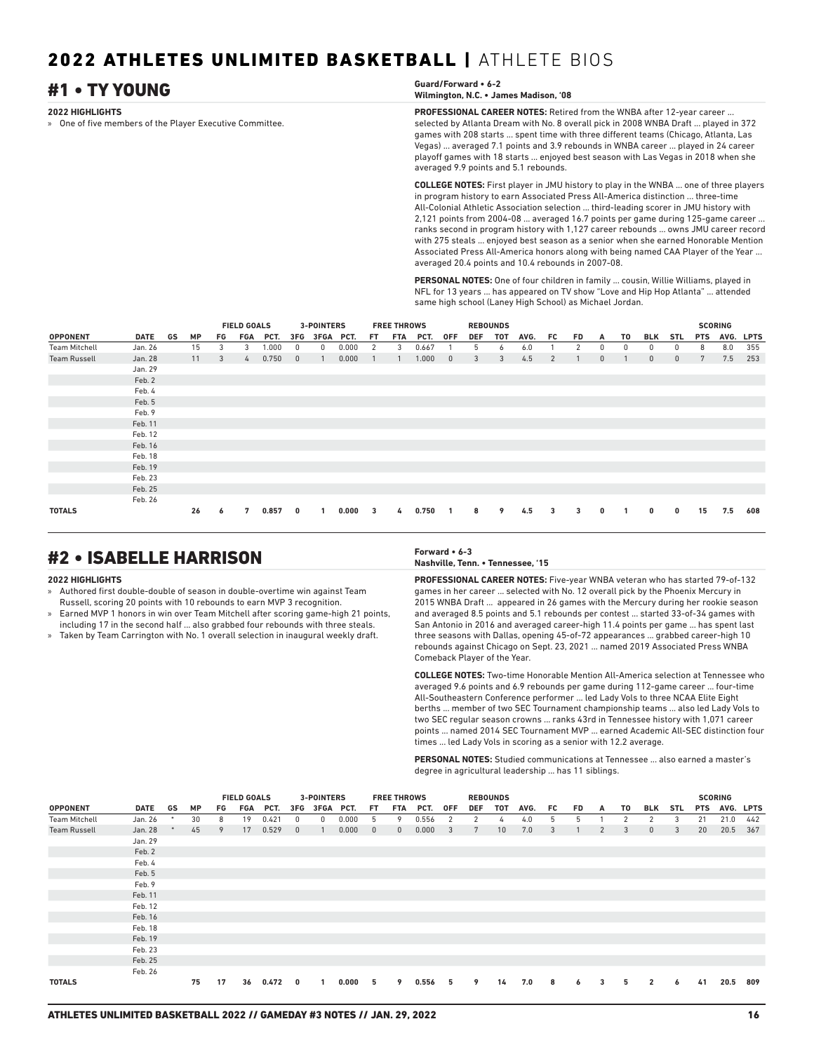### **2022 HIGHLIGHTS** » One of five members of the Player Executive Committee. **PROFESSIONAL CAREER NOTES:** Retired from the WNBA after 12-year career ... selected by Atlanta Dream with No. 8 overall pick in 2008 WNBA Draft ... played in 372 games with 208 starts ... spent time with three different teams (Chicago, Atlanta, Las Vegas) ... averaged 7.1 points and 3.9 rebounds in WNBA career ... played in 24 career playoff games with 18 starts ... enjoyed best season with Las Vegas in 2018 when she #1 • TY YOUNG **Guard/Forward • 6-2 Wilmington, N.C. • James Madison, '08**

averaged 9.9 points and 5.1 rebounds. **COLLEGE NOTES:** First player in JMU history to play in the WNBA ... one of three players in program history to earn Associated Press All-America distinction ... three-time All-Colonial Athletic Association selection ... third-leading scorer in JMU history with 2,121 points from 2004-08 ... averaged 16.7 points per game during 125-game career ... ranks second in program history with 1,127 career rebounds ... owns JMU career record with 275 steals ... enjoyed best season as a senior when she earned Honorable Mention Associated Press All-America honors along with being named CAA Player of the Year averaged 20.4 points and 10.4 rebounds in 2007-08.

**PERSONAL NOTES:** One of four children in family ... cousin, Willie Williams, played in NFL for 13 years ... has appeared on TV show "Love and Hip Hop Atlanta" ... attended same high school (Laney High School) as Michael Jordan.

|                      |         |    |           |    | <b>FIELD GOALS</b> |       |              | 3-POINTERS |       |     | <b>FREE THROWS</b> |       |              |            | <b>REBOUNDS</b> |      |                |    |              |    |             |              |            | <b>SCORING</b> |     |
|----------------------|---------|----|-----------|----|--------------------|-------|--------------|------------|-------|-----|--------------------|-------|--------------|------------|-----------------|------|----------------|----|--------------|----|-------------|--------------|------------|----------------|-----|
| <b>OPPONENT</b>      | DATE    | GS | <b>MP</b> | FG | FGA                | PCT.  | 3FG          | 3FGA PCT.  |       | FT. | FTA                | PCT.  | <b>OFF</b>   | <b>DEF</b> | TOT             | AVG. | FC.            | FD | A            | T0 | <b>BLK</b>  | <b>STL</b>   | <b>PTS</b> | AVG. LPTS      |     |
| <b>Team Mitchell</b> | Jan. 26 |    | 15        | 3  | 3                  | 000.1 | 0            | 0          | 0.000 | 2   | 3                  | 0.667 |              | 5          | 6               | 6.0  |                | 2  | $\Omega$     | 0  | 0           | 0            | 8          | 8.0            | 355 |
| <b>Team Russell</b>  | Jan. 28 |    | 11        | 3  | $\frac{1}{2}$      | 0.750 | $\mathbf{0}$ |            | 0.000 |     |                    | 1.000 | $\mathbf{0}$ | 3          | 3               | 4.5  | $\overline{2}$ |    | $\mathbf{0}$ |    | $\mathbf 0$ | $\mathbf{0}$ | 7          | 7.5            | 253 |
|                      | Jan. 29 |    |           |    |                    |       |              |            |       |     |                    |       |              |            |                 |      |                |    |              |    |             |              |            |                |     |
|                      | Feb. 2  |    |           |    |                    |       |              |            |       |     |                    |       |              |            |                 |      |                |    |              |    |             |              |            |                |     |
|                      | Feb. 4  |    |           |    |                    |       |              |            |       |     |                    |       |              |            |                 |      |                |    |              |    |             |              |            |                |     |
|                      | Feb. 5  |    |           |    |                    |       |              |            |       |     |                    |       |              |            |                 |      |                |    |              |    |             |              |            |                |     |
|                      | Feb. 9  |    |           |    |                    |       |              |            |       |     |                    |       |              |            |                 |      |                |    |              |    |             |              |            |                |     |
|                      | Feb. 11 |    |           |    |                    |       |              |            |       |     |                    |       |              |            |                 |      |                |    |              |    |             |              |            |                |     |
|                      | Feb. 12 |    |           |    |                    |       |              |            |       |     |                    |       |              |            |                 |      |                |    |              |    |             |              |            |                |     |
|                      | Feb. 16 |    |           |    |                    |       |              |            |       |     |                    |       |              |            |                 |      |                |    |              |    |             |              |            |                |     |
|                      | Feb. 18 |    |           |    |                    |       |              |            |       |     |                    |       |              |            |                 |      |                |    |              |    |             |              |            |                |     |
|                      | Feb. 19 |    |           |    |                    |       |              |            |       |     |                    |       |              |            |                 |      |                |    |              |    |             |              |            |                |     |
|                      | Feb. 23 |    |           |    |                    |       |              |            |       |     |                    |       |              |            |                 |      |                |    |              |    |             |              |            |                |     |
|                      | Feb. 25 |    |           |    |                    |       |              |            |       |     |                    |       |              |            |                 |      |                |    |              |    |             |              |            |                |     |
|                      | Feb. 26 |    |           |    |                    |       |              |            |       |     |                    |       |              |            |                 |      |                |    |              |    |             |              |            |                |     |
| <b>TOTALS</b>        |         |    | 26        | 6  | 7                  | 0.857 | 0            |            | 0.000 | 3   | 4                  | 0.750 |              | 8          | 9               | 4.5  | 3              | 3  | 0            |    | 0           | 0            | 15         | 7.5            | 608 |

## #2 • ISABELLE HARRISON **Forward • 6-3**

### **2022 HIGHLIGHTS**

- » Authored first double-double of season in double-overtime win against Team Russell, scoring 20 points with 10 rebounds to earn MVP 3 recognition.
- » Earned MVP 1 honors in win over Team Mitchell after scoring game-high 21 points, including 17 in the second half ... also grabbed four rebounds with three steals.
- » Taken by Team Carrington with No. 1 overall selection in inaugural weekly draft.

**Nashville, Tenn. • Tennessee, '15**

**PROFESSIONAL CAREER NOTES:** Five-year WNBA veteran who has started 79-of-132 games in her career ... selected with No. 12 overall pick by the Phoenix Mercury in 2015 WNBA Draft ... appeared in 26 games with the Mercury during her rookie season and averaged 8.5 points and 5.1 rebounds per contest ... started 33-of-34 games with San Antonio in 2016 and averaged career-high 11.4 points per game ... has spent last three seasons with Dallas, opening 45-of-72 appearances ... grabbed career-high 10 rebounds against Chicago on Sept. 23, 2021 ... named 2019 Associated Press WNBA Comeback Player of the Year.

**COLLEGE NOTES:** Two-time Honorable Mention All-America selection at Tennessee who averaged 9.6 points and 6.9 rebounds per game during 112-game career ... four-time All-Southeastern Conference performer ... led Lady Vols to three NCAA Elite Eight berths ... member of two SEC Tournament championship teams ... also led Lady Vols to two SEC regular season crowns ... ranks 43rd in Tennessee history with 1,071 career points ... named 2014 SEC Tournament MVP ... earned Academic All-SEC distinction four times ... led Lady Vols in scoring as a senior with 12.2 average.

**PERSONAL NOTES:** Studied communications at Tennessee ... also earned a master's degree in agricultural leadership ... has 11 siblings.

|                      | <b>FIELD GOALS</b><br><b>FREE THROWS</b><br><b>3-POINTERS</b> |        |           |    |     | <b>REBOUNDS</b> |                |                |       |                |              |       |                         |                 | <b>SCORING</b>  |      |     |     |                |    |                |            |            |           |     |
|----------------------|---------------------------------------------------------------|--------|-----------|----|-----|-----------------|----------------|----------------|-------|----------------|--------------|-------|-------------------------|-----------------|-----------------|------|-----|-----|----------------|----|----------------|------------|------------|-----------|-----|
| <b>OPPONENT</b>      | DATE                                                          | GS     | <b>MP</b> | FG | FGA | PCT.            | 3FG            | 3FGA PCT.      |       | FT.            | FTA          | PCT.  | <b>OFF</b>              | <b>DEF</b>      | <b>TOT</b>      | AVG. | FC. | FD. | A              | T0 | BLK            | <b>STL</b> | <b>PTS</b> | AVG. LPTS |     |
| <b>Team Mitchell</b> | Jan. 26                                                       | $\ast$ | 30        | 8  | 19  | 0.421           | $\Omega$       | 0              | 0.000 | 5              | 9            | 0.556 | 2                       | 2               | 4               | 4.0  | 5   | 5   |                | 2  | 2              | 3          | 21         | 21.0      | 442 |
| <b>Team Russell</b>  | Jan. 28                                                       |        | 45        | 9  | 17  | 0.529           | $\overline{0}$ | $\overline{1}$ | 0.000 | $\overline{0}$ | $\mathbf{0}$ | 0.000 | $\overline{\mathbf{3}}$ | $7\overline{ }$ | 10 <sup>°</sup> | 7.0  | 3   |     | $\overline{2}$ | 3  | $\mathbf{0}$   | 3          | 20         | 20.5      | 367 |
|                      | Jan. 29                                                       |        |           |    |     |                 |                |                |       |                |              |       |                         |                 |                 |      |     |     |                |    |                |            |            |           |     |
|                      | Feb. 2                                                        |        |           |    |     |                 |                |                |       |                |              |       |                         |                 |                 |      |     |     |                |    |                |            |            |           |     |
|                      | Feb. 4                                                        |        |           |    |     |                 |                |                |       |                |              |       |                         |                 |                 |      |     |     |                |    |                |            |            |           |     |
|                      | Feb. 5                                                        |        |           |    |     |                 |                |                |       |                |              |       |                         |                 |                 |      |     |     |                |    |                |            |            |           |     |
|                      | Feb. 9                                                        |        |           |    |     |                 |                |                |       |                |              |       |                         |                 |                 |      |     |     |                |    |                |            |            |           |     |
|                      | Feb. 11                                                       |        |           |    |     |                 |                |                |       |                |              |       |                         |                 |                 |      |     |     |                |    |                |            |            |           |     |
|                      | Feb. 12                                                       |        |           |    |     |                 |                |                |       |                |              |       |                         |                 |                 |      |     |     |                |    |                |            |            |           |     |
|                      | Feb. 16                                                       |        |           |    |     |                 |                |                |       |                |              |       |                         |                 |                 |      |     |     |                |    |                |            |            |           |     |
|                      | Feb. 18                                                       |        |           |    |     |                 |                |                |       |                |              |       |                         |                 |                 |      |     |     |                |    |                |            |            |           |     |
|                      | Feb. 19                                                       |        |           |    |     |                 |                |                |       |                |              |       |                         |                 |                 |      |     |     |                |    |                |            |            |           |     |
|                      | Feb. 23                                                       |        |           |    |     |                 |                |                |       |                |              |       |                         |                 |                 |      |     |     |                |    |                |            |            |           |     |
|                      | Feb. 25                                                       |        |           |    |     |                 |                |                |       |                |              |       |                         |                 |                 |      |     |     |                |    |                |            |            |           |     |
|                      | Feb. 26                                                       |        |           |    |     |                 |                |                |       |                |              |       |                         |                 |                 |      |     |     |                |    |                |            |            |           |     |
| <b>TOTALS</b>        |                                                               |        | 75        | 17 | 36  | 0.472           | $\mathbf{0}$   | 1              | 0.000 | 5              | 9            | 0.556 | 5                       | 9               | 14              | 7.0  | 8   | 6   | 3              | 5  | $\overline{2}$ | 6          | 41         | 20.5      | 809 |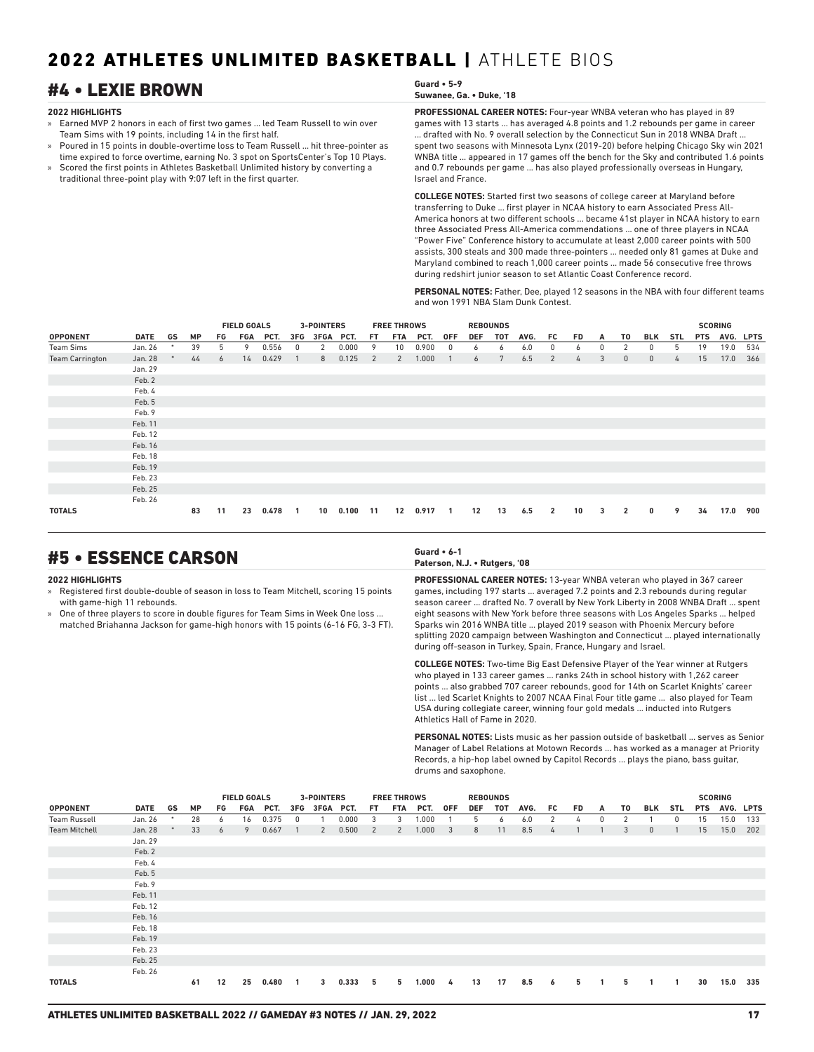## #4 • LEXIE BROWN **Guard • 5-9**

### **2022 HIGHLIGHTS**

- » Earned MVP 2 honors in each of first two games ... led Team Russell to win over Team Sims with 19 points, including 14 in the first half.
- » Poured in 15 points in double-overtime loss to Team Russell ... hit three-pointer as time expired to force overtime, earning No. 3 spot on SportsCenter's Top 10 Plays.
- » Scored the first points in Athletes Basketball Unlimited history by converting a traditional three-point play with 9:07 left in the first quarter.

## **Suwanee, Ga. • Duke, '18**

**PROFESSIONAL CAREER NOTES:** Four-year WNBA veteran who has played in 89 games with 13 starts ... has averaged 4.8 points and 1.2 rebounds per game in career ... drafted with No. 9 overall selection by the Connecticut Sun in 2018 WNBA Draft ... spent two seasons with Minnesota Lynx (2019-20) before helping Chicago Sky win 2021 WNBA title ... appeared in 17 games off the bench for the Sky and contributed 1.6 points and 0.7 rebounds per game ... has also played professionally overseas in Hungary, Israel and France.

**COLLEGE NOTES:** Started first two seasons of college career at Maryland before transferring to Duke ... first player in NCAA history to earn Associated Press All-America honors at two different schools ... became 41st player in NCAA history to earn three Associated Press All-America commendations ... one of three players in NCAA "Power Five" Conference history to accumulate at least 2,000 career points with 500 assists, 300 steals and 300 made three-pointers ... needed only 81 games at Duke and Maryland combined to reach 1,000 career points ... made 56 consecutive free throws during redshirt junior season to set Atlantic Coast Conference record.

**PERSONAL NOTES:** Father, Dee, played 12 seasons in the NBA with four different teams and won 1991 NBA Slam Dunk Contest.

|                        |             |        |           |    | <b>FIELD GOALS</b> |       |     | 3-POINTERS |       |     | <b>FREE THROWS</b> |       |              |     | <b>REBOUNDS</b> |      |                |           |   |              |              |            |            | <b>SCORING</b> |             |
|------------------------|-------------|--------|-----------|----|--------------------|-------|-----|------------|-------|-----|--------------------|-------|--------------|-----|-----------------|------|----------------|-----------|---|--------------|--------------|------------|------------|----------------|-------------|
| <b>OPPONENT</b>        | <b>DATE</b> | GS     | <b>MP</b> | FG | FGA                | PCT.  | 3FG | 3FGA PCT.  |       | FT. | FTA                | PCT.  | 0FF          | DEF | TOT             | AVG. | FC.            | <b>FD</b> | A | T0           | BLK          | <b>STL</b> | <b>PTS</b> | AVG.           | <b>LPTS</b> |
| Team Sims              | Jan. 26     | $\ast$ | 39        | 5  | 9                  | 0.556 | 0   | 2          | 0.000 | 9   | 10 <sup>°</sup>    | 0.900 | 0            | 6   | 6               | 6.0  | 0              | 6         | 0 | 2            | 0            | 5          | 19         | 19.0           | 534         |
| <b>Team Carrington</b> | Jan. 28     |        | 44        | 6  | 14                 | 0.429 |     | 8          | 0.125 | 2   | 2                  | 1.000 |              | 6   | 7               | 6.5  | 2              | 4         | 3 | $\mathbf{0}$ | $\mathbf{0}$ | 4          | 15         | 17.0           | 366         |
|                        | Jan. 29     |        |           |    |                    |       |     |            |       |     |                    |       |              |     |                 |      |                |           |   |              |              |            |            |                |             |
|                        | Feb. 2      |        |           |    |                    |       |     |            |       |     |                    |       |              |     |                 |      |                |           |   |              |              |            |            |                |             |
|                        | Feb. 4      |        |           |    |                    |       |     |            |       |     |                    |       |              |     |                 |      |                |           |   |              |              |            |            |                |             |
|                        | Feb. 5      |        |           |    |                    |       |     |            |       |     |                    |       |              |     |                 |      |                |           |   |              |              |            |            |                |             |
|                        | Feb. 9      |        |           |    |                    |       |     |            |       |     |                    |       |              |     |                 |      |                |           |   |              |              |            |            |                |             |
|                        | Feb. 11     |        |           |    |                    |       |     |            |       |     |                    |       |              |     |                 |      |                |           |   |              |              |            |            |                |             |
|                        | Feb. 12     |        |           |    |                    |       |     |            |       |     |                    |       |              |     |                 |      |                |           |   |              |              |            |            |                |             |
|                        | Feb. 16     |        |           |    |                    |       |     |            |       |     |                    |       |              |     |                 |      |                |           |   |              |              |            |            |                |             |
|                        | Feb. 18     |        |           |    |                    |       |     |            |       |     |                    |       |              |     |                 |      |                |           |   |              |              |            |            |                |             |
|                        | Feb. 19     |        |           |    |                    |       |     |            |       |     |                    |       |              |     |                 |      |                |           |   |              |              |            |            |                |             |
|                        | Feb. 23     |        |           |    |                    |       |     |            |       |     |                    |       |              |     |                 |      |                |           |   |              |              |            |            |                |             |
|                        | Feb. 25     |        |           |    |                    |       |     |            |       |     |                    |       |              |     |                 |      |                |           |   |              |              |            |            |                |             |
|                        | Feb. 26     |        |           |    |                    |       |     |            |       |     |                    |       |              |     |                 |      |                |           |   |              |              |            |            |                |             |
| <b>TOTALS</b>          |             |        | 83        | 11 | 23                 | 0.478 |     | 10         | 0.100 | 11  | 12                 | 0.917 | $\mathbf{1}$ | 12  | 13              | 6.5  | $\overline{2}$ | 10        | 3 | $\mathbf{2}$ | 0            | 9          | 34         | 17.0           | 900         |

## #5 • ESSENCE CARSON **Guard • 6-1**

### **2022 HIGHLIGHTS**

- » Registered first double-double of season in loss to Team Mitchell, scoring 15 points with game-high 11 rebounds.
- One of three players to score in double figures for Team Sims in Week One loss. matched Briahanna Jackson for game-high honors with 15 points (6-16 FG, 3-3 FT).

### **Paterson, N.J. • Rutgers, '08**

**PROFESSIONAL CAREER NOTES:** 13-year WNBA veteran who played in 367 career games, including 197 starts ... averaged 7.2 points and 2.3 rebounds during regular season career ... drafted No. 7 overall by New York Liberty in 2008 WNBA Draft ... spent eight seasons with New York before three seasons with Los Angeles Sparks ... helped Sparks win 2016 WNBA title ... played 2019 season with Phoenix Mercury before splitting 2020 campaign between Washington and Connecticut ... played internationally during off-season in Turkey, Spain, France, Hungary and Israel.

**COLLEGE NOTES:** Two-time Big East Defensive Player of the Year winner at Rutgers who played in 133 career games ... ranks 24th in school history with 1,262 career points ... also grabbed 707 career rebounds, good for 14th on Scarlet Knights' career list ... led Scarlet Knights to 2007 NCAA Final Four title game ... also played for Team USA during collegiate career, winning four gold medals ... inducted into Rutgers Athletics Hall of Fame in 2020.

**PERSONAL NOTES:** Lists music as her passion outside of basketball ... serves as Senior Manager of Label Relations at Motown Records ... has worked as a manager at Priority Records, a hip-hop label owned by Capitol Records ... plays the piano, bass guitar, drums and saxophone.

|                      |         |    |           |    | <b>FIELD GOALS</b> |       |     | 3-POINTERS |       |     | <b>FREE THROWS</b><br><b>REBOUNDS</b> |       |                         |            |     |      |     |     |   |    |              | <b>SCORING</b> |            |           |     |
|----------------------|---------|----|-----------|----|--------------------|-------|-----|------------|-------|-----|---------------------------------------|-------|-------------------------|------------|-----|------|-----|-----|---|----|--------------|----------------|------------|-----------|-----|
| <b>OPPONENT</b>      | DATE    | GS | <b>MP</b> | FG | FGA                | PCT.  | 3FG | 3FGA PCT.  |       | FT. | <b>FTA</b>                            | PCT.  | <b>OFF</b>              | <b>DEF</b> | TOT | AVG. | FC. | FD. | A | T0 | BLK          | STL            | <b>PTS</b> | AVG. LPTS |     |
| <b>Team Russell</b>  | Jan. 26 | *  | 28        | 6  | 16                 | 0.375 | 0   |            | 0.000 | 3   | 3                                     | 1.000 |                         | 5          | 6   | 6.0  | 2   | 4   | 0 | 2  |              | 0              | 15         | 15.0      | 133 |
| <b>Team Mitchell</b> | Jan. 28 |    | 33        | 6  | 9                  | 0.667 |     | 2          | 0.500 | 2   | 2                                     | 1.000 | $\overline{\mathbf{3}}$ | 8          | 11  | 8.5  | 4   |     |   | 3  | $\mathbf{0}$ |                | 15         | 15.0      | 202 |
|                      | Jan. 29 |    |           |    |                    |       |     |            |       |     |                                       |       |                         |            |     |      |     |     |   |    |              |                |            |           |     |
|                      | Feb. 2  |    |           |    |                    |       |     |            |       |     |                                       |       |                         |            |     |      |     |     |   |    |              |                |            |           |     |
|                      | Feb. 4  |    |           |    |                    |       |     |            |       |     |                                       |       |                         |            |     |      |     |     |   |    |              |                |            |           |     |
|                      | Feb. 5  |    |           |    |                    |       |     |            |       |     |                                       |       |                         |            |     |      |     |     |   |    |              |                |            |           |     |
|                      | Feb. 9  |    |           |    |                    |       |     |            |       |     |                                       |       |                         |            |     |      |     |     |   |    |              |                |            |           |     |
|                      | Feb. 11 |    |           |    |                    |       |     |            |       |     |                                       |       |                         |            |     |      |     |     |   |    |              |                |            |           |     |
|                      | Feb. 12 |    |           |    |                    |       |     |            |       |     |                                       |       |                         |            |     |      |     |     |   |    |              |                |            |           |     |
|                      | Feb. 16 |    |           |    |                    |       |     |            |       |     |                                       |       |                         |            |     |      |     |     |   |    |              |                |            |           |     |
|                      | Feb. 18 |    |           |    |                    |       |     |            |       |     |                                       |       |                         |            |     |      |     |     |   |    |              |                |            |           |     |
|                      | Feb. 19 |    |           |    |                    |       |     |            |       |     |                                       |       |                         |            |     |      |     |     |   |    |              |                |            |           |     |
|                      | Feb. 23 |    |           |    |                    |       |     |            |       |     |                                       |       |                         |            |     |      |     |     |   |    |              |                |            |           |     |
|                      | Feb. 25 |    |           |    |                    |       |     |            |       |     |                                       |       |                         |            |     |      |     |     |   |    |              |                |            |           |     |
|                      | Feb. 26 |    |           |    |                    |       |     |            |       |     |                                       |       |                         |            |     |      |     |     |   |    |              |                |            |           |     |
| <b>TOTALS</b>        |         |    | 61        | 12 | 25                 | 0.480 | -1  | 3          | 0.333 | 5   | 5                                     | 1.000 | - 4                     | 13         | 17  | 8.5  | 6   | 5   |   | 5  |              | -1             | 30         | 15.0      | 335 |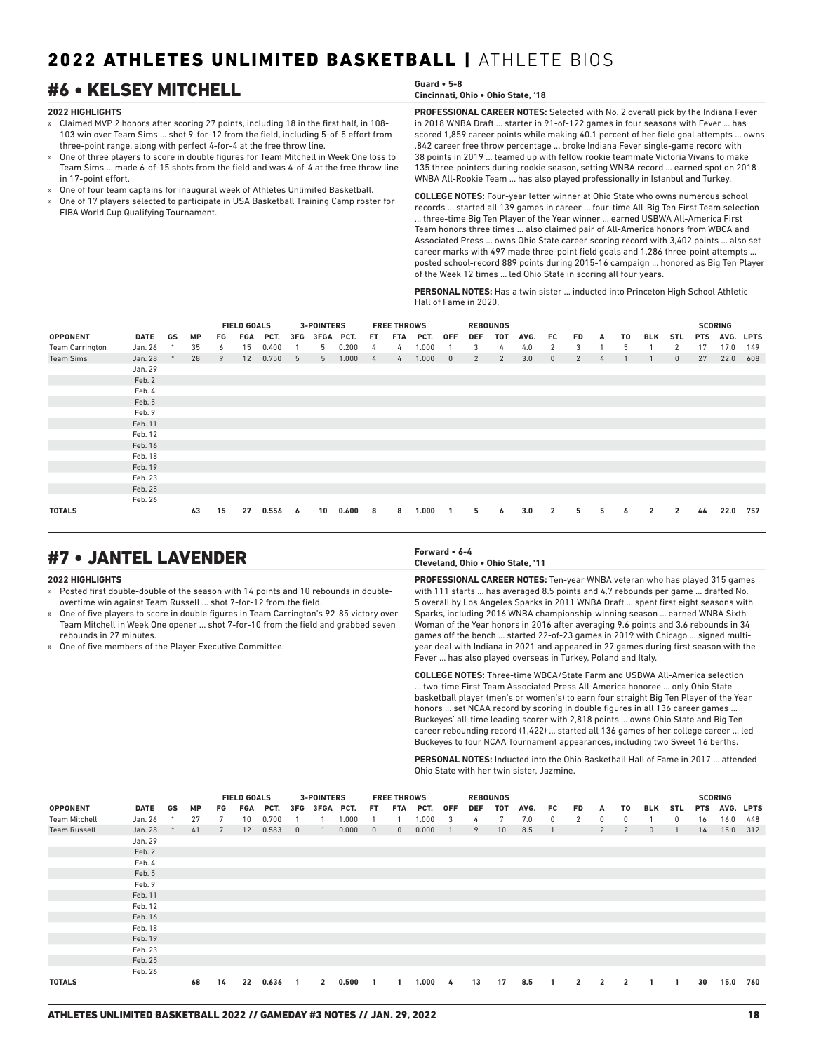## #6 • KELSEY MITCHELL **Guard • 5-8**

### **2022 HIGHLIGHTS**

- » Claimed MVP 2 honors after scoring 27 points, including 18 in the first half, in 108- 103 win over Team Sims ... shot 9-for-12 from the field, including 5-of-5 effort from three-point range, along with perfect 4-for-4 at the free throw line.
- » One of three players to score in double figures for Team Mitchell in Week One loss to Team Sims ... made 6-of-15 shots from the field and was 4-of-4 at the free throw line in 17-point effort.
- » One of four team captains for inaugural week of Athletes Unlimited Basketball.
- » One of 17 players selected to participate in USA Basketball Training Camp roster for FIBA World Cup Qualifying Tournament.

## **Cincinnati, Ohio • Ohio State, '18**

**PROFESSIONAL CAREER NOTES:** Selected with No. 2 overall pick by the Indiana Fever in 2018 WNBA Draft ... starter in 91-of-122 games in four seasons with Fever ... has scored 1,859 career points while making 40.1 percent of her field goal attempts ... owns .842 career free throw percentage ... broke Indiana Fever single-game record with 38 points in 2019 ... teamed up with fellow rookie teammate Victoria Vivans to make 135 three-pointers during rookie season, setting WNBA record ... earned spot on 2018 WNBA All-Rookie Team ... has also played professionally in Istanbul and Turkey.

**COLLEGE NOTES:** Four-year letter winner at Ohio State who owns numerous school records ... started all 139 games in career ... four-time All-Big Ten First Team selection ... three-time Big Ten Player of the Year winner ... earned USBWA All-America First Team honors three times ... also claimed pair of All-America honors from WBCA and Associated Press ... owns Ohio State career scoring record with 3,402 points ... also set career marks with 497 made three-point field goals and 1,286 three-point attempts ... posted school-record 889 points during 2015-16 campaign ... honored as Big Ten Player of the Week 12 times ... led Ohio State in scoring all four years.

**PERSONAL NOTES:** Has a twin sister ... inducted into Princeton High School Athletic Hall of Fame in 2020.

|                        |             |    |           |    | <b>FIELD GOALS</b> |       |     | 3-POINTERS  |       |     | <b>FREE THROWS</b> |       |              |     | <b>REBOUNDS</b> |      |                |           |   |    |                |                |            | <b>SCORING</b> |             |
|------------------------|-------------|----|-----------|----|--------------------|-------|-----|-------------|-------|-----|--------------------|-------|--------------|-----|-----------------|------|----------------|-----------|---|----|----------------|----------------|------------|----------------|-------------|
| <b>OPPONENT</b>        | <b>DATE</b> | GS | <b>MP</b> | FG | FGA                | PCT.  | 3FG | <b>3FGA</b> | PCT.  | FT. | FTA                | PCT.  | 0FF          | DEF | TOT             | AVG. | FC             | <b>FD</b> | A | T0 | BLK            | <b>STL</b>     | <b>PTS</b> | AVG.           | <b>LPTS</b> |
| <b>Team Carrington</b> | Jan. 26     | *  | 35        | 6  | 15                 | 0.400 |     | 5           | 0.200 | 4   | 4                  | 1.000 |              | 3   | 4               | 4.0  | 2              | 3         |   | 5  |                | 2              | 17         | 17.0           | 149         |
| <b>Team Sims</b>       | Jan. 28     |    | 28        | 9  | 12                 | 0.750 | 5   | 5           | 1.000 | 4   | $\frac{1}{2}$      | 1.000 | $\mathbf{0}$ | 2   | 2               | 3.0  | $\mathbf{0}$   | 2         | 4 |    |                | $\mathbf{0}$   | 27         | 22.0           | 608         |
|                        | Jan. 29     |    |           |    |                    |       |     |             |       |     |                    |       |              |     |                 |      |                |           |   |    |                |                |            |                |             |
|                        | Feb. 2      |    |           |    |                    |       |     |             |       |     |                    |       |              |     |                 |      |                |           |   |    |                |                |            |                |             |
|                        | Feb. 4      |    |           |    |                    |       |     |             |       |     |                    |       |              |     |                 |      |                |           |   |    |                |                |            |                |             |
|                        | Feb. 5      |    |           |    |                    |       |     |             |       |     |                    |       |              |     |                 |      |                |           |   |    |                |                |            |                |             |
|                        | Feb. 9      |    |           |    |                    |       |     |             |       |     |                    |       |              |     |                 |      |                |           |   |    |                |                |            |                |             |
|                        | Feb. 11     |    |           |    |                    |       |     |             |       |     |                    |       |              |     |                 |      |                |           |   |    |                |                |            |                |             |
|                        | Feb. 12     |    |           |    |                    |       |     |             |       |     |                    |       |              |     |                 |      |                |           |   |    |                |                |            |                |             |
|                        | Feb. 16     |    |           |    |                    |       |     |             |       |     |                    |       |              |     |                 |      |                |           |   |    |                |                |            |                |             |
|                        | Feb. 18     |    |           |    |                    |       |     |             |       |     |                    |       |              |     |                 |      |                |           |   |    |                |                |            |                |             |
|                        | Feb. 19     |    |           |    |                    |       |     |             |       |     |                    |       |              |     |                 |      |                |           |   |    |                |                |            |                |             |
|                        | Feb. 23     |    |           |    |                    |       |     |             |       |     |                    |       |              |     |                 |      |                |           |   |    |                |                |            |                |             |
|                        | Feb. 25     |    |           |    |                    |       |     |             |       |     |                    |       |              |     |                 |      |                |           |   |    |                |                |            |                |             |
|                        | Feb. 26     |    |           |    |                    |       |     |             |       |     |                    |       |              |     |                 |      |                |           |   |    |                |                |            |                |             |
| <b>TOTALS</b>          |             |    | 63        | 15 | 27                 | 0.556 | 6   | 10          | 0.600 | 8   | 8                  | 1.000 |              | 5   | 6               | 3.0  | $\overline{2}$ | 5.        | 5 | 6  | $\overline{2}$ | $\overline{2}$ | 44         | 22.0           | 757         |

## #7 • JANTEL LAVENDER **Forward • 6-4**

### **2022 HIGHLIGHTS**

- » Posted first double-double of the season with 14 points and 10 rebounds in doubleovertime win against Team Russell ... shot 7-for-12 from the field.
- » One of five players to score in double figures in Team Carrington's 92-85 victory over Team Mitchell in Week One opener ... shot 7-for-10 from the field and grabbed seven rebounds in 27 minutes.
- » One of five members of the Player Executive Committee.

## **Cleveland, Ohio • Ohio State, '11**

**PROFESSIONAL CAREER NOTES:** Ten-year WNBA veteran who has played 315 games with 111 starts ... has averaged 8.5 points and 4.7 rebounds per game ... drafted No. 5 overall by Los Angeles Sparks in 2011 WNBA Draft ... spent first eight seasons with Sparks, including 2016 WNBA championship-winning season ... earned WNBA Sixth Woman of the Year honors in 2016 after averaging 9.6 points and 3.6 rebounds in 34 games off the bench ... started 22-of-23 games in 2019 with Chicago ... signed multiyear deal with Indiana in 2021 and appeared in 27 games during first season with the Fever ... has also played overseas in Turkey, Poland and Italy.

**COLLEGE NOTES:** Three-time WBCA/State Farm and USBWA All-America selection ... two-time First-Team Associated Press All-America honoree ... only Ohio State basketball player (men's or women's) to earn four straight Big Ten Player of the Year honors ... set NCAA record by scoring in double figures in all 136 career games ... Buckeyes' all-time leading scorer with 2,818 points ... owns Ohio State and Big Ten career rebounding record (1,422) ... started all 136 games of her college career ... led Buckeyes to four NCAA Tournament appearances, including two Sweet 16 berths.

**PERSONAL NOTES:** Inducted into the Ohio Basketball Hall of Fame in 2017 attended Ohio State with her twin sister, Jazmine.

|                      |             |        |           |    | <b>FIELD GOALS</b> |       |              | 3-POINTERS    |       |              | <b>FREE THROWS</b> |       |            |            | <b>REBOUNDS</b> |      |              |                |                |                |              |            |            | <b>SCORING</b> |     |
|----------------------|-------------|--------|-----------|----|--------------------|-------|--------------|---------------|-------|--------------|--------------------|-------|------------|------------|-----------------|------|--------------|----------------|----------------|----------------|--------------|------------|------------|----------------|-----|
| <b>OPPONENT</b>      | <b>DATE</b> | GS     | <b>MP</b> | FG | FGA                | PCT.  |              | 3FG 3FGA PCT. |       | FT.          | <b>FTA</b>         | PCT.  | <b>OFF</b> | <b>DEF</b> | TOT             | AVG. | FC           | <b>FD</b>      | A              | T0             | BLK          | <b>STL</b> | <b>PTS</b> | AVG. LPTS      |     |
| <b>Team Mitchell</b> | Jan. 26     | $\ast$ | 27        | 7  | 10 <sup>°</sup>    | 0.700 |              |               | 1.000 |              |                    | 1.000 | 3          | 4          | 7               | 7.0  | 0            | 2              | $\mathbf{0}$   | 0              |              | 0          | 16         | 16.0           | 448 |
| <b>Team Russell</b>  | Jan. 28     |        | 41        | 7  | 12                 | 0.583 | $\mathbf{0}$ |               | 0.000 | $\mathbf{0}$ | $\mathbf{0}$       | 0.000 |            | 9          | 10              | 8.5  |              |                | 2              | $\overline{2}$ | $\mathbf{0}$ |            | 14         | 15.0           | 312 |
|                      | Jan. 29     |        |           |    |                    |       |              |               |       |              |                    |       |            |            |                 |      |              |                |                |                |              |            |            |                |     |
|                      | Feb. 2      |        |           |    |                    |       |              |               |       |              |                    |       |            |            |                 |      |              |                |                |                |              |            |            |                |     |
|                      | Feb. 4      |        |           |    |                    |       |              |               |       |              |                    |       |            |            |                 |      |              |                |                |                |              |            |            |                |     |
|                      | Feb. 5      |        |           |    |                    |       |              |               |       |              |                    |       |            |            |                 |      |              |                |                |                |              |            |            |                |     |
|                      | Feb. 9      |        |           |    |                    |       |              |               |       |              |                    |       |            |            |                 |      |              |                |                |                |              |            |            |                |     |
|                      | Feb. 11     |        |           |    |                    |       |              |               |       |              |                    |       |            |            |                 |      |              |                |                |                |              |            |            |                |     |
|                      | Feb. 12     |        |           |    |                    |       |              |               |       |              |                    |       |            |            |                 |      |              |                |                |                |              |            |            |                |     |
|                      | Feb. 16     |        |           |    |                    |       |              |               |       |              |                    |       |            |            |                 |      |              |                |                |                |              |            |            |                |     |
|                      | Feb. 18     |        |           |    |                    |       |              |               |       |              |                    |       |            |            |                 |      |              |                |                |                |              |            |            |                |     |
|                      | Feb. 19     |        |           |    |                    |       |              |               |       |              |                    |       |            |            |                 |      |              |                |                |                |              |            |            |                |     |
|                      | Feb. 23     |        |           |    |                    |       |              |               |       |              |                    |       |            |            |                 |      |              |                |                |                |              |            |            |                |     |
|                      | Feb. 25     |        |           |    |                    |       |              |               |       |              |                    |       |            |            |                 |      |              |                |                |                |              |            |            |                |     |
|                      | Feb. 26     |        |           |    |                    |       |              |               |       |              |                    |       |            |            |                 |      |              |                |                |                |              |            |            |                |     |
| <b>TOTALS</b>        |             |        | 68        | 14 | 22                 | 0.636 | -1           | $\mathbf{2}$  | 0.500 |              | -1                 | 1.000 | - 4        | 13         | 17              | 8.5  | $\mathbf{1}$ | $\overline{2}$ | $\overline{2}$ | $\overline{2}$ | $\mathbf{1}$ | -1         | 30         | 15.0           | 760 |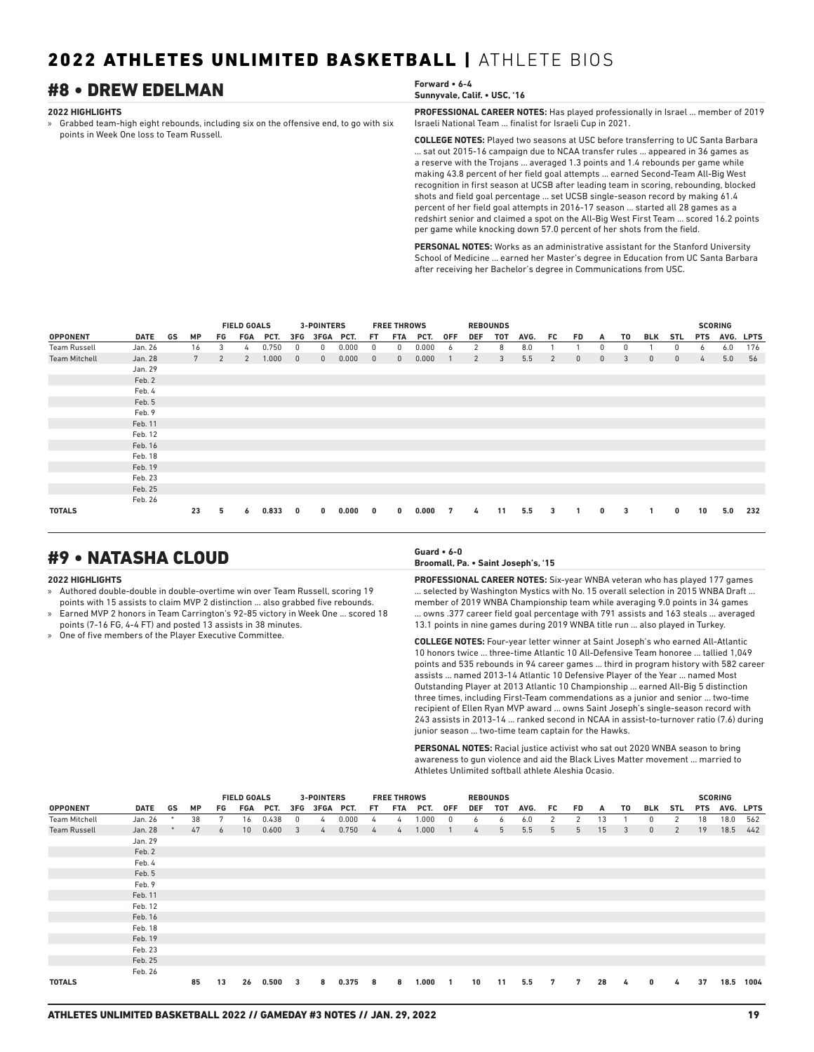## **#8 • DREW EDELMAN For a symbol state of**  $\frac{F}{s}$

### **2022 HIGHLIGHTS**

» Grabbed team-high eight rebounds, including six on the offensive end, to go with six points in Week One loss to Team Russell.

| Forward • 6-4                |  |
|------------------------------|--|
| Sunnyvale, Calif. • USC, '16 |  |

**PROFESSIONAL CAREER NOTES:** Has played professionally in Israel ... member of 2019 Israeli National Team ... finalist for Israeli Cup in 2021.

**COLLEGE NOTES:** Played two seasons at USC before transferring to UC Santa Barbara ... sat out 2015-16 campaign due to NCAA transfer rules ... appeared in 36 games as a reserve with the Trojans ... averaged 1.3 points and 1.4 rebounds per game while making 43.8 percent of her field goal attempts ... earned Second-Team All-Big West recognition in first season at UCSB after leading team in scoring, rebounding, blocked shots and field goal percentage ... set UCSB single-season record by making 61.4 percent of her field goal attempts in 2016-17 season ... started all 28 games as a redshirt senior and claimed a spot on the All-Big West First Team ... scored 16.2 points per game while knocking down 57.0 percent of her shots from the field.

**PERSONAL NOTES:** Works as an administrative assistant for the Stanford University School of Medicine ... earned her Master's degree in Education from UC Santa Barbara after receiving her Bachelor's degree in Communications from USC.

|                      |         |                 |                | <b>FIELD GOALS</b> |       |              | <b>3-POINTERS</b> |       |              | <b>FREE THROWS</b> |       |            | <b>REBOUNDS</b> |     |      |     |              |              |    |              |              |                | <b>SCORING</b> |             |
|----------------------|---------|-----------------|----------------|--------------------|-------|--------------|-------------------|-------|--------------|--------------------|-------|------------|-----------------|-----|------|-----|--------------|--------------|----|--------------|--------------|----------------|----------------|-------------|
| <b>OPPONENT</b>      | DATE GS | <b>MP</b>       | FG.            | FGA                | PCT.  | 3FG          | 3FGA PCT.         |       | FT.          | <b>FTA</b>         | PCT.  | <b>OFF</b> | <b>DEF</b>      | TOT | AVG. | FC. | <b>FD</b>    | A            | T0 | <b>BLK</b>   | <b>STL</b>   | <b>PTS</b>     | AVG.           | <b>LPTS</b> |
| Team Russell         | Jan. 26 | 16              | 3              | 4                  | 0.750 | $\Omega$     | 0                 | 0.000 | 0            | 0                  | 0.000 | 6          | 2               | 8   | 8.0  |     |              | 0            | 0  |              | 0            | 6              | 6.0            | 176         |
| <b>Team Mitchell</b> | Jan. 28 | $7\overline{ }$ | $\overline{2}$ | $\overline{2}$     | 1.000 | $\mathbf{0}$ | $\mathbf{0}$      | 0.000 | $\mathbf{0}$ | $\mathbf{0}$       | 0.000 |            | 2               | 3   | 5.5  | 2   | $\mathbf{0}$ | $\mathbf{0}$ | 3  | $\mathbf{0}$ | $\mathbf{0}$ | $\overline{4}$ | 5.0            | 56          |
|                      | Jan. 29 |                 |                |                    |       |              |                   |       |              |                    |       |            |                 |     |      |     |              |              |    |              |              |                |                |             |
|                      | Feb. 2  |                 |                |                    |       |              |                   |       |              |                    |       |            |                 |     |      |     |              |              |    |              |              |                |                |             |
|                      | Feb. 4  |                 |                |                    |       |              |                   |       |              |                    |       |            |                 |     |      |     |              |              |    |              |              |                |                |             |
|                      | Feb. 5  |                 |                |                    |       |              |                   |       |              |                    |       |            |                 |     |      |     |              |              |    |              |              |                |                |             |
|                      | Feb. 9  |                 |                |                    |       |              |                   |       |              |                    |       |            |                 |     |      |     |              |              |    |              |              |                |                |             |
|                      | Feb. 11 |                 |                |                    |       |              |                   |       |              |                    |       |            |                 |     |      |     |              |              |    |              |              |                |                |             |
|                      | Feb. 12 |                 |                |                    |       |              |                   |       |              |                    |       |            |                 |     |      |     |              |              |    |              |              |                |                |             |
|                      | Feb. 16 |                 |                |                    |       |              |                   |       |              |                    |       |            |                 |     |      |     |              |              |    |              |              |                |                |             |
|                      | Feb. 18 |                 |                |                    |       |              |                   |       |              |                    |       |            |                 |     |      |     |              |              |    |              |              |                |                |             |
|                      | Feb. 19 |                 |                |                    |       |              |                   |       |              |                    |       |            |                 |     |      |     |              |              |    |              |              |                |                |             |
|                      | Feb. 23 |                 |                |                    |       |              |                   |       |              |                    |       |            |                 |     |      |     |              |              |    |              |              |                |                |             |
|                      | Feb. 25 |                 |                |                    |       |              |                   |       |              |                    |       |            |                 |     |      |     |              |              |    |              |              |                |                |             |
|                      | Feb. 26 |                 |                |                    |       |              |                   |       |              |                    |       |            |                 |     |      |     |              |              |    |              |              |                |                |             |
| <b>TOTALS</b>        |         | 23              | 5              | 6                  | 0.833 | 0            | $\bf{0}$          | 0.000 | 0            | 0                  | 0.000 | 7          | 4               | 11  | 5.5  | 3   | 1            | $\mathbf 0$  | 3  |              | 0            | 10             | 5.0            | 232         |

## #9 • NATASHA CLOUD **Guard • 6-0**

### **2022 HIGHLIGHTS**

- » Authored double-double in double-overtime win over Team Russell, scoring 19 points with 15 assists to claim MVP 2 distinction ... also grabbed five rebounds.
- » Earned MVP 2 honors in Team Carrington's 92-85 victory in Week One ... scored 18 points (7-16 FG, 4-4 FT) and posted 13 assists in 38 minutes.
- » One of five members of the Player Executive Committee.

**Broomall, Pa. • Saint Joseph's, '15**

**PROFESSIONAL CAREER NOTES:** Six-year WNBA veteran who has played 177 games ... selected by Washington Mystics with No. 15 overall selection in 2015 WNBA Draft ... member of 2019 WNBA Championship team while averaging 9.0 points in 34 games ... owns .377 career field goal percentage with 791 assists and 163 steals ... averaged 13.1 points in nine games during 2019 WNBA title run ... also played in Turkey.

**COLLEGE NOTES:** Four-year letter winner at Saint Joseph's who earned All-Atlantic 10 honors twice ... three-time Atlantic 10 All-Defensive Team honoree ... tallied 1,049 points and 535 rebounds in 94 career games ... third in program history with 582 career assists ... named 2013-14 Atlantic 10 Defensive Player of the Year ... named Most Outstanding Player at 2013 Atlantic 10 Championship ... earned All-Big 5 distinction three times, including First-Team commendations as a junior and senior ... two-time recipient of Ellen Ryan MVP award ... owns Saint Joseph's single-season record with 243 assists in 2013-14 ... ranked second in NCAA in assist-to-turnover ratio (7.6) during junior season ... two-time team captain for the Hawks.

**PERSONAL NOTES:** Racial justice activist who sat out 2020 WNBA season to bring awareness to gun violence and aid the Black Lives Matter movement ... married to Athletes Unlimited softball athlete Aleshia Ocasio.

|                      |             |        |           |    | <b>FIELD GOALS</b> |       |                         | <b>3-POINTERS</b> |         |     | <b>FREE THROWS</b> |       |            |               | <b>REBOUNDS</b> |      |    |           |    |    |              |                | <b>SCORING</b> |      |           |
|----------------------|-------------|--------|-----------|----|--------------------|-------|-------------------------|-------------------|---------|-----|--------------------|-------|------------|---------------|-----------------|------|----|-----------|----|----|--------------|----------------|----------------|------|-----------|
| <b>OPPONENT</b>      | <b>DATE</b> | GS     | <b>MP</b> | FG | FGA                | PCT.  | 3FG                     | 3FGA PCT.         |         | FT. | FTA                | PCT.  | <b>OFF</b> | <b>DEF</b>    | TOT             | AVG. | FC | <b>FD</b> | A  | TO | BLK          | <b>STL</b>     | <b>PTS</b>     |      | AVG. LPTS |
| <b>Team Mitchell</b> | Jan. 26     | $\ast$ | 38        |    | 16                 | 0.438 | 0                       | 4                 | 0.000   | 4   | 4                  | 1.000 | 0          | 6             | 6               | 6.0  | 2  | 2         | 13 |    | 0            | 2              | 18             | 18.0 | 562       |
| <b>Team Russell</b>  | Jan. 28     |        | 47        | 6  | 10 <sup>1</sup>    | 0.600 | $\overline{\mathbf{3}}$ |                   | 4 0.750 | 4   | $\frac{1}{4}$      | 1.000 |            | $\frac{1}{4}$ | 5               | 5.5  | 5  | 5         | 15 | 3  | $\mathbf{0}$ | $\overline{2}$ | 19             | 18.5 | 442       |
|                      | Jan. 29     |        |           |    |                    |       |                         |                   |         |     |                    |       |            |               |                 |      |    |           |    |    |              |                |                |      |           |
|                      | Feb. 2      |        |           |    |                    |       |                         |                   |         |     |                    |       |            |               |                 |      |    |           |    |    |              |                |                |      |           |
|                      | Feb. 4      |        |           |    |                    |       |                         |                   |         |     |                    |       |            |               |                 |      |    |           |    |    |              |                |                |      |           |
|                      | Feb. 5      |        |           |    |                    |       |                         |                   |         |     |                    |       |            |               |                 |      |    |           |    |    |              |                |                |      |           |
|                      | Feb. 9      |        |           |    |                    |       |                         |                   |         |     |                    |       |            |               |                 |      |    |           |    |    |              |                |                |      |           |
|                      | Feb. 11     |        |           |    |                    |       |                         |                   |         |     |                    |       |            |               |                 |      |    |           |    |    |              |                |                |      |           |
|                      | Feb. 12     |        |           |    |                    |       |                         |                   |         |     |                    |       |            |               |                 |      |    |           |    |    |              |                |                |      |           |
|                      | Feb. 16     |        |           |    |                    |       |                         |                   |         |     |                    |       |            |               |                 |      |    |           |    |    |              |                |                |      |           |
|                      | Feb. 18     |        |           |    |                    |       |                         |                   |         |     |                    |       |            |               |                 |      |    |           |    |    |              |                |                |      |           |
|                      | Feb. 19     |        |           |    |                    |       |                         |                   |         |     |                    |       |            |               |                 |      |    |           |    |    |              |                |                |      |           |
|                      | Feb. 23     |        |           |    |                    |       |                         |                   |         |     |                    |       |            |               |                 |      |    |           |    |    |              |                |                |      |           |
|                      | Feb. 25     |        |           |    |                    |       |                         |                   |         |     |                    |       |            |               |                 |      |    |           |    |    |              |                |                |      |           |
|                      | Feb. 26     |        |           |    |                    |       |                         |                   |         |     |                    |       |            |               |                 |      |    |           |    |    |              |                |                |      |           |
| <b>TOTALS</b>        |             |        | 85        | 13 | 26                 | 0.500 | $\overline{\mathbf{3}}$ | 8                 | 0.375   | 8   | 8                  | 1.000 |            | 10            | 11              | 5.5  | 7  | 7         | 28 | 4  | $\bf{0}$     | 4              | 37             | 18.5 | 1004      |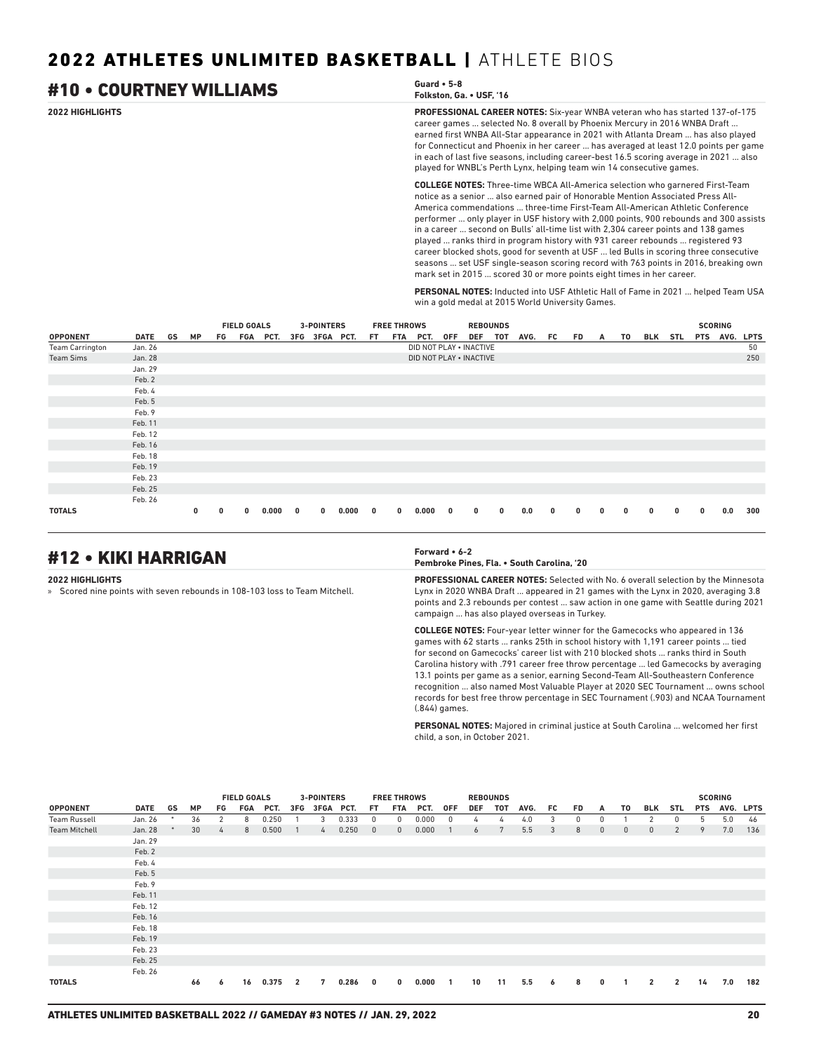### **2022 HIGHLIGHTS PROFESSIONAL CAREER NOTES:** Six-year WNBA veteran who has started 137-of-175 career games ... selected No. 8 overall by Phoenix Mercury in 2016 WNBA Draft ... earned first WNBA All-Star appearance in 2021 with Atlanta Dream ... has also played for Connecticut and Phoenix in her career ... has averaged at least 12.0 points per game in each of last five seasons, including career-best 16.5 scoring average in 2021 ... also played for WNBL's Perth Lynx, helping team win 14 consecutive games. **COLLEGE NOTES:** Three-time WBCA All-America selection who garnered First-Team notice as a senior ... also earned pair of Honorable Mention Associated Press All-America commendations ... three-time First-Team All-American Athletic Conference #10 • COURTNEY WILLIAMS **Guard • 5-8 Folkston, Ga. • USF, '16**

performer ... only player in USF history with 2,000 points, 900 rebounds and 300 assists in a career ... second on Bulls' all-time list with 2,304 career points and 138 games played ... ranks third in program history with 931 career rebounds ... registered 93 career blocked shots, good for seventh at USF ... led Bulls in scoring three consecutive seasons ... set USF single-season scoring record with 763 points in 2016, breaking own mark set in 2015 ... scored 30 or more points eight times in her career.

**PERSONAL NOTES:** Inducted into USF Athletic Hall of Fame in 2021 ... helped Team USA win a gold medal at 2015 World University Games.

|                        |             |    |              |    | <b>FIELD GOALS</b> |          |   | <b>3-POINTERS</b> |       |     | <b>FREE THROWS</b> |                         |              | <b>REBOUNDS</b> |          |      |     |              |              |    |              |          |            | <b>SCORING</b> |             |
|------------------------|-------------|----|--------------|----|--------------------|----------|---|-------------------|-------|-----|--------------------|-------------------------|--------------|-----------------|----------|------|-----|--------------|--------------|----|--------------|----------|------------|----------------|-------------|
| <b>OPPONENT</b>        | <b>DATE</b> | GS | <b>MP</b>    | FG |                    | FGA PCT. |   | 3FG 3FGA PCT.     |       | FT. | FTA                | PCT.                    | <b>OFF</b>   | <b>DEF</b>      | тот      | AVG. | FC. | FD           | A            | T0 | BLK          | STL      | <b>PTS</b> | AVG.           | <b>LPTS</b> |
| <b>Team Carrington</b> | Jan. 26     |    |              |    |                    |          |   |                   |       |     |                    | DID NOT PLAY . INACTIVE |              |                 |          |      |     |              |              |    |              |          |            |                | 50          |
| <b>Team Sims</b>       | Jan. 28     |    |              |    |                    |          |   |                   |       |     |                    | DID NOT PLAY . INACTIVE |              |                 |          |      |     |              |              |    |              |          |            |                | 250         |
|                        | Jan. 29     |    |              |    |                    |          |   |                   |       |     |                    |                         |              |                 |          |      |     |              |              |    |              |          |            |                |             |
|                        | Feb. 2      |    |              |    |                    |          |   |                   |       |     |                    |                         |              |                 |          |      |     |              |              |    |              |          |            |                |             |
|                        | Feb. 4      |    |              |    |                    |          |   |                   |       |     |                    |                         |              |                 |          |      |     |              |              |    |              |          |            |                |             |
|                        | Feb. 5      |    |              |    |                    |          |   |                   |       |     |                    |                         |              |                 |          |      |     |              |              |    |              |          |            |                |             |
|                        | Feb. 9      |    |              |    |                    |          |   |                   |       |     |                    |                         |              |                 |          |      |     |              |              |    |              |          |            |                |             |
|                        | Feb. 11     |    |              |    |                    |          |   |                   |       |     |                    |                         |              |                 |          |      |     |              |              |    |              |          |            |                |             |
|                        | Feb. 12     |    |              |    |                    |          |   |                   |       |     |                    |                         |              |                 |          |      |     |              |              |    |              |          |            |                |             |
|                        | Feb. 16     |    |              |    |                    |          |   |                   |       |     |                    |                         |              |                 |          |      |     |              |              |    |              |          |            |                |             |
|                        | Feb. 18     |    |              |    |                    |          |   |                   |       |     |                    |                         |              |                 |          |      |     |              |              |    |              |          |            |                |             |
|                        | Feb. 19     |    |              |    |                    |          |   |                   |       |     |                    |                         |              |                 |          |      |     |              |              |    |              |          |            |                |             |
|                        | Feb. 23     |    |              |    |                    |          |   |                   |       |     |                    |                         |              |                 |          |      |     |              |              |    |              |          |            |                |             |
|                        | Feb. 25     |    |              |    |                    |          |   |                   |       |     |                    |                         |              |                 |          |      |     |              |              |    |              |          |            |                |             |
|                        | Feb. 26     |    |              |    |                    |          |   |                   |       |     |                    |                         |              |                 |          |      |     |              |              |    |              |          |            |                |             |
| <b>TOTALS</b>          |             |    | $\mathbf{0}$ | 0  | $\mathbf{0}$       | 0.000    | 0 | $\mathbf{0}$      | 0.000 | 0   | $\bf{0}$           | 0.000                   | $\mathbf{0}$ | 0               | $\bf{0}$ | 0.0  | 0   | $\mathbf{0}$ | $\mathbf{0}$ | 0  | $\mathbf{0}$ | $\bf{0}$ | 0          | 0.0            | 300         |

## #12 • KIKI HARRIGAN **Forward • 6-2**

**2022 HIGHLIGHTS**

» Scored nine points with seven rebounds in 108-103 loss to Team Mitchell.

**Pembroke Pines, Fla. • South Carolina, '20**

**PROFESSIONAL CAREER NOTES:** Selected with No. 6 overall selection by the Minnesota Lynx in 2020 WNBA Draft ... appeared in 21 games with the Lynx in 2020, averaging 3.8 points and 2.3 rebounds per contest ... saw action in one game with Seattle during 2021 campaign ... has also played overseas in Turkey.

**COLLEGE NOTES:** Four-year letter winner for the Gamecocks who appeared in 136 games with 62 starts ... ranks 25th in school history with 1,191 career points ... tied for second on Gamecocks' career list with 210 blocked shots ... ranks third in South Carolina history with .791 career free throw percentage ... led Gamecocks by averaging 13.1 points per game as a senior, earning Second-Team All-Southeastern Conference recognition ... also named Most Valuable Player at 2020 SEC Tournament ... owns school records for best free throw percentage in SEC Tournament (.903) and NCAA Tournament (.844) games.

**PERSONAL NOTES:** Majored in criminal justice at South Carolina ... welcomed her first child, a son, in October 2021.

|                      |         |    |           | <b>FIELD GOALS</b><br>3-POINTERS |     |       |                |           |       |                         | <b>FREE THROWS</b> |       |              |     | <b>REBOUNDS</b> |      |    |    |              |              |                |                |            | <b>SCORING</b> |           |
|----------------------|---------|----|-----------|----------------------------------|-----|-------|----------------|-----------|-------|-------------------------|--------------------|-------|--------------|-----|-----------------|------|----|----|--------------|--------------|----------------|----------------|------------|----------------|-----------|
| <b>OPPONENT</b>      | DATE    | GS | <b>MP</b> | FG                               | FGA | PCT.  | 3FG            | 3FGA PCT. |       | FT.                     | FTA                | PCT.  | <b>OFF</b>   | DEF | TOT             | AVG. | FC | FD | A            | T0           | BLK            | STL            | <b>PTS</b> |                | AVG. LPTS |
| <b>Team Russell</b>  | Jan. 26 | *  | 36        | 2                                | 8   | 0.250 |                | 3         | 0.333 | $\mathbf{0}$            | 0                  | 0.000 | $\mathbf{0}$ | 4   | 4               | 4.0  | 3  | 0  | 0            |              | 2              | $^{\circ}$     | 5          | 5.0            | 46        |
| <b>Team Mitchell</b> | Jan. 28 |    | 30        | $\frac{1}{4}$                    | 8   | 0.500 | $\overline{1}$ | 4         | 0.250 | $\overline{0}$          | $\mathbf{0}$       | 0.000 |              | 6   | 7               | 5.5  | 3  | 8  | $\mathbf{0}$ | $\mathbf{0}$ | $\mathbf{0}$   | $\overline{2}$ | 9          | 7.0            | 136       |
|                      | Jan. 29 |    |           |                                  |     |       |                |           |       |                         |                    |       |              |     |                 |      |    |    |              |              |                |                |            |                |           |
|                      | Feb. 2  |    |           |                                  |     |       |                |           |       |                         |                    |       |              |     |                 |      |    |    |              |              |                |                |            |                |           |
|                      | Feb. 4  |    |           |                                  |     |       |                |           |       |                         |                    |       |              |     |                 |      |    |    |              |              |                |                |            |                |           |
|                      | Feb. 5  |    |           |                                  |     |       |                |           |       |                         |                    |       |              |     |                 |      |    |    |              |              |                |                |            |                |           |
|                      | Feb. 9  |    |           |                                  |     |       |                |           |       |                         |                    |       |              |     |                 |      |    |    |              |              |                |                |            |                |           |
|                      | Feb. 11 |    |           |                                  |     |       |                |           |       |                         |                    |       |              |     |                 |      |    |    |              |              |                |                |            |                |           |
|                      | Feb. 12 |    |           |                                  |     |       |                |           |       |                         |                    |       |              |     |                 |      |    |    |              |              |                |                |            |                |           |
|                      | Feb. 16 |    |           |                                  |     |       |                |           |       |                         |                    |       |              |     |                 |      |    |    |              |              |                |                |            |                |           |
|                      | Feb. 18 |    |           |                                  |     |       |                |           |       |                         |                    |       |              |     |                 |      |    |    |              |              |                |                |            |                |           |
|                      | Feb. 19 |    |           |                                  |     |       |                |           |       |                         |                    |       |              |     |                 |      |    |    |              |              |                |                |            |                |           |
|                      | Feb. 23 |    |           |                                  |     |       |                |           |       |                         |                    |       |              |     |                 |      |    |    |              |              |                |                |            |                |           |
|                      | Feb. 25 |    |           |                                  |     |       |                |           |       |                         |                    |       |              |     |                 |      |    |    |              |              |                |                |            |                |           |
|                      | Feb. 26 |    |           |                                  |     |       |                |           |       |                         |                    |       |              |     |                 |      |    |    |              |              |                |                |            |                |           |
| <b>TOTALS</b>        |         |    | 66        | 6                                | 16  | 0.375 | $\overline{2}$ | 7         | 0.286 | $\overline{\mathbf{0}}$ | 0                  | 0.000 | $\mathbf{1}$ | 10  | 11              | 5.5  | 6  | 8  | $\mathbf{0}$ |              | $\overline{2}$ | $\overline{2}$ | 14         | 7.0            | 182       |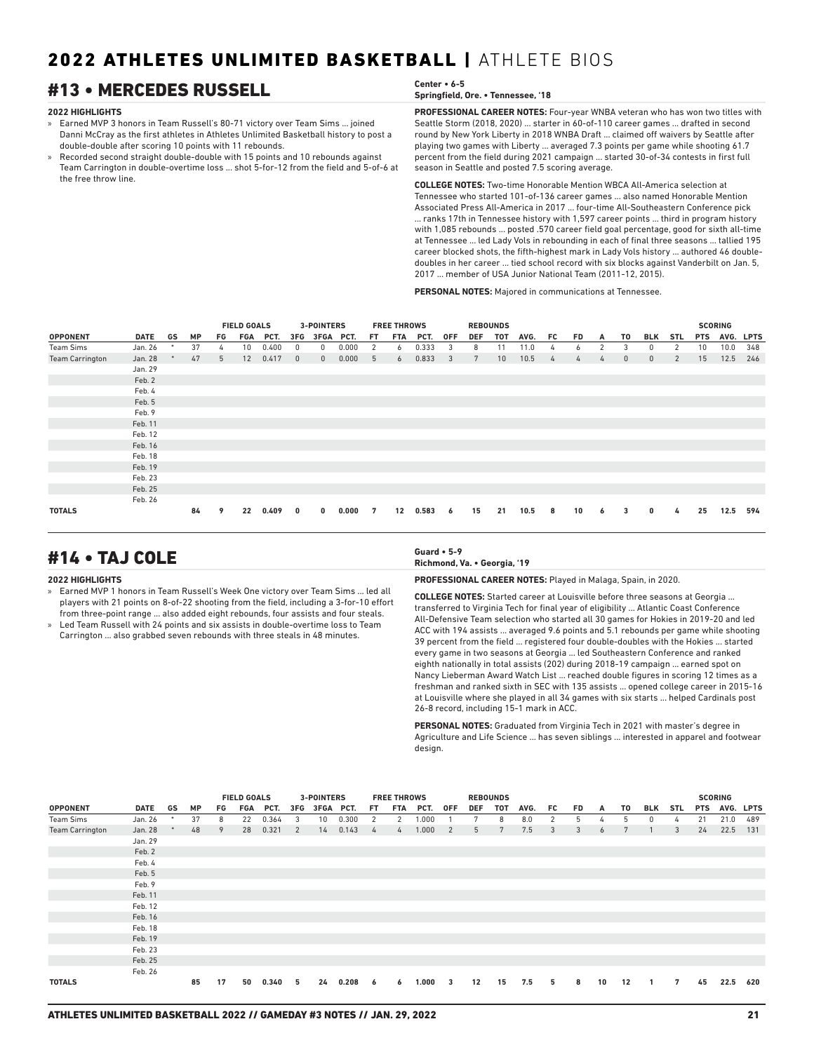## #13 • MERCEDES RUSSELL **Center • 6-5**

### **2022 HIGHLIGHTS**

- » Earned MVP 3 honors in Team Russell's 80-71 victory over Team Sims ... joined Danni McCray as the first athletes in Athletes Unlimited Basketball history to post a double-double after scoring 10 points with 11 rebounds.
- » Recorded second straight double-double with 15 points and 10 rebounds against Team Carrington in double-overtime loss ... shot 5-for-12 from the field and 5-of-6 at the free throw line.

## **Springfield, Ore. • Tennessee, '18**

**PROFESSIONAL CAREER NOTES:** Four-year WNBA veteran who has won two titles with Seattle Storm (2018, 2020) ... starter in 60-of-110 career games ... drafted in second round by New York Liberty in 2018 WNBA Draft ... claimed off waivers by Seattle after playing two games with Liberty ... averaged 7.3 points per game while shooting 61.7 percent from the field during 2021 campaign ... started 30-of-34 contests in first full season in Seattle and posted 7.5 scoring average.

**COLLEGE NOTES:** Two-time Honorable Mention WBCA All-America selection at Tennessee who started 101-of-136 career games ... also named Honorable Mention Associated Press All-America in 2017 ... four-time All-Southeastern Conference pick ... ranks 17th in Tennessee history with 1,597 career points ... third in program history with 1,085 rebounds ... posted .570 career field goal percentage, good for sixth all-time at Tennessee ... led Lady Vols in rebounding in each of final three seasons ... tallied 195 career blocked shots, the fifth-highest mark in Lady Vols history ... authored 46 doubledoubles in her career ... tied school record with six blocks against Vanderbilt on Jan. 5, 2017 ... member of USA Junior National Team (2011-12, 2015).

**PERSONAL NOTES:** Majored in communications at Tennessee.

|                        |             |        |           |    | <b>FIELD GOALS</b> |       |              |                   |       |     |                    |       |            |            |                 |      |     |           |   |              |              |            |                 |                |             |
|------------------------|-------------|--------|-----------|----|--------------------|-------|--------------|-------------------|-------|-----|--------------------|-------|------------|------------|-----------------|------|-----|-----------|---|--------------|--------------|------------|-----------------|----------------|-------------|
|                        |             |        |           |    |                    |       |              | <b>3-POINTERS</b> |       |     | <b>FREE THROWS</b> |       |            |            | <b>REBOUNDS</b> |      |     |           |   |              |              |            |                 | <b>SCORING</b> |             |
| <b>OPPONENT</b>        | <b>DATE</b> | GS     | <b>MP</b> | FG | FGA                | PCT.  | 3FG          | 3FGA              | PCT.  | FT. | <b>FTA</b>         | PCT.  | <b>OFF</b> | <b>DEF</b> | <b>TOT</b>      | AVG. | FC. | <b>FD</b> | A | T0           | BLK          | <b>STL</b> | <b>PTS</b>      | AVG.           | <b>LPTS</b> |
| <b>Team Sims</b>       | Jan. 26     | $\ast$ | 37        | 4  | 10 <sup>°</sup>    | 0.400 | 0            | 0                 | 0.000 | 2   | 6                  | 0.333 | 3          | 8          | 11              | 11.0 | 4   | 6         | 2 | 3            | 0            | 2          | 10 <sup>°</sup> | 10.0           | 348         |
| <b>Team Carrington</b> | Jan. 28     |        | 47        | 5  | 12                 | 0.417 | $\mathbf{0}$ | $\Omega$          | 0.000 | 5   | 6                  | 0.833 | 3          | 7          | 10              | 10.5 | 4   | 4         | 4 | $\mathbf{0}$ | $\mathbf{0}$ | 2          | 15              | 12.5           | 246         |
|                        | Jan. 29     |        |           |    |                    |       |              |                   |       |     |                    |       |            |            |                 |      |     |           |   |              |              |            |                 |                |             |
|                        | Feb. 2      |        |           |    |                    |       |              |                   |       |     |                    |       |            |            |                 |      |     |           |   |              |              |            |                 |                |             |
|                        | Feb. 4      |        |           |    |                    |       |              |                   |       |     |                    |       |            |            |                 |      |     |           |   |              |              |            |                 |                |             |
|                        | Feb. 5      |        |           |    |                    |       |              |                   |       |     |                    |       |            |            |                 |      |     |           |   |              |              |            |                 |                |             |
|                        | Feb. 9      |        |           |    |                    |       |              |                   |       |     |                    |       |            |            |                 |      |     |           |   |              |              |            |                 |                |             |
|                        | Feb. 11     |        |           |    |                    |       |              |                   |       |     |                    |       |            |            |                 |      |     |           |   |              |              |            |                 |                |             |
|                        | Feb. 12     |        |           |    |                    |       |              |                   |       |     |                    |       |            |            |                 |      |     |           |   |              |              |            |                 |                |             |
|                        | Feb. 16     |        |           |    |                    |       |              |                   |       |     |                    |       |            |            |                 |      |     |           |   |              |              |            |                 |                |             |
|                        | Feb. 18     |        |           |    |                    |       |              |                   |       |     |                    |       |            |            |                 |      |     |           |   |              |              |            |                 |                |             |
|                        | Feb. 19     |        |           |    |                    |       |              |                   |       |     |                    |       |            |            |                 |      |     |           |   |              |              |            |                 |                |             |
|                        | Feb. 23     |        |           |    |                    |       |              |                   |       |     |                    |       |            |            |                 |      |     |           |   |              |              |            |                 |                |             |
|                        | Feb. 25     |        |           |    |                    |       |              |                   |       |     |                    |       |            |            |                 |      |     |           |   |              |              |            |                 |                |             |
|                        | Feb. 26     |        |           |    |                    |       |              |                   |       |     |                    |       |            |            |                 |      |     |           |   |              |              |            |                 |                |             |
| <b>TOTALS</b>          |             |        | 84        | 9  | 22                 | 0.409 | 0            | $\mathbf{0}$      | 0.000 | 7   | 12                 | 0.583 | 6          | 15         | 21              | 10.5 | 8   | 10        | 6 | 3            | $\bf{0}$     | 4          | 25              | 12.5           | 594         |

## #14 • TAJ COLE **Guard • 5-9**

### **2022 HIGHLIGHTS**

- » Earned MVP 1 honors in Team Russell's Week One victory over Team Sims ... led all players with 21 points on 8-of-22 shooting from the field, including a 3-for-10 effort from three-point range ... also added eight rebounds, four assists and four steals.
- Led Team Russell with 24 points and six assists in double-overtime loss to Team Carrington ... also grabbed seven rebounds with three steals in 48 minutes.

## **Richmond, Va. • Georgia, '19**

**PROFESSIONAL CAREER NOTES:** Played in Malaga, Spain, in 2020.

**COLLEGE NOTES:** Started career at Louisville before three seasons at Georgia ... transferred to Virginia Tech for final year of eligibility ... Atlantic Coast Conference All-Defensive Team selection who started all 30 games for Hokies in 2019-20 and led ACC with 194 assists ... averaged 9.6 points and 5.1 rebounds per game while shooting 39 percent from the field ... registered four double-doubles with the Hokies ... started every game in two seasons at Georgia ... led Southeastern Conference and ranked eighth nationally in total assists (202) during 2018-19 campaign ... earned spot on Nancy Lieberman Award Watch List ... reached double figures in scoring 12 times as a freshman and ranked sixth in SEC with 135 assists ... opened college career in 2015-16 at Louisville where she played in all 34 games with six starts ... helped Cardinals post 26-8 record, including 15-1 mark in ACC.

**PERSONAL NOTES:** Graduated from Virginia Tech in 2021 with master's degree in Agriculture and Life Science ... has seven siblings ... interested in apparel and footwear design.

|                        |         |    |           |    | <b>FIELD GOALS</b> |       |     | <b>3-POINTERS</b> |       |     | <b>FREE THROWS</b> |       |                |            | <b>REBOUNDS</b> |      |     |     |    |    |            |            |            | <b>SCORING</b> |     |
|------------------------|---------|----|-----------|----|--------------------|-------|-----|-------------------|-------|-----|--------------------|-------|----------------|------------|-----------------|------|-----|-----|----|----|------------|------------|------------|----------------|-----|
| <b>OPPONENT</b>        | DATE    | GS | <b>MP</b> | FG | FGA                | PCT.  | 3FG | 3FGA PCT.         |       | FT. | FTA                | PCT.  | 0FF            | <b>DEF</b> | <b>TOT</b>      | AVG. | FC. | FD. | A  | T0 | <b>BLK</b> | <b>STL</b> | <b>PTS</b> | AVG. LPTS      |     |
| Team Sims              | Jan. 26 |    | 37        | 8  | 22                 | 0.364 | 3   | 10                | 0.300 | 2   | 2                  | 1.000 |                | 7          | 8               | 8.0  | 2   | 5   | 4  | 5  | 0          | 4          | 21         | 21.0           | 489 |
| <b>Team Carrington</b> | Jan. 28 |    | 48        | 9  | 28                 | 0.321 | 2   | 14                | 0.143 | 4   | 4                  | 1.000 | $\overline{2}$ | 5          | $7\overline{ }$ | 7.5  | 3   | 3   | 6  | 7  |            | 3          | 24         | 22.5           | 131 |
|                        | Jan. 29 |    |           |    |                    |       |     |                   |       |     |                    |       |                |            |                 |      |     |     |    |    |            |            |            |                |     |
|                        | Feb. 2  |    |           |    |                    |       |     |                   |       |     |                    |       |                |            |                 |      |     |     |    |    |            |            |            |                |     |
|                        | Feb. 4  |    |           |    |                    |       |     |                   |       |     |                    |       |                |            |                 |      |     |     |    |    |            |            |            |                |     |
|                        | Feb. 5  |    |           |    |                    |       |     |                   |       |     |                    |       |                |            |                 |      |     |     |    |    |            |            |            |                |     |
|                        | Feb. 9  |    |           |    |                    |       |     |                   |       |     |                    |       |                |            |                 |      |     |     |    |    |            |            |            |                |     |
|                        | Feb. 11 |    |           |    |                    |       |     |                   |       |     |                    |       |                |            |                 |      |     |     |    |    |            |            |            |                |     |
|                        | Feb. 12 |    |           |    |                    |       |     |                   |       |     |                    |       |                |            |                 |      |     |     |    |    |            |            |            |                |     |
|                        | Feb. 16 |    |           |    |                    |       |     |                   |       |     |                    |       |                |            |                 |      |     |     |    |    |            |            |            |                |     |
|                        | Feb. 18 |    |           |    |                    |       |     |                   |       |     |                    |       |                |            |                 |      |     |     |    |    |            |            |            |                |     |
|                        | Feb. 19 |    |           |    |                    |       |     |                   |       |     |                    |       |                |            |                 |      |     |     |    |    |            |            |            |                |     |
|                        | Feb. 23 |    |           |    |                    |       |     |                   |       |     |                    |       |                |            |                 |      |     |     |    |    |            |            |            |                |     |
|                        | Feb. 25 |    |           |    |                    |       |     |                   |       |     |                    |       |                |            |                 |      |     |     |    |    |            |            |            |                |     |
|                        | Feb. 26 |    |           |    |                    |       |     |                   |       |     |                    |       |                |            |                 |      |     |     |    |    |            |            |            |                |     |
| <b>TOTALS</b>          |         |    | 85        | 17 | 50                 | 0.340 | 5.  | 24                | 0.208 | - 6 | 6                  | 1.000 | 3              | 12         | 15              | 7.5  | 5   | 8   | 10 | 12 | -1         | 7          | 45         | 22.5           | 620 |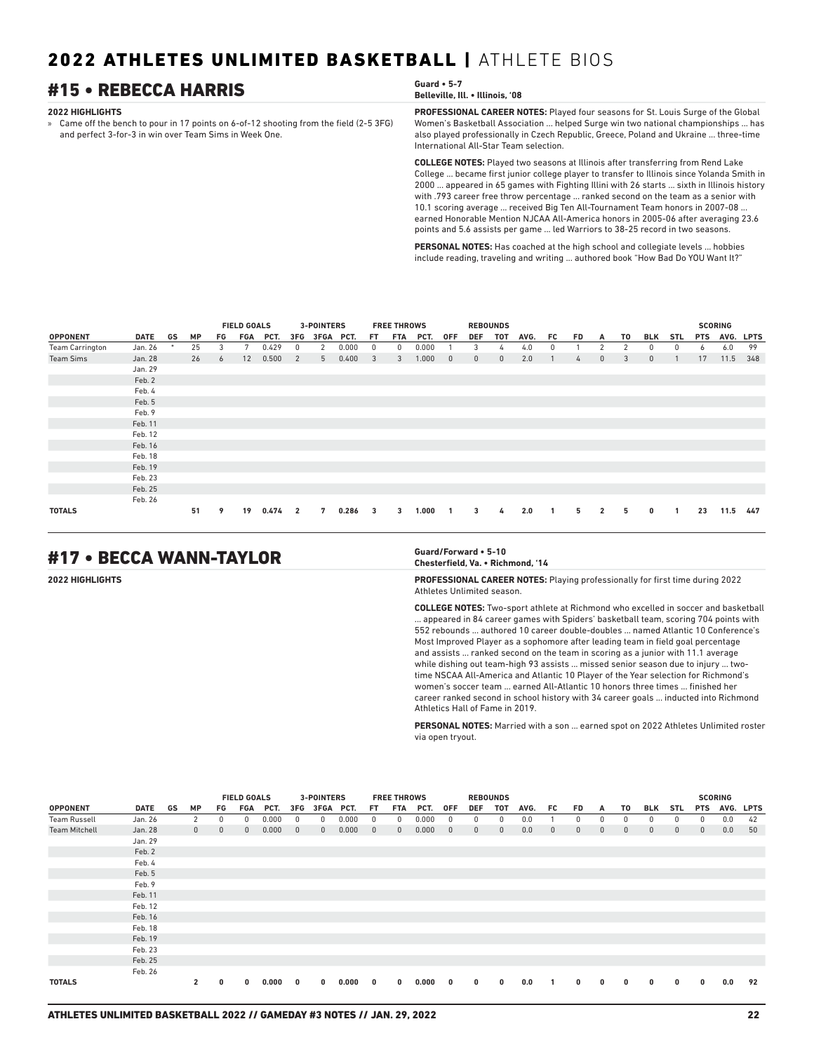## **#15 • REBECCA HARRIS**

### **2022 HIGHLIGHTS**

» Came off the bench to pour in 17 points on 6-of-12 shooting from the field (2-5 3FG) and perfect 3-for-3 in win over Team Sims in Week One.

| Guard $\cdot$ 5-7<br>Belleville, Ill. • Illinois, '08                                       |
|---------------------------------------------------------------------------------------------|
| <b>PROFESSIONAL CAREER NOTES:</b> Played four seasons for St. Louis Surge of the Global     |
| Albertale Dealerball Association - belocal Construction and assigned about the local dealer |

Women's Basketball Association ... helped Surge win two national championships ... has also played professionally in Czech Republic, Greece, Poland and Ukraine ... three-time International All-Star Team selection.

**COLLEGE NOTES:** Played two seasons at Illinois after transferring from Rend Lake College ... became first junior college player to transfer to Illinois since Yolanda Smith in 2000 ... appeared in 65 games with Fighting Illini with 26 starts ... sixth in Illinois history with .793 career free throw percentage ... ranked second on the team as a senior with 10.1 scoring average ... received Big Ten All-Tournament Team honors in 2007-08 ... earned Honorable Mention NJCAA All-America honors in 2005-06 after averaging 23.6 points and 5.6 assists per game ... led Warriors to 38-25 record in two seasons.

**PERSONAL NOTES:** Has coached at the high school and collegiate levels ... hobbies include reading, traveling and writing ... authored book "How Bad Do YOU Want It?"

|                        |             |    |           |    | <b>FIELD GOALS</b> |       |                | <b>3-POINTERS</b> |       |     | <b>FREE THROWS</b> |       |              |              | <b>REBOUNDS</b> |      |    |    |                |    |              |            |            | <b>SCORING</b> |             |
|------------------------|-------------|----|-----------|----|--------------------|-------|----------------|-------------------|-------|-----|--------------------|-------|--------------|--------------|-----------------|------|----|----|----------------|----|--------------|------------|------------|----------------|-------------|
| <b>OPPONENT</b>        | <b>DATE</b> | GS | <b>MP</b> | FG | FGA                | PCT.  | 3FG            | 3FGA              | PCT.  | FT. | <b>FTA</b>         | PCT.  | <b>OFF</b>   | <b>DEF</b>   | TOT             | AVG. | FC | FD | A              | TO | <b>BLK</b>   | <b>STL</b> | <b>PTS</b> | AVG.           | <b>LPTS</b> |
| <b>Team Carrington</b> | Jan. 26     | *  | 25        | 3  | 7                  | 0.429 | 0              | 2                 | 0.000 | 0   | 0                  | 0.000 |              | 3            | 4               | 4.0  | 0  |    | 2              | 2  | 0            | 0          | 6          | 6.0            | 99          |
| <b>Team Sims</b>       | Jan. 28     |    | 26        | 6  | 12                 | 0.500 | 2              | 5                 | 0.400 | 3   | 3                  | 1.000 | $\mathbf{0}$ | $\mathbf{0}$ | $\mathbf{0}$    | 2.0  |    | 4  | $\mathbf{0}$   | 3  | $\mathbf{0}$ |            | 17         | 11.5           | 348         |
|                        | Jan. 29     |    |           |    |                    |       |                |                   |       |     |                    |       |              |              |                 |      |    |    |                |    |              |            |            |                |             |
|                        | Feb. 2      |    |           |    |                    |       |                |                   |       |     |                    |       |              |              |                 |      |    |    |                |    |              |            |            |                |             |
|                        | Feb. 4      |    |           |    |                    |       |                |                   |       |     |                    |       |              |              |                 |      |    |    |                |    |              |            |            |                |             |
|                        | Feb. 5      |    |           |    |                    |       |                |                   |       |     |                    |       |              |              |                 |      |    |    |                |    |              |            |            |                |             |
|                        | Feb. 9      |    |           |    |                    |       |                |                   |       |     |                    |       |              |              |                 |      |    |    |                |    |              |            |            |                |             |
|                        | Feb. 11     |    |           |    |                    |       |                |                   |       |     |                    |       |              |              |                 |      |    |    |                |    |              |            |            |                |             |
|                        | Feb. 12     |    |           |    |                    |       |                |                   |       |     |                    |       |              |              |                 |      |    |    |                |    |              |            |            |                |             |
|                        | Feb. 16     |    |           |    |                    |       |                |                   |       |     |                    |       |              |              |                 |      |    |    |                |    |              |            |            |                |             |
|                        | Feb. 18     |    |           |    |                    |       |                |                   |       |     |                    |       |              |              |                 |      |    |    |                |    |              |            |            |                |             |
|                        | Feb. 19     |    |           |    |                    |       |                |                   |       |     |                    |       |              |              |                 |      |    |    |                |    |              |            |            |                |             |
|                        | Feb. 23     |    |           |    |                    |       |                |                   |       |     |                    |       |              |              |                 |      |    |    |                |    |              |            |            |                |             |
|                        | Feb. 25     |    |           |    |                    |       |                |                   |       |     |                    |       |              |              |                 |      |    |    |                |    |              |            |            |                |             |
|                        | Feb. 26     |    |           |    |                    |       |                |                   |       |     |                    |       |              |              |                 |      |    |    |                |    |              |            |            |                |             |
| <b>TOTALS</b>          |             |    | 51        | 9  | 19                 | 0.474 | $\overline{2}$ | 7                 | 0.286 | 3   | 3                  | 1.000 | $\mathbf{1}$ | 3            | 4               | 2.0  |    | 5  | $\overline{2}$ | 5  | 0            |            | 23         | 11.5           | 447         |

## #17 • BECCA WANN-TAYLOR **Guard/Forward • 5-10**

## **Chesterfield, Va. • Richmond, '14**

**2022 HIGHLIGHTS PROFESSIONAL CAREER NOTES:** Playing professionally for first time during 2022 Athletes Unlimited season.

**COLLEGE NOTES:** Two-sport athlete at Richmond who excelled in soccer and basketball

... appeared in 84 career games with Spiders' basketball team, scoring 704 points with 552 rebounds ... authored 10 career double-doubles ... named Atlantic 10 Conference's Most Improved Player as a sophomore after leading team in field goal percentage and assists ... ranked second on the team in scoring as a junior with 11.1 average while dishing out team-high 93 assists ... missed senior season due to injury ... twotime NSCAA All-America and Atlantic 10 Player of the Year selection for Richmond's women's soccer team ... earned All-Atlantic 10 honors three times ... finished her career ranked second in school history with 34 career goals ... inducted into Richmond Athletics Hall of Fame in 2019.

**PERSONAL NOTES:** Married with a son ... earned spot on 2022 Athletes Unlimited roster via open tryout.

|                      |             |    |                |              | <b>FIELD GOALS</b> |       |              | <b>3-POINTERS</b> |       |                | <b>FREE THROWS</b> |       |              |              | <b>REBOUNDS</b> |      |              |              |              |              |              |              |              | <b>SCORING</b> |    |
|----------------------|-------------|----|----------------|--------------|--------------------|-------|--------------|-------------------|-------|----------------|--------------------|-------|--------------|--------------|-----------------|------|--------------|--------------|--------------|--------------|--------------|--------------|--------------|----------------|----|
| <b>OPPONENT</b>      | <b>DATE</b> | GS | <b>MP</b>      | FG           | FGA                | PCT.  | 3FG          | 3FGA PCT.         |       | FT.            | FTA                | PCT.  | <b>OFF</b>   | DEF          | TOT             | AVG. | FC.          | FD.          | A            | T0           | BLK          | STL          | <b>PTS</b>   | AVG. LPTS      |    |
| <b>Team Russell</b>  | Jan. 26     |    | 2              | 0            | 0                  | 0.000 | $^{\circ}$   | 0                 | 0.000 | 0              | 0                  | 0.000 | $^{\circ}$   | $^{\circ}$   | $^{\circ}$      | 0.0  |              | 0            | 0            | 0            | $\mathbf{0}$ | 0            | $^{\circ}$   | 0.0            | 42 |
| <b>Team Mitchell</b> | Jan. 28     |    | $\mathbf{0}$   | $\mathbf{0}$ | $\mathbf{0}$       | 0.000 | $\mathbf{0}$ | $\mathbf{0}$      | 0.000 | $\overline{0}$ | $\mathbf{0}$       | 0.000 | $\mathbf{0}$ | $\mathbf{0}$ | $\mathbf{0}$    | 0.0  | $\mathbf{0}$ | $\mathbf{0}$ | $\mathbf{0}$ | $\mathbf{0}$ | $\mathbf{0}$ | $\mathbf{0}$ | $\mathbf{0}$ | 0.0            | 50 |
|                      | Jan. 29     |    |                |              |                    |       |              |                   |       |                |                    |       |              |              |                 |      |              |              |              |              |              |              |              |                |    |
|                      | Feb. 2      |    |                |              |                    |       |              |                   |       |                |                    |       |              |              |                 |      |              |              |              |              |              |              |              |                |    |
|                      | Feb. 4      |    |                |              |                    |       |              |                   |       |                |                    |       |              |              |                 |      |              |              |              |              |              |              |              |                |    |
|                      | Feb. 5      |    |                |              |                    |       |              |                   |       |                |                    |       |              |              |                 |      |              |              |              |              |              |              |              |                |    |
|                      | Feb. 9      |    |                |              |                    |       |              |                   |       |                |                    |       |              |              |                 |      |              |              |              |              |              |              |              |                |    |
|                      | Feb. 11     |    |                |              |                    |       |              |                   |       |                |                    |       |              |              |                 |      |              |              |              |              |              |              |              |                |    |
|                      | Feb. 12     |    |                |              |                    |       |              |                   |       |                |                    |       |              |              |                 |      |              |              |              |              |              |              |              |                |    |
|                      | Feb. 16     |    |                |              |                    |       |              |                   |       |                |                    |       |              |              |                 |      |              |              |              |              |              |              |              |                |    |
|                      | Feb. 18     |    |                |              |                    |       |              |                   |       |                |                    |       |              |              |                 |      |              |              |              |              |              |              |              |                |    |
|                      | Feb. 19     |    |                |              |                    |       |              |                   |       |                |                    |       |              |              |                 |      |              |              |              |              |              |              |              |                |    |
|                      | Feb. 23     |    |                |              |                    |       |              |                   |       |                |                    |       |              |              |                 |      |              |              |              |              |              |              |              |                |    |
|                      | Feb. 25     |    |                |              |                    |       |              |                   |       |                |                    |       |              |              |                 |      |              |              |              |              |              |              |              |                |    |
|                      | Feb. 26     |    |                |              |                    |       |              |                   |       |                |                    |       |              |              |                 |      |              |              |              |              |              |              |              |                |    |
| <b>TOTALS</b>        |             |    | $\overline{2}$ | 0            | $\bf{0}$           | 0.000 | 0            | $\bf{0}$          | 0.000 | $\mathbf{0}$   | 0                  | 0.000 | $\mathbf{0}$ | 0            | $\mathbf{0}$    | 0.0  | -1           | $\mathbf 0$  | 0            | $\mathbf 0$  | $\bf{0}$     | 0            | $\mathbf{0}$ | 0.0            | 92 |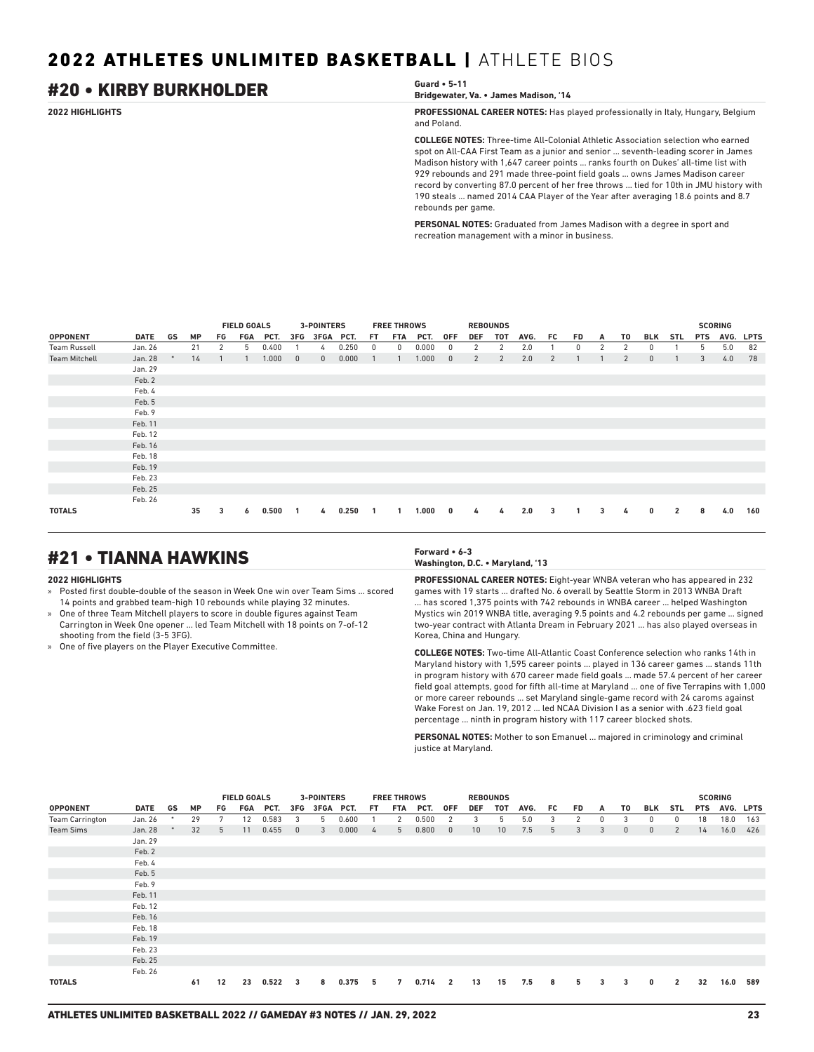## #20 • KIRBY BURKHOLDER **Guard • 5-11**

**Bridgewater, Va. • James Madison, '14**

**2022 HIGHLIGHTS PROFESSIONAL CAREER NOTES:** Has played professionally in Italy, Hungary, Belgium and Poland.

> **COLLEGE NOTES:** Three-time All-Colonial Athletic Association selection who earned spot on All-CAA First Team as a junior and senior ... seventh-leading scorer in James Madison history with 1,647 career points ... ranks fourth on Dukes' all-time list with 929 rebounds and 291 made three-point field goals ... owns James Madison career record by converting 87.0 percent of her free throws ... tied for 10th in JMU history with 190 steals ... named 2014 CAA Player of the Year after averaging 18.6 points and 8.7 rebounds per game.

**PERSONAL NOTES:** Graduated from James Madison with a degree in sport and recreation management with a minor in business.

|                      |         |           |     | <b>FIELD GOALS</b> |       |              | <b>3-POINTERS</b> |       |     | <b>FREE THROWS</b> |       |              | <b>REBOUNDS</b> |                |      |                |    |   |    |     |                |            | <b>SCORING</b> |             |
|----------------------|---------|-----------|-----|--------------------|-------|--------------|-------------------|-------|-----|--------------------|-------|--------------|-----------------|----------------|------|----------------|----|---|----|-----|----------------|------------|----------------|-------------|
| <b>OPPONENT</b>      | DATE GS | <b>MP</b> | FG. | FGA                | PCT.  | 3FG          | 3FGA PCT.         |       | FT. | FTA                | PCT.  | <b>OFF</b>   | <b>DEF</b>      | TOT            | AVG. | FC.            | FD | A | T0 | BLK | STL            | <b>PTS</b> | AVG.           | <b>LPTS</b> |
| Team Russell         | Jan. 26 | 21        | 2   | 5                  | 0.400 |              | 4                 | 0.250 | 0   | 0                  | 0.000 | $\mathbf{0}$ | 2               | 2              | 2.0  |                | 0  | 2 | 2  | 0   |                | 5          | 5.0            | 82          |
| <b>Team Mitchell</b> | Jan. 28 | 14        |     |                    | 1.000 | $\mathbf 0$  | $\mathbf{0}$      | 0.000 |     |                    | 1.000 | $\mathbf{0}$ | 2               | $\overline{2}$ | 2.0  | $\overline{2}$ |    |   | 2  | 0   |                | 3          | 4.0            | 78          |
|                      | Jan. 29 |           |     |                    |       |              |                   |       |     |                    |       |              |                 |                |      |                |    |   |    |     |                |            |                |             |
|                      | Feb. 2  |           |     |                    |       |              |                   |       |     |                    |       |              |                 |                |      |                |    |   |    |     |                |            |                |             |
|                      | Feb. 4  |           |     |                    |       |              |                   |       |     |                    |       |              |                 |                |      |                |    |   |    |     |                |            |                |             |
|                      | Feb. 5  |           |     |                    |       |              |                   |       |     |                    |       |              |                 |                |      |                |    |   |    |     |                |            |                |             |
|                      | Feb. 9  |           |     |                    |       |              |                   |       |     |                    |       |              |                 |                |      |                |    |   |    |     |                |            |                |             |
|                      | Feb. 11 |           |     |                    |       |              |                   |       |     |                    |       |              |                 |                |      |                |    |   |    |     |                |            |                |             |
|                      | Feb. 12 |           |     |                    |       |              |                   |       |     |                    |       |              |                 |                |      |                |    |   |    |     |                |            |                |             |
|                      | Feb. 16 |           |     |                    |       |              |                   |       |     |                    |       |              |                 |                |      |                |    |   |    |     |                |            |                |             |
|                      | Feb. 18 |           |     |                    |       |              |                   |       |     |                    |       |              |                 |                |      |                |    |   |    |     |                |            |                |             |
|                      | Feb. 19 |           |     |                    |       |              |                   |       |     |                    |       |              |                 |                |      |                |    |   |    |     |                |            |                |             |
|                      | Feb. 23 |           |     |                    |       |              |                   |       |     |                    |       |              |                 |                |      |                |    |   |    |     |                |            |                |             |
|                      | Feb. 25 |           |     |                    |       |              |                   |       |     |                    |       |              |                 |                |      |                |    |   |    |     |                |            |                |             |
|                      | Feb. 26 |           |     |                    |       |              |                   |       |     |                    |       |              |                 |                |      |                |    |   |    |     |                |            |                |             |
| <b>TOTALS</b>        |         | 35        | 3   | 6                  | 0.500 | $\mathbf{1}$ | 4                 | 0.250 |     |                    | 1.000 | 0            | 4               | 4              | 2.0  | 3              |    | 3 | 4  | 0   | $\overline{2}$ | 8          | 4.0            | 160         |

## #21 • TIANNA HAWKINS **Forward • 6-3**

### **2022 HIGHLIGHTS**

» Posted first double-double of the season in Week One win over Team Sims ... scored 14 points and grabbed team-high 10 rebounds while playing 32 minutes.

- » One of three Team Mitchell players to score in double figures against Team Carrington in Week One opener ... led Team Mitchell with 18 points on 7-of-12 shooting from the field (3-5 3FG).
- » One of five players on the Player Executive Committee.

## **Washington, D.C. • Maryland, '13**

**PROFESSIONAL CAREER NOTES:** Eight-year WNBA veteran who has appeared in 232 games with 19 starts ... drafted No. 6 overall by Seattle Storm in 2013 WNBA Draft ... has scored 1,375 points with 742 rebounds in WNBA career ... helped Washington Mystics win 2019 WNBA title, averaging 9.5 points and 4.2 rebounds per game ... signed two-year contract with Atlanta Dream in February 2021 ... has also played overseas in Korea, China and Hungary.

**COLLEGE NOTES:** Two-time All-Atlantic Coast Conference selection who ranks 14th in Maryland history with 1,595 career points ... played in 136 career games ... stands 11th in program history with 670 career made field goals ... made 57.4 percent of her career field goal attempts, good for fifth all-time at Maryland ... one of five Terrapins with 1,000 or more career rebounds ... set Maryland single-game record with 24 caroms against Wake Forest on Jan. 19, 2012 ... led NCAA Division I as a senior with .623 field goal percentage ... ninth in program history with 117 career blocked shots.

**PERSONAL NOTES:** Mother to son Emanuel ... majored in criminology and criminal justice at Maryland.

|                        |         |    |           |    | <b>FIELD GOALS</b> |       |                         | <b>3-POINTERS</b> |       |     | <b>FREE THROWS</b> |       |                         |                 | <b>REBOUNDS</b> |      |     |                |   |              |              |                |            | <b>SCORING</b> |     |
|------------------------|---------|----|-----------|----|--------------------|-------|-------------------------|-------------------|-------|-----|--------------------|-------|-------------------------|-----------------|-----------------|------|-----|----------------|---|--------------|--------------|----------------|------------|----------------|-----|
| <b>OPPONENT</b>        | DATE    | GS | <b>MP</b> | FG | FGA                | PCT.  | 3FG                     | 3FGA PCT.         |       | FT. | FTA                | PCT.  | <b>OFF</b>              | <b>DEF</b>      | TOT             | AVG. | FC. | FD             | A | T0           | BLK          | <b>STL</b>     | <b>PTS</b> | AVG. LPTS      |     |
| <b>Team Carrington</b> | Jan. 26 |    | 29        | 7  | 12                 | 0.583 | 3                       | 5                 | 0.600 |     | 2                  | 0.500 | 2                       | 3               | 5               | 5.0  | 3   | $\overline{2}$ | 0 | 3            | 0            | 0              | 18         | 18.0           | 163 |
| <b>Team Sims</b>       | Jan. 28 |    | 32        | 5  | 11                 | 0.455 | $\overline{0}$          | 3                 | 0.000 | 4   | 5 <sup>5</sup>     | 0.800 | $\overline{0}$          | 10 <sup>°</sup> | 10              | 7.5  | 5   | 3              | 3 | $\mathbf{0}$ | $\mathbf{0}$ | $\overline{2}$ | 14         | 16.0           | 426 |
|                        | Jan. 29 |    |           |    |                    |       |                         |                   |       |     |                    |       |                         |                 |                 |      |     |                |   |              |              |                |            |                |     |
|                        | Feb. 2  |    |           |    |                    |       |                         |                   |       |     |                    |       |                         |                 |                 |      |     |                |   |              |              |                |            |                |     |
|                        | Feb. 4  |    |           |    |                    |       |                         |                   |       |     |                    |       |                         |                 |                 |      |     |                |   |              |              |                |            |                |     |
|                        | Feb. 5  |    |           |    |                    |       |                         |                   |       |     |                    |       |                         |                 |                 |      |     |                |   |              |              |                |            |                |     |
|                        | Feb. 9  |    |           |    |                    |       |                         |                   |       |     |                    |       |                         |                 |                 |      |     |                |   |              |              |                |            |                |     |
|                        | Feb. 11 |    |           |    |                    |       |                         |                   |       |     |                    |       |                         |                 |                 |      |     |                |   |              |              |                |            |                |     |
|                        | Feb. 12 |    |           |    |                    |       |                         |                   |       |     |                    |       |                         |                 |                 |      |     |                |   |              |              |                |            |                |     |
|                        | Feb. 16 |    |           |    |                    |       |                         |                   |       |     |                    |       |                         |                 |                 |      |     |                |   |              |              |                |            |                |     |
|                        | Feb. 18 |    |           |    |                    |       |                         |                   |       |     |                    |       |                         |                 |                 |      |     |                |   |              |              |                |            |                |     |
|                        | Feb. 19 |    |           |    |                    |       |                         |                   |       |     |                    |       |                         |                 |                 |      |     |                |   |              |              |                |            |                |     |
|                        | Feb. 23 |    |           |    |                    |       |                         |                   |       |     |                    |       |                         |                 |                 |      |     |                |   |              |              |                |            |                |     |
|                        | Feb. 25 |    |           |    |                    |       |                         |                   |       |     |                    |       |                         |                 |                 |      |     |                |   |              |              |                |            |                |     |
|                        | Feb. 26 |    |           |    |                    |       |                         |                   |       |     |                    |       |                         |                 |                 |      |     |                |   |              |              |                |            |                |     |
| <b>TOTALS</b>          |         |    | 61        | 12 | 23                 | 0.522 | $\overline{\mathbf{3}}$ | 8                 | 0.375 | 5   | 7                  | 0.714 | $\overline{\mathbf{2}}$ | 13              | 15              | 7.5  | 8   | 5              | 3 | 3            | $\mathbf{0}$ | $\overline{2}$ | 32         | 16.0           | 589 |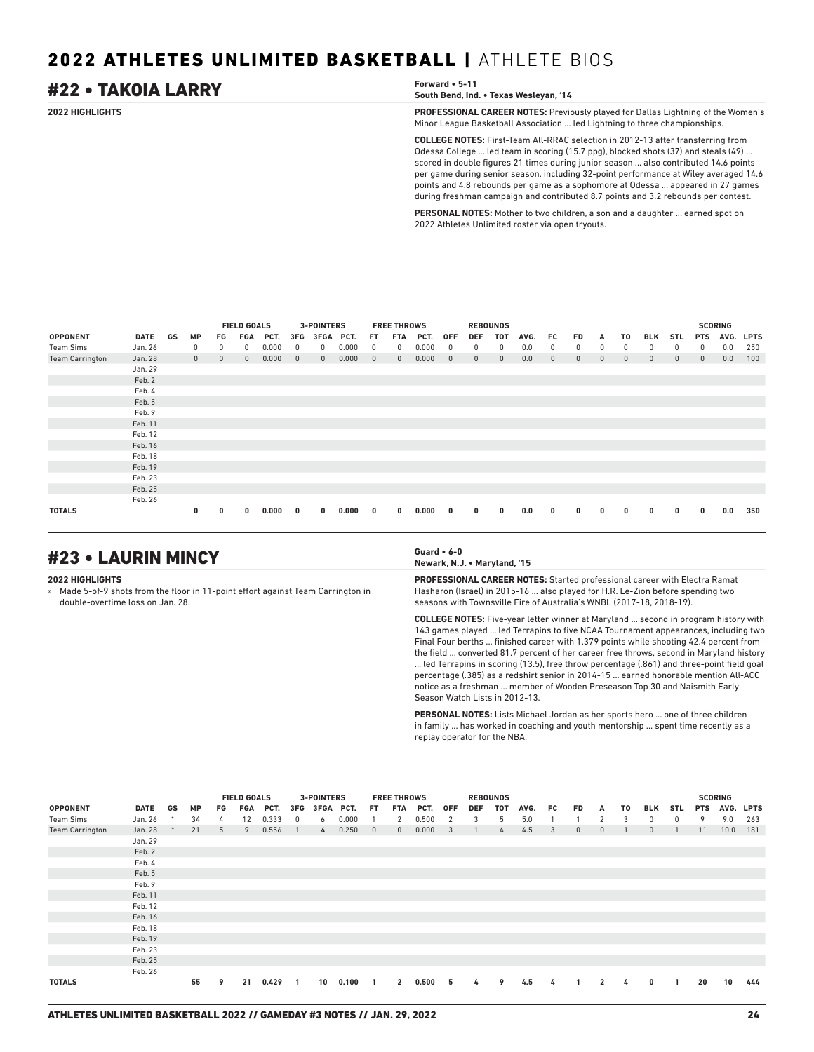## #22 • TAKOIA LARRY **Forward • 5-11**

**South Bend, Ind. • Texas Wesleyan, '14**

**2022 HIGHLIGHTS PROFESSIONAL CAREER NOTES:** Previously played for Dallas Lightning of the Women's Minor League Basketball Association ... led Lightning to three championships.

> **COLLEGE NOTES:** First-Team All-RRAC selection in 2012-13 after transferring from Odessa College ... led team in scoring (15.7 ppg), blocked shots (37) and steals (49) ... scored in double figures 21 times during junior season ... also contributed 14.6 points per game during senior season, including 32-point performance at Wiley averaged 14.6 points and 4.8 rebounds per game as a sophomore at Odessa ... appeared in 27 games during freshman campaign and contributed 8.7 points and 3.2 rebounds per contest.

**PERSONAL NOTES:** Mother to two children, a son and a daughter ... earned spot on 2022 Athletes Unlimited roster via open tryouts.

|                        |             |    |              |              | <b>FIELD GOALS</b> |       |              | 3-POINTERS   |       |              | <b>FREE THROWS</b> |       |              |              | <b>REBOUNDS</b> |      |              |              |              |              |              |              |              | <b>SCORING</b> |             |
|------------------------|-------------|----|--------------|--------------|--------------------|-------|--------------|--------------|-------|--------------|--------------------|-------|--------------|--------------|-----------------|------|--------------|--------------|--------------|--------------|--------------|--------------|--------------|----------------|-------------|
| <b>OPPONENT</b>        | <b>DATE</b> | GS | <b>MP</b>    | FG           | <b>FGA</b>         | PCT.  | 3FG          | 3FGA         | PCT.  | FT           | <b>FTA</b>         | PCT.  | <b>OFF</b>   | <b>DEF</b>   | TOT             | AVG. | FC           | <b>FD</b>    | A            | T0           | <b>BLK</b>   | <b>STL</b>   | <b>PTS</b>   | AVG.           | <b>LPTS</b> |
| <b>Team Sims</b>       | Jan. 26     |    | 0            | 0            | 0                  | 0.000 | 0            | 0            | 0.000 | 0            | 0                  | 0.000 | 0            | 0            | 0               | 0.0  | 0            | 0            | 0            | 0            | 0            | 0            | 0            | 0.0            | 250         |
| <b>Team Carrington</b> | Jan. 28     |    | $\mathbf{0}$ | $\mathbf{0}$ | $\mathbf{0}$       | 0.000 | $\mathbf{0}$ | $\mathbf{0}$ | 0.000 | $\mathbf{0}$ | $\mathbf{0}$       | 0.000 | $\mathbf{0}$ | $\mathbf{0}$ | $\mathbf{0}$    | 0.0  | $\mathbf{0}$ | $\mathbf{0}$ | $\mathbf{0}$ | $\mathbf{0}$ | $\mathbf{0}$ | $\mathbf{0}$ | $\mathbf{0}$ | 0.0            | 100         |
|                        | Jan. 29     |    |              |              |                    |       |              |              |       |              |                    |       |              |              |                 |      |              |              |              |              |              |              |              |                |             |
|                        | Feb. 2      |    |              |              |                    |       |              |              |       |              |                    |       |              |              |                 |      |              |              |              |              |              |              |              |                |             |
|                        | Feb. 4      |    |              |              |                    |       |              |              |       |              |                    |       |              |              |                 |      |              |              |              |              |              |              |              |                |             |
|                        | Feb. 5      |    |              |              |                    |       |              |              |       |              |                    |       |              |              |                 |      |              |              |              |              |              |              |              |                |             |
|                        | Feb. 9      |    |              |              |                    |       |              |              |       |              |                    |       |              |              |                 |      |              |              |              |              |              |              |              |                |             |
|                        | Feb. 11     |    |              |              |                    |       |              |              |       |              |                    |       |              |              |                 |      |              |              |              |              |              |              |              |                |             |
|                        | Feb. 12     |    |              |              |                    |       |              |              |       |              |                    |       |              |              |                 |      |              |              |              |              |              |              |              |                |             |
|                        | Feb. 16     |    |              |              |                    |       |              |              |       |              |                    |       |              |              |                 |      |              |              |              |              |              |              |              |                |             |
|                        | Feb. 18     |    |              |              |                    |       |              |              |       |              |                    |       |              |              |                 |      |              |              |              |              |              |              |              |                |             |
|                        | Feb. 19     |    |              |              |                    |       |              |              |       |              |                    |       |              |              |                 |      |              |              |              |              |              |              |              |                |             |
|                        | Feb. 23     |    |              |              |                    |       |              |              |       |              |                    |       |              |              |                 |      |              |              |              |              |              |              |              |                |             |
|                        | Feb. 25     |    |              |              |                    |       |              |              |       |              |                    |       |              |              |                 |      |              |              |              |              |              |              |              |                |             |
|                        | Feb. 26     |    |              |              |                    |       |              |              |       |              |                    |       |              |              |                 |      |              |              |              |              |              |              |              |                |             |
| <b>TOTALS</b>          |             |    | 0            | 0            | 0                  | 0.000 | 0            | 0            | 0.000 | 0            | $\mathbf{0}$       | 0.000 | 0            | 0            | $\bf{0}$        | 0.0  | 0            | 0            | 0            | 0            | 0            | 0            | $\bf{0}$     | 0.0            | 350         |

## #23 • LAURIN MINCY **Guard • 6-0**

### **2022 HIGHLIGHTS**

» Made 5-of-9 shots from the floor in 11-point effort against Team Carrington in double-overtime loss on Jan. 28.

**Newark, N.J. • Maryland, '15**

**PROFESSIONAL CAREER NOTES:** Started professional career with Electra Ramat Hasharon (Israel) in 2015-16 ... also played for H.R. Le-Zion before spending two seasons with Townsville Fire of Australia's WNBL (2017-18, 2018-19).

**COLLEGE NOTES:** Five-year letter winner at Maryland ... second in program history with 143 games played ... led Terrapins to five NCAA Tournament appearances, including two Final Four berths ... finished career with 1.379 points while shooting 42.4 percent from the field ... converted 81.7 percent of her career free throws, second in Maryland history ... led Terrapins in scoring (13.5), free throw percentage (.861) and three-point field goal percentage (.385) as a redshirt senior in 2014-15 ... earned honorable mention All-ACC notice as a freshman ... member of Wooden Preseason Top 30 and Naismith Early Season Watch Lists in 2012-13.

**PERSONAL NOTES:** Lists Michael Jordan as her sports hero ... one of three children in family ... has worked in coaching and youth mentorship ... spent time recently as a replay operator for the NBA.

|                        |             |        |           |    | <b>FIELD GOALS</b> |       |                | 3-POINTERS |       |                | <b>FREE THROWS</b> |       |                |            | <b>REBOUNDS</b> |      |     |              |                |    |              |     |            | <b>SCORING</b> |           |
|------------------------|-------------|--------|-----------|----|--------------------|-------|----------------|------------|-------|----------------|--------------------|-------|----------------|------------|-----------------|------|-----|--------------|----------------|----|--------------|-----|------------|----------------|-----------|
| <b>OPPONENT</b>        | <b>DATE</b> | GS     | <b>MP</b> | FG | FGA                | PCT.  | 3FG            | 3FGA PCT.  |       | FT.            | FTA                | PCT.  | <b>OFF</b>     | <b>DEF</b> | TOT             | AVG. | FC. | FD.          | A              | T0 | BLK          | STL | <b>PTS</b> |                | AVG. LPTS |
| Team Sims              | Jan. 26     | $\ast$ | 34        | 4  | 12                 | 0.333 | $^{\circ}$     | 6          | 0.000 |                | 2                  | 0.500 | 2              | 3          | 5               | 5.0  |     |              | 2              | 3  | 0            | 0   | 9          | 9.0            | 263       |
| <b>Team Carrington</b> | Jan. 28     |        | 21        | 5  | 9                  | 0.556 | $\overline{1}$ | 4          | 0.250 | $\overline{0}$ | $\mathbf{0}$       | 0.000 | $\overline{3}$ |            | $\frac{1}{2}$   | 4.5  | 3   | $\mathbf{0}$ | $\mathbf{0}$   |    | $\mathbf{0}$ |     | 11         | 10.0           | 181       |
|                        | Jan. 29     |        |           |    |                    |       |                |            |       |                |                    |       |                |            |                 |      |     |              |                |    |              |     |            |                |           |
|                        | Feb. 2      |        |           |    |                    |       |                |            |       |                |                    |       |                |            |                 |      |     |              |                |    |              |     |            |                |           |
|                        | Feb. 4      |        |           |    |                    |       |                |            |       |                |                    |       |                |            |                 |      |     |              |                |    |              |     |            |                |           |
|                        | Feb. 5      |        |           |    |                    |       |                |            |       |                |                    |       |                |            |                 |      |     |              |                |    |              |     |            |                |           |
|                        | Feb. 9      |        |           |    |                    |       |                |            |       |                |                    |       |                |            |                 |      |     |              |                |    |              |     |            |                |           |
|                        | Feb. 11     |        |           |    |                    |       |                |            |       |                |                    |       |                |            |                 |      |     |              |                |    |              |     |            |                |           |
|                        | Feb. 12     |        |           |    |                    |       |                |            |       |                |                    |       |                |            |                 |      |     |              |                |    |              |     |            |                |           |
|                        | Feb. 16     |        |           |    |                    |       |                |            |       |                |                    |       |                |            |                 |      |     |              |                |    |              |     |            |                |           |
|                        | Feb. 18     |        |           |    |                    |       |                |            |       |                |                    |       |                |            |                 |      |     |              |                |    |              |     |            |                |           |
|                        | Feb. 19     |        |           |    |                    |       |                |            |       |                |                    |       |                |            |                 |      |     |              |                |    |              |     |            |                |           |
|                        | Feb. 23     |        |           |    |                    |       |                |            |       |                |                    |       |                |            |                 |      |     |              |                |    |              |     |            |                |           |
|                        | Feb. 25     |        |           |    |                    |       |                |            |       |                |                    |       |                |            |                 |      |     |              |                |    |              |     |            |                |           |
|                        | Feb. 26     |        |           |    |                    |       |                |            |       |                |                    |       |                |            |                 |      |     |              |                |    |              |     |            |                |           |
| <b>TOTALS</b>          |             |        | 55        | 9  | 21                 | 0.429 | -1             | 10         | 0.100 | $\mathbf{1}$   | $\overline{2}$     | 0.500 | 5              | 4          | 9               | 4.5  | 4   |              | $\overline{2}$ | 4  | $\mathbf{0}$ | -1  | 20         | 10             | 444       |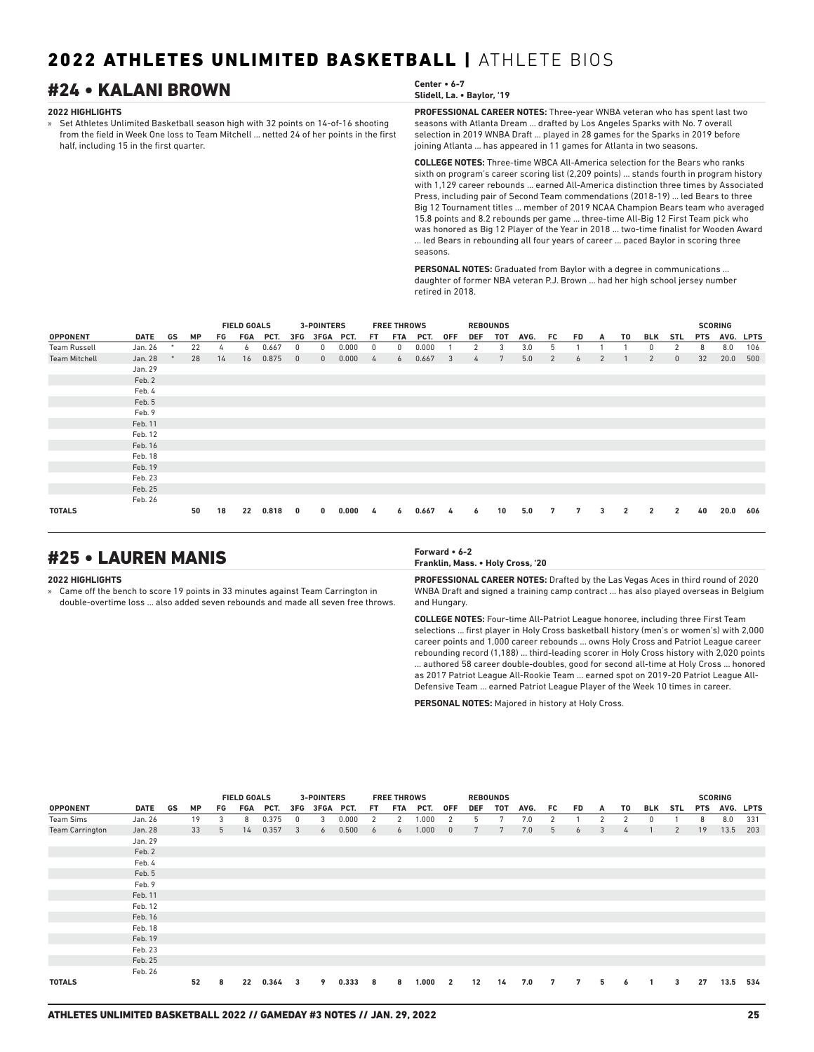## #24 • KALANI BROWN **Center • 6-7**

### **2022 HIGHLIGHTS**

» Set Athletes Unlimited Basketball season high with 32 points on 14-of-16 shooting from the field in Week One loss to Team Mitchell ... netted 24 of her points in the first half, including 15 in the first quarter.

## **Slidell, La. • Baylor, '19**

**PROFESSIONAL CAREER NOTES:** Three-year WNBA veteran who has spent last two

seasons with Atlanta Dream ... drafted by Los Angeles Sparks with No. 7 overall selection in 2019 WNBA Draft ... played in 28 games for the Sparks in 2019 before joining Atlanta ... has appeared in 11 games for Atlanta in two seasons.

**COLLEGE NOTES:** Three-time WBCA All-America selection for the Bears who ranks sixth on program's career scoring list (2,209 points) ... stands fourth in program history with 1,129 career rebounds ... earned All-America distinction three times by Associated Press, including pair of Second Team commendations (2018-19) ... led Bears to three Big 12 Tournament titles ... member of 2019 NCAA Champion Bears team who averaged 15.8 points and 8.2 rebounds per game ... three-time All-Big 12 First Team pick who was honored as Big 12 Player of the Year in 2018 ... two-time finalist for Wooden Award ... led Bears in rebounding all four years of career ... paced Baylor in scoring three seasons.

**PERSONAL NOTES:** Graduated from Baylor with a degree in communications ... daughter of former NBA veteran P.J. Brown ... had her high school jersey number retired in 2018.

|                      |             |    |           |    | <b>FIELD GOALS</b> |       |              | <b>3-POINTERS</b> |       |     | <b>FREE THROWS</b> |       |            |               | <b>REBOUNDS</b> |      |                |           |                |                |                |                |            | <b>SCORING</b> |           |
|----------------------|-------------|----|-----------|----|--------------------|-------|--------------|-------------------|-------|-----|--------------------|-------|------------|---------------|-----------------|------|----------------|-----------|----------------|----------------|----------------|----------------|------------|----------------|-----------|
| <b>OPPONENT</b>      | <b>DATE</b> | GS | <b>MP</b> | FG | FGA                | PCT.  | 3FG          | 3FGA PCT.         |       | FT. | FTA                | PCT.  | <b>OFF</b> | <b>DEF</b>    | <b>TOT</b>      | AVG. | FC.            | <b>FD</b> | A              | T0             | <b>BLK</b>     | <b>STL</b>     | <b>PTS</b> |                | AVG. LPTS |
| <b>Team Russell</b>  | Jan. 26     | ۰  | 22        | 4  | 6                  | 0.667 | 0            | 0                 | 0.000 | 0   | $^{\circ}$         | 0.000 |            | 2             | 3               | 3.0  | 5              |           |                |                | 0              | 2              | 8          | 8.0            | 106       |
| <b>Team Mitchell</b> | Jan. 28     |    | 28        | 14 | 16                 | 0.875 | $\mathbf{0}$ | $\mathbf{0}$      | 0.000 | 4   | 6                  | 0.667 | 3          | $\frac{1}{4}$ | 7               | 5.0  | $\overline{2}$ | 6         | $\overline{2}$ |                | $\overline{2}$ | $\mathbf{0}$   | 32         | 20.0           | 500       |
|                      | Jan. 29     |    |           |    |                    |       |              |                   |       |     |                    |       |            |               |                 |      |                |           |                |                |                |                |            |                |           |
|                      | Feb. 2      |    |           |    |                    |       |              |                   |       |     |                    |       |            |               |                 |      |                |           |                |                |                |                |            |                |           |
|                      | Feb. 4      |    |           |    |                    |       |              |                   |       |     |                    |       |            |               |                 |      |                |           |                |                |                |                |            |                |           |
|                      | Feb. 5      |    |           |    |                    |       |              |                   |       |     |                    |       |            |               |                 |      |                |           |                |                |                |                |            |                |           |
|                      | Feb. 9      |    |           |    |                    |       |              |                   |       |     |                    |       |            |               |                 |      |                |           |                |                |                |                |            |                |           |
|                      | Feb. 11     |    |           |    |                    |       |              |                   |       |     |                    |       |            |               |                 |      |                |           |                |                |                |                |            |                |           |
|                      | Feb. 12     |    |           |    |                    |       |              |                   |       |     |                    |       |            |               |                 |      |                |           |                |                |                |                |            |                |           |
|                      | Feb. 16     |    |           |    |                    |       |              |                   |       |     |                    |       |            |               |                 |      |                |           |                |                |                |                |            |                |           |
|                      | Feb. 18     |    |           |    |                    |       |              |                   |       |     |                    |       |            |               |                 |      |                |           |                |                |                |                |            |                |           |
|                      | Feb. 19     |    |           |    |                    |       |              |                   |       |     |                    |       |            |               |                 |      |                |           |                |                |                |                |            |                |           |
|                      | Feb. 23     |    |           |    |                    |       |              |                   |       |     |                    |       |            |               |                 |      |                |           |                |                |                |                |            |                |           |
|                      | Feb. 25     |    |           |    |                    |       |              |                   |       |     |                    |       |            |               |                 |      |                |           |                |                |                |                |            |                |           |
|                      | Feb. 26     |    |           |    |                    |       |              |                   |       |     |                    |       |            |               |                 |      |                |           |                |                |                |                |            |                |           |
| <b>TOTALS</b>        |             |    | 50        | 18 | 22                 | 0.818 | $\mathbf{0}$ | $\mathbf{0}$      | 0.000 | 4   | 6                  | 0.667 | 4          | 6             | 10              | 5.0  | 7              | 7         | 3              | $\overline{2}$ | $\overline{2}$ | $\overline{2}$ | 40         | 20.0           | 606       |

## #25 • LAUREN MANIS **Forward • 6-2**

### **2022 HIGHLIGHTS**

» Came off the bench to score 19 points in 33 minutes against Team Carrington in double-overtime loss ... also added seven rebounds and made all seven free throws.

## **Franklin, Mass. • Holy Cross, '20**

**PROFESSIONAL CAREER NOTES:** Drafted by the Las Vegas Aces in third round of 2020 WNBA Draft and signed a training camp contract ... has also played overseas in Belgium and Hungary.

**COLLEGE NOTES:** Four-time All-Patriot League honoree, including three First Team selections ... first player in Holy Cross basketball history (men's or women's) with 2,000 career points and 1,000 career rebounds ... owns Holy Cross and Patriot League career rebounding record (1,188) ... third-leading scorer in Holy Cross history with 2,020 points ... authored 58 career double-doubles, good for second all-time at Holy Cross ... honored as 2017 Patriot League All-Rookie Team ... earned spot on 2019-20 Patriot League All-Defensive Team ... earned Patriot League Player of the Week 10 times in career.

**PERSONAL NOTES:** Majored in history at Holy Cross.

|                        |             |    |           |    | <b>FIELD GOALS</b> |       |                | <b>3-POINTERS</b> |       |     | <b>FREE THROWS</b> |       |                |            | <b>REBOUNDS</b> |      |    |           |                |               |                |            |            | <b>SCORING</b> |             |
|------------------------|-------------|----|-----------|----|--------------------|-------|----------------|-------------------|-------|-----|--------------------|-------|----------------|------------|-----------------|------|----|-----------|----------------|---------------|----------------|------------|------------|----------------|-------------|
| <b>OPPONENT</b>        | <b>DATE</b> | GS | <b>MP</b> | FG | <b>FGA</b>         | PCT.  | 3FG            | 3FGA PCT.         |       | FT. | FTA                | PCT.  | <b>OFF</b>     | <b>DEF</b> | <b>TOT</b>      | AVG. | FC | <b>FD</b> | A              | T0            | BLK            | <b>STL</b> | <b>PTS</b> | AVG.           | <b>LPTS</b> |
| Team Sims              | Jan. 26     |    | 19        | 3  | 8                  | 0.375 | 0              | 3                 | 0.000 | 2   | 2                  | 1.000 | 2              | 5          | 7               | 7.0  | 2  |           | $\overline{2}$ | $\mathcal{P}$ |                |            | 8          | 8.0            | 331         |
| <b>Team Carrington</b> | Jan. 28     |    | 33        | 5  | 14                 | 0.357 | $\overline{3}$ | 6                 | 0.500 | 6   | 6                  | 1.000 | $\overline{0}$ | 7          | 7               | 7.0  | 5  | 6         | 3              | 4             |                | 2          | 19         | 13.5           | 203         |
|                        | Jan. 29     |    |           |    |                    |       |                |                   |       |     |                    |       |                |            |                 |      |    |           |                |               |                |            |            |                |             |
|                        | Feb. 2      |    |           |    |                    |       |                |                   |       |     |                    |       |                |            |                 |      |    |           |                |               |                |            |            |                |             |
|                        | Feb. 4      |    |           |    |                    |       |                |                   |       |     |                    |       |                |            |                 |      |    |           |                |               |                |            |            |                |             |
|                        | Feb. 5      |    |           |    |                    |       |                |                   |       |     |                    |       |                |            |                 |      |    |           |                |               |                |            |            |                |             |
|                        | Feb. 9      |    |           |    |                    |       |                |                   |       |     |                    |       |                |            |                 |      |    |           |                |               |                |            |            |                |             |
|                        | Feb. 11     |    |           |    |                    |       |                |                   |       |     |                    |       |                |            |                 |      |    |           |                |               |                |            |            |                |             |
|                        | Feb. 12     |    |           |    |                    |       |                |                   |       |     |                    |       |                |            |                 |      |    |           |                |               |                |            |            |                |             |
|                        | Feb. 16     |    |           |    |                    |       |                |                   |       |     |                    |       |                |            |                 |      |    |           |                |               |                |            |            |                |             |
|                        | Feb. 18     |    |           |    |                    |       |                |                   |       |     |                    |       |                |            |                 |      |    |           |                |               |                |            |            |                |             |
|                        | Feb. 19     |    |           |    |                    |       |                |                   |       |     |                    |       |                |            |                 |      |    |           |                |               |                |            |            |                |             |
|                        | Feb. 23     |    |           |    |                    |       |                |                   |       |     |                    |       |                |            |                 |      |    |           |                |               |                |            |            |                |             |
|                        | Feb. 25     |    |           |    |                    |       |                |                   |       |     |                    |       |                |            |                 |      |    |           |                |               |                |            |            |                |             |
|                        | Feb. 26     |    |           |    |                    |       |                |                   |       |     |                    |       |                |            |                 |      |    |           |                |               |                |            |            |                |             |
| <b>TOTALS</b>          |             |    | 52        | 8  | 22                 | 0.364 | 3              | 9                 | 0.333 | 8   | 8                  | 1.000 | $\overline{2}$ | 12         | 14              | 7.0  | 7  | 7         | 5              | 6             | $\overline{1}$ | 3          | 27         | 13.5           | 534         |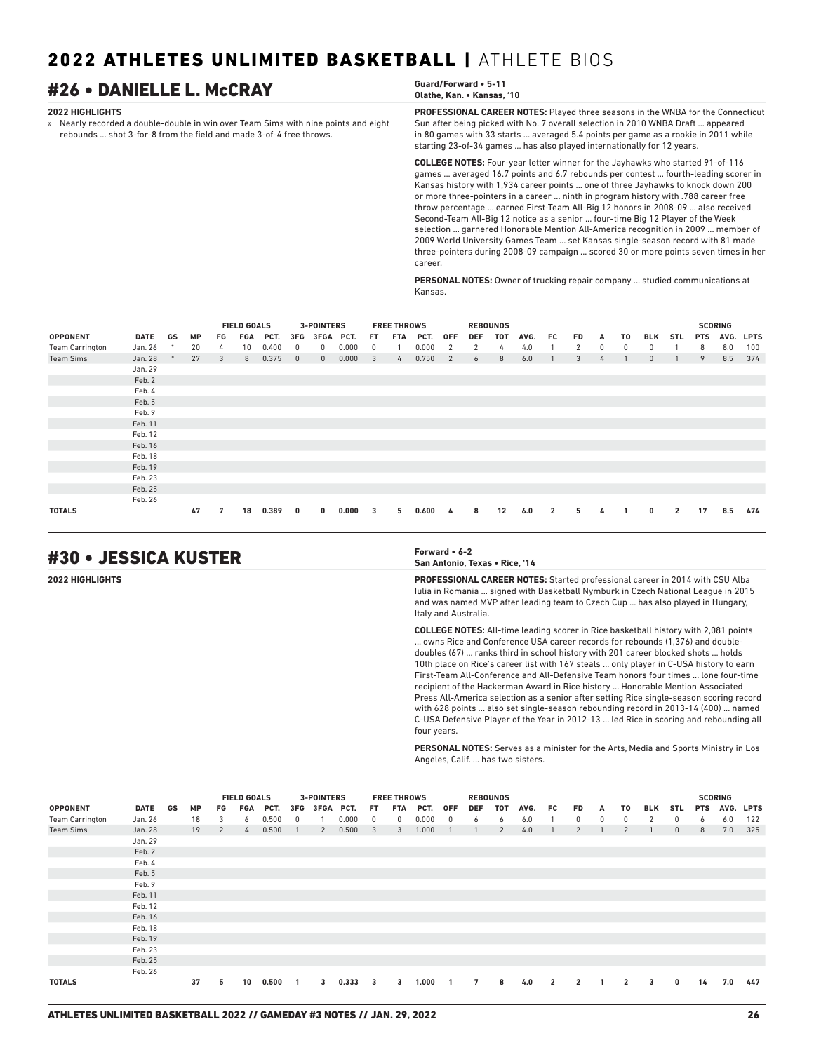## #26 • DANIELLE L. McCRAY **Guard/Forward • 5-11**

### **2022 HIGHLIGHTS**

» Nearly recorded a double-double in win over Team Sims with nine points and eight rebounds ... shot 3-for-8 from the field and made 3-of-4 free throws.

## **Olathe, Kan. • Kansas, '10**

**PROFESSIONAL CAREER NOTES:** Played three seasons in the WNBA for the Connecticut Sun after being picked with No. 7 overall selection in 2010 WNBA Draft ... appeared in 80 games with 33 starts ... averaged 5.4 points per game as a rookie in 2011 while starting 23-of-34 games ... has also played internationally for 12 years.

**COLLEGE NOTES:** Four-year letter winner for the Jayhawks who started 91-of-116 games ... averaged 16.7 points and 6.7 rebounds per contest ... fourth-leading scorer in Kansas history with 1,934 career points ... one of three Jayhawks to knock down 200 or more three-pointers in a career ... ninth in program history with .788 career free throw percentage ... earned First-Team All-Big 12 honors in 2008-09 ... also received Second-Team All-Big 12 notice as a senior ... four-time Big 12 Player of the Week selection ... garnered Honorable Mention All-America recognition in 2009 ... member of 2009 World University Games Team ... set Kansas single-season record with 81 made three-pointers during 2008-09 campaign ... scored 30 or more points seven times in her career.

**PERSONAL NOTES:** Owner of trucking repair company ... studied communications at Kansas.

|                        |             |    |           |     | <b>FIELD GOALS</b> |       |              | 3-POINTERS   |       |     | <b>FREE THROWS</b> |       |     |            | <b>REBOUNDS</b> |      |                |           |          |              |              |                |            | <b>SCORING</b> |           |
|------------------------|-------------|----|-----------|-----|--------------------|-------|--------------|--------------|-------|-----|--------------------|-------|-----|------------|-----------------|------|----------------|-----------|----------|--------------|--------------|----------------|------------|----------------|-----------|
| <b>OPPONENT</b>        | <b>DATE</b> | GS | <b>MP</b> | FG. | FGA                | PCT.  | 3FG          | 3FGA PCT.    |       | FT. | FTA                | PCT.  | 0FF | <b>DEF</b> | TOT             | AVG. | FC.            | <b>FD</b> | A        | T0           | <b>BLK</b>   | STL            | <b>PTS</b> |                | AVG. LPTS |
| <b>Team Carrington</b> | Jan. 26     | ٠  | 20        | 4   | 10 <sup>1</sup>    | 0.400 | 0            | $\Omega$     | 0.000 | 0   |                    | 0.000 |     | 2          | 4               | 4.0  |                | 2         | $\Omega$ | $\mathbf{0}$ |              |                | 8          | 8.0            | 100       |
| <b>Team Sims</b>       | Jan. 28     |    | 27        | 3   | 8                  | 0.375 | $\mathbf{0}$ | $\mathbf{0}$ | 0.000 | 3   | 4                  | 0.750 | 2   | 6          | 8               | 6.0  |                | 3         | 4        |              | $\mathbf{0}$ |                | 9          | 8.5            | 374       |
|                        | Jan. 29     |    |           |     |                    |       |              |              |       |     |                    |       |     |            |                 |      |                |           |          |              |              |                |            |                |           |
|                        | Feb. 2      |    |           |     |                    |       |              |              |       |     |                    |       |     |            |                 |      |                |           |          |              |              |                |            |                |           |
|                        | Feb. 4      |    |           |     |                    |       |              |              |       |     |                    |       |     |            |                 |      |                |           |          |              |              |                |            |                |           |
|                        | Feb. 5      |    |           |     |                    |       |              |              |       |     |                    |       |     |            |                 |      |                |           |          |              |              |                |            |                |           |
|                        | Feb. 9      |    |           |     |                    |       |              |              |       |     |                    |       |     |            |                 |      |                |           |          |              |              |                |            |                |           |
|                        | Feb. 11     |    |           |     |                    |       |              |              |       |     |                    |       |     |            |                 |      |                |           |          |              |              |                |            |                |           |
|                        | Feb. 12     |    |           |     |                    |       |              |              |       |     |                    |       |     |            |                 |      |                |           |          |              |              |                |            |                |           |
|                        | Feb. 16     |    |           |     |                    |       |              |              |       |     |                    |       |     |            |                 |      |                |           |          |              |              |                |            |                |           |
|                        | Feb. 18     |    |           |     |                    |       |              |              |       |     |                    |       |     |            |                 |      |                |           |          |              |              |                |            |                |           |
|                        | Feb. 19     |    |           |     |                    |       |              |              |       |     |                    |       |     |            |                 |      |                |           |          |              |              |                |            |                |           |
|                        | Feb. 23     |    |           |     |                    |       |              |              |       |     |                    |       |     |            |                 |      |                |           |          |              |              |                |            |                |           |
|                        | Feb. 25     |    |           |     |                    |       |              |              |       |     |                    |       |     |            |                 |      |                |           |          |              |              |                |            |                |           |
|                        | Feb. 26     |    |           |     |                    |       |              |              |       |     |                    |       |     |            |                 |      |                |           |          |              |              |                |            |                |           |
| <b>TOTALS</b>          |             |    | 47        | 7   | 18                 | 0.389 | 0            | 0            | 0.000 | 3   | 5                  | 0.600 | 4   | 8          | 12              | 6.0  | $\overline{2}$ | 5.        | 4        |              | $\mathbf{0}$ | $\overline{2}$ | 17         | 8.5            | 474       |

## #30 • JESSICA KUSTER **Forward • 6-2**

**San Antonio, Texas • Rice, '14**

**2022 HIGHLIGHTS PROFESSIONAL CAREER NOTES:** Started professional career in 2014 with CSU Alba Iulia in Romania ... signed with Basketball Nymburk in Czech National League in 2015 and was named MVP after leading team to Czech Cup ... has also played in Hungary, Italy and Australia.

> **COLLEGE NOTES:** All-time leading scorer in Rice basketball history with 2,081 points ... owns Rice and Conference USA career records for rebounds (1,376) and doubledoubles (67) ... ranks third in school history with 201 career blocked shots ... holds 10th place on Rice's career list with 167 steals ... only player in C-USA history to earn First-Team All-Conference and All-Defensive Team honors four times ... lone four-time recipient of the Hackerman Award in Rice history ... Honorable Mention Associated Press All-America selection as a senior after setting Rice single-season scoring record with 628 points ... also set single-season rebounding record in 2013-14 (400) ... named C-USA Defensive Player of the Year in 2012-13 ... led Rice in scoring and rebounding all four years.

> **PERSONAL NOTES:** Serves as a minister for the Arts, Media and Sports Ministry in Los Angeles, Calif. ... has two sisters.

|                        |             |    |           |    | <b>FIELD GOALS</b> |       |                | 3-POINTERS   |       |                         | <b>FREE THROWS</b> |       |                          |            | <b>REBOUNDS</b> |      |                |                |    |                |     |              |            | <b>SCORING</b> |           |
|------------------------|-------------|----|-----------|----|--------------------|-------|----------------|--------------|-------|-------------------------|--------------------|-------|--------------------------|------------|-----------------|------|----------------|----------------|----|----------------|-----|--------------|------------|----------------|-----------|
| <b>OPPONENT</b>        | <b>DATE</b> | GS | <b>MP</b> | FG | FGA                | PCT.  | 3FG            | 3FGA PCT.    |       | FT.                     | FTA                | PCT.  | <b>OFF</b>               | <b>DEF</b> | тот             | AVG. | FC.            | FD.            | A  | T0             | BLK | STL          | <b>PTS</b> |                | AVG. LPTS |
| <b>Team Carrington</b> | Jan. 26     |    | 18        | 3  | 6                  | 0.500 | $^{\circ}$     |              | 0.000 | $\mathbf{0}$            | 0                  | 0.000 | $\overline{0}$           | 6          | 6               | 6.0  |                | 0              | 0  | 0              | 2   | 0            | 6          | 6.0            | 122       |
| <b>Team Sims</b>       | Jan. 28     |    | 19        | 2  | 4                  | 0.500 |                | 2            | 0.500 | $\overline{\mathbf{3}}$ | 3                  | 1.000 |                          |            | 2               | 4.0  |                | 2              |    | 2              |     | $\mathbf{0}$ | 8          | 7.0            | 325       |
|                        | Jan. 29     |    |           |    |                    |       |                |              |       |                         |                    |       |                          |            |                 |      |                |                |    |                |     |              |            |                |           |
|                        | Feb. 2      |    |           |    |                    |       |                |              |       |                         |                    |       |                          |            |                 |      |                |                |    |                |     |              |            |                |           |
|                        | Feb. 4      |    |           |    |                    |       |                |              |       |                         |                    |       |                          |            |                 |      |                |                |    |                |     |              |            |                |           |
|                        | Feb. 5      |    |           |    |                    |       |                |              |       |                         |                    |       |                          |            |                 |      |                |                |    |                |     |              |            |                |           |
|                        | Feb. 9      |    |           |    |                    |       |                |              |       |                         |                    |       |                          |            |                 |      |                |                |    |                |     |              |            |                |           |
|                        | Feb. 11     |    |           |    |                    |       |                |              |       |                         |                    |       |                          |            |                 |      |                |                |    |                |     |              |            |                |           |
|                        | Feb. 12     |    |           |    |                    |       |                |              |       |                         |                    |       |                          |            |                 |      |                |                |    |                |     |              |            |                |           |
|                        | Feb. 16     |    |           |    |                    |       |                |              |       |                         |                    |       |                          |            |                 |      |                |                |    |                |     |              |            |                |           |
|                        | Feb. 18     |    |           |    |                    |       |                |              |       |                         |                    |       |                          |            |                 |      |                |                |    |                |     |              |            |                |           |
|                        | Feb. 19     |    |           |    |                    |       |                |              |       |                         |                    |       |                          |            |                 |      |                |                |    |                |     |              |            |                |           |
|                        | Feb. 23     |    |           |    |                    |       |                |              |       |                         |                    |       |                          |            |                 |      |                |                |    |                |     |              |            |                |           |
|                        | Feb. 25     |    |           |    |                    |       |                |              |       |                         |                    |       |                          |            |                 |      |                |                |    |                |     |              |            |                |           |
|                        | Feb. 26     |    |           |    |                    |       |                |              |       |                         |                    |       |                          |            |                 |      |                |                |    |                |     |              |            |                |           |
| <b>TOTALS</b>          |             |    | 37        | 5  | 10                 | 0.500 | $\overline{1}$ | $\mathbf{3}$ | 0.333 | $\overline{\mathbf{3}}$ | 3                  | 1.000 | $\overline{\phantom{a}}$ | 7          | 8               | 4.0  | $\overline{2}$ | $\overline{2}$ | -1 | $\overline{2}$ | 3   | 0            | 14         | 7.0            | 447       |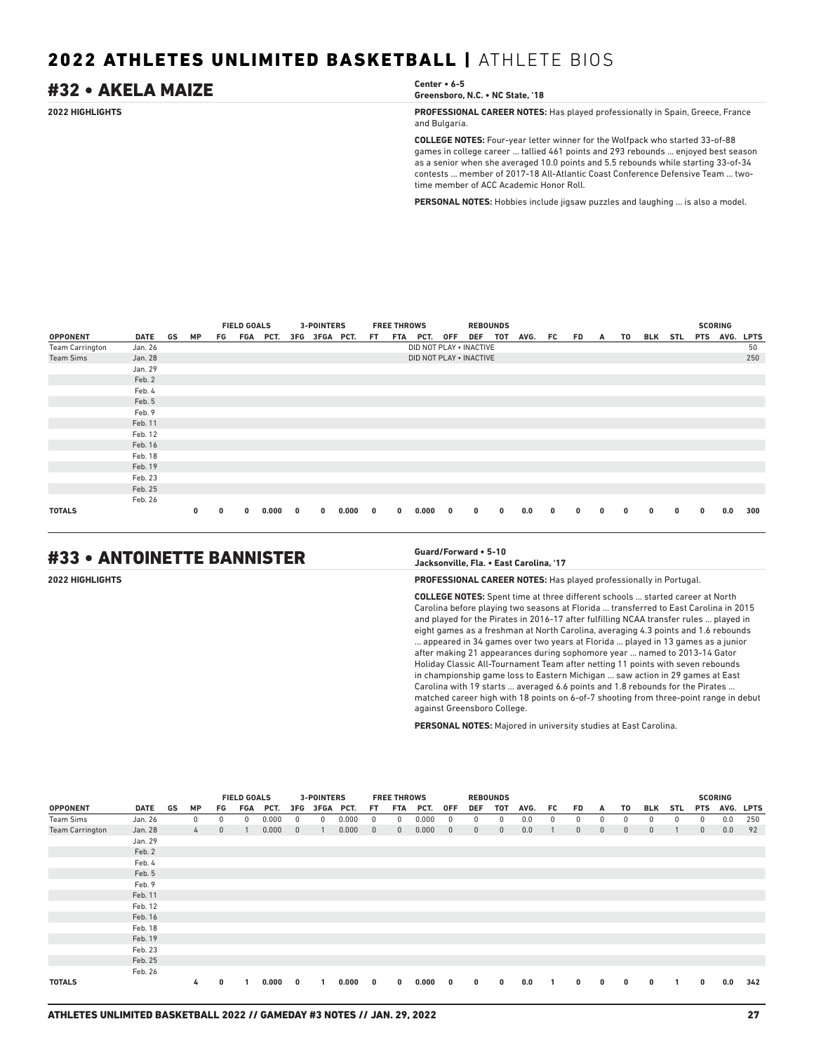## #32 • AKELA MAIZE **Center • 6-5**

**Greensboro, N.C. • NC State, '18**

**2022 HIGHLIGHTS PROFESSIONAL CAREER NOTES:** Has played professionally in Spain, Greece, France and Bulgaria.

> **COLLEGE NOTES:** Four-year letter winner for the Wolfpack who started 33-of-88 games in college career ... tallied 461 points and 293 rebounds ... enjoyed best season as a senior when she averaged 10.0 points and 5.5 rebounds while starting 33-of-34 contests ... member of 2017-18 All-Atlantic Coast Conference Defensive Team ... twotime member of ACC Academic Honor Roll.

**PERSONAL NOTES:** Hobbies include jigsaw puzzles and laughing ... is also a model.

|                        |             |    |              |    | <b>FIELD GOALS</b> |       |              | 3-POINTERS    |       |              | <b>FREE THROWS</b> |                         |              | <b>REBOUNDS</b> |   |      |    |              |   |          |             |              |             | <b>SCORING</b> |     |
|------------------------|-------------|----|--------------|----|--------------------|-------|--------------|---------------|-------|--------------|--------------------|-------------------------|--------------|-----------------|---|------|----|--------------|---|----------|-------------|--------------|-------------|----------------|-----|
| <b>OPPONENT</b>        | <b>DATE</b> | GS | <b>MP</b>    | FG | FGA                | PCT.  |              | 3FG 3FGA PCT. |       | FT.          | FTA                | PCT.                    | 0FF          | DEF TOT         |   | AVG. | FC | FD           | A | TO       | BLK         | STL          | <b>PTS</b>  | AVG. LPTS      |     |
| <b>Team Carrington</b> | Jan. 26     |    |              |    |                    |       |              |               |       |              |                    | DID NOT PLAY . INACTIVE |              |                 |   |      |    |              |   |          |             |              |             |                | 50  |
| <b>Team Sims</b>       | Jan. 28     |    |              |    |                    |       |              |               |       |              |                    | DID NOT PLAY . INACTIVE |              |                 |   |      |    |              |   |          |             |              |             |                | 250 |
|                        | Jan. 29     |    |              |    |                    |       |              |               |       |              |                    |                         |              |                 |   |      |    |              |   |          |             |              |             |                |     |
|                        | Feb. 2      |    |              |    |                    |       |              |               |       |              |                    |                         |              |                 |   |      |    |              |   |          |             |              |             |                |     |
|                        | Feb. 4      |    |              |    |                    |       |              |               |       |              |                    |                         |              |                 |   |      |    |              |   |          |             |              |             |                |     |
|                        | Feb. 5      |    |              |    |                    |       |              |               |       |              |                    |                         |              |                 |   |      |    |              |   |          |             |              |             |                |     |
|                        | Feb. 9      |    |              |    |                    |       |              |               |       |              |                    |                         |              |                 |   |      |    |              |   |          |             |              |             |                |     |
|                        | Feb. 11     |    |              |    |                    |       |              |               |       |              |                    |                         |              |                 |   |      |    |              |   |          |             |              |             |                |     |
|                        | Feb. 12     |    |              |    |                    |       |              |               |       |              |                    |                         |              |                 |   |      |    |              |   |          |             |              |             |                |     |
|                        | Feb. 16     |    |              |    |                    |       |              |               |       |              |                    |                         |              |                 |   |      |    |              |   |          |             |              |             |                |     |
|                        | Feb. 18     |    |              |    |                    |       |              |               |       |              |                    |                         |              |                 |   |      |    |              |   |          |             |              |             |                |     |
|                        | Feb. 19     |    |              |    |                    |       |              |               |       |              |                    |                         |              |                 |   |      |    |              |   |          |             |              |             |                |     |
|                        | Feb. 23     |    |              |    |                    |       |              |               |       |              |                    |                         |              |                 |   |      |    |              |   |          |             |              |             |                |     |
|                        | Feb. 25     |    |              |    |                    |       |              |               |       |              |                    |                         |              |                 |   |      |    |              |   |          |             |              |             |                |     |
|                        | Feb. 26     |    |              |    |                    |       |              |               |       |              |                    |                         |              |                 |   |      |    |              |   |          |             |              |             |                |     |
| <b>TOTALS</b>          |             |    | $\mathbf{0}$ | 0  | 0                  | 0.000 | $\mathbf{0}$ | $\bf{0}$      | 0.000 | $\mathbf{0}$ | $\bf{0}$           | 0.000                   | $\mathbf{0}$ | $\bf{0}$        | 0 | 0.0  | 0  | $\mathbf{0}$ | 0 | $\bf{0}$ | $\mathbf 0$ | $\mathbf{0}$ | $\mathbf 0$ | 0.0            | 300 |

## #33 • ANTOINETTE BANNISTER **Guard/Forward • 5-10**

## **Jacksonville, Fla. • East Carolina, '17**

**2022 HIGHLIGHTS PROFESSIONAL CAREER NOTES:** Has played professionally in Portugal.

**COLLEGE NOTES:** Spent time at three different schools ... started career at North Carolina before playing two seasons at Florida ... transferred to East Carolina in 2015 and played for the Pirates in 2016-17 after fulfilling NCAA transfer rules ... played in eight games as a freshman at North Carolina, averaging 4.3 points and 1.6 rebounds ... appeared in 34 games over two years at Florida ... played in 13 games as a junior after making 21 appearances during sophomore year ... named to 2013-14 Gator Holiday Classic All-Tournament Team after netting 11 points with seven rebounds in championship game loss to Eastern Michigan ... saw action in 29 games at East Carolina with 19 starts ... averaged 6.6 points and 1.8 rebounds for the Pirates . matched career high with 18 points on 6-of-7 shooting from three-point range in debut against Greensboro College.

**PERSONAL NOTES:** Majored in university studies at East Carolina.

|                        |         |    |               |              | <b>FIELD GOALS</b> |       |              | <b>3-POINTERS</b> |       |              | <b>FREE THROWS</b> |       |              | <b>REBOUNDS</b> |              |      |     |              |              |              |              |     |              | <b>SCORING</b> |           |
|------------------------|---------|----|---------------|--------------|--------------------|-------|--------------|-------------------|-------|--------------|--------------------|-------|--------------|-----------------|--------------|------|-----|--------------|--------------|--------------|--------------|-----|--------------|----------------|-----------|
| <b>OPPONENT</b>        | DATE    | GS | <b>MP</b>     | FG           | FGA                | PCT.  | 3FG          | 3FGA PCT.         |       | FT.          | FTA                | PCT.  | 0FF          | DEF             | TOT          | AVG. | FC  | FD.          | A            | T0           | BLK          | STL | <b>PTS</b>   |                | AVG. LPTS |
| <b>Team Sims</b>       | Jan. 26 |    | $\mathbf{0}$  | 0            | 0                  | 0.000 | 0            | 0                 | 0.000 | $^{\circ}$   | 0                  | 0.000 | 0            | 0               | $^{\circ}$   | 0.0  | 0   | $\mathbf{0}$ | 0            | 0            | $\Omega$     | 0   | $^{\circ}$   | 0.0            | 250       |
| <b>Team Carrington</b> | Jan. 28 |    | $\frac{1}{2}$ | $\mathbf{0}$ |                    | 0.000 | $\mathbf{0}$ |                   | 0.000 | $\mathbf{0}$ | $\mathbf{0}$       | 0.000 | $\mathbf{0}$ | $\mathbf{0}$    | $\mathbf{0}$ | 0.0  |     | $\mathbf{0}$ | $\mathbf{0}$ | $\mathbf{0}$ | $\mathbf{0}$ |     | $\mathbf{0}$ | 0.0            | 92        |
|                        | Jan. 29 |    |               |              |                    |       |              |                   |       |              |                    |       |              |                 |              |      |     |              |              |              |              |     |              |                |           |
|                        | Feb. 2  |    |               |              |                    |       |              |                   |       |              |                    |       |              |                 |              |      |     |              |              |              |              |     |              |                |           |
|                        | Feb. 4  |    |               |              |                    |       |              |                   |       |              |                    |       |              |                 |              |      |     |              |              |              |              |     |              |                |           |
|                        | Feb. 5  |    |               |              |                    |       |              |                   |       |              |                    |       |              |                 |              |      |     |              |              |              |              |     |              |                |           |
|                        | Feb. 9  |    |               |              |                    |       |              |                   |       |              |                    |       |              |                 |              |      |     |              |              |              |              |     |              |                |           |
|                        | Feb. 11 |    |               |              |                    |       |              |                   |       |              |                    |       |              |                 |              |      |     |              |              |              |              |     |              |                |           |
|                        | Feb. 12 |    |               |              |                    |       |              |                   |       |              |                    |       |              |                 |              |      |     |              |              |              |              |     |              |                |           |
|                        | Feb. 16 |    |               |              |                    |       |              |                   |       |              |                    |       |              |                 |              |      |     |              |              |              |              |     |              |                |           |
|                        | Feb. 18 |    |               |              |                    |       |              |                   |       |              |                    |       |              |                 |              |      |     |              |              |              |              |     |              |                |           |
|                        | Feb. 19 |    |               |              |                    |       |              |                   |       |              |                    |       |              |                 |              |      |     |              |              |              |              |     |              |                |           |
|                        | Feb. 23 |    |               |              |                    |       |              |                   |       |              |                    |       |              |                 |              |      |     |              |              |              |              |     |              |                |           |
|                        | Feb. 25 |    |               |              |                    |       |              |                   |       |              |                    |       |              |                 |              |      |     |              |              |              |              |     |              |                |           |
|                        | Feb. 26 |    |               |              |                    |       |              |                   |       |              |                    |       |              |                 |              |      |     |              |              |              |              |     |              |                |           |
| <b>TOTALS</b>          |         |    | 4             | 0            |                    | 0.000 | 0            |                   | 0.000 | 0            | $\mathbf{0}$       | 0.000 | 0            | $\bf{0}$        | $\mathbf 0$  | 0.0  | -1. | $\mathbf 0$  | $\mathbf{0}$ | $\mathbf 0$  | $\mathbf{0}$ | 1   | $\mathbf{0}$ | 0.0            | 342       |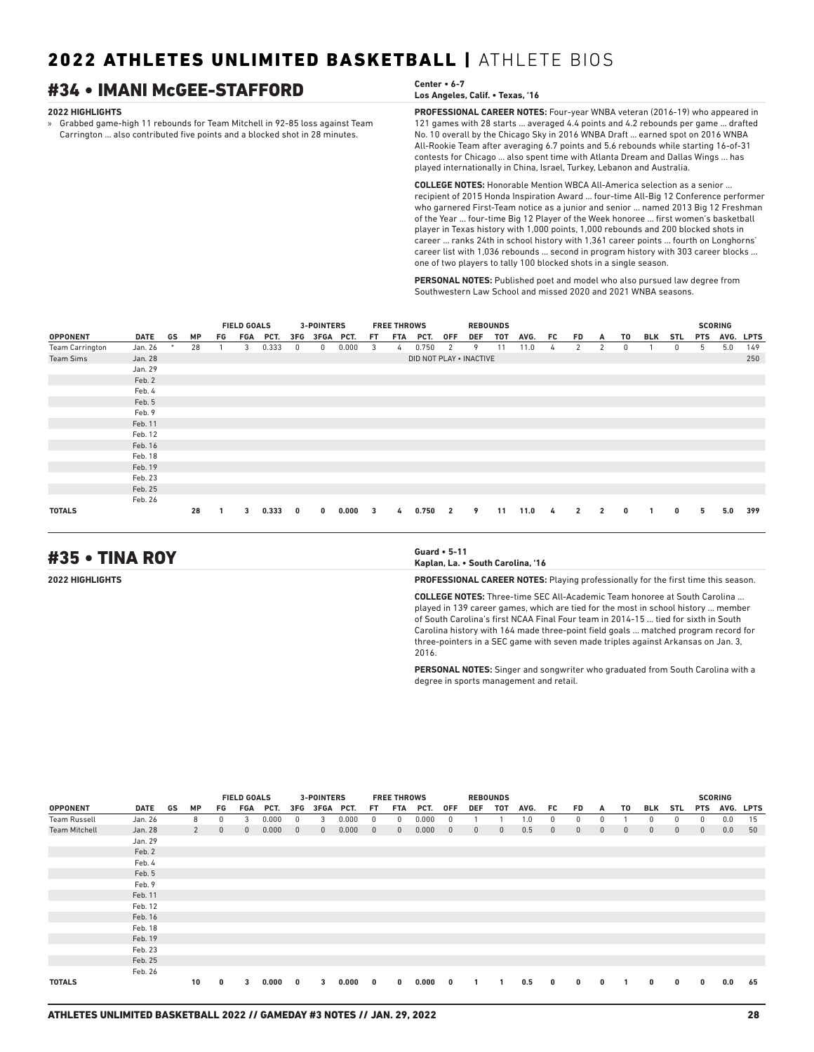## #34 • IMANI McGEE-STAFFORD **Center • 6-7**

### **2022 HIGHLIGHTS**

» Grabbed game-high 11 rebounds for Team Mitchell in 92-85 loss against Team Carrington ... also contributed five points and a blocked shot in 28 minutes.

**PROFESSIONAL CAREER NOTES:** Four-year WNBA veteran (2016-19) who appeared in **Los Angeles, Calif. • Texas, '16**

121 games with 28 starts ... averaged 4.4 points and 4.2 rebounds per game ... drafted No. 10 overall by the Chicago Sky in 2016 WNBA Draft ... earned spot on 2016 WNBA All-Rookie Team after averaging 6.7 points and 5.6 rebounds while starting 16-of-31 contests for Chicago ... also spent time with Atlanta Dream and Dallas Wings ... has played internationally in China, Israel, Turkey, Lebanon and Australia.

**COLLEGE NOTES:** Honorable Mention WBCA All-America selection as a senior ... recipient of 2015 Honda Inspiration Award ... four-time All-Big 12 Conference performer who garnered First-Team notice as a junior and senior ... named 2013 Big 12 Freshman of the Year ... four-time Big 12 Player of the Week honoree ... first women's basketball player in Texas history with 1,000 points, 1,000 rebounds and 200 blocked shots in career ... ranks 24th in school history with 1,361 career points ... fourth on Longhorns' career list with 1,036 rebounds ... second in program history with 303 career blocks ... one of two players to tally 100 blocked shots in a single season.

**PERSONAL NOTES:** Published poet and model who also pursued law degree from Southwestern Law School and missed 2020 and 2021 WNBA seasons.

|                        |             |    |    |    | <b>FIELD GOALS</b> |       |     | 3-POINTERS |       |     | <b>FREE THROWS</b> |                         |                |            | <b>REBOUNDS</b> |      |    |              |                |    |            |            |            | <b>SCORING</b> |             |
|------------------------|-------------|----|----|----|--------------------|-------|-----|------------|-------|-----|--------------------|-------------------------|----------------|------------|-----------------|------|----|--------------|----------------|----|------------|------------|------------|----------------|-------------|
| <b>OPPONENT</b>        | <b>DATE</b> | GS | MP | FG | FGA                | PCT.  | 3FG | 3FGA PCT.  |       | FT. | FTA                | PCT.                    | <b>OFF</b>     | <b>DEF</b> | TOT             | AVG. | FC | FD           | A              | T0 | <b>BLK</b> | <b>STL</b> | <b>PTS</b> | AVG.           | <b>LPTS</b> |
| <b>Team Carrington</b> | Jan. 26     |    | 28 |    | 3                  | 0.333 | 0   | 0          | 0.000 | 3   | 4                  | 0.750                   | 2              | 9          | 11              | 11.0 | 4  | 2            | 2              | 0  |            | 0          | 5          | 5.0            | 149         |
| <b>Team Sims</b>       | Jan. 28     |    |    |    |                    |       |     |            |       |     |                    | DID NOT PLAY . INACTIVE |                |            |                 |      |    |              |                |    |            |            |            |                | 250         |
|                        | Jan. 29     |    |    |    |                    |       |     |            |       |     |                    |                         |                |            |                 |      |    |              |                |    |            |            |            |                |             |
|                        | Feb. 2      |    |    |    |                    |       |     |            |       |     |                    |                         |                |            |                 |      |    |              |                |    |            |            |            |                |             |
|                        | Feb. 4      |    |    |    |                    |       |     |            |       |     |                    |                         |                |            |                 |      |    |              |                |    |            |            |            |                |             |
|                        | Feb. 5      |    |    |    |                    |       |     |            |       |     |                    |                         |                |            |                 |      |    |              |                |    |            |            |            |                |             |
|                        | Feb. 9      |    |    |    |                    |       |     |            |       |     |                    |                         |                |            |                 |      |    |              |                |    |            |            |            |                |             |
|                        | Feb. 11     |    |    |    |                    |       |     |            |       |     |                    |                         |                |            |                 |      |    |              |                |    |            |            |            |                |             |
|                        | Feb. 12     |    |    |    |                    |       |     |            |       |     |                    |                         |                |            |                 |      |    |              |                |    |            |            |            |                |             |
|                        | Feb. 16     |    |    |    |                    |       |     |            |       |     |                    |                         |                |            |                 |      |    |              |                |    |            |            |            |                |             |
|                        | Feb. 18     |    |    |    |                    |       |     |            |       |     |                    |                         |                |            |                 |      |    |              |                |    |            |            |            |                |             |
|                        | Feb. 19     |    |    |    |                    |       |     |            |       |     |                    |                         |                |            |                 |      |    |              |                |    |            |            |            |                |             |
|                        | Feb. 23     |    |    |    |                    |       |     |            |       |     |                    |                         |                |            |                 |      |    |              |                |    |            |            |            |                |             |
|                        | Feb. 25     |    |    |    |                    |       |     |            |       |     |                    |                         |                |            |                 |      |    |              |                |    |            |            |            |                |             |
|                        | Feb. 26     |    |    |    |                    |       |     |            |       |     |                    |                         |                |            |                 |      |    |              |                |    |            |            |            |                |             |
| <b>TOTALS</b>          |             |    | 28 |    | 3                  | 0.333 | 0   | $\bf{0}$   | 0.000 | 3   | 4                  | 0.750                   | $\overline{2}$ | 9          | 11              | 11.0 | 4  | $\mathbf{2}$ | $\overline{2}$ | 0  |            | 0          | 5          | 5.0            | 399         |

## #35 • TINA ROY **Guard • 5-11**

**Kaplan, La. • South Carolina, '16**

**2022 HIGHLIGHTS PROFESSIONAL CAREER NOTES:** Playing professionally for the first time this season.

**COLLEGE NOTES:** Three-time SEC All-Academic Team honoree at South Carolina ... played in 139 career games, which are tied for the most in school history ... member of South Carolina's first NCAA Final Four team in 2014-15 ... tied for sixth in South Carolina history with 164 made three-point field goals ... matched program record for three-pointers in a SEC game with seven made triples against Arkansas on Jan. 3, 2016.

**PERSONAL NOTES:** Singer and songwriter who graduated from South Carolina with a degree in sports management and retail.

|                      |             |    |                |              | <b>FIELD GOALS</b> |       |              | <b>3-POINTERS</b> |       |              | <b>FREE THROWS</b> |       |              |              | <b>REBOUNDS</b> |      |              |              |              |             |              |              |             | <b>SCORING</b> |             |
|----------------------|-------------|----|----------------|--------------|--------------------|-------|--------------|-------------------|-------|--------------|--------------------|-------|--------------|--------------|-----------------|------|--------------|--------------|--------------|-------------|--------------|--------------|-------------|----------------|-------------|
| <b>OPPONENT</b>      | <b>DATE</b> | GS | <b>MP</b>      | FG           | FGA                | PCT.  | 3FG          | 3FGA PCT.         |       | FT.          | FTA                | PCT.  | <b>OFF</b>   | <b>DEF</b>   | TOT             | AVG. | FC.          | <b>FD</b>    | A            | T0          | <b>BLK</b>   | <b>STL</b>   | <b>PTS</b>  | AVG.           | <b>LPTS</b> |
| <b>Team Russell</b>  | Jan. 26     |    | 8              | 0            | 3                  | 0.000 | 0            | 3                 | 0.000 | $^{\circ}$   | 0                  | 0.000 | 0            |              |                 | 1.0  | 0            | 0            | $\Omega$     |             | $\Omega$     | 0            | 0           | 0.0            | 15          |
| <b>Team Mitchell</b> | Jan. 28     |    | $\overline{2}$ | $\mathbf{0}$ | $\mathbf{0}$       | 0.000 | $\mathbf{0}$ | $\mathbf{0}$      | 0.000 | $\mathbf{0}$ | $\mathbf{0}$       | 0.000 | $\mathbf{0}$ | $\mathbf{0}$ | $\mathbf{0}$    | 0.5  | $\mathbf{0}$ | $\mathbf{0}$ | $\mathbf{0}$ | $\mathbf 0$ | $\mathbf 0$  | $\mathbf{0}$ | $\mathbf 0$ | 0.0            | 50          |
|                      | Jan. 29     |    |                |              |                    |       |              |                   |       |              |                    |       |              |              |                 |      |              |              |              |             |              |              |             |                |             |
|                      | Feb. 2      |    |                |              |                    |       |              |                   |       |              |                    |       |              |              |                 |      |              |              |              |             |              |              |             |                |             |
|                      | Feb. 4      |    |                |              |                    |       |              |                   |       |              |                    |       |              |              |                 |      |              |              |              |             |              |              |             |                |             |
|                      | Feb. 5      |    |                |              |                    |       |              |                   |       |              |                    |       |              |              |                 |      |              |              |              |             |              |              |             |                |             |
|                      | Feb. 9      |    |                |              |                    |       |              |                   |       |              |                    |       |              |              |                 |      |              |              |              |             |              |              |             |                |             |
|                      | Feb. 11     |    |                |              |                    |       |              |                   |       |              |                    |       |              |              |                 |      |              |              |              |             |              |              |             |                |             |
|                      | Feb. 12     |    |                |              |                    |       |              |                   |       |              |                    |       |              |              |                 |      |              |              |              |             |              |              |             |                |             |
|                      | Feb. 16     |    |                |              |                    |       |              |                   |       |              |                    |       |              |              |                 |      |              |              |              |             |              |              |             |                |             |
|                      | Feb. 18     |    |                |              |                    |       |              |                   |       |              |                    |       |              |              |                 |      |              |              |              |             |              |              |             |                |             |
|                      | Feb. 19     |    |                |              |                    |       |              |                   |       |              |                    |       |              |              |                 |      |              |              |              |             |              |              |             |                |             |
|                      | Feb. 23     |    |                |              |                    |       |              |                   |       |              |                    |       |              |              |                 |      |              |              |              |             |              |              |             |                |             |
|                      | Feb. 25     |    |                |              |                    |       |              |                   |       |              |                    |       |              |              |                 |      |              |              |              |             |              |              |             |                |             |
|                      | Feb. 26     |    |                |              |                    |       |              |                   |       |              |                    |       |              |              |                 |      |              |              |              |             |              |              |             |                |             |
| <b>TOTALS</b>        |             |    | 10             | 0            | 3                  | 0.000 | 0            | 3                 | 0.000 | 0            | $\mathbf{0}$       | 0.000 | 0            |              |                 | 0.5  | 0            | $\bf{0}$     | $\bf{0}$     |             | $\mathbf{0}$ | 0            | $\mathbf 0$ | 0.0            | 65          |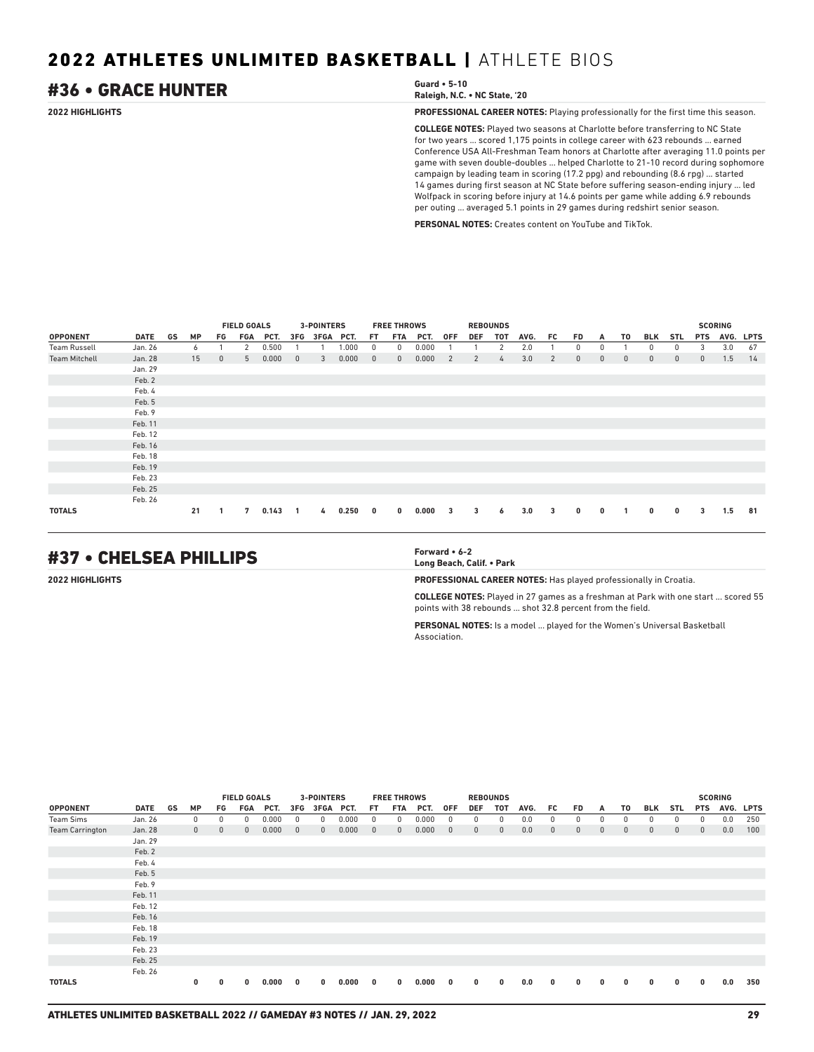## #36 • GRACE HUNTER **Guard • 5-10**

**Raleigh, N.C. • NC State, '20**

**2022 HIGHLIGHTS PROFESSIONAL CAREER NOTES:** Playing professionally for the first time this season.

**COLLEGE NOTES:** Played two seasons at Charlotte before transferring to NC State for two years ... scored 1,175 points in college career with 623 rebounds ... earned Conference USA All-Freshman Team honors at Charlotte after averaging 11.0 points per game with seven double-doubles ... helped Charlotte to 21-10 record during sophomore campaign by leading team in scoring (17.2 ppg) and rebounding (8.6 rpg) ... started 14 games during first season at NC State before suffering season-ending injury ... led Wolfpack in scoring before injury at 14.6 points per game while adding 6.9 rebounds per outing ... averaged 5.1 points in 29 games during redshirt senior season.

**PERSONAL NOTES:** Creates content on YouTube and TikTok.

|                      |         |    |           |              | <b>FIELD GOALS</b> |       |                | <b>3-POINTERS</b> |       |                | <b>FREE THROWS</b> |       |                         |            | <b>REBOUNDS</b> |      |     |              |              |              |                |              |              | <b>SCORING</b> |             |
|----------------------|---------|----|-----------|--------------|--------------------|-------|----------------|-------------------|-------|----------------|--------------------|-------|-------------------------|------------|-----------------|------|-----|--------------|--------------|--------------|----------------|--------------|--------------|----------------|-------------|
| <b>OPPONENT</b>      | DATE    | GS | <b>MP</b> | FG           | FGA                | PCT.  | 3FG            | <b>3FGA</b>       | PCT.  | FT.            | FTA                | PCT.  | <b>OFF</b>              | <b>DEF</b> | TOT             | AVG. | FC. | FD           | Α            | T0           | BLK            | <b>STL</b>   | <b>PTS</b>   | AVG.           | <b>LPTS</b> |
| <b>Team Russell</b>  | Jan. 26 |    | 6         |              | 2                  | 0.500 |                |                   | 1.000 | $\mathbf{0}$   | 0                  | 0.000 |                         |            | 2               | 2.0  |     | 0            | 0            |              | 0              | $^{\circ}$   | 3            | 3.0            | 67          |
| <b>Team Mitchell</b> | Jan. 28 |    | 15        | $\mathbf{0}$ | 5                  | 0.000 | $\overline{0}$ | 3                 | 0.000 | $\overline{0}$ | $\mathbf{0}$       | 0.000 | 2                       | 2          | $\frac{1}{4}$   | 3.0  | 2   | $\mathbf{0}$ | $\mathbf{0}$ | $\mathbf{0}$ | $\overline{0}$ | $\mathbf{0}$ | $\mathbf{0}$ | 1.5            | 14          |
|                      | Jan. 29 |    |           |              |                    |       |                |                   |       |                |                    |       |                         |            |                 |      |     |              |              |              |                |              |              |                |             |
|                      | Feb. 2  |    |           |              |                    |       |                |                   |       |                |                    |       |                         |            |                 |      |     |              |              |              |                |              |              |                |             |
|                      | Feb. 4  |    |           |              |                    |       |                |                   |       |                |                    |       |                         |            |                 |      |     |              |              |              |                |              |              |                |             |
|                      | Feb. 5  |    |           |              |                    |       |                |                   |       |                |                    |       |                         |            |                 |      |     |              |              |              |                |              |              |                |             |
|                      | Feb. 9  |    |           |              |                    |       |                |                   |       |                |                    |       |                         |            |                 |      |     |              |              |              |                |              |              |                |             |
|                      | Feb. 11 |    |           |              |                    |       |                |                   |       |                |                    |       |                         |            |                 |      |     |              |              |              |                |              |              |                |             |
|                      | Feb. 12 |    |           |              |                    |       |                |                   |       |                |                    |       |                         |            |                 |      |     |              |              |              |                |              |              |                |             |
|                      | Feb. 16 |    |           |              |                    |       |                |                   |       |                |                    |       |                         |            |                 |      |     |              |              |              |                |              |              |                |             |
|                      | Feb. 18 |    |           |              |                    |       |                |                   |       |                |                    |       |                         |            |                 |      |     |              |              |              |                |              |              |                |             |
|                      | Feb. 19 |    |           |              |                    |       |                |                   |       |                |                    |       |                         |            |                 |      |     |              |              |              |                |              |              |                |             |
|                      | Feb. 23 |    |           |              |                    |       |                |                   |       |                |                    |       |                         |            |                 |      |     |              |              |              |                |              |              |                |             |
|                      | Feb. 25 |    |           |              |                    |       |                |                   |       |                |                    |       |                         |            |                 |      |     |              |              |              |                |              |              |                |             |
|                      | Feb. 26 |    |           |              |                    |       |                |                   |       |                |                    |       |                         |            |                 |      |     |              |              |              |                |              |              |                |             |
| <b>TOTALS</b>        |         |    | 21        |              | 7                  | 0.143 | $\overline{1}$ | 4                 | 0.250 | $\mathbf{0}$   | $\bf{0}$           | 0.000 | $\overline{\mathbf{3}}$ | 3          | 6               | 3.0  | 3   | $\bf{0}$     | 0            |              | $\bf{0}$       | 0            | 3            | 1.5            | 81          |

## #37 • CHELSEA PHILLIPS **Forward • 6-2**

**Long Beach, Calif. • Park**

**2022 HIGHLIGHTS PROFESSIONAL CAREER NOTES:** Has played professionally in Croatia.

**COLLEGE NOTES:** Played in 27 games as a freshman at Park with one start ... scored 55 points with 38 rebounds ... shot 32.8 percent from the field.

**PERSONAL NOTES:** Is a model ... played for the Women's Universal Basketball Association.

|                        |         |    |              |             | <b>FIELD GOALS</b> |       |              | <b>3-POINTERS</b> |           |              | <b>FREE THROWS</b> |       |              |              | <b>REBOUNDS</b> |      |              |              |              |             |              |              |             | <b>SCORING</b> |             |
|------------------------|---------|----|--------------|-------------|--------------------|-------|--------------|-------------------|-----------|--------------|--------------------|-------|--------------|--------------|-----------------|------|--------------|--------------|--------------|-------------|--------------|--------------|-------------|----------------|-------------|
| <b>OPPONENT</b>        | DATE    | GS | <b>MP</b>    | FG          | FGA                | PCT.  | 3FG          |                   | 3FGA PCT. | FT.          | FTA                | PCT.  | <b>OFF</b>   | DEF          | TOT             | AVG. | FC.          | <b>FD</b>    | A            | T0          | BLK          | STL          | <b>PTS</b>  | AVG.           | <b>LPTS</b> |
| Team Sims              | Jan. 26 |    | 0            | 0           | $\Omega$           | 0.000 | 0            | $^{\circ}$        | 0.000     | 0            | $^{\circ}$         | 0.000 | 0            | $^{\circ}$   | $^{\circ}$      | 0.0  | 0            | 0            | $\mathbf{0}$ | 0           | $\Omega$     | 0            | $^{\circ}$  | 0.0            | 250         |
| <b>Team Carrington</b> | Jan. 28 |    | $\mathbf{0}$ | $\mathbf 0$ | $\mathbf{0}$       | 0.000 | $\mathbf{0}$ | $\mathbf{0}$      | 0.000     | $\mathbf{0}$ | $\mathbf{0}$       | 0.000 | $\mathbf{0}$ | $\mathbf{0}$ | $\mathbf{0}$    | 0.0  | $\mathbf{0}$ | $\mathbf{0}$ | $\mathbf{0}$ | $\mathbf 0$ | $\mathbf{0}$ | $\mathbf{0}$ | $\mathbf 0$ | 0.0            | 100         |
|                        | Jan. 29 |    |              |             |                    |       |              |                   |           |              |                    |       |              |              |                 |      |              |              |              |             |              |              |             |                |             |
|                        | Feb. 2  |    |              |             |                    |       |              |                   |           |              |                    |       |              |              |                 |      |              |              |              |             |              |              |             |                |             |
|                        | Feb. 4  |    |              |             |                    |       |              |                   |           |              |                    |       |              |              |                 |      |              |              |              |             |              |              |             |                |             |
|                        | Feb. 5  |    |              |             |                    |       |              |                   |           |              |                    |       |              |              |                 |      |              |              |              |             |              |              |             |                |             |
|                        | Feb. 9  |    |              |             |                    |       |              |                   |           |              |                    |       |              |              |                 |      |              |              |              |             |              |              |             |                |             |
|                        | Feb. 11 |    |              |             |                    |       |              |                   |           |              |                    |       |              |              |                 |      |              |              |              |             |              |              |             |                |             |
|                        | Feb. 12 |    |              |             |                    |       |              |                   |           |              |                    |       |              |              |                 |      |              |              |              |             |              |              |             |                |             |
|                        | Feb. 16 |    |              |             |                    |       |              |                   |           |              |                    |       |              |              |                 |      |              |              |              |             |              |              |             |                |             |
|                        | Feb. 18 |    |              |             |                    |       |              |                   |           |              |                    |       |              |              |                 |      |              |              |              |             |              |              |             |                |             |
|                        | Feb. 19 |    |              |             |                    |       |              |                   |           |              |                    |       |              |              |                 |      |              |              |              |             |              |              |             |                |             |
|                        | Feb. 23 |    |              |             |                    |       |              |                   |           |              |                    |       |              |              |                 |      |              |              |              |             |              |              |             |                |             |
|                        | Feb. 25 |    |              |             |                    |       |              |                   |           |              |                    |       |              |              |                 |      |              |              |              |             |              |              |             |                |             |
|                        | Feb. 26 |    |              |             |                    |       |              |                   |           |              |                    |       |              |              |                 |      |              |              |              |             |              |              |             |                |             |
| <b>TOTALS</b>          |         |    | 0            | 0           | 0                  | 0.000 | 0            | 0                 | 0.000     | 0            | 0                  | 0.000 | 0            | $\bf{0}$     | $\mathbf{0}$    | 0.0  | $\mathbf{0}$ | 0            | $\mathbf{0}$ | 0           | 0            | 0            | $\bf{0}$    | 0.0            | 350         |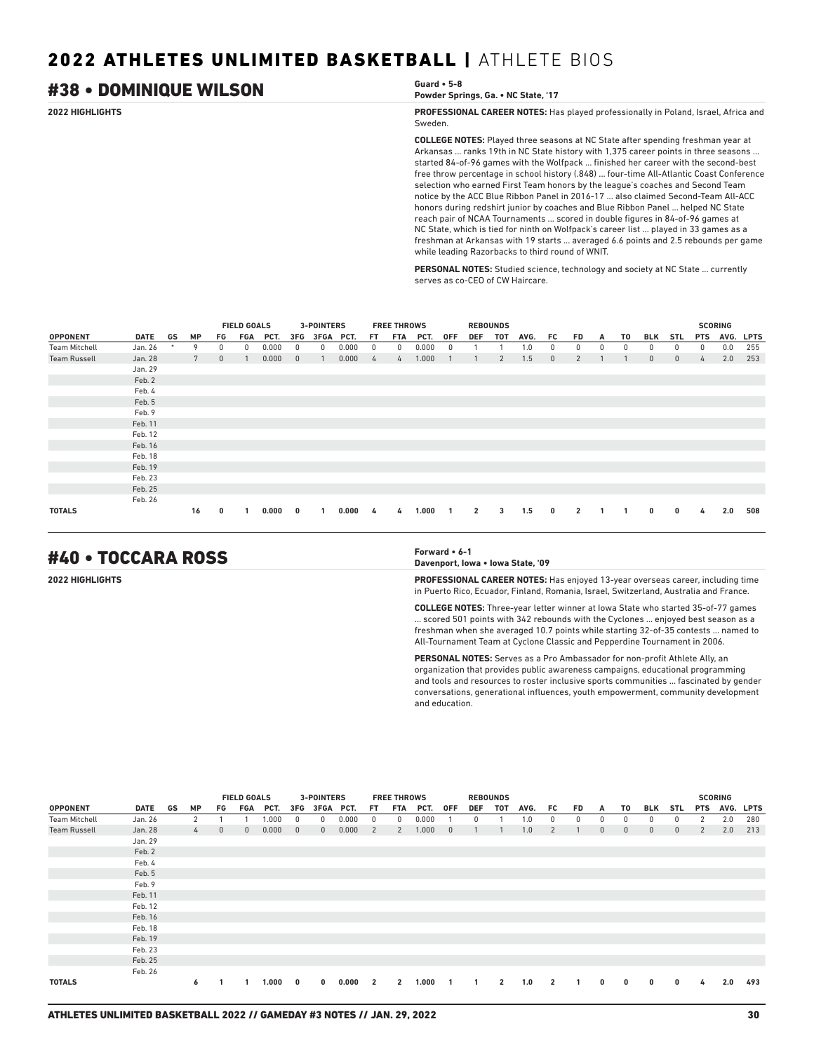## #38 • DOMINIQUE WILSON **Guard • 5-8**

## **Powder Springs, Ga. • NC State, '17**

**2022 HIGHLIGHTS PROFESSIONAL CAREER NOTES:** Has played professionally in Poland, Israel, Africa and Sweden.

> **COLLEGE NOTES:** Played three seasons at NC State after spending freshman year at Arkansas ... ranks 19th in NC State history with 1,375 career points in three seasons ... started 84-of-96 games with the Wolfpack ... finished her career with the second-best free throw percentage in school history (.848) ... four-time All-Atlantic Coast Conference selection who earned First Team honors by the league's coaches and Second Team notice by the ACC Blue Ribbon Panel in 2016-17 ... also claimed Second-Team All-ACC honors during redshirt junior by coaches and Blue Ribbon Panel ... helped NC State reach pair of NCAA Tournaments ... scored in double figures in 84-of-96 games at NC State, which is tied for ninth on Wolfpack's career list ... played in 33 games as a freshman at Arkansas with 19 starts ... averaged 6.6 points and 2.5 rebounds per game while leading Razorbacks to third round of WNIT.

**PERSONAL NOTES:** Studied science, technology and society at NC State ... currently serves as co-CEO of CW Haircare.

|                      |             |        |                 |              | <b>FIELD GOALS</b> |       |              | 3-POINTERS |       |     | <b>FREE THROWS</b> |       |            |                | <b>REBOUNDS</b> |      |              |                          |          |    |              |              |            | <b>SCORING</b> |             |
|----------------------|-------------|--------|-----------------|--------------|--------------------|-------|--------------|------------|-------|-----|--------------------|-------|------------|----------------|-----------------|------|--------------|--------------------------|----------|----|--------------|--------------|------------|----------------|-------------|
| <b>OPPONENT</b>      | <b>DATE</b> | GS     | <b>MP</b>       | FG           | FGA                | PCT.  | 3FG          | 3FGA PCT.  |       | FT. | FTA                | PCT.  | <b>OFF</b> | <b>DEF</b>     | <b>TOT</b>      | AVG. | FC.          | <b>FD</b>                | A        | T0 | <b>BLK</b>   | <b>STL</b>   | <b>PTS</b> | AVG.           | <b>LPTS</b> |
| <b>Team Mitchell</b> | Jan. 26     | $\ast$ | 9               | 0            | $\Omega$           | 0.000 |              | $\Omega$   | 0.000 | 0   | $\Omega$           | 0.000 | 0          |                |                 | 0. ا | $\Omega$     | 0                        | $\Omega$ | 0  |              | 0            | 0          | 0.0            | 255         |
| <b>Team Russell</b>  | Jan. 28     |        | $7\overline{ }$ | $\mathbf{0}$ |                    | 0.000 | $\mathbf{0}$ |            | 0.000 | 4   | 4                  | 1.000 |            |                | $\overline{2}$  | 1.5  | $\mathbf{0}$ | 2                        |          |    | $\mathbf{0}$ | $\mathbf{0}$ | 4          | 2.0            | 253         |
|                      | Jan. 29     |        |                 |              |                    |       |              |            |       |     |                    |       |            |                |                 |      |              |                          |          |    |              |              |            |                |             |
|                      | Feb. 2      |        |                 |              |                    |       |              |            |       |     |                    |       |            |                |                 |      |              |                          |          |    |              |              |            |                |             |
|                      | Feb. 4      |        |                 |              |                    |       |              |            |       |     |                    |       |            |                |                 |      |              |                          |          |    |              |              |            |                |             |
|                      | Feb. 5      |        |                 |              |                    |       |              |            |       |     |                    |       |            |                |                 |      |              |                          |          |    |              |              |            |                |             |
|                      | Feb. 9      |        |                 |              |                    |       |              |            |       |     |                    |       |            |                |                 |      |              |                          |          |    |              |              |            |                |             |
|                      | Feb. 11     |        |                 |              |                    |       |              |            |       |     |                    |       |            |                |                 |      |              |                          |          |    |              |              |            |                |             |
|                      | Feb. 12     |        |                 |              |                    |       |              |            |       |     |                    |       |            |                |                 |      |              |                          |          |    |              |              |            |                |             |
|                      | Feb. 16     |        |                 |              |                    |       |              |            |       |     |                    |       |            |                |                 |      |              |                          |          |    |              |              |            |                |             |
|                      | Feb. 18     |        |                 |              |                    |       |              |            |       |     |                    |       |            |                |                 |      |              |                          |          |    |              |              |            |                |             |
|                      | Feb. 19     |        |                 |              |                    |       |              |            |       |     |                    |       |            |                |                 |      |              |                          |          |    |              |              |            |                |             |
|                      | Feb. 23     |        |                 |              |                    |       |              |            |       |     |                    |       |            |                |                 |      |              |                          |          |    |              |              |            |                |             |
|                      | Feb. 25     |        |                 |              |                    |       |              |            |       |     |                    |       |            |                |                 |      |              |                          |          |    |              |              |            |                |             |
|                      | Feb. 26     |        |                 |              |                    |       |              |            |       |     |                    |       |            |                |                 |      |              |                          |          |    |              |              |            |                |             |
| <b>TOTALS</b>        |             |        | 16              | 0            |                    | 0.000 | 0            |            | 0.000 | 4   | 4                  | 1.000 |            | $\overline{2}$ | 3               | 1.5  | 0            | $\overline{\phantom{a}}$ |          |    | 0            | 0            | 4          | 2.0            | 508         |

## #40 • TOCCARA ROSS **Forward • 6-1**

**Davenport, Iowa • Iowa State, '09**

**2022 HIGHLIGHTS PROFESSIONAL CAREER NOTES:** Has enjoyed 13-year overseas career, including time in Puerto Rico, Ecuador, Finland, Romania, Israel, Switzerland, Australia and France.

> **COLLEGE NOTES:** Three-year letter winner at Iowa State who started 35-of-77 games ... scored 501 points with 342 rebounds with the Cyclones ... enjoyed best season as a freshman when she averaged 10.7 points while starting 32-of-35 contests ... named to All-Tournament Team at Cyclone Classic and Pepperdine Tournament in 2006.

> **PERSONAL NOTES:** Serves as a Pro Ambassador for non-profit Athlete Ally, an organization that provides public awareness campaigns, educational programming and tools and resources to roster inclusive sports communities ... fascinated by gender conversations, generational influences, youth empowerment, community development and education.

|                      |             |    |               |              | <b>FIELD GOALS</b> |       |              | <b>3-POINTERS</b> |       |                | <b>FREE THROWS</b> |       |              |              | <b>REBOUNDS</b> |      |                |           |              |              |              |            |            | <b>SCORING</b> |             |
|----------------------|-------------|----|---------------|--------------|--------------------|-------|--------------|-------------------|-------|----------------|--------------------|-------|--------------|--------------|-----------------|------|----------------|-----------|--------------|--------------|--------------|------------|------------|----------------|-------------|
| <b>OPPONENT</b>      | <b>DATE</b> | GS | <b>MP</b>     | FG           | FGA                | PCT.  | 3FG          | 3FGA PCT.         |       | FT.            | <b>FTA</b>         | PCT.  | <b>OFF</b>   | <b>DEF</b>   | <b>TOT</b>      | AVG. | FC.            | <b>FD</b> | A            | T0           | <b>BLK</b>   | <b>STL</b> | <b>PTS</b> | AVG.           | <b>LPTS</b> |
| <b>Team Mitchell</b> | Jan. 26     |    | 2             |              |                    | .000  | $^{\circ}$   | 0                 | 0.000 | 0              | 0                  | 0.000 |              | 0            |                 | 1.0  | 0              | 0         | 0            | 0            | $\mathbf{0}$ | 0          | 2          | 2.0            | 280         |
| <b>Team Russell</b>  | Jan. 28     |    | $\frac{1}{2}$ | $\mathbf{0}$ | $\mathbf{0}$       | 0.000 | $\mathbf{0}$ | $\mathbf{0}$      | 0.000 | 2              | 2                  | 1.000 | $\mathbf{0}$ |              |                 | 1.0  | 2              |           | $\mathbf{0}$ | $\mathbf{0}$ | $\mathbf{0}$ | 0          | 2          | 2.0            | 213         |
|                      | Jan. 29     |    |               |              |                    |       |              |                   |       |                |                    |       |              |              |                 |      |                |           |              |              |              |            |            |                |             |
|                      | Feb. 2      |    |               |              |                    |       |              |                   |       |                |                    |       |              |              |                 |      |                |           |              |              |              |            |            |                |             |
|                      | Feb. 4      |    |               |              |                    |       |              |                   |       |                |                    |       |              |              |                 |      |                |           |              |              |              |            |            |                |             |
|                      | Feb. 5      |    |               |              |                    |       |              |                   |       |                |                    |       |              |              |                 |      |                |           |              |              |              |            |            |                |             |
|                      | Feb. 9      |    |               |              |                    |       |              |                   |       |                |                    |       |              |              |                 |      |                |           |              |              |              |            |            |                |             |
|                      | Feb. 11     |    |               |              |                    |       |              |                   |       |                |                    |       |              |              |                 |      |                |           |              |              |              |            |            |                |             |
|                      | Feb. 12     |    |               |              |                    |       |              |                   |       |                |                    |       |              |              |                 |      |                |           |              |              |              |            |            |                |             |
|                      | Feb. 16     |    |               |              |                    |       |              |                   |       |                |                    |       |              |              |                 |      |                |           |              |              |              |            |            |                |             |
|                      | Feb. 18     |    |               |              |                    |       |              |                   |       |                |                    |       |              |              |                 |      |                |           |              |              |              |            |            |                |             |
|                      | Feb. 19     |    |               |              |                    |       |              |                   |       |                |                    |       |              |              |                 |      |                |           |              |              |              |            |            |                |             |
|                      | Feb. 23     |    |               |              |                    |       |              |                   |       |                |                    |       |              |              |                 |      |                |           |              |              |              |            |            |                |             |
|                      | Feb. 25     |    |               |              |                    |       |              |                   |       |                |                    |       |              |              |                 |      |                |           |              |              |              |            |            |                |             |
|                      | Feb. 26     |    |               |              |                    |       |              |                   |       |                |                    |       |              |              |                 |      |                |           |              |              |              |            |            |                |             |
| <b>TOTALS</b>        |             |    | 6             |              |                    | 1.000 | 0            | $\mathbf 0$       | 0.000 | $\overline{2}$ | $\overline{2}$     | 1.000 | $\mathbf{1}$ | $\mathbf{1}$ | $\overline{2}$  | 1.0  | $\overline{2}$ |           | 0            | 0            | $\bf{0}$     | 0          | 4          | 2.0            | 493         |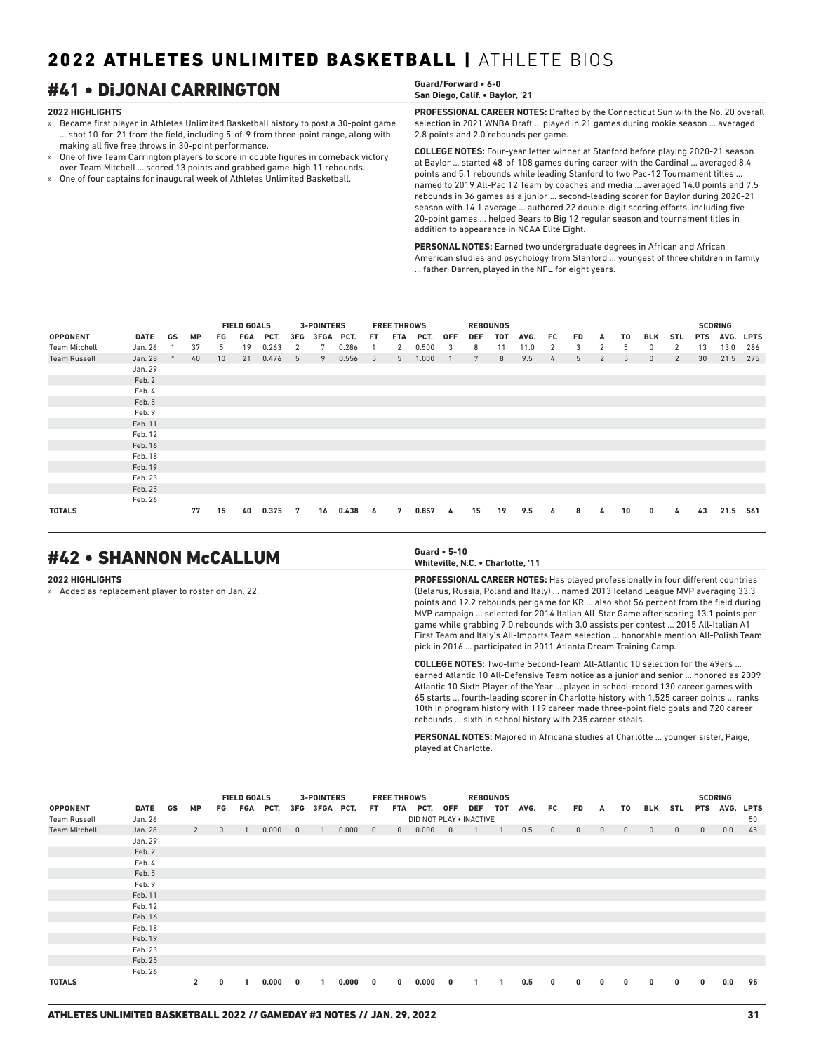## #41 • DiJONAI CARRINGTON **Guard/Forward • 6-0**

### **2022 HIGHLIGHTS**

- » Became first player in Athletes Unlimited Basketball history to post a 30-point game ... shot 10-for-21 from the field, including 5-of-9 from three-point range, along with making all five free throws in 30-point performance.
- » One of five Team Carrington players to score in double figures in comeback victory over Team Mitchell ... scored 13 points and grabbed game-high 11 rebounds.
- » One of four captains for inaugural week of Athletes Unlimited Basketball.

## **San Diego, Calif. • Baylor, '21**

**PROFESSIONAL CAREER NOTES:** Drafted by the Connecticut Sun with the No. 20 overall selection in 2021 WNBA Draft ... played in 21 games during rookie season ... averaged 2.8 points and 2.0 rebounds per game.

**COLLEGE NOTES:** Four-year letter winner at Stanford before playing 2020-21 season at Baylor ... started 48-of-108 games during career with the Cardinal ... averaged 8.4 points and 5.1 rebounds while leading Stanford to two Pac-12 Tournament titles ... named to 2019 All-Pac 12 Team by coaches and media ... averaged 14.0 points and 7.5 rebounds in 36 games as a junior ... second-leading scorer for Baylor during 2020-21 season with 14.1 average ... authored 22 double-digit scoring efforts, including five 20-point games ... helped Bears to Big 12 regular season and tournament titles in addition to appearance in NCAA Elite Eight.

**PERSONAL NOTES:** Earned two undergraduate degrees in African and African American studies and psychology from Stanford ... youngest of three children in family ... father, Darren, played in the NFL for eight years.

|                      |             |    |           |    | <b>FIELD GOALS</b> |       |     | <b>3-POINTERS</b> |       |     | <b>FREE THROWS</b> |       |            |                 | <b>REBOUNDS</b> |      |     |           |                |    |              |                |            |                        |             |
|----------------------|-------------|----|-----------|----|--------------------|-------|-----|-------------------|-------|-----|--------------------|-------|------------|-----------------|-----------------|------|-----|-----------|----------------|----|--------------|----------------|------------|------------------------|-------------|
| <b>OPPONENT</b>      | <b>DATE</b> | GS | <b>MP</b> | FG | FGA                | PCT.  | 3FG | 3FGA PCT.         |       | FT. | FTA                | PCT.  | <b>OFF</b> | <b>DEF</b>      | <b>TOT</b>      | AVG. | FC. | <b>FD</b> |                | T0 | <b>BLK</b>   | <b>STL</b>     | <b>PTS</b> | <b>SCORING</b><br>AVG. | <b>LPTS</b> |
|                      |             |    |           |    |                    |       |     |                   |       |     |                    |       |            |                 |                 |      |     |           | A              |    |              |                |            |                        |             |
| <b>Team Mitchell</b> | Jan. 26     |    | 37        | 5  | 19                 | 0.263 | 2   | 7                 | 0.286 |     | 2                  | 0.500 | 3          | 8               | 11              | 11.0 | 2   | 3         | $\overline{2}$ | 5  | 0            | 2              | 13         | 13.0                   | 286         |
| <b>Team Russell</b>  | Jan. 28     |    | 40        | 10 | 21                 | 0.476 | 5   | 9                 | 0.556 | 5   | 5                  | 1.000 |            | $7\phantom{.0}$ | 8               | 9.5  | 4   | 5         | $\overline{2}$ | 5  | $\mathbf{0}$ | $\overline{2}$ | 30         | 21.5                   | 275         |
|                      | Jan. 29     |    |           |    |                    |       |     |                   |       |     |                    |       |            |                 |                 |      |     |           |                |    |              |                |            |                        |             |
|                      | Feb. 2      |    |           |    |                    |       |     |                   |       |     |                    |       |            |                 |                 |      |     |           |                |    |              |                |            |                        |             |
|                      | Feb. 4      |    |           |    |                    |       |     |                   |       |     |                    |       |            |                 |                 |      |     |           |                |    |              |                |            |                        |             |
|                      | Feb. 5      |    |           |    |                    |       |     |                   |       |     |                    |       |            |                 |                 |      |     |           |                |    |              |                |            |                        |             |
|                      | Feb. 9      |    |           |    |                    |       |     |                   |       |     |                    |       |            |                 |                 |      |     |           |                |    |              |                |            |                        |             |
|                      | Feb. 11     |    |           |    |                    |       |     |                   |       |     |                    |       |            |                 |                 |      |     |           |                |    |              |                |            |                        |             |
|                      | Feb. 12     |    |           |    |                    |       |     |                   |       |     |                    |       |            |                 |                 |      |     |           |                |    |              |                |            |                        |             |
|                      | Feb. 16     |    |           |    |                    |       |     |                   |       |     |                    |       |            |                 |                 |      |     |           |                |    |              |                |            |                        |             |
|                      | Feb. 18     |    |           |    |                    |       |     |                   |       |     |                    |       |            |                 |                 |      |     |           |                |    |              |                |            |                        |             |
|                      | Feb. 19     |    |           |    |                    |       |     |                   |       |     |                    |       |            |                 |                 |      |     |           |                |    |              |                |            |                        |             |
|                      | Feb. 23     |    |           |    |                    |       |     |                   |       |     |                    |       |            |                 |                 |      |     |           |                |    |              |                |            |                        |             |
|                      | Feb. 25     |    |           |    |                    |       |     |                   |       |     |                    |       |            |                 |                 |      |     |           |                |    |              |                |            |                        |             |
|                      | Feb. 26     |    |           |    |                    |       |     |                   |       |     |                    |       |            |                 |                 |      |     |           |                |    |              |                |            |                        |             |
| <b>TOTALS</b>        |             |    | 77        | 15 | 40                 | 0.375 | 7   | 16                | 0.438 | 6   | 7                  | 0.857 | 4          | 15              | 19              | 9.5  | 6   | 8         | 4              | 10 | 0            | 4              | 43         | 21.5                   | 561         |

## #42 • SHANNON McCALLUM **Guard • 5-10**

### **2022 HIGHLIGHTS**

» Added as replacement player to roster on Jan. 22.

### **Whiteville, N.C. • Charlotte, '11**

**PROFESSIONAL CAREER NOTES:** Has played professionally in four different countries (Belarus, Russia, Poland and Italy) ... named 2013 Iceland League MVP averaging 33.3 points and 12.2 rebounds per game for KR ... also shot 56 percent from the field during MVP campaign ... selected for 2014 Italian All-Star Game after scoring 13.1 points per game while grabbing 7.0 rebounds with 3.0 assists per contest ... 2015 All-Italian A1 First Team and Italy's All-Imports Team selection ... honorable mention All-Polish Team pick in 2016 ... participated in 2011 Atlanta Dream Training Camp.

**COLLEGE NOTES:** Two-time Second-Team All-Atlantic 10 selection for the 49ers ... earned Atlantic 10 All-Defensive Team notice as a junior and senior ... honored as 2009 Atlantic 10 Sixth Player of the Year ... played in school-record 130 career games with 65 starts ... fourth-leading scorer in Charlotte history with 1,525 career points ... ranks 10th in program history with 119 career made three-point field goals and 720 career rebounds ... sixth in school history with 235 career steals.

**PERSONAL NOTES:** Majored in Africana studies at Charlotte ... younger sister, Paige, played at Charlotte.

|                      |             |    |                |              | <b>FIELD GOALS</b> |       |                | <b>3-POINTERS</b> |       |                | <b>FREE THROWS</b> |                         |                         | <b>REBOUNDS</b> |                |      |              |              |              |             |                |              |             | <b>SCORING</b> |             |
|----------------------|-------------|----|----------------|--------------|--------------------|-------|----------------|-------------------|-------|----------------|--------------------|-------------------------|-------------------------|-----------------|----------------|------|--------------|--------------|--------------|-------------|----------------|--------------|-------------|----------------|-------------|
| <b>OPPONENT</b>      | <b>DATE</b> | GS | <b>MP</b>      | FG           | FGA                | PCT.  |                | 3FG 3FGA PCT.     |       | FT.            |                    | FTA PCT.                | 0FF                     | DEF             | тот            | AVG. | FC           | FD.          | A            | T0          | BLK            | STL          | <b>PTS</b>  | AVG.           | <b>LPTS</b> |
| <b>Team Russell</b>  | Jan. 26     |    |                |              |                    |       |                |                   |       |                |                    | DID NOT PLAY . INACTIVE |                         |                 |                |      |              |              |              |             |                |              |             |                | 50          |
| <b>Team Mitchell</b> | Jan. 28     |    | 2              | $\mathbf{0}$ |                    | 0.000 | $\overline{0}$ | $\mathbf{1}$      | 0.000 | $\overline{0}$ | $\mathbf{0}$       | 0.000                   | $\overline{\mathbf{0}}$ |                 | $\overline{1}$ | 0.5  | $\mathbf{0}$ | $\mathbf{0}$ | $\mathbf{0}$ | $\mathbf 0$ | $\overline{0}$ | $\mathbf{0}$ | $\mathbf 0$ | 0.0            | 45          |
|                      | Jan. 29     |    |                |              |                    |       |                |                   |       |                |                    |                         |                         |                 |                |      |              |              |              |             |                |              |             |                |             |
|                      | Feb. 2      |    |                |              |                    |       |                |                   |       |                |                    |                         |                         |                 |                |      |              |              |              |             |                |              |             |                |             |
|                      | Feb. 4      |    |                |              |                    |       |                |                   |       |                |                    |                         |                         |                 |                |      |              |              |              |             |                |              |             |                |             |
|                      | Feb. 5      |    |                |              |                    |       |                |                   |       |                |                    |                         |                         |                 |                |      |              |              |              |             |                |              |             |                |             |
|                      | Feb. 9      |    |                |              |                    |       |                |                   |       |                |                    |                         |                         |                 |                |      |              |              |              |             |                |              |             |                |             |
|                      | Feb. 11     |    |                |              |                    |       |                |                   |       |                |                    |                         |                         |                 |                |      |              |              |              |             |                |              |             |                |             |
|                      | Feb. 12     |    |                |              |                    |       |                |                   |       |                |                    |                         |                         |                 |                |      |              |              |              |             |                |              |             |                |             |
|                      | Feb. 16     |    |                |              |                    |       |                |                   |       |                |                    |                         |                         |                 |                |      |              |              |              |             |                |              |             |                |             |
|                      | Feb. 18     |    |                |              |                    |       |                |                   |       |                |                    |                         |                         |                 |                |      |              |              |              |             |                |              |             |                |             |
|                      | Feb. 19     |    |                |              |                    |       |                |                   |       |                |                    |                         |                         |                 |                |      |              |              |              |             |                |              |             |                |             |
|                      | Feb. 23     |    |                |              |                    |       |                |                   |       |                |                    |                         |                         |                 |                |      |              |              |              |             |                |              |             |                |             |
|                      | Feb. 25     |    |                |              |                    |       |                |                   |       |                |                    |                         |                         |                 |                |      |              |              |              |             |                |              |             |                |             |
|                      | Feb. 26     |    |                |              |                    |       |                |                   |       |                |                    |                         |                         |                 |                |      |              |              |              |             |                |              |             |                |             |
| <b>TOTALS</b>        |             |    | $\overline{2}$ | $\bf{0}$     |                    | 0.000 | $\mathbf{0}$   | 1                 | 0.000 | $\mathbf{0}$   | $\mathbf{0}$       | 0.000                   | 0                       | -1              |                | 0.5  | $\bf{0}$     | $\mathbf{0}$ | $\mathbf{0}$ | 0           | $\mathbf{0}$   | 0            | 0           | 0.0            | 95          |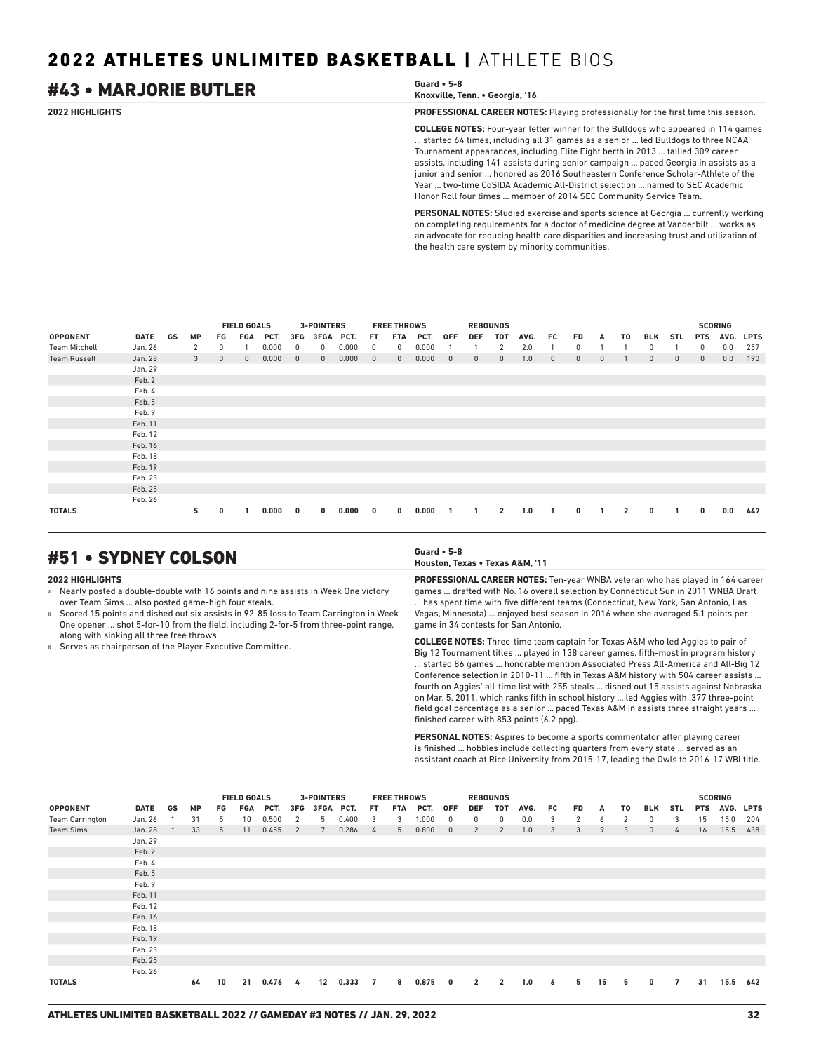## #43 • MARJORIE BUTLER **Guard • 5-8**

**2022 HIGHLIGHTS PROFESSIONAL CAREER NOTES:** Playing professionally for the first time this season.

**COLLEGE NOTES:** Four-year letter winner for the Bulldogs who appeared in 114 games ... started 64 times, including all 31 games as a senior ... led Bulldogs to three NCAA Tournament appearances, including Elite Eight berth in 2013 ... tallied 309 career assists, including 141 assists during senior campaign ... paced Georgia in assists as a junior and senior ... honored as 2016 Southeastern Conference Scholar-Athlete of the Year ... two-time CoSIDA Academic All-District selection ... named to SEC Academic Honor Roll four times ... member of 2014 SEC Community Service Team.

**PERSONAL NOTES:** Studied exercise and sports science at Georgia ... currently working on completing requirements for a doctor of medicine degree at Vanderbilt ... works as an advocate for reducing health care disparities and increasing trust and utilization of the health care system by minority communities.

|                      |             |    |           |              | <b>FIELD GOALS</b><br><b>FGA</b><br>PCT.<br>0.000<br>0.000<br>$\mathbf{0}$ |       |              | <b>3-POINTERS</b> |       |              | <b>FREE THROWS</b> |       |              |             | <b>REBOUNDS</b> |      |     |              |              |    |              |            |             | <b>SCORING</b> |             |
|----------------------|-------------|----|-----------|--------------|----------------------------------------------------------------------------|-------|--------------|-------------------|-------|--------------|--------------------|-------|--------------|-------------|-----------------|------|-----|--------------|--------------|----|--------------|------------|-------------|----------------|-------------|
| <b>OPPONENT</b>      | <b>DATE</b> | GS | <b>MP</b> | FG           |                                                                            |       | 3FG          | 3FGA PCT.         |       | FT.          | <b>FTA</b>         | PCT.  | <b>OFF</b>   | <b>DEF</b>  | <b>TOT</b>      | AVG. | FC. | FD.          | A            | T0 | <b>BLK</b>   | <b>STL</b> | <b>PTS</b>  | AVG.           | <b>LPTS</b> |
| <b>Team Mitchell</b> | Jan. 26     |    | 2         | 0            |                                                                            |       | 0            | 0                 | 0.000 | 0            | 0                  | 0.000 |              |             | 2               | 2.0  |     | 0            |              |    | 0            |            | 0           | 0.0            | 257         |
| <b>Team Russell</b>  | Jan. 28     |    | 3         | $\mathbf{0}$ |                                                                            |       | $\mathbf{0}$ | $\mathbf{0}$      | 0.000 | $\mathbf{0}$ | $\mathbf{0}$       | 0.000 | $\mathbf{0}$ | $\mathbf 0$ | $\mathbf{0}$    | 1.0  | 0   | $\mathbf{0}$ | $\mathbf{0}$ |    | $\mathbf{0}$ | 0          | $\mathbf 0$ | 0.0            | 190         |
|                      | Jan. 29     |    |           |              |                                                                            |       |              |                   |       |              |                    |       |              |             |                 |      |     |              |              |    |              |            |             |                |             |
|                      | Feb. 2      |    |           |              |                                                                            |       |              |                   |       |              |                    |       |              |             |                 |      |     |              |              |    |              |            |             |                |             |
|                      | Feb. 4      |    |           |              |                                                                            |       |              |                   |       |              |                    |       |              |             |                 |      |     |              |              |    |              |            |             |                |             |
|                      | Feb. 5      |    |           |              |                                                                            |       |              |                   |       |              |                    |       |              |             |                 |      |     |              |              |    |              |            |             |                |             |
|                      | Feb. 9      |    |           |              |                                                                            |       |              |                   |       |              |                    |       |              |             |                 |      |     |              |              |    |              |            |             |                |             |
|                      | Feb. 11     |    |           |              |                                                                            |       |              |                   |       |              |                    |       |              |             |                 |      |     |              |              |    |              |            |             |                |             |
|                      | Feb. 12     |    |           |              |                                                                            |       |              |                   |       |              |                    |       |              |             |                 |      |     |              |              |    |              |            |             |                |             |
|                      | Feb. 16     |    |           |              |                                                                            |       |              |                   |       |              |                    |       |              |             |                 |      |     |              |              |    |              |            |             |                |             |
|                      | Feb. 18     |    |           |              |                                                                            |       |              |                   |       |              |                    |       |              |             |                 |      |     |              |              |    |              |            |             |                |             |
|                      | Feb. 19     |    |           |              |                                                                            |       |              |                   |       |              |                    |       |              |             |                 |      |     |              |              |    |              |            |             |                |             |
|                      | Feb. 23     |    |           |              |                                                                            |       |              |                   |       |              |                    |       |              |             |                 |      |     |              |              |    |              |            |             |                |             |
|                      | Feb. 25     |    |           |              |                                                                            |       |              |                   |       |              |                    |       |              |             |                 |      |     |              |              |    |              |            |             |                |             |
|                      | Feb. 26     |    |           |              |                                                                            |       |              |                   |       |              |                    |       |              |             |                 |      |     |              |              |    |              |            |             |                |             |
| <b>TOTALS</b>        |             |    | 5.        | 0            |                                                                            | 0.000 | 0            | 0                 | 0.000 | 0            | 0                  | 0.000 |              | 1           | $\overline{2}$  | 1.0  | 1   | 0            |              | 2  | 0            |            | 0           | 0.0            | 447         |

## #51 • SYDNEY COLSON **Guard • 5-8**

### **2022 HIGHLIGHTS**

- » Nearly posted a double-double with 16 points and nine assists in Week One victory over Team Sims ... also posted game-high four steals.
- » Scored 15 points and dished out six assists in 92-85 loss to Team Carrington in Week One opener ... shot 5-for-10 from the field, including 2-for-5 from three-point range, along with sinking all three free throws.
- » Serves as chairperson of the Player Executive Committee.

## **Houston, Texas • Texas A&M, '11**

**PROFESSIONAL CAREER NOTES:** Ten-year WNBA veteran who has played in 164 career games ... drafted with No. 16 overall selection by Connecticut Sun in 2011 WNBA Draft . has spent time with five different teams (Connecticut, New York, San Antonio, Las Vegas, Minnesota) ... enjoyed best season in 2016 when she averaged 5.1 points per game in 34 contests for San Antonio.

**COLLEGE NOTES:** Three-time team captain for Texas A&M who led Aggies to pair of Big 12 Tournament titles ... played in 138 career games, fifth-most in program history ... started 86 games ... honorable mention Associated Press All-America and All-Big 12 Conference selection in 2010-11 ... fifth in Texas A&M history with 504 career assists ... fourth on Aggies' all-time list with 255 steals ... dished out 15 assists against Nebraska on Mar. 5, 2011, which ranks fifth in school history ... led Aggies with .377 three-point field goal percentage as a senior ... paced Texas A&M in assists three straight years ... finished career with 853 points (6.2 ppg).

**PERSONAL NOTES:** Aspires to become a sports commentator after playing career is finished ... hobbies include collecting quarters from every state ... served as an assistant coach at Rice University from 2015-17, leading the Owls to 2016-17 WBI title.

|                        |         |    | <b>FIELD GOALS</b><br>3-POINTERS<br>PCT.<br>3FG<br><b>MP</b><br>FGA<br>FG<br>0.500<br>31<br>5<br>10 <sup>1</sup><br>2<br>5<br>0.455<br>33<br>11<br>7<br>5<br>$-2$ |                             |    |       |     |    |       |                         | <b>FREE THROWS</b> |       |                         |                | <b>REBOUNDS</b> |      |     |    |    |    |              |               |            | <b>SCORING</b> |     |
|------------------------|---------|----|-------------------------------------------------------------------------------------------------------------------------------------------------------------------|-----------------------------|----|-------|-----|----|-------|-------------------------|--------------------|-------|-------------------------|----------------|-----------------|------|-----|----|----|----|--------------|---------------|------------|----------------|-----|
| <b>OPPONENT</b>        | DATE    | GS |                                                                                                                                                                   | 3FGA PCT.<br>0.400<br>0.286 |    |       |     |    |       | FT.                     | FTA                | PCT.  | <b>OFF</b>              | <b>DEF</b>     | TOT             | AVG. | FC. | FD | A  | T0 | BLK          | STL           | <b>PTS</b> | AVG. LPTS      |     |
| <b>Team Carrington</b> | Jan. 26 |    |                                                                                                                                                                   |                             |    |       |     |    |       | $\overline{\mathbf{3}}$ | 3                  | 1.000 | $\overline{0}$          | 0              | $^{\circ}$      | 0.0  | 3   | 2  | 6  | 2  | $\mathbf{0}$ | 3             | 15         | 15.0           | 204 |
| <b>Team Sims</b>       | Jan. 28 |    |                                                                                                                                                                   |                             |    |       |     |    |       | 4                       | 5                  | 0.800 | $\overline{0}$          | 2              | 2               | 1.0  | 3   | 3  | 9  | 3  | $\mathbf{0}$ | $\frac{1}{4}$ | 16         | 15.5           | 438 |
|                        | Jan. 29 |    |                                                                                                                                                                   |                             |    |       |     |    |       |                         |                    |       |                         |                |                 |      |     |    |    |    |              |               |            |                |     |
|                        | Feb. 2  |    |                                                                                                                                                                   |                             |    |       |     |    |       |                         |                    |       |                         |                |                 |      |     |    |    |    |              |               |            |                |     |
|                        | Feb. 4  |    |                                                                                                                                                                   |                             |    |       |     |    |       |                         |                    |       |                         |                |                 |      |     |    |    |    |              |               |            |                |     |
|                        | Feb. 5  |    |                                                                                                                                                                   |                             |    |       |     |    |       |                         |                    |       |                         |                |                 |      |     |    |    |    |              |               |            |                |     |
|                        | Feb. 9  |    |                                                                                                                                                                   |                             |    |       |     |    |       |                         |                    |       |                         |                |                 |      |     |    |    |    |              |               |            |                |     |
|                        | Feb. 11 |    |                                                                                                                                                                   |                             |    |       |     |    |       |                         |                    |       |                         |                |                 |      |     |    |    |    |              |               |            |                |     |
|                        | Feb. 12 |    |                                                                                                                                                                   |                             |    |       |     |    |       |                         |                    |       |                         |                |                 |      |     |    |    |    |              |               |            |                |     |
|                        | Feb. 16 |    |                                                                                                                                                                   |                             |    |       |     |    |       |                         |                    |       |                         |                |                 |      |     |    |    |    |              |               |            |                |     |
|                        | Feb. 18 |    |                                                                                                                                                                   |                             |    |       |     |    |       |                         |                    |       |                         |                |                 |      |     |    |    |    |              |               |            |                |     |
|                        | Feb. 19 |    |                                                                                                                                                                   |                             |    |       |     |    |       |                         |                    |       |                         |                |                 |      |     |    |    |    |              |               |            |                |     |
|                        | Feb. 23 |    |                                                                                                                                                                   |                             |    |       |     |    |       |                         |                    |       |                         |                |                 |      |     |    |    |    |              |               |            |                |     |
|                        | Feb. 25 |    |                                                                                                                                                                   |                             |    |       |     |    |       |                         |                    |       |                         |                |                 |      |     |    |    |    |              |               |            |                |     |
|                        | Feb. 26 |    |                                                                                                                                                                   |                             |    |       |     |    |       |                         |                    |       |                         |                |                 |      |     |    |    |    |              |               |            |                |     |
| <b>TOTALS</b>          |         |    | 64                                                                                                                                                                | 10                          | 21 | 0.476 | - 4 | 12 | 0.333 | $\overline{7}$          | 8                  | 0.875 | $\overline{\mathbf{0}}$ | $\overline{2}$ | $\overline{2}$  | 1.0  | 6   | 5  | 15 | 5  | 0            | 7             | 31         | 15.5           | 642 |

**Knoxville, Tenn. • Georgia, '16**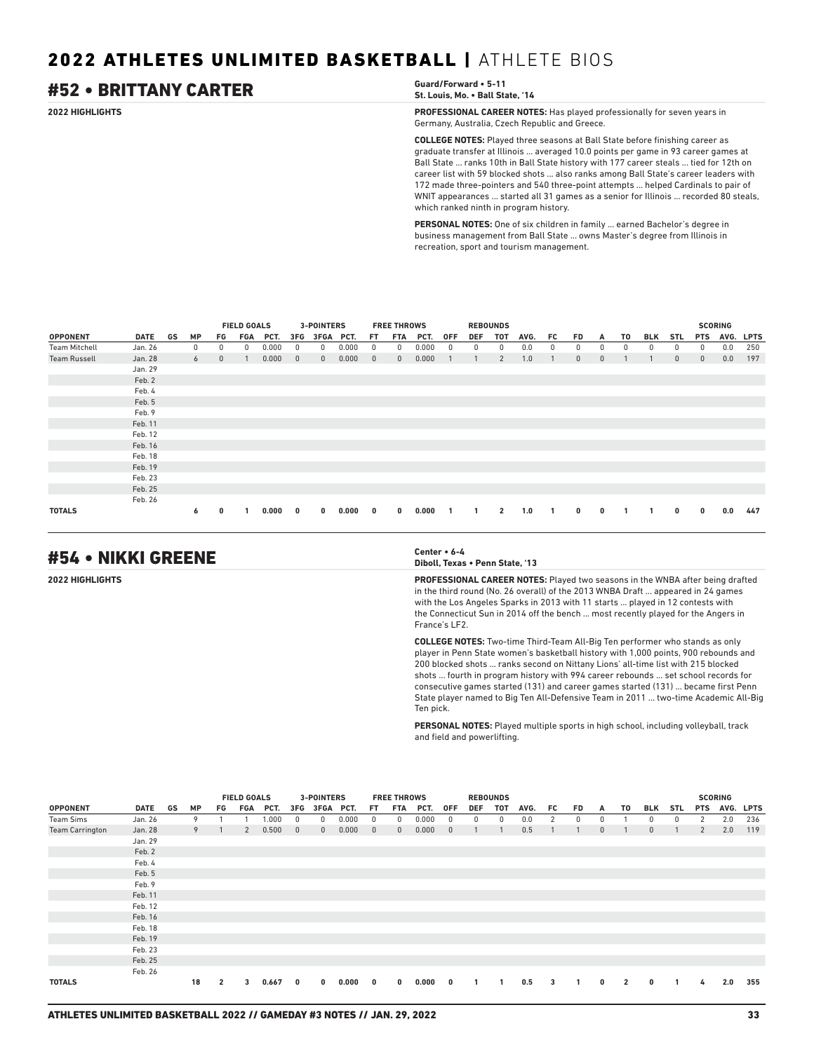## #52 • BRITTANY CARTER **Guard/Forward • 5-11**

**St. Louis, Mo. • Ball State, '14**

**2022 HIGHLIGHTS PROFESSIONAL CAREER NOTES:** Has played professionally for seven years in Germany, Australia, Czech Republic and Greece.

> **COLLEGE NOTES:** Played three seasons at Ball State before finishing career as graduate transfer at Illinois ... averaged 10.0 points per game in 93 career games at Ball State ... ranks 10th in Ball State history with 177 career steals ... tied for 12th on career list with 59 blocked shots ... also ranks among Ball State's career leaders with 172 made three-pointers and 540 three-point attempts ... helped Cardinals to pair of WNIT appearances ... started all 31 games as a senior for Illinois ... recorded 80 steals, which ranked ninth in program history.

**PERSONAL NOTES:** One of six children in family ... earned Bachelor's degree in business management from Ball State ... owns Master's degree from Illinois in recreation, sport and tourism management.

|                      |         |            |              | <b>FIELD GOALS</b><br>FGA<br>PCT.<br>0.000<br>0<br>0.000 |       |              | <b>3-POINTERS</b> |       |              | <b>FREE THROWS</b> |       |            |            | <b>REBOUNDS</b> |      |     |              |              |    |            |              |              | <b>SCORING</b> |             |
|----------------------|---------|------------|--------------|----------------------------------------------------------|-------|--------------|-------------------|-------|--------------|--------------------|-------|------------|------------|-----------------|------|-----|--------------|--------------|----|------------|--------------|--------------|----------------|-------------|
| <b>OPPONENT</b>      | DATE GS | <b>MP</b>  | FG           |                                                          |       | 3FG          | <b>3FGA</b>       | PCT.  | FT.          | <b>FTA</b>         | PCT.  | <b>OFF</b> | <b>DEF</b> | TOT             | AVG. | FC. | <b>FD</b>    | A            | T0 | <b>BLK</b> | <b>STL</b>   | <b>PTS</b>   | AVG.           | <b>LPTS</b> |
| <b>Team Mitchell</b> | Jan. 26 | $^{\circ}$ | 0            |                                                          |       | 0            | 0                 | 0.000 | 0            | 0                  | 0.000 | 0          | 0          | 0               | 0.0  | 0   | 0            | 0            | 0  | 0          | 0            | $\mathbf{0}$ | 0.0            | 250         |
| <b>Team Russell</b>  | Jan. 28 | 6          | $\mathbf{0}$ |                                                          |       | $\mathbf{0}$ | $\mathbf{0}$      | 0.000 | $\mathbf{0}$ | $\mathbf{0}$       | 0.000 |            |            | $\overline{2}$  | 1.0  |     | $\mathbf{0}$ | $\mathbf{0}$ |    |            | $\mathbf{0}$ | $\mathbf{0}$ | 0.0            | 197         |
|                      | Jan. 29 |            |              |                                                          |       |              |                   |       |              |                    |       |            |            |                 |      |     |              |              |    |            |              |              |                |             |
|                      | Feb. 2  |            |              |                                                          |       |              |                   |       |              |                    |       |            |            |                 |      |     |              |              |    |            |              |              |                |             |
|                      | Feb. 4  |            |              |                                                          |       |              |                   |       |              |                    |       |            |            |                 |      |     |              |              |    |            |              |              |                |             |
|                      | Feb. 5  |            |              |                                                          |       |              |                   |       |              |                    |       |            |            |                 |      |     |              |              |    |            |              |              |                |             |
|                      | Feb. 9  |            |              |                                                          |       |              |                   |       |              |                    |       |            |            |                 |      |     |              |              |    |            |              |              |                |             |
|                      | Feb. 11 |            |              |                                                          |       |              |                   |       |              |                    |       |            |            |                 |      |     |              |              |    |            |              |              |                |             |
|                      | Feb. 12 |            |              |                                                          |       |              |                   |       |              |                    |       |            |            |                 |      |     |              |              |    |            |              |              |                |             |
|                      | Feb. 16 |            |              |                                                          |       |              |                   |       |              |                    |       |            |            |                 |      |     |              |              |    |            |              |              |                |             |
|                      | Feb. 18 |            |              |                                                          |       |              |                   |       |              |                    |       |            |            |                 |      |     |              |              |    |            |              |              |                |             |
|                      | Feb. 19 |            |              |                                                          |       |              |                   |       |              |                    |       |            |            |                 |      |     |              |              |    |            |              |              |                |             |
|                      | Feb. 23 |            |              |                                                          |       |              |                   |       |              |                    |       |            |            |                 |      |     |              |              |    |            |              |              |                |             |
|                      | Feb. 25 |            |              |                                                          |       |              |                   |       |              |                    |       |            |            |                 |      |     |              |              |    |            |              |              |                |             |
|                      | Feb. 26 |            |              |                                                          |       |              |                   |       |              |                    |       |            |            |                 |      |     |              |              |    |            |              |              |                |             |
| <b>TOTALS</b>        |         | 6          | 0            |                                                          | 0.000 | $\mathbf 0$  | 0                 | 0.000 | 0            | 0                  | 0.000 |            |            | $\overline{2}$  | 1.0  |     | $\bf{0}$     | 0            |    |            | 0            | $\mathbf 0$  | 0.0            | 447         |

## #54 • NIKKI GREENE **Center • 6-4**

**Diboll, Texas • Penn State, '13**

**2022 HIGHLIGHTS PROFESSIONAL CAREER NOTES:** Played two seasons in the WNBA after being drafted in the third round (No. 26 overall) of the 2013 WNBA Draft ... appeared in 24 games with the Los Angeles Sparks in 2013 with 11 starts ... played in 12 contests with the Connecticut Sun in 2014 off the bench ... most recently played for the Angers in France's LF2.

> **COLLEGE NOTES:** Two-time Third-Team All-Big Ten performer who stands as only player in Penn State women's basketball history with 1,000 points, 900 rebounds and 200 blocked shots ... ranks second on Nittany Lions' all-time list with 215 blocked shots ... fourth in program history with 994 career rebounds ... set school records for consecutive games started (131) and career games started (131) ... became first Penn State player named to Big Ten All-Defensive Team in 2011 ... two-time Academic All-Big Ten pick.

**PERSONAL NOTES:** Played multiple sports in high school, including volleyball, track and field and powerlifting.

|                        |         |    |           |                | <b>FIELD GOALS</b><br>FGA<br>PCT.<br>1.000<br>0.500<br>2 |       |              | 3-POINTERS   |       |              | <b>FREE THROWS</b> |       |              |     | <b>REBOUNDS</b> |      |                |    |              |                |              |              |                | <b>SCORING</b> |           |
|------------------------|---------|----|-----------|----------------|----------------------------------------------------------|-------|--------------|--------------|-------|--------------|--------------------|-------|--------------|-----|-----------------|------|----------------|----|--------------|----------------|--------------|--------------|----------------|----------------|-----------|
| <b>OPPONENT</b>        | DATE    | GS | <b>MP</b> | FG             |                                                          |       | 3FG          | 3FGA PCT.    |       | FT.          | FTA                | PCT.  | 0FF          | DEF | тот             | AVG. | FC             | FD | A            | T0             | BLK          | STL          | <b>PTS</b>     |                | AVG. LPTS |
| <b>Team Sims</b>       | Jan. 26 |    | 9         |                |                                                          |       | $^{\circ}$   | 0            | 0.000 | 0            | 0                  | 0.000 | $^{\circ}$   | 0   | $^{\circ}$      | 0.0  | $\overline{2}$ | 0  | 0            |                | $\mathbf{0}$ | 0            | 2              | 2.0            | 236       |
| <b>Team Carrington</b> | Jan. 28 |    | 9         | -1             |                                                          |       | $\mathbf{0}$ | $\mathbf{0}$ | 0.000 | $\mathbf{0}$ | $\mathbf{0}$       | 0.000 | $\mathbf{0}$ |     |                 | 0.5  |                |    | $\mathbf{0}$ |                | $\mathbf{0}$ |              | $\overline{2}$ | 2.0            | 119       |
|                        | Jan. 29 |    |           |                |                                                          |       |              |              |       |              |                    |       |              |     |                 |      |                |    |              |                |              |              |                |                |           |
|                        | Feb. 2  |    |           |                |                                                          |       |              |              |       |              |                    |       |              |     |                 |      |                |    |              |                |              |              |                |                |           |
|                        | Feb. 4  |    |           |                |                                                          |       |              |              |       |              |                    |       |              |     |                 |      |                |    |              |                |              |              |                |                |           |
|                        | Feb. 5  |    |           |                |                                                          |       |              |              |       |              |                    |       |              |     |                 |      |                |    |              |                |              |              |                |                |           |
|                        | Feb. 9  |    |           |                |                                                          |       |              |              |       |              |                    |       |              |     |                 |      |                |    |              |                |              |              |                |                |           |
|                        | Feb. 11 |    |           |                |                                                          |       |              |              |       |              |                    |       |              |     |                 |      |                |    |              |                |              |              |                |                |           |
|                        | Feb. 12 |    |           |                |                                                          |       |              |              |       |              |                    |       |              |     |                 |      |                |    |              |                |              |              |                |                |           |
|                        | Feb. 16 |    |           |                |                                                          |       |              |              |       |              |                    |       |              |     |                 |      |                |    |              |                |              |              |                |                |           |
|                        | Feb. 18 |    |           |                |                                                          |       |              |              |       |              |                    |       |              |     |                 |      |                |    |              |                |              |              |                |                |           |
|                        | Feb. 19 |    |           |                |                                                          |       |              |              |       |              |                    |       |              |     |                 |      |                |    |              |                |              |              |                |                |           |
|                        | Feb. 23 |    |           |                |                                                          |       |              |              |       |              |                    |       |              |     |                 |      |                |    |              |                |              |              |                |                |           |
|                        | Feb. 25 |    |           |                |                                                          |       |              |              |       |              |                    |       |              |     |                 |      |                |    |              |                |              |              |                |                |           |
|                        | Feb. 26 |    |           |                |                                                          |       |              |              |       |              |                    |       |              |     |                 |      |                |    |              |                |              |              |                |                |           |
| <b>TOTALS</b>          |         |    | 18        | $\overline{2}$ | 3                                                        | 0.667 | 0            | $\bf{0}$     | 0.000 | $\mathbf{0}$ | 0                  | 0.000 | $\bf{0}$     | 1   |                 | 0.5  | 3              |    | 0            | $\overline{2}$ | $\mathbf{0}$ | $\mathbf{1}$ | 4              | 2.0            | 355       |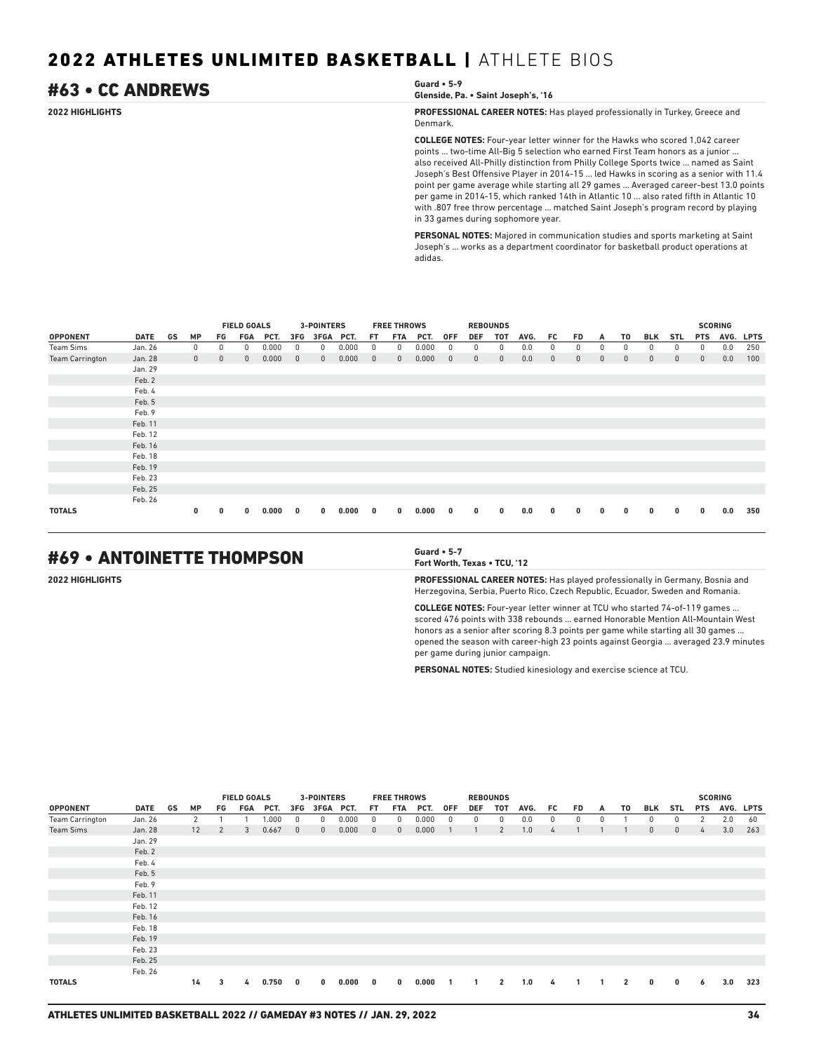## #63 • CC ANDREWS **Guard • 5-9**

```
Glenside, Pa. • Saint Joseph's, '16
```
**2022 HIGHLIGHTS PROFESSIONAL CAREER NOTES:** Has played professionally in Turkey, Greece and Denmark.

> **COLLEGE NOTES:** Four-year letter winner for the Hawks who scored 1,042 career points ... two-time All-Big 5 selection who earned First Team honors as a junior ... also received All-Philly distinction from Philly College Sports twice ... named as Saint Joseph's Best Offensive Player in 2014-15 ... led Hawks in scoring as a senior with 11.4 point per game average while starting all 29 games ... Averaged career-best 13.0 points per game in 2014-15, which ranked 14th in Atlantic 10 ... also rated fifth in Atlantic 10 with .807 free throw percentage ... matched Saint Joseph's program record by playing in 33 games during sophomore year.

**PERSONAL NOTES:** Majored in communication studies and sports marketing at Saint Joseph's ... works as a department coordinator for basketball product operations at adidas.

|                        |             |    |              |              | <b>FIELD GOALS</b> |       |              | 3-POINTERS   |       |              | <b>FREE THROWS</b> |       |              |              | <b>REBOUNDS</b> |      |              |              |              |              |              |              |              | <b>SCORING</b> |             |
|------------------------|-------------|----|--------------|--------------|--------------------|-------|--------------|--------------|-------|--------------|--------------------|-------|--------------|--------------|-----------------|------|--------------|--------------|--------------|--------------|--------------|--------------|--------------|----------------|-------------|
| <b>OPPONENT</b>        | <b>DATE</b> | GS | <b>MP</b>    | FG           | <b>FGA</b>         | PCT.  | 3FG          | 3FGA         | PCT.  | FT           | <b>FTA</b>         | PCT.  | <b>OFF</b>   | <b>DEF</b>   | <b>TOT</b>      | AVG. | FC.          | <b>FD</b>    | A            | T0           | <b>BLK</b>   | <b>STL</b>   | <b>PTS</b>   | AVG.           | <b>LPTS</b> |
| <b>Team Sims</b>       | Jan. 26     |    | 0            | 0            | 0                  | 0.000 | 0            | 0            | 0.000 | 0            | 0                  | 0.000 |              | 0            | 0               | 0.0  | 0            | 0            | 0            | 0            | 0            | 0            | 0            | 0.0            | 250         |
| <b>Team Carrington</b> | Jan. 28     |    | $\mathbf{0}$ | $\mathbf{0}$ | $\mathbf{0}$       | 0.000 | $\mathbf{0}$ | $\mathbf{0}$ | 0.000 | $\mathbf{0}$ | $\mathbf{0}$       | 0.000 | $\mathbf{0}$ | $\mathbf{0}$ | $\mathbf{0}$    | 0.0  | $\mathbf{0}$ | $\mathbf{0}$ | $\mathbf{0}$ | $\mathbf{0}$ | $\mathbf{0}$ | $\mathbf{0}$ | $\mathbf{0}$ | 0.0            | 100         |
|                        | Jan. 29     |    |              |              |                    |       |              |              |       |              |                    |       |              |              |                 |      |              |              |              |              |              |              |              |                |             |
|                        | Feb. 2      |    |              |              |                    |       |              |              |       |              |                    |       |              |              |                 |      |              |              |              |              |              |              |              |                |             |
|                        | Feb. 4      |    |              |              |                    |       |              |              |       |              |                    |       |              |              |                 |      |              |              |              |              |              |              |              |                |             |
|                        | Feb. 5      |    |              |              |                    |       |              |              |       |              |                    |       |              |              |                 |      |              |              |              |              |              |              |              |                |             |
|                        | Feb. 9      |    |              |              |                    |       |              |              |       |              |                    |       |              |              |                 |      |              |              |              |              |              |              |              |                |             |
|                        | Feb. 11     |    |              |              |                    |       |              |              |       |              |                    |       |              |              |                 |      |              |              |              |              |              |              |              |                |             |
|                        | Feb. 12     |    |              |              |                    |       |              |              |       |              |                    |       |              |              |                 |      |              |              |              |              |              |              |              |                |             |
|                        | Feb. 16     |    |              |              |                    |       |              |              |       |              |                    |       |              |              |                 |      |              |              |              |              |              |              |              |                |             |
|                        | Feb. 18     |    |              |              |                    |       |              |              |       |              |                    |       |              |              |                 |      |              |              |              |              |              |              |              |                |             |
|                        | Feb. 19     |    |              |              |                    |       |              |              |       |              |                    |       |              |              |                 |      |              |              |              |              |              |              |              |                |             |
|                        | Feb. 23     |    |              |              |                    |       |              |              |       |              |                    |       |              |              |                 |      |              |              |              |              |              |              |              |                |             |
|                        | Feb. 25     |    |              |              |                    |       |              |              |       |              |                    |       |              |              |                 |      |              |              |              |              |              |              |              |                |             |
|                        | Feb. 26     |    |              |              |                    |       |              |              |       |              |                    |       |              |              |                 |      |              |              |              |              |              |              |              |                |             |
| <b>TOTALS</b>          |             |    | 0            | 0            | 0                  | 0.000 | 0            | 0            | 0.000 | 0            | 0                  | 0.000 | 0            | 0            | $\mathbf{0}$    | 0.0  | $\mathbf{0}$ | 0            | 0            | 0            | 0            | 0            | $\mathbf{0}$ | 0.0            | 350         |

## #69 • ANTOINETTE THOMPSON **Guard • 5-7**

**Fort Worth, Texas • TCU, '12**

**2022 HIGHLIGHTS PROFESSIONAL CAREER NOTES:** Has played professionally in Germany, Bosnia and Herzegovina, Serbia, Puerto Rico, Czech Republic, Ecuador, Sweden and Romania.

> **COLLEGE NOTES:** Four-year letter winner at TCU who started 74-of-119 games ... scored 476 points with 338 rebounds ... earned Honorable Mention All-Mountain West honors as a senior after scoring 8.3 points per game while starting all 30 games ... opened the season with career-high 23 points against Georgia ... averaged 23.9 minutes per game during junior campaign.

**PERSONAL NOTES:** Studied kinesiology and exercise science at TCU.

|                        |         |    |           |                | <b>FIELD GOALS</b> |       |              | 3-POINTERS   |       |              | <b>FREE THROWS</b> |       |            |              | <b>REBOUNDS</b> |      |    |    |   |                |              |             |            | <b>SCORING</b> |           |
|------------------------|---------|----|-----------|----------------|--------------------|-------|--------------|--------------|-------|--------------|--------------------|-------|------------|--------------|-----------------|------|----|----|---|----------------|--------------|-------------|------------|----------------|-----------|
| <b>OPPONENT</b>        | DATE    | GS | <b>MP</b> | FG             | FGA                | PCT.  | 3FG          | 3FGA PCT.    |       | FT.          | FTA                | PCT.  | 0FF        | <b>DEF</b>   | тот             | AVG. | FC | FD | A | T0             | BLK          | STL         | <b>PTS</b> |                | AVG. LPTS |
| <b>Team Carrington</b> | Jan. 26 |    | 2         |                |                    | 1.000 | $^{\circ}$   | 0            | 0.000 | 0            | 0                  | 0.000 | $^{\circ}$ | 0            | $^{\circ}$      | 0.0  | 0  | 0  | 0 |                | $\mathbf{0}$ | 0           | 2          | 2.0            | 60        |
| <b>Team Sims</b>       | Jan. 28 |    | 12        | $\overline{2}$ | 3                  | 0.667 | $\mathbf{0}$ | $\mathbf{0}$ | 0.000 | $\mathbf{0}$ | $\mathbf{0}$       | 0.000 |            |              | $\overline{2}$  | 1.0  | 4  |    |   |                | $\mathbf{0}$ | $\mathbf 0$ | 4          | 3.0            | 263       |
|                        | Jan. 29 |    |           |                |                    |       |              |              |       |              |                    |       |            |              |                 |      |    |    |   |                |              |             |            |                |           |
|                        | Feb. 2  |    |           |                |                    |       |              |              |       |              |                    |       |            |              |                 |      |    |    |   |                |              |             |            |                |           |
|                        | Feb. 4  |    |           |                |                    |       |              |              |       |              |                    |       |            |              |                 |      |    |    |   |                |              |             |            |                |           |
|                        | Feb. 5  |    |           |                |                    |       |              |              |       |              |                    |       |            |              |                 |      |    |    |   |                |              |             |            |                |           |
|                        | Feb. 9  |    |           |                |                    |       |              |              |       |              |                    |       |            |              |                 |      |    |    |   |                |              |             |            |                |           |
|                        | Feb. 11 |    |           |                |                    |       |              |              |       |              |                    |       |            |              |                 |      |    |    |   |                |              |             |            |                |           |
|                        | Feb. 12 |    |           |                |                    |       |              |              |       |              |                    |       |            |              |                 |      |    |    |   |                |              |             |            |                |           |
|                        | Feb. 16 |    |           |                |                    |       |              |              |       |              |                    |       |            |              |                 |      |    |    |   |                |              |             |            |                |           |
|                        | Feb. 18 |    |           |                |                    |       |              |              |       |              |                    |       |            |              |                 |      |    |    |   |                |              |             |            |                |           |
|                        | Feb. 19 |    |           |                |                    |       |              |              |       |              |                    |       |            |              |                 |      |    |    |   |                |              |             |            |                |           |
|                        | Feb. 23 |    |           |                |                    |       |              |              |       |              |                    |       |            |              |                 |      |    |    |   |                |              |             |            |                |           |
|                        | Feb. 25 |    |           |                |                    |       |              |              |       |              |                    |       |            |              |                 |      |    |    |   |                |              |             |            |                |           |
|                        | Feb. 26 |    |           |                |                    |       |              |              |       |              |                    |       |            |              |                 |      |    |    |   |                |              |             |            |                |           |
| <b>TOTALS</b>          |         |    | 14        | 3              | 4                  | 0.750 | 0            | $\mathbf 0$  | 0.000 | 0            | $\mathbf 0$        | 0.000 |            | $\mathbf{1}$ | $\overline{2}$  | 1.0  | 4  |    |   | $\overline{2}$ | $\bf{0}$     | 0           | 6          | 3.0            | 323       |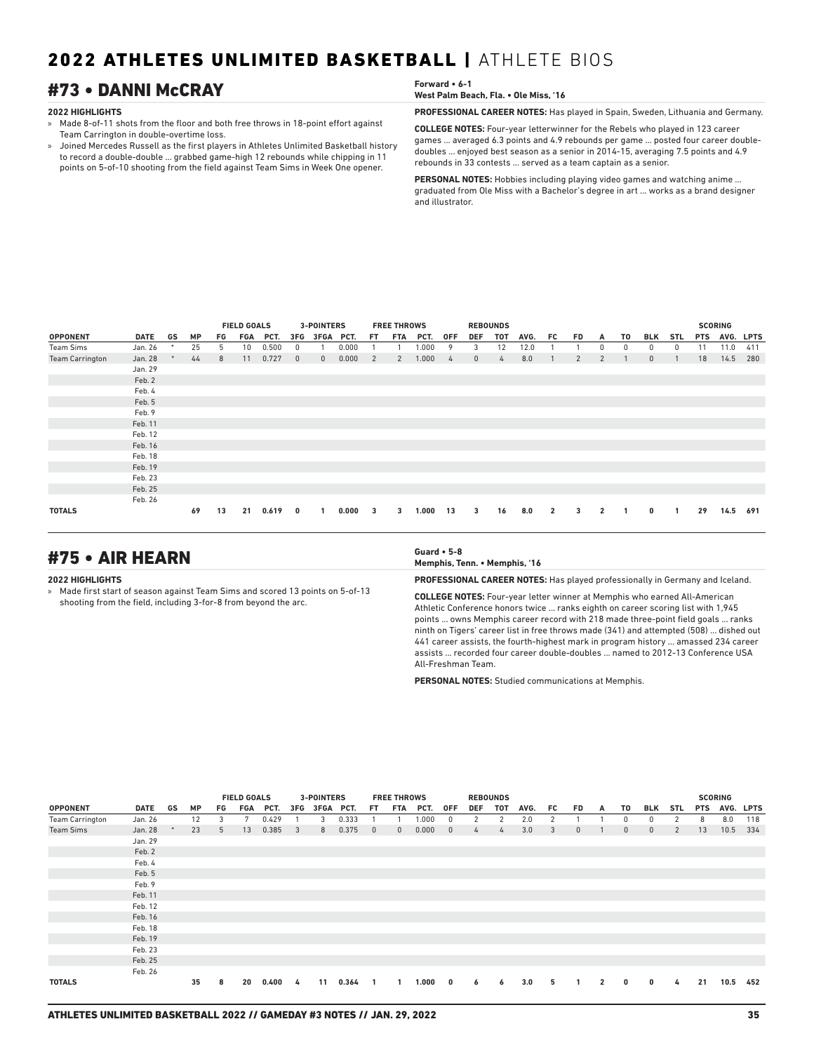## #73 • DANNI McCRAY **Forward • 6-1**

### **2022 HIGHLIGHTS**

- » Made 8-of-11 shots from the floor and both free throws in 18-point effort against Team Carrington in double-overtime loss.
- » Joined Mercedes Russell as the first players in Athletes Unlimited Basketball history to record a double-double ... grabbed game-high 12 rebounds while chipping in 11 points on 5-of-10 shooting from the field against Team Sims in Week One opener.

**West Palm Beach, Fla. • Ole Miss, '16**

**PROFESSIONAL CAREER NOTES:** Has played in Spain, Sweden, Lithuania and Germany.

**COLLEGE NOTES:** Four-year letterwinner for the Rebels who played in 123 career games ... averaged 6.3 points and 4.9 rebounds per game ... posted four career doubledoubles ... enjoyed best season as a senior in 2014-15, averaging 7.5 points and 4.9 rebounds in 33 contests ... served as a team captain as a senior.

**PERSONAL NOTES:** Hobbies including playing video games and watching anime ... graduated from Ole Miss with a Bachelor's degree in art ... works as a brand designer and illustrator.

|                        |         |        |           |    | <b>FIELD GOALS</b> |       |              | <b>3-POINTERS</b> |       |     | <b>FREE THROWS</b> |       |               |              | <b>REBOUNDS</b> |      |                |                |                |    |              |            |            | <b>SCORING</b> |             |
|------------------------|---------|--------|-----------|----|--------------------|-------|--------------|-------------------|-------|-----|--------------------|-------|---------------|--------------|-----------------|------|----------------|----------------|----------------|----|--------------|------------|------------|----------------|-------------|
| <b>OPPONENT</b>        | DATE    | GS     | <b>MP</b> | FG | FGA                | PCT.  | 3FG          | 3FGA              | PCT.  | FT. | <b>FTA</b>         | PCT.  | <b>OFF</b>    | <b>DEF</b>   | <b>TOT</b>      | AVG. | FC.            | <b>FD</b>      | A              | T0 | BLK          | <b>STL</b> | <b>PTS</b> | AVG.           | <b>LPTS</b> |
| Team Sims              | Jan. 26 | $\ast$ | 25        | 5  | 10                 | 0.500 | 0            |                   | 0.000 |     |                    | 1.000 | 9             | 3            | 12              | 12.0 |                |                | 0              | 0  | $\Omega$     | 0          | 11         | 11.0           | 411         |
| <b>Team Carrington</b> | Jan. 28 |        | 44        | 8  | 11                 | 0.727 | $\mathbf{0}$ | $\mathbf{0}$      | 0.000 | 2   | 2                  | 1.000 | $\frac{1}{4}$ | $\mathbf{0}$ | 4               | 8.0  |                | $\overline{2}$ | $\overline{2}$ |    | $\mathbf{0}$ |            | 18         | 14.5           | 280         |
|                        | Jan. 29 |        |           |    |                    |       |              |                   |       |     |                    |       |               |              |                 |      |                |                |                |    |              |            |            |                |             |
|                        | Feb. 2  |        |           |    |                    |       |              |                   |       |     |                    |       |               |              |                 |      |                |                |                |    |              |            |            |                |             |
|                        | Feb. 4  |        |           |    |                    |       |              |                   |       |     |                    |       |               |              |                 |      |                |                |                |    |              |            |            |                |             |
|                        | Feb. 5  |        |           |    |                    |       |              |                   |       |     |                    |       |               |              |                 |      |                |                |                |    |              |            |            |                |             |
|                        | Feb. 9  |        |           |    |                    |       |              |                   |       |     |                    |       |               |              |                 |      |                |                |                |    |              |            |            |                |             |
|                        | Feb. 11 |        |           |    |                    |       |              |                   |       |     |                    |       |               |              |                 |      |                |                |                |    |              |            |            |                |             |
|                        | Feb. 12 |        |           |    |                    |       |              |                   |       |     |                    |       |               |              |                 |      |                |                |                |    |              |            |            |                |             |
|                        | Feb. 16 |        |           |    |                    |       |              |                   |       |     |                    |       |               |              |                 |      |                |                |                |    |              |            |            |                |             |
|                        | Feb. 18 |        |           |    |                    |       |              |                   |       |     |                    |       |               |              |                 |      |                |                |                |    |              |            |            |                |             |
|                        | Feb. 19 |        |           |    |                    |       |              |                   |       |     |                    |       |               |              |                 |      |                |                |                |    |              |            |            |                |             |
|                        | Feb. 23 |        |           |    |                    |       |              |                   |       |     |                    |       |               |              |                 |      |                |                |                |    |              |            |            |                |             |
|                        | Feb. 25 |        |           |    |                    |       |              |                   |       |     |                    |       |               |              |                 |      |                |                |                |    |              |            |            |                |             |
|                        | Feb. 26 |        |           |    |                    |       |              |                   |       |     |                    |       |               |              |                 |      |                |                |                |    |              |            |            |                |             |
| <b>TOTALS</b>          |         |        | 69        | 13 | 21                 | 0.619 | 0            |                   | 0.000 | 3   | 3                  | 1.000 | 13            | 3            | 16              | 8.0  | $\overline{2}$ | 3              | $\overline{2}$ |    | $\mathbf{0}$ | 1          | 29         | 14.5           | 691         |

## #75 • AIR HEARN **Guard • 5-8**

### **2022 HIGHLIGHTS**

» Made first start of season against Team Sims and scored 13 points on 5-of-13 shooting from the field, including 3-for-8 from beyond the arc.

**Memphis, Tenn. • Memphis, '16**

**PROFESSIONAL CAREER NOTES:** Has played professionally in Germany and Iceland.

**COLLEGE NOTES:** Four-year letter winner at Memphis who earned All-American Athletic Conference honors twice ... ranks eighth on career scoring list with 1,945 points ... owns Memphis career record with 218 made three-point field goals ... ranks ninth on Tigers' career list in free throws made (341) and attempted (508) ... dished out 441 career assists, the fourth-highest mark in program history ... amassed 234 career assists ... recorded four career double-doubles ... named to 2012-13 Conference USA All-Freshman Team.

**PERSONAL NOTES:** Studied communications at Memphis.

|                        |             |    |           |                  | <b>FIELD GOALS</b> |       |                | <b>3-POINTERS</b> |       |              | <b>FREE THROWS</b> |       |              |            | <b>REBOUNDS</b> |      |     |              |              |              |              |                |            | <b>SCORING</b> |           |
|------------------------|-------------|----|-----------|------------------|--------------------|-------|----------------|-------------------|-------|--------------|--------------------|-------|--------------|------------|-----------------|------|-----|--------------|--------------|--------------|--------------|----------------|------------|----------------|-----------|
| <b>OPPONENT</b>        | <b>DATE</b> | GS | <b>MP</b> | FG               | FGA                | PCT.  | 3FG            | 3FGA PCT.         |       | FT.          | FTA                | PCT.  | <b>OFF</b>   | <b>DEF</b> | TOT             | AVG. | FC. | FD.          | A            | T0           | BLK          | STL            | <b>PTS</b> |                | AVG. LPTS |
| <b>Team Carrington</b> | Jan. 26     |    | 12        | 3                | 7                  | 0.429 |                | 3                 | 0.333 |              |                    | 1.000 | 0            | 2          | 2               | 2.0  | 2   |              |              | 0            | $\Omega$     | 2              | 8          | 8.0            | 118       |
| <b>Team Sims</b>       | Jan. 28     |    | 23        | 5                | 13                 | 0.385 | $\overline{3}$ | 8                 | 0.375 | $\mathbf{0}$ | $\mathbf{0}$       | 0.000 | $\mathbf{0}$ | 4          | 4               | 3.0  | 3   | $\mathbf{0}$ |              | $\mathbf{0}$ | $\mathbf{0}$ | $\overline{2}$ | 13         | 10.5           | 334       |
|                        | Jan. 29     |    |           |                  |                    |       |                |                   |       |              |                    |       |              |            |                 |      |     |              |              |              |              |                |            |                |           |
|                        | Feb. 2      |    |           |                  |                    |       |                |                   |       |              |                    |       |              |            |                 |      |     |              |              |              |              |                |            |                |           |
|                        | Feb. 4      |    |           |                  |                    |       |                |                   |       |              |                    |       |              |            |                 |      |     |              |              |              |              |                |            |                |           |
|                        | Feb. 5      |    |           |                  |                    |       |                |                   |       |              |                    |       |              |            |                 |      |     |              |              |              |              |                |            |                |           |
|                        | Feb. 9      |    |           |                  |                    |       |                |                   |       |              |                    |       |              |            |                 |      |     |              |              |              |              |                |            |                |           |
|                        | Feb. 11     |    |           |                  |                    |       |                |                   |       |              |                    |       |              |            |                 |      |     |              |              |              |              |                |            |                |           |
|                        | Feb. 12     |    |           |                  |                    |       |                |                   |       |              |                    |       |              |            |                 |      |     |              |              |              |              |                |            |                |           |
|                        | Feb. 16     |    |           |                  |                    |       |                |                   |       |              |                    |       |              |            |                 |      |     |              |              |              |              |                |            |                |           |
|                        | Feb. 18     |    |           |                  |                    |       |                |                   |       |              |                    |       |              |            |                 |      |     |              |              |              |              |                |            |                |           |
|                        | Feb. 19     |    |           |                  |                    |       |                |                   |       |              |                    |       |              |            |                 |      |     |              |              |              |              |                |            |                |           |
|                        | Feb. 23     |    |           |                  |                    |       |                |                   |       |              |                    |       |              |            |                 |      |     |              |              |              |              |                |            |                |           |
|                        | Feb. 25     |    |           |                  |                    |       |                |                   |       |              |                    |       |              |            |                 |      |     |              |              |              |              |                |            |                |           |
|                        | Feb. 26     |    |           |                  |                    |       |                |                   |       |              |                    |       |              |            |                 |      |     |              |              |              |              |                |            |                |           |
| <b>TOTALS</b>          |             |    | 35        | 20<br>0.400<br>8 |                    |       | 4              | 11                | 0.364 |              |                    | 1.000 | $\mathbf{0}$ | 6          | 6               | 3.0  | 5   |              | $\mathbf{2}$ | $\mathbf{0}$ | $\mathbf{0}$ | 4              | 21         | 10.5           | 452       |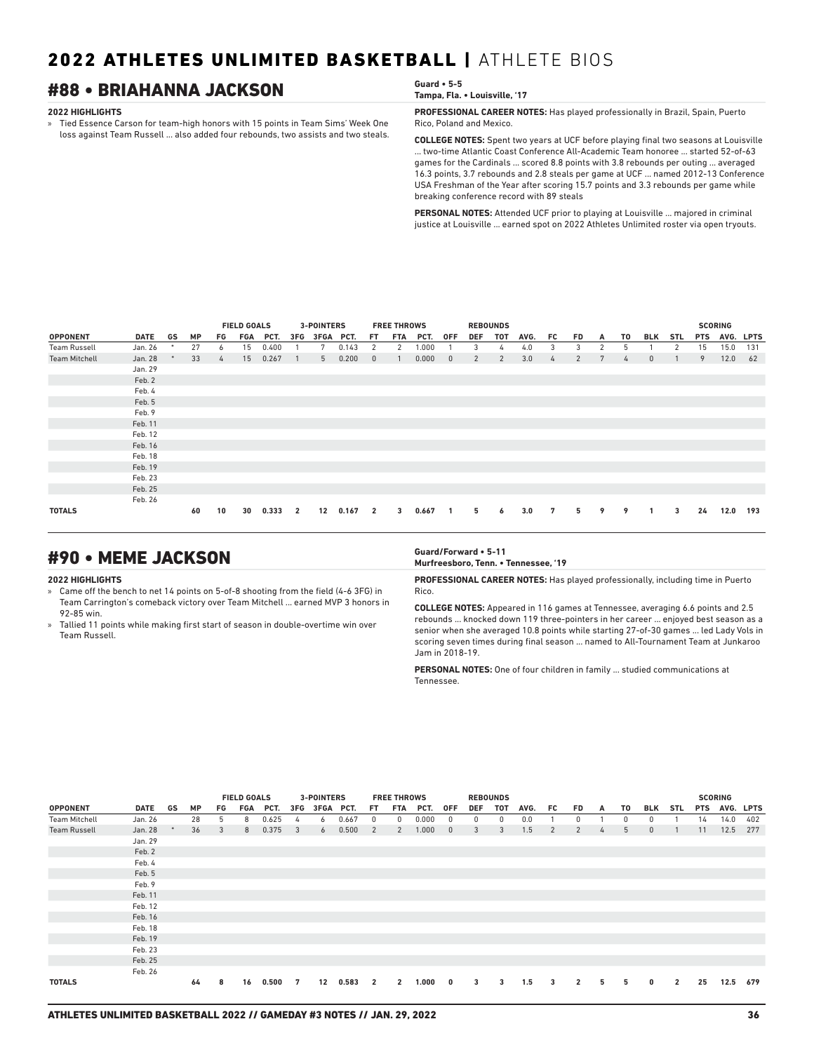## #88 • BRIAHANNA JACKSON **Guard • 5-5**

### **2022 HIGHLIGHTS**

» Tied Essence Carson for team-high honors with 15 points in Team Sims' Week One loss against Team Russell ... also added four rebounds, two assists and two steals. **Tampa, Fla. • Louisville, '17**

**PROFESSIONAL CAREER NOTES:** Has played professionally in Brazil, Spain, Puerto Rico, Poland and Mexico.

**COLLEGE NOTES:** Spent two years at UCF before playing final two seasons at Louisville ... two-time Atlantic Coast Conference All-Academic Team honoree ... started 52-of-63 games for the Cardinals ... scored 8.8 points with 3.8 rebounds per outing ... averaged 16.3 points, 3.7 rebounds and 2.8 steals per game at UCF ... named 2012-13 Conference USA Freshman of the Year after scoring 15.7 points and 3.3 rebounds per game while breaking conference record with 89 steals

**PERSONAL NOTES:** Attended UCF prior to playing at Louisville ... majored in criminal justice at Louisville ... earned spot on 2022 Athletes Unlimited roster via open tryouts.

|                      |             |    |           | <b>FIELD GOALS</b> |     |       | <b>3-POINTERS</b> |           |       | <b>FREE THROWS</b> |     |       | <b>REBOUNDS</b> |            |     |      |     |     |   |    |              |            | <b>SCORING</b> |           |     |
|----------------------|-------------|----|-----------|--------------------|-----|-------|-------------------|-----------|-------|--------------------|-----|-------|-----------------|------------|-----|------|-----|-----|---|----|--------------|------------|----------------|-----------|-----|
| <b>OPPONENT</b>      | <b>DATE</b> | GS | <b>MP</b> | FG                 | FGA | PCT.  | 3FG               | 3FGA PCT. |       | FT.                | FTA | PCT.  | <b>OFF</b>      | <b>DEF</b> | TOT | AVG. | FC. | FD. | A | T0 | BLK          | <b>STL</b> | <b>PTS</b>     | AVG. LPTS |     |
| <b>Team Russell</b>  | Jan. 26     |    | 27        | 6                  | 15  | 0.400 |                   | 7         | 0.143 | 2                  | 2   | 1.000 |                 | 3          | 4   | 4.0  | 3   | 3   | 2 | 5  |              | 2          | 15             | 15.0      | 131 |
| <b>Team Mitchell</b> | Jan. 28     |    | 33        | $\frac{1}{2}$      | 15  | 0.267 | $\overline{1}$    | 5         | 0.200 | $\mathbf{0}$       |     | 0.000 | $\mathbf{0}$    | 2          | 2   | 3.0  | 4   | 2   | 7 | 4  | $\mathbf{0}$ |            | 9              | 12.0      | 62  |
|                      | Jan. 29     |    |           |                    |     |       |                   |           |       |                    |     |       |                 |            |     |      |     |     |   |    |              |            |                |           |     |
|                      | Feb. 2      |    |           |                    |     |       |                   |           |       |                    |     |       |                 |            |     |      |     |     |   |    |              |            |                |           |     |
|                      | Feb. 4      |    |           |                    |     |       |                   |           |       |                    |     |       |                 |            |     |      |     |     |   |    |              |            |                |           |     |
|                      | Feb. 5      |    |           |                    |     |       |                   |           |       |                    |     |       |                 |            |     |      |     |     |   |    |              |            |                |           |     |
|                      | Feb. 9      |    |           |                    |     |       |                   |           |       |                    |     |       |                 |            |     |      |     |     |   |    |              |            |                |           |     |
|                      | Feb. 11     |    |           |                    |     |       |                   |           |       |                    |     |       |                 |            |     |      |     |     |   |    |              |            |                |           |     |
|                      | Feb. 12     |    |           |                    |     |       |                   |           |       |                    |     |       |                 |            |     |      |     |     |   |    |              |            |                |           |     |
|                      | Feb. 16     |    |           |                    |     |       |                   |           |       |                    |     |       |                 |            |     |      |     |     |   |    |              |            |                |           |     |
|                      | Feb. 18     |    |           |                    |     |       |                   |           |       |                    |     |       |                 |            |     |      |     |     |   |    |              |            |                |           |     |
|                      | Feb. 19     |    |           |                    |     |       |                   |           |       |                    |     |       |                 |            |     |      |     |     |   |    |              |            |                |           |     |
|                      | Feb. 23     |    |           |                    |     |       |                   |           |       |                    |     |       |                 |            |     |      |     |     |   |    |              |            |                |           |     |
|                      | Feb. 25     |    |           |                    |     |       |                   |           |       |                    |     |       |                 |            |     |      |     |     |   |    |              |            |                |           |     |
|                      | Feb. 26     |    |           |                    |     |       |                   |           |       |                    |     |       |                 |            |     |      |     |     |   |    |              |            |                |           |     |
| <b>TOTALS</b>        |             |    | 60        | 10                 | 30  | 0.333 | $\overline{2}$    | 12        | 0.167 | $\overline{2}$     | 3   | 0.667 | $\mathbf{1}$    | 5          | 6   | 3.0  | 7   | 5   | 9 | 9  | 1            | 3          | 24             | 12.0      | 193 |

## #90 • MEME JACKSON **Guard/Forward • 5-11**

### **2022 HIGHLIGHTS**

» Came off the bench to net 14 points on 5-of-8 shooting from the field (4-6 3FG) in Team Carrington's comeback victory over Team Mitchell ... earned MVP 3 honors in 92-85 win.

» Tallied 11 points while making first start of season in double-overtime win over Team Russell.

**Murfreesboro, Tenn. • Tennessee, '19**

**PROFESSIONAL CAREER NOTES:** Has played professionally, including time in Puerto Rico.

**COLLEGE NOTES:** Appeared in 116 games at Tennessee, averaging 6.6 points and 2.5 rebounds ... knocked down 119 three-pointers in her career ... enjoyed best season as a senior when she averaged 10.8 points while starting 27-of-30 games ... led Lady Vols in scoring seven times during final season ... named to All-Tournament Team at Junkaroo Jam in 2018-19.

**PERSONAL NOTES:** One of four children in family ... studied communications at Tennessee.

|                      |             |    |           |    | <b>FIELD GOALS</b> |       |                | <b>3-POINTERS</b> |       |                | <b>FREE THROWS</b> |       |                         |            | <b>REBOUNDS</b> |      |     |                |   |    |              |                |            | <b>SCORING</b> |     |
|----------------------|-------------|----|-----------|----|--------------------|-------|----------------|-------------------|-------|----------------|--------------------|-------|-------------------------|------------|-----------------|------|-----|----------------|---|----|--------------|----------------|------------|----------------|-----|
| <b>OPPONENT</b>      | <b>DATE</b> | GS | <b>MP</b> | FG | FGA                | PCT.  | 3FG            | 3FGA PCT.         |       | FT.            | <b>FTA</b>         | PCT.  | <b>OFF</b>              | <b>DEF</b> | <b>TOT</b>      | AVG. | FC. | <b>FD</b>      | A | T0 | BLK          | <b>STL</b>     | <b>PTS</b> | AVG. LPTS      |     |
| <b>Team Mitchell</b> | Jan. 26     |    | 28        | 5  | 8                  | 0.625 | 4              | 6                 | 0.667 | 0              | 0                  | 0.000 | 0                       | 0          | 0               | 0.0  |     | 0              |   | 0  | $\Omega$     |                | 14         | 14.0           | 402 |
| <b>Team Russell</b>  | Jan. 28     |    | 36        | 3  | 8                  | 0.375 | $\overline{3}$ | 6                 | 0.500 | 2              | 2                  | 1.000 | $\mathbf{0}$            | 3          | 3               | 1.5  | 2   | 2              | 4 | 5  | $\mathbf{0}$ |                | 11         | 12.5           | 277 |
|                      | Jan. 29     |    |           |    |                    |       |                |                   |       |                |                    |       |                         |            |                 |      |     |                |   |    |              |                |            |                |     |
|                      | Feb. 2      |    |           |    |                    |       |                |                   |       |                |                    |       |                         |            |                 |      |     |                |   |    |              |                |            |                |     |
|                      | Feb. 4      |    |           |    |                    |       |                |                   |       |                |                    |       |                         |            |                 |      |     |                |   |    |              |                |            |                |     |
|                      | Feb. 5      |    |           |    |                    |       |                |                   |       |                |                    |       |                         |            |                 |      |     |                |   |    |              |                |            |                |     |
|                      | Feb. 9      |    |           |    |                    |       |                |                   |       |                |                    |       |                         |            |                 |      |     |                |   |    |              |                |            |                |     |
|                      | Feb. 11     |    |           |    |                    |       |                |                   |       |                |                    |       |                         |            |                 |      |     |                |   |    |              |                |            |                |     |
|                      | Feb. 12     |    |           |    |                    |       |                |                   |       |                |                    |       |                         |            |                 |      |     |                |   |    |              |                |            |                |     |
|                      | Feb. 16     |    |           |    |                    |       |                |                   |       |                |                    |       |                         |            |                 |      |     |                |   |    |              |                |            |                |     |
|                      | Feb. 18     |    |           |    |                    |       |                |                   |       |                |                    |       |                         |            |                 |      |     |                |   |    |              |                |            |                |     |
|                      | Feb. 19     |    |           |    |                    |       |                |                   |       |                |                    |       |                         |            |                 |      |     |                |   |    |              |                |            |                |     |
|                      | Feb. 23     |    |           |    |                    |       |                |                   |       |                |                    |       |                         |            |                 |      |     |                |   |    |              |                |            |                |     |
|                      | Feb. 25     |    |           |    |                    |       |                |                   |       |                |                    |       |                         |            |                 |      |     |                |   |    |              |                |            |                |     |
|                      | Feb. 26     |    |           |    |                    |       |                |                   |       |                |                    |       |                         |            |                 |      |     |                |   |    |              |                |            |                |     |
| <b>TOTALS</b>        |             |    | 64        | 8  | 16                 | 0.500 | 7              | 12                | 0.583 | $\overline{2}$ | $\overline{2}$     | 1.000 | $\overline{\mathbf{0}}$ | 3          | 3               | 1.5  | 3   | $\overline{2}$ | 5 | 5  | $\bf{0}$     | $\overline{2}$ | 25         | 12.5           | 679 |